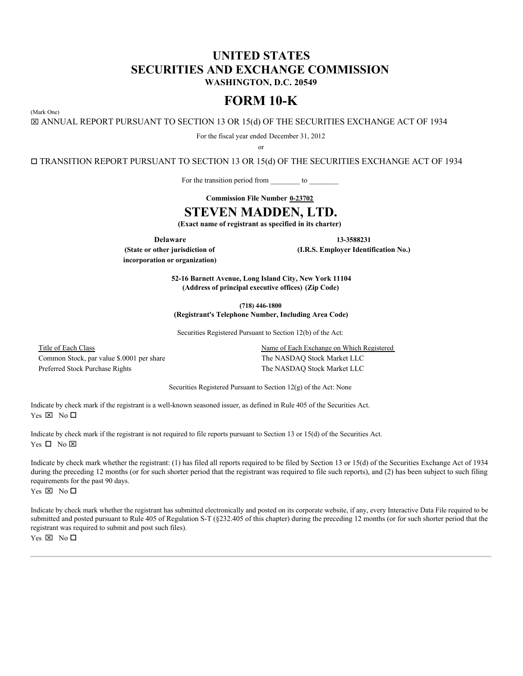# **UNITED STATES SECURITIES AND EXCHANGE COMMISSION**

**WASHINGTON, D.C. 20549**

## **FORM 10-K**

(Mark One)

x ANNUAL REPORT PURSUANT TO SECTION 13 OR 15(d) OF THE SECURITIES EXCHANGE ACT OF 1934

For the fiscal year ended December 31, 2012

or

o TRANSITION REPORT PURSUANT TO SECTION 13 OR 15(d) OF THE SECURITIES EXCHANGE ACT OF 1934

For the transition period from  $\_\_\_\_\_$  to  $\_\_\_\$ 

**Commission File Number 0-23702**

## **STEVEN MADDEN, LTD.**

**(Exact name of registrant as specified in its charter)** 

**Delaware 13-3588231 (State or other jurisdiction of (I.R.S. Employer Identification No.)**

**incorporation or organization)**

**52-16 Barnett Avenue, Long Island City, New York 11104 (Address of principal executive offices) (Zip Code)**

**(718) 446-1800 (Registrant's Telephone Number, Including Area Code)**

Securities Registered Pursuant to Section 12(b) of the Act:

Common Stock, par value \$.0001 per share The NASDAQ Stock Market LLC Preferred Stock Purchase Rights The NASDAQ Stock Market LLC

Title of Each Class Name of Each Exchange on Which Registered

Securities Registered Pursuant to Section 12(g) of the Act: None

Indicate by check mark if the registrant is a well-known seasoned issuer, as defined in Rule 405 of the Securities Act. Yes  $\boxtimes$  No  $\square$ 

Indicate by check mark if the registrant is not required to file reports pursuant to Section 13 or 15(d) of the Securities Act. Yes  $\square$  No  $\square$ 

Indicate by check mark whether the registrant: (1) has filed all reports required to be filed by Section 13 or 15(d) of the Securities Exchange Act of 1934 during the preceding 12 months (or for such shorter period that the registrant was required to file such reports), and (2) has been subject to such filing requirements for the past 90 days.

Yes  $\boxtimes$  No  $\square$ 

Indicate by check mark whether the registrant has submitted electronically and posted on its corporate website, if any, every Interactive Data File required to be submitted and posted pursuant to Rule 405 of Regulation S-T (§232.405 of this chapter) during the preceding 12 months (or for such shorter period that the registrant was required to submit and post such files).

Yes  $\boxtimes$  No  $\square$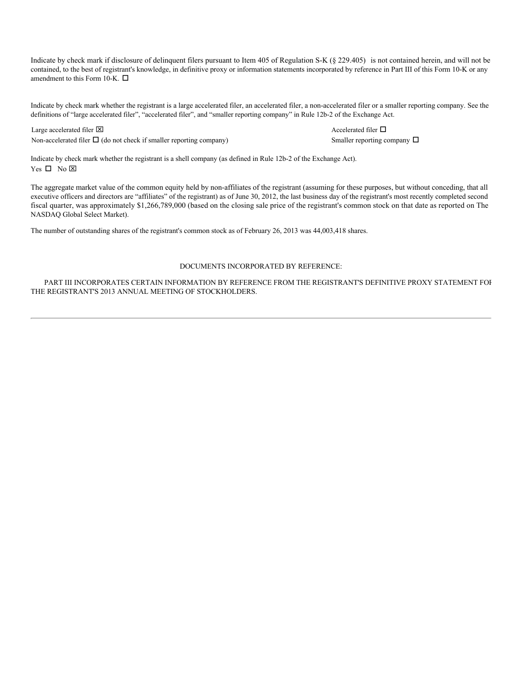Indicate by check mark if disclosure of delinquent filers pursuant to Item 405 of Regulation S-K (§ 229.405) is not contained herein, and will not be contained, to the best of registrant's knowledge, in definitive proxy or information statements incorporated by reference in Part III of this Form 10-K or any amendment to this Form 10-K.  $\Box$ 

Indicate by check mark whether the registrant is a large accelerated filer, an accelerated filer, a non-accelerated filer or a smaller reporting company. See the definitions of "large accelerated filer", "accelerated filer", and "smaller reporting company" in Rule 12b-2 of the Exchange Act.

Large accelerated filer  $\boxtimes$ Non-accelerated filer  $\Box$  (do not check if smaller reporting company) Smaller reporting company  $\Box$ 

Indicate by check mark whether the registrant is a shell company (as defined in Rule 12b-2 of the Exchange Act). Yes  $\square$  No  $\square$ 

The aggregate market value of the common equity held by non-affiliates of the registrant (assuming for these purposes, but without conceding, that all executive officers and directors are "affiliates" of the registrant) as of June 30, 2012, the last business day of the registrant's most recently completed second fiscal quarter, was approximately \$1,266,789,000 (based on the closing sale price of the registrant's common stock on that date as reported on The NASDAQ Global Select Market).

The number of outstanding shares of the registrant's common stock as of February 26, 2013 was 44,003,418 shares.

### DOCUMENTS INCORPORATED BY REFERENCE:

PART III INCORPORATES CERTAIN INFORMATION BY REFERENCE FROM THE REGISTRANT'S DEFINITIVE PROXY STATEMENT FOR THE REGISTRANT'S 2013 ANNUAL MEETING OF STOCKHOLDERS.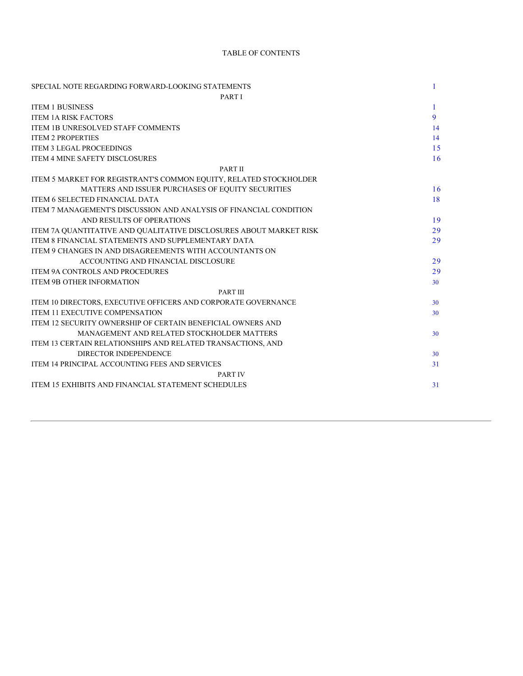## TABLE OF CONTENTS

| SPECIAL NOTE REGARDING FORWARD-LOOKING STATEMENTS                  |    |  |  |
|--------------------------------------------------------------------|----|--|--|
| PART I                                                             |    |  |  |
| <b>ITEM 1 BUSINESS</b>                                             |    |  |  |
| <b>ITEM 1A RISK FACTORS</b>                                        | 9  |  |  |
| ITEM 1B UNRESOLVED STAFF COMMENTS                                  | 14 |  |  |
| <b>ITEM 2 PROPERTIES</b>                                           | 14 |  |  |
| <b>ITEM 3 LEGAL PROCEEDINGS</b>                                    | 15 |  |  |
| <b>ITEM 4 MINE SAFETY DISCLOSURES</b>                              | 16 |  |  |
| <b>PART II</b>                                                     |    |  |  |
| ITEM 5 MARKET FOR REGISTRANT'S COMMON EQUITY, RELATED STOCKHOLDER  |    |  |  |
| MATTERS AND ISSUER PURCHASES OF EQUITY SECURITIES                  | 16 |  |  |
| <b>ITEM 6 SELECTED FINANCIAL DATA</b>                              | 18 |  |  |
| ITEM 7 MANAGEMENT'S DISCUSSION AND ANALYSIS OF FINANCIAL CONDITION |    |  |  |
| AND RESULTS OF OPERATIONS                                          | 19 |  |  |
| ITEM 7A QUANTITATIVE AND QUALITATIVE DISCLOSURES ABOUT MARKET RISK | 29 |  |  |
| ITEM 8 FINANCIAL STATEMENTS AND SUPPLEMENTARY DATA                 | 29 |  |  |
| ITEM 9 CHANGES IN AND DISAGREEMENTS WITH ACCOUNTANTS ON            |    |  |  |
| ACCOUNTING AND FINANCIAL DISCLOSURE                                | 29 |  |  |
| <b>ITEM 9A CONTROLS AND PROCEDURES</b>                             | 29 |  |  |
| ITEM 9B OTHER INFORMATION                                          | 30 |  |  |
| PART III                                                           |    |  |  |
| ITEM 10 DIRECTORS, EXECUTIVE OFFICERS AND CORPORATE GOVERNANCE     | 30 |  |  |
| <b>ITEM 11 EXECUTIVE COMPENSATION</b>                              | 30 |  |  |
| <b>ITEM 12 SECURITY OWNERSHIP OF CERTAIN BENEFICIAL OWNERS AND</b> |    |  |  |
| MANAGEMENT AND RELATED STOCKHOLDER MATTERS                         | 30 |  |  |
| ITEM 13 CERTAIN RELATIONSHIPS AND RELATED TRANSACTIONS, AND        |    |  |  |
| DIRECTOR INDEPENDENCE                                              | 30 |  |  |
| ITEM 14 PRINCIPAL ACCOUNTING FEES AND SERVICES                     | 31 |  |  |
| <b>PART IV</b>                                                     |    |  |  |
| ITEM 15 EXHIBITS AND FINANCIAL STATEMENT SCHEDULES                 | 31 |  |  |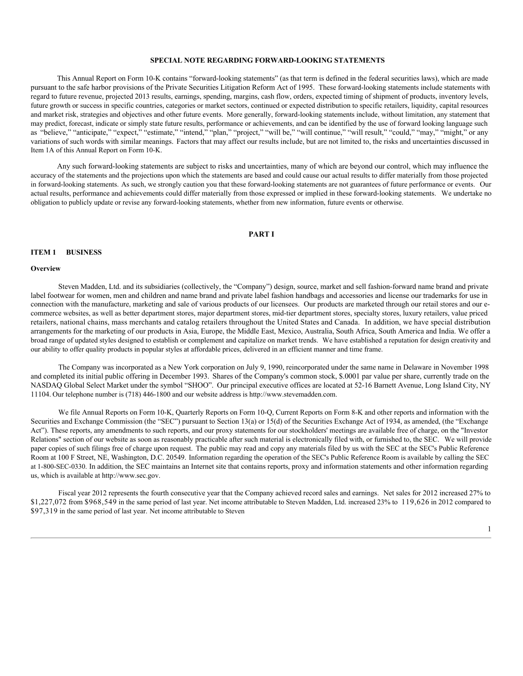#### **SPECIAL NOTE REGARDING FORWARD-LOOKING STATEMENTS**

<span id="page-3-0"></span>This Annual Report on Form 10-K contains "forward-looking statements" (as that term is defined in the federal securities laws), which are made pursuant to the safe harbor provisions of the Private Securities Litigation Reform Act of 1995. These forward-looking statements include statements with regard to future revenue, projected 2013 results, earnings, spending, margins, cash flow, orders, expected timing of shipment of products, inventory levels, future growth or success in specific countries, categories or market sectors, continued or expected distribution to specific retailers, liquidity, capital resources and market risk, strategies and objectives and other future events. More generally, forward-looking statements include, without limitation, any statement that may predict, forecast, indicate or simply state future results, performance or achievements, and can be identified by the use of forward looking language such as "believe," "anticipate," "expect," "estimate," "intend," "plan," "project," "will be," "will continue," "will result," "could," "may," "might," or any variations of such words with similar meanings. Factors that may affect our results include, but are not limited to, the risks and uncertainties discussed in Item 1A of this Annual Report on Form 10-K.

Any such forward-looking statements are subject to risks and uncertainties, many of which are beyond our control, which may influence the accuracy of the statements and the projections upon which the statements are based and could cause our actual results to differ materially from those projected in forward-looking statements. As such, we strongly caution you that these forward-looking statements are not guarantees of future performance or events. Our actual results, performance and achievements could differ materially from those expressed or implied in these forward-looking statements. We undertake no obligation to publicly update or revise any forward-looking statements, whether from new information, future events or otherwise.

#### **PART I**

#### **ITEM 1 BUSINESS**

#### **Overview**

Steven Madden, Ltd. and its subsidiaries (collectively, the "Company") design, source, market and sell fashion-forward name brand and private label footwear for women, men and children and name brand and private label fashion handbags and accessories and license our trademarks for use in connection with the manufacture, marketing and sale of various products of our licensees. Our products are marketed through our retail stores and our ecommerce websites, as well as better department stores, major department stores, mid-tier department stores, specialty stores, luxury retailers, value priced retailers, national chains, mass merchants and catalog retailers throughout the United States and Canada. In addition, we have special distribution arrangements for the marketing of our products in Asia, Europe, the Middle East, Mexico, Australia, South Africa, South America and India. We offer a broad range of updated styles designed to establish or complement and capitalize on market trends. We have established a reputation for design creativity and our ability to offer quality products in popular styles at affordable prices, delivered in an efficient manner and time frame.

The Company was incorporated as a New York corporation on July 9, 1990, reincorporated under the same name in Delaware in November 1998 and completed its initial public offering in December 1993. Shares of the Company's common stock, \$.0001 par value per share, currently trade on the NASDAQ Global Select Market under the symbol "SHOO". Our principal executive offices are located at 52-16 Barnett Avenue, Long Island City, NY 11104. Our telephone number is (718) 446-1800 and our website address is http://www.stevemadden.com.

We file Annual Reports on Form 10-K, Quarterly Reports on Form 10-Q, Current Reports on Form 8-K and other reports and information with the Securities and Exchange Commission (the "SEC") pursuant to Section 13(a) or 15(d) of the Securities Exchange Act of 1934, as amended, (the "Exchange Act"). These reports, any amendments to such reports, and our proxy statements for our stockholders' meetings are available free of charge, on the "Investor Relations" section of our website as soon as reasonably practicable after such material is electronically filed with, or furnished to, the SEC. We will provide paper copies of such filings free of charge upon request. The public may read and copy any materials filed by us with the SEC at the SEC's Public Reference Room at 100 F Street, NE, Washington, D.C. 20549. Information regarding the operation of the SEC's Public Reference Room is available by calling the SEC at 1-800-SEC-0330. In addition, the SEC maintains an Internet site that contains reports, proxy and information statements and other information regarding us, which is available at http://www.sec.gov.

Fiscal year 2012 represents the fourth consecutive year that the Company achieved record sales and earnings. Net sales for 2012 increased 27% to \$1,227,072 from \$968,549 in the same period of last year. Net income attributable to Steven Madden, Ltd. increased 23% to 119,626 in 2012 compared to \$97,319 in the same period of last year. Net income attributable to Steven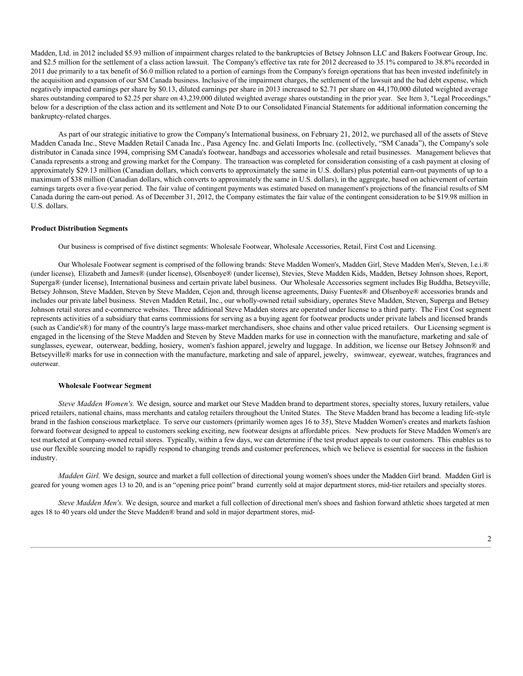Madden, Ltd. in 2012 included \$5.93 million of impairment charges related to the bankruptcies of Betsey Johnson LLC and Bakers Footwear Group, Inc. and \$2.5 million for the settlement of a class action lawsuit. The Company's effective tax rate for 2012 decreased to 35.1% compared to 38.8% recorded in 2011 due primarily to a tax benefit of \$6.0 million related to a portion of earnings from the Company's foreign operations that has been invested indefinitely in the acquisition and expansion of our SM Canada business. Inclusive of the impairment charges, the settlement of the lawsuit and the bad debt expense, which negatively impacted earnings per share by \$0.13, diluted earnings per share in 2013 increased to \$2.71 per share on 44,170,000 diluted weighted average shares outstanding compared to \$2.25 per share on 43,239,000 diluted weighted average shares outstanding in the prior year. See Item 3, "Legal Proceedings," below for a description of the class action and its settlement and Note D to our Consolidated Financial Statements for additional information concerning the bankruptcy-related charges.

As part of our strategic initiative to grow the Company's International business, on February 21, 2012, we purchased all of the assets of Steve Madden Canada Inc., Steve Madden Retail Canada Inc., Pasa Agency Inc. and Gelati Imports Inc. (collectively, "SM Canada"), the Company's sole distributor in Canada since 1994, comprising SM Canada's footwear, handbags and accessories wholesale and retail businesses. Management believes that Canada represents a strong and growing market for the Company. The transaction was completed for consideration consisting of a cash payment at closing of approximately \$29.13 million (Canadian dollars, which converts to approximately the same in U.S. dollars) plus potential earn-out payments of up to a maximum of \$38 million (Canadian dollars, which converts to approximately the same in U.S. dollars), in the aggregate, based on achievement of certain earnings targets over a five-year period. The fair value of contingent payments was estimated based on management's projections of the financial results of SM Canada during the earn-out period. As of December 31, 2012, the Company estimates the fair value of the contingent consideration to be \$19.98 million in U.S. dollars.

## **Product Distribution Segments**

Our business is comprised of five distinct segments: Wholesale Footwear, Wholesale Accessories, Retail, First Cost and Licensing.

Our Wholesale Footwear segment is comprised of the following brands: Steve Madden Women's, Madden Girl, Steve Madden Men's, Steven, l.e.i.® (under license), Elizabeth and James® (under license), Olsenboye® (under license), Stevies, Steve Madden Kids, Madden, Betsey Johnson shoes, Report, Superga® (under license), International business and certain private label business. Our Wholesale Accessories segment includes Big Buddha, Betseyville, Betsey Johnson, Steve Madden, Steven by Steve Madden, Cejon and, through license agreements, Daisy Fuentes® and Olsenboye® accessories brands and includes our private label business. Steven Madden Retail, Inc., our wholly-owned retail subsidiary, operates Steve Madden, Steven, Superga and Betsey Johnson retail stores and e-commerce websites. Three additional Steve Madden stores are operated under license to a third party. The First Cost segment represents activities of a subsidiary that earns commissions for serving as a buying agent for footwear products under private labels and licensed brands (such as Candie's®) for many of the country's large mass-market merchandisers, shoe chains and other value priced retailers. Our Licensing segment is engaged in the licensing of the Steve Madden and Steven by Steve Madden marks for use in connection with the manufacture, marketing and sale of sunglasses, eyewear, outerwear, bedding, hosiery, women's fashion apparel, jewelry and luggage. In addition, we license our Betsey Johnson® and Betseyville® marks for use in connection with the manufacture, marketing and sale of apparel, jewelry, swimwear, eyewear, watches, fragrances and outerwear.

#### **Wholesale Footwear Segment**

*Steve Madden Women's.* We design, source and market our Steve Madden brand to department stores, specialty stores, luxury retailers, value priced retailers, national chains, mass merchants and catalog retailers throughout the United States. The Steve Madden brand has become a leading life-style brand in the fashion conscious marketplace. To serve our customers (primarily women ages 16 to 35), Steve Madden Women's creates and markets fashion forward footwear designed to appeal to customers seeking exciting, new footwear designs at affordable prices. New products for Steve Madden Women's are test marketed at Company-owned retail stores. Typically, within a few days, we can determine if the test product appeals to our customers. This enables us to use our flexible sourcing model to rapidly respond to changing trends and customer preferences, which we believe is essential for success in the fashion industry.

*Madden Girl.* We design, source and market a full collection of directional young women's shoes under the Madden Girl brand. Madden Girl is geared for young women ages 13 to 20, and is an "opening price point" brand currently sold at major department stores, mid-tier retailers and specialty stores.

*Steve Madden Men's.* We design, source and market a full collection of directional men's shoes and fashion forward athletic shoes targeted at men ages 18 to 40 years old under the Steve Madden® brand and sold in major department stores, mid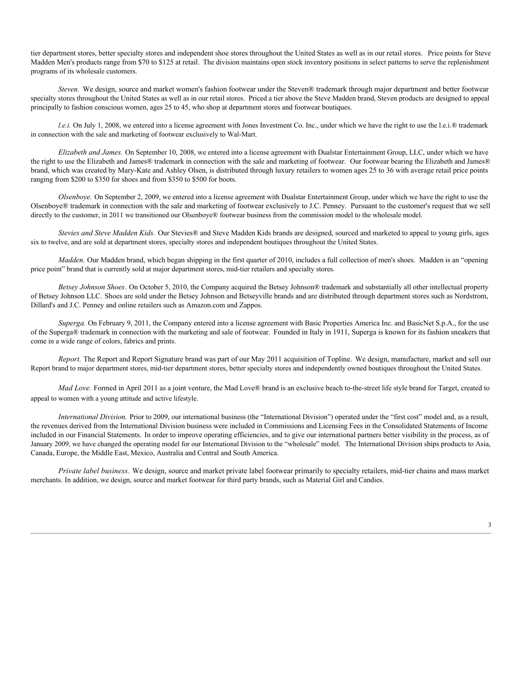tier department stores, better specialty stores and independent shoe stores throughout the United States as well as in our retail stores. Price points for Steve Madden Men's products range from \$70 to \$125 at retail. The division maintains open stock inventory positions in select patterns to serve the replenishment programs of its wholesale customers.

*Steven.* We design, source and market women's fashion footwear under the Steven® trademark through major department and better footwear specialty stores throughout the United States as well as in our retail stores. Priced a tier above the Steve Madden brand, Steven products are designed to appeal principally to fashion conscious women, ages 25 to 45, who shop at department stores and footwear boutiques.

*l.e.i.* On July 1, 2008, we entered into a license agreement with Jones Investment Co. Inc., under which we have the right to use the l.e.i.® trademark in connection with the sale and marketing of footwear exclusively to Wal-Mart.

*Elizabeth and James.* On September 10, 2008, we entered into a license agreement with Dualstar Entertainment Group, LLC, under which we have the right to use the Elizabeth and James® trademark in connection with the sale and marketing of footwear. Our footwear bearing the Elizabeth and James® brand, which was created by Mary-Kate and Ashley Olsen, is distributed through luxury retailers to women ages 25 to 36 with average retail price points ranging from \$200 to \$350 for shoes and from \$350 to \$500 for boots.

*Olsenboye.* On September 2, 2009, we entered into a license agreement with Dualstar Entertainment Group, under which we have the right to use the Olsenboye® trademark in connection with the sale and marketing of footwear exclusively to J.C. Penney. Pursuant to the customer's request that we sell directly to the customer, in 2011 we transitioned our Olsenboye® footwear business from the commission model to the wholesale model.

*Stevies and Steve Madden Kids.* Our Stevies® and Steve Madden Kids brands are designed, sourced and marketed to appeal to young girls, ages six to twelve, and are sold at department stores, specialty stores and independent boutiques throughout the United States.

*Madden.* Our Madden brand, which began shipping in the first quarter of 2010, includes a full collection of men's shoes. Madden is an "opening price point" brand that is currently sold at major department stores, mid-tier retailers and specialty stores.

*Betsey Johnson Shoes*. On October 5, 2010, the Company acquired the Betsey Johnson® trademark and substantially all other intellectual property of Betsey Johnson LLC. Shoes are sold under the Betsey Johnson and Betseyville brands and are distributed through department stores such as Nordstrom, Dillard's and J.C. Penney and online retailers such as Amazon.com and Zappos.

*Superga.* On February 9, 2011, the Company entered into a license agreement with Basic Properties America Inc. and BasicNet S.p.A., for the use of the Superga® trademark in connection with the marketing and sale of footwear. Founded in Italy in 1911, Superga is known for its fashion sneakers that come in a wide range of colors, fabrics and prints.

*Report.* The Report and Report Signature brand was part of our May 2011 acquisition of Topline. We design, manufacture, market and sell our Report brand to major department stores, mid-tier department stores, better specialty stores and independently owned boutiques throughout the United States.

*Mad Love.* Formed in April 2011 as a joint venture, the Mad Love® brand is an exclusive beach to-the-street life style brand for Target, created to appeal to women with a young attitude and active lifestyle.

*International Division.* Prior to 2009, our international business (the "International Division") operated under the "first cost" model and, as a result, the revenues derived from the International Division business were included in Commissions and Licensing Fees in the Consolidated Statements of Income included in our Financial Statements. In order to improve operating efficiencies, and to give our international partners better visibility in the process, as of January 2009, we have changed the operating model for our International Division to the "wholesale" model. The International Division ships products to Asia, Canada, Europe, the Middle East, Mexico, Australia and Central and South America.

*Private label business.* We design, source and market private label footwear primarily to specialty retailers, mid-tier chains and mass market merchants. In addition, we design, source and market footwear for third party brands, such as Material Girl and Candies.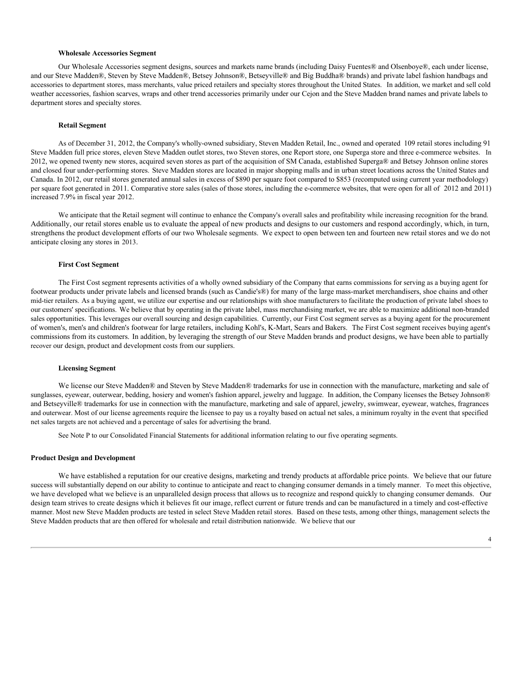#### **Wholesale Accessories Segment**

Our Wholesale Accessories segment designs, sources and markets name brands (including Daisy Fuentes® and Olsenboye®, each under license, and our Steve Madden®, Steven by Steve Madden®, Betsey Johnson®, Betseyville® and Big Buddha® brands) and private label fashion handbags and accessories to department stores, mass merchants, value priced retailers and specialty stores throughout the United States. In addition, we market and sell cold weather accessories, fashion scarves, wraps and other trend accessories primarily under our Cejon and the Steve Madden brand names and private labels to department stores and specialty stores.

#### **Retail Segment**

As of December 31, 2012, the Company's wholly-owned subsidiary, Steven Madden Retail, Inc., owned and operated 109 retail stores including 91 Steve Madden full price stores, eleven Steve Madden outlet stores, two Steven stores, one Report store, one Superga store and three e-commerce websites. In 2012, we opened twenty new stores, acquired seven stores as part of the acquisition of SM Canada, established Superga® and Betsey Johnson online stores and closed four under-performing stores. Steve Madden stores are located in major shopping malls and in urban street locations across the United States and Canada. In 2012, our retail stores generated annual sales in excess of \$890 per square foot compared to \$853 (recomputed using current year methodology) per square foot generated in 2011. Comparative store sales (sales of those stores, including the e-commerce websites, that were open for all of 2012 and 2011) increased 7.9% in fiscal year 2012.

We anticipate that the Retail segment will continue to enhance the Company's overall sales and profitability while increasing recognition for the brand. Additionally, our retail stores enable us to evaluate the appeal of new products and designs to our customers and respond accordingly, which, in turn, strengthens the product development efforts of our two Wholesale segments. We expect to open between ten and fourteen new retail stores and we do not anticipate closing any stores in 2013.

#### **First Cost Segment**

The First Cost segment represents activities of a wholly owned subsidiary of the Company that earns commissions for serving as a buying agent for footwear products under private labels and licensed brands (such as Candie's®) for many of the large mass-market merchandisers, shoe chains and other mid-tier retailers. As a buying agent, we utilize our expertise and our relationships with shoe manufacturers to facilitate the production of private label shoes to our customers' specifications. We believe that by operating in the private label, mass merchandising market, we are able to maximize additional non-branded sales opportunities. This leverages our overall sourcing and design capabilities. Currently, our First Cost segment serves as a buying agent for the procurement of women's, men's and children's footwear for large retailers, including Kohl's, K-Mart, Sears and Bakers. The First Cost segment receives buying agent's commissions from its customers. In addition, by leveraging the strength of our Steve Madden brands and product designs, we have been able to partially recover our design, product and development costs from our suppliers.

#### **Licensing Segment**

We license our Steve Madden® and Steven by Steve Madden® trademarks for use in connection with the manufacture, marketing and sale of sunglasses, eyewear, outerwear, bedding, hosiery and women's fashion apparel, jewelry and luggage. In addition, the Company licenses the Betsey Johnson® and Betseyville® trademarks for use in connection with the manufacture, marketing and sale of apparel, jewelry, swimwear, eyewear, watches, fragrances and outerwear. Most of our license agreements require the licensee to pay us a royalty based on actual net sales, a minimum royalty in the event that specified net sales targets are not achieved and a percentage of sales for advertising the brand.

See Note P to our Consolidated Financial Statements for additional information relating to our five operating segments.

#### **Product Design and Development**

We have established a reputation for our creative designs, marketing and trendy products at affordable price points. We believe that our future success will substantially depend on our ability to continue to anticipate and react to changing consumer demands in a timely manner. To meet this objective, we have developed what we believe is an unparalleled design process that allows us to recognize and respond quickly to changing consumer demands. Our design team strives to create designs which it believes fit our image, reflect current or future trends and can be manufactured in a timely and cost-effective manner. Most new Steve Madden products are tested in select Steve Madden retail stores. Based on these tests, among other things, management selects the Steve Madden products that are then offered for wholesale and retail distribution nationwide. We believe that our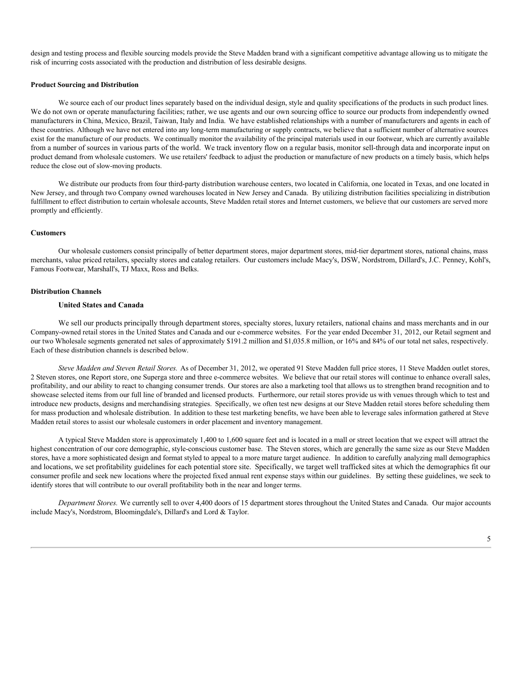design and testing process and flexible sourcing models provide the Steve Madden brand with a significant competitive advantage allowing us to mitigate the risk of incurring costs associated with the production and distribution of less desirable designs.

#### **Product Sourcing and Distribution**

We source each of our product lines separately based on the individual design, style and quality specifications of the products in such product lines. We do not own or operate manufacturing facilities; rather, we use agents and our own sourcing office to source our products from independently owned manufacturers in China, Mexico, Brazil, Taiwan, Italy and India. We have established relationships with a number of manufacturers and agents in each of these countries. Although we have not entered into any long-term manufacturing or supply contracts, we believe that a sufficient number of alternative sources exist for the manufacture of our products. We continually monitor the availability of the principal materials used in our footwear, which are currently available from a number of sources in various parts of the world. We track inventory flow on a regular basis, monitor sell-through data and incorporate input on product demand from wholesale customers. We use retailers' feedback to adjust the production or manufacture of new products on a timely basis, which helps reduce the close out of slow-moving products.

We distribute our products from four third-party distribution warehouse centers, two located in California, one located in Texas, and one located in New Jersey, and through two Company owned warehouses located in New Jersey and Canada. By utilizing distribution facilities specializing in distribution fulfillment to effect distribution to certain wholesale accounts, Steve Madden retail stores and Internet customers, we believe that our customers are served more promptly and efficiently.

#### **Customers**

Our wholesale customers consist principally of better department stores, major department stores, mid-tier department stores, national chains, mass merchants, value priced retailers, specialty stores and catalog retailers. Our customers include Macy's, DSW, Nordstrom, Dillard's, J.C. Penney, Kohl's, Famous Footwear, Marshall's, TJ Maxx, Ross and Belks.

#### **Distribution Channels**

### **United States and Canada**

We sell our products principally through department stores, specialty stores, luxury retailers, national chains and mass merchants and in our Company-owned retail stores in the United States and Canada and our e-commerce websites. For the year ended December 31, 2012, our Retail segment and our two Wholesale segments generated net sales of approximately \$191.2 million and \$1,035.8 million, or 16% and 84% of our total net sales, respectively. Each of these distribution channels is described below.

*Steve Madden and Steven Retail Stores.* As of December 31, 2012, we operated 91 Steve Madden full price stores, 11 Steve Madden outlet stores, 2 Steven stores, one Report store, one Superga store and three e-commerce websites. We believe that our retail stores will continue to enhance overall sales, profitability, and our ability to react to changing consumer trends. Our stores are also a marketing tool that allows us to strengthen brand recognition and to showcase selected items from our full line of branded and licensed products. Furthermore, our retail stores provide us with venues through which to test and introduce new products, designs and merchandising strategies. Specifically, we often test new designs at our Steve Madden retail stores before scheduling them for mass production and wholesale distribution. In addition to these test marketing benefits, we have been able to leverage sales information gathered at Steve Madden retail stores to assist our wholesale customers in order placement and inventory management.

A typical Steve Madden store is approximately 1,400 to 1,600 square feet and is located in a mall or street location that we expect will attract the highest concentration of our core demographic, style-conscious customer base. The Steven stores, which are generally the same size as our Steve Madden stores, have a more sophisticated design and format styled to appeal to a more mature target audience. In addition to carefully analyzing mall demographics and locations, we set profitability guidelines for each potential store site. Specifically, we target well trafficked sites at which the demographics fit our consumer profile and seek new locations where the projected fixed annual rent expense stays within our guidelines. By setting these guidelines, we seek to identify stores that will contribute to our overall profitability both in the near and longer terms.

*Department Stores.* We currently sell to over 4,400 doors of 15 department stores throughout the United States and Canada. Our major accounts include Macy's, Nordstrom, Bloomingdale's, Dillard's and Lord & Taylor.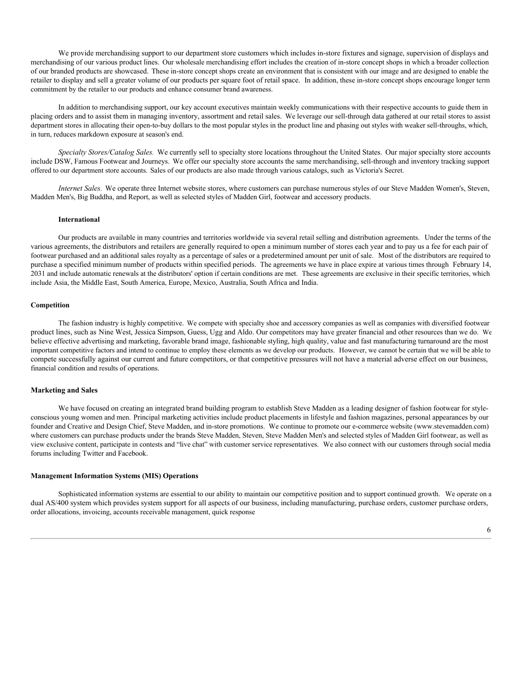We provide merchandising support to our department store customers which includes in-store fixtures and signage, supervision of displays and merchandising of our various product lines. Our wholesale merchandising effort includes the creation of in-store concept shops in which a broader collection of our branded products are showcased. These in-store concept shops create an environment that is consistent with our image and are designed to enable the retailer to display and sell a greater volume of our products per square foot of retail space. In addition, these in-store concept shops encourage longer term commitment by the retailer to our products and enhance consumer brand awareness.

In addition to merchandising support, our key account executives maintain weekly communications with their respective accounts to guide them in placing orders and to assist them in managing inventory, assortment and retail sales. We leverage our sell-through data gathered at our retail stores to assist department stores in allocating their open-to-buy dollars to the most popular styles in the product line and phasing out styles with weaker sell-throughs, which, in turn, reduces markdown exposure at season's end.

*Specialty Stores/Catalog Sales.* We currently sell to specialty store locations throughout the United States. Our major specialty store accounts include DSW, Famous Footwear and Journeys. We offer our specialty store accounts the same merchandising, sell-through and inventory tracking support offered to our department store accounts. Sales of our products are also made through various catalogs, such as Victoria's Secret.

*Internet Sales.* We operate three Internet website stores, where customers can purchase numerous styles of our Steve Madden Women's, Steven, Madden Men's, Big Buddha, and Report, as well as selected styles of Madden Girl, footwear and accessory products.

#### **International**

Our products are available in many countries and territories worldwide via several retail selling and distribution agreements. Under the terms of the various agreements, the distributors and retailers are generally required to open a minimum number of stores each year and to pay us a fee for each pair of footwear purchased and an additional sales royalty as a percentage of sales or a predetermined amount per unit of sale. Most of the distributors are required to purchase a specified minimum number of products within specified periods. The agreements we have in place expire at various times through February 14, 2031 and include automatic renewals at the distributors' option if certain conditions are met. These agreements are exclusive in their specific territories, which include Asia, the Middle East, South America, Europe, Mexico, Australia, South Africa and India.

### **Competition**

The fashion industry is highly competitive. We compete with specialty shoe and accessory companies as well as companies with diversified footwear product lines, such as Nine West, Jessica Simpson, Guess, Ugg and Aldo. Our competitors may have greater financial and other resources than we do. We believe effective advertising and marketing, favorable brand image, fashionable styling, high quality, value and fast manufacturing turnaround are the most important competitive factors and intend to continue to employ these elements as we develop our products. However, we cannot be certain that we will be able to compete successfully against our current and future competitors, or that competitive pressures will not have a material adverse effect on our business, financial condition and results of operations.

### **Marketing and Sales**

We have focused on creating an integrated brand building program to establish Steve Madden as a leading designer of fashion footwear for styleconscious young women and men. Principal marketing activities include product placements in lifestyle and fashion magazines, personal appearances by our founder and Creative and Design Chief, Steve Madden, and in-store promotions. We continue to promote our e-commerce website (www.stevemadden.com) where customers can purchase products under the brands Steve Madden, Steven, Steve Madden Men's and selected styles of Madden Girl footwear, as well as view exclusive content, participate in contests and "live chat" with customer service representatives. We also connect with our customers through social media forums including Twitter and Facebook.

#### **Management Information Systems (MIS) Operations**

Sophisticated information systems are essential to our ability to maintain our competitive position and to support continued growth. We operate on a dual AS/400 system which provides system support for all aspects of our business, including manufacturing, purchase orders, customer purchase orders, order allocations, invoicing, accounts receivable management, quick response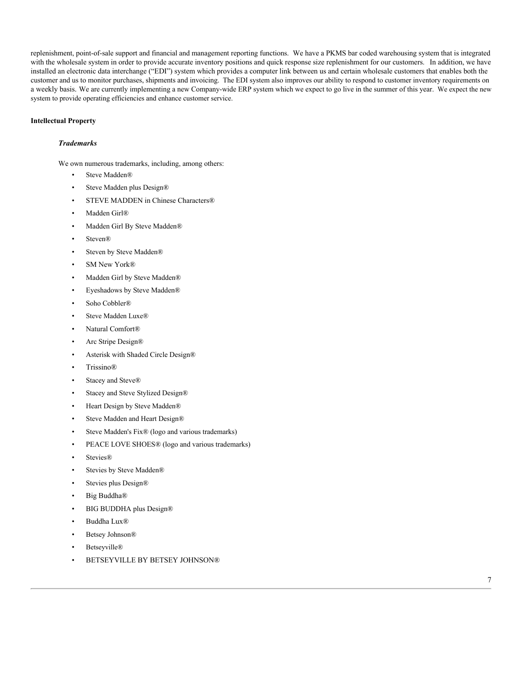replenishment, point-of-sale support and financial and management reporting functions. We have a PKMS bar coded warehousing system that is integrated with the wholesale system in order to provide accurate inventory positions and quick response size replenishment for our customers. In addition, we have installed an electronic data interchange ("EDI") system which provides a computer link between us and certain wholesale customers that enables both the customer and us to monitor purchases, shipments and invoicing. The EDI system also improves our ability to respond to customer inventory requirements on a weekly basis. We are currently implementing a new Company-wide ERP system which we expect to go live in the summer of this year. We expect the new system to provide operating efficiencies and enhance customer service.

#### **Intellectual Property**

## *Trademarks*

We own numerous trademarks, including, among others:

- Steve Madden®
- Steve Madden plus Design®
- STEVE MADDEN in Chinese Characters®
- Madden Girl®
- Madden Girl By Steve Madden®
- Steven<sup>®</sup>
- Steven by Steve Madden®
- SM New York®
- Madden Girl by Steve Madden®
- Eyeshadows by Steve Madden®
- Soho Cobbler®
- Steve Madden Luxe®
- Natural Comfort®
- Arc Stripe Design®
- Asterisk with Shaded Circle Design®
- Trissino®
- Stacey and Steve®
- Stacey and Steve Stylized Design®
- Heart Design by Steve Madden®
- Steve Madden and Heart Design®
- Steve Madden's Fix® (logo and various trademarks)
- PEACE LOVE SHOES® (logo and various trademarks)
- Stevies<sup>®</sup>
- Stevies by Steve Madden®
- Stevies plus Design®
- Big Buddha®
- BIG BUDDHA plus Design®
- Buddha Lux®
- Betsey Johnson®
- Betseyville<sup>®</sup>
- BETSEYVILLE BY BETSEY JOHNSON®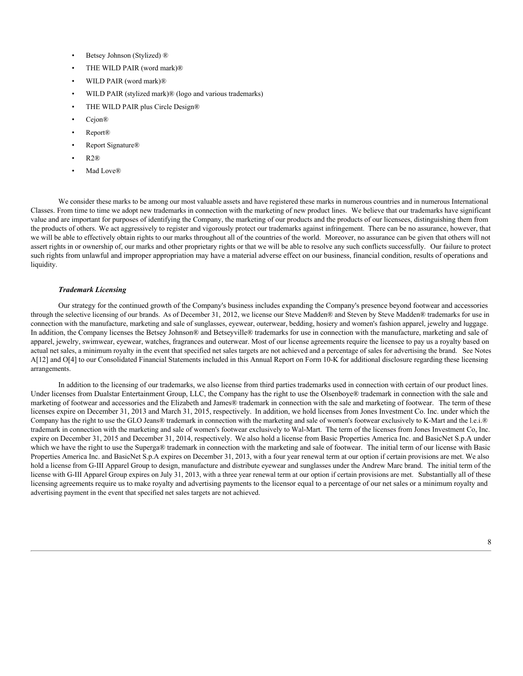- Betsey Johnson (Stylized) ®
- THE WILD PAIR (word mark)®
- WILD PAIR (word mark)®
- WILD PAIR (stylized mark)® (logo and various trademarks)
- THE WILD PAIR plus Circle Design®
- Cejon<sup>®</sup>
- Report®
- Report Signature®
- R2®
- Mad Love®

We consider these marks to be among our most valuable assets and have registered these marks in numerous countries and in numerous International Classes. From time to time we adopt new trademarks in connection with the marketing of new product lines. We believe that our trademarks have significant value and are important for purposes of identifying the Company, the marketing of our products and the products of our licensees, distinguishing them from the products of others. We act aggressively to register and vigorously protect our trademarks against infringement. There can be no assurance, however, that we will be able to effectively obtain rights to our marks throughout all of the countries of the world. Moreover, no assurance can be given that others will not assert rights in or ownership of, our marks and other proprietary rights or that we will be able to resolve any such conflicts successfully. Our failure to protect such rights from unlawful and improper appropriation may have a material adverse effect on our business, financial condition, results of operations and liquidity.

#### *Trademark Licensing*

Our strategy for the continued growth of the Company's business includes expanding the Company's presence beyond footwear and accessories through the selective licensing of our brands. As of December 31, 2012, we license our Steve Madden® and Steven by Steve Madden® trademarks for use in connection with the manufacture, marketing and sale of sunglasses, eyewear, outerwear, bedding, hosiery and women's fashion apparel, jewelry and luggage. In addition, the Company licenses the Betsey Johnson® and Betseyville® trademarks for use in connection with the manufacture, marketing and sale of apparel, jewelry, swimwear, eyewear, watches, fragrances and outerwear. Most of our license agreements require the licensee to pay us a royalty based on actual net sales, a minimum royalty in the event that specified net sales targets are not achieved and a percentage of sales for advertising the brand. See Notes A[12] and O[4] to our Consolidated Financial Statements included in this Annual Report on Form 10-K for additional disclosure regarding these licensing arrangements.

In addition to the licensing of our trademarks, we also license from third parties trademarks used in connection with certain of our product lines. Under licenses from Dualstar Entertainment Group, LLC, the Company has the right to use the Olsenboye® trademark in connection with the sale and marketing of footwear and accessories and the Elizabeth and James® trademark in connection with the sale and marketing of footwear. The term of these licenses expire on December 31, 2013 and March 31, 2015, respectively. In addition, we hold licenses from Jones Investment Co. Inc. under which the Company has the right to use the GLO Jeans® trademark in connection with the marketing and sale of women's footwear exclusively to K-Mart and the l.e.i.® trademark in connection with the marketing and sale of women's footwear exclusively to Wal-Mart. The term of the licenses from Jones Investment Co, Inc. expire on December 31, 2015 and December 31, 2014, respectively. We also hold a license from Basic Properties America Inc. and BasicNet S.p.A under which we have the right to use the Superga® trademark in connection with the marketing and sale of footwear. The initial term of our license with Basic Properties America Inc. and BasicNet S.p.A expires on December 31, 2013, with a four year renewal term at our option if certain provisions are met. We also hold a license from G-III Apparel Group to design, manufacture and distribute eyewear and sunglasses under the Andrew Marc brand. The initial term of the license with G-III Apparel Group expires on July 31, 2013, with a three year renewal term at our option if certain provisions are met. Substantially all of these licensing agreements require us to make royalty and advertising payments to the licensor equal to a percentage of our net sales or a minimum royalty and advertising payment in the event that specified net sales targets are not achieved.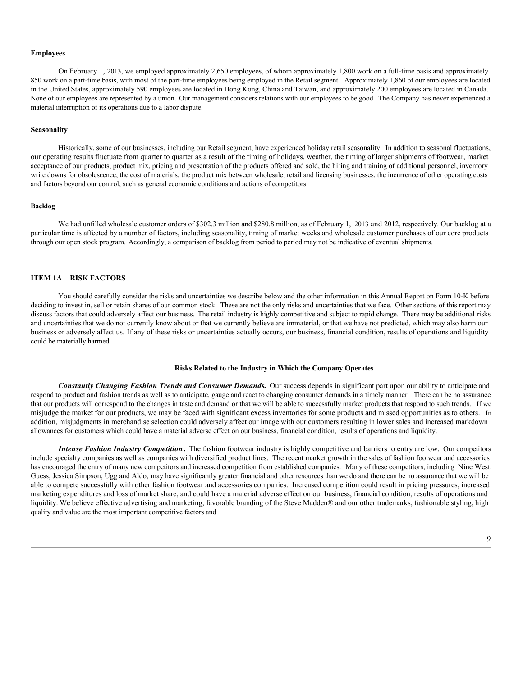#### <span id="page-11-0"></span>**Employees**

On February 1, 2013, we employed approximately 2,650 employees, of whom approximately 1,800 work on a full-time basis and approximately 850 work on a part-time basis, with most of the part-time employees being employed in the Retail segment. Approximately 1,860 of our employees are located in the United States, approximately 590 employees are located in Hong Kong, China and Taiwan, and approximately 200 employees are located in Canada. None of our employees are represented by a union. Our management considers relations with our employees to be good. The Company has never experienced a material interruption of its operations due to a labor dispute.

#### **Seasonality**

Historically, some of our businesses, including our Retail segment, have experienced holiday retail seasonality. In addition to seasonal fluctuations, our operating results fluctuate from quarter to quarter as a result of the timing of holidays, weather, the timing of larger shipments of footwear, market acceptance of our products, product mix, pricing and presentation of the products offered and sold, the hiring and training of additional personnel, inventory write downs for obsolescence, the cost of materials, the product mix between wholesale, retail and licensing businesses, the incurrence of other operating costs and factors beyond our control, such as general economic conditions and actions of competitors.

#### **Backlog**

We had unfilled wholesale customer orders of \$302.3 million and \$280.8 million, as of February 1, 2013 and 2012, respectively. Our backlog at a particular time is affected by a number of factors, including seasonality, timing of market weeks and wholesale customer purchases of our core products through our open stock program. Accordingly, a comparison of backlog from period to period may not be indicative of eventual shipments.

## **ITEM 1A RISK FACTORS**

You should carefully consider the risks and uncertainties we describe below and the other information in this Annual Report on Form 10-K before deciding to invest in, sell or retain shares of our common stock. These are not the only risks and uncertainties that we face. Other sections of this report may discuss factors that could adversely affect our business. The retail industry is highly competitive and subject to rapid change. There may be additional risks and uncertainties that we do not currently know about or that we currently believe are immaterial, or that we have not predicted, which may also harm our business or adversely affect us. If any of these risks or uncertainties actually occurs, our business, financial condition, results of operations and liquidity could be materially harmed.

#### **Risks Related to the Industry in Which the Company Operates**

*Constantly Changing Fashion Trends and Consumer Demands.* Our success depends in significant part upon our ability to anticipate and respond to product and fashion trends as well as to anticipate, gauge and react to changing consumer demands in a timely manner. There can be no assurance that our products will correspond to the changes in taste and demand or that we will be able to successfully market products that respond to such trends. If we misjudge the market for our products, we may be faced with significant excess inventories for some products and missed opportunities as to others. In addition, misjudgments in merchandise selection could adversely affect our image with our customers resulting in lower sales and increased markdown allowances for customers which could have a material adverse effect on our business, financial condition, results of operations and liquidity.

*Intense Fashion Industry Competition***.** The fashion footwear industry is highly competitive and barriers to entry are low. Our competitors include specialty companies as well as companies with diversified product lines. The recent market growth in the sales of fashion footwear and accessories has encouraged the entry of many new competitors and increased competition from established companies. Many of these competitors, including Nine West, Guess, Jessica Simpson, Ugg and Aldo, may have significantly greater financial and other resources than we do and there can be no assurance that we will be able to compete successfully with other fashion footwear and accessories companies. Increased competition could result in pricing pressures, increased marketing expenditures and loss of market share, and could have a material adverse effect on our business, financial condition, results of operations and liquidity. We believe effective advertising and marketing, favorable branding of the Steve Madden® and our other trademarks, fashionable styling, high quality and value are the most important competitive factors and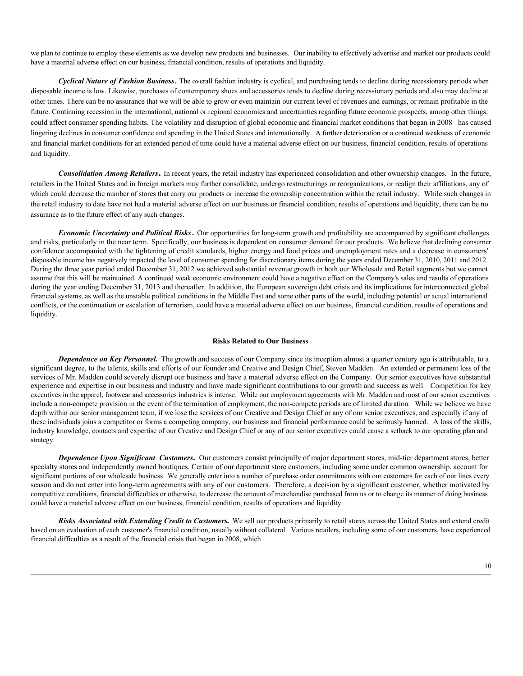we plan to continue to employ these elements as we develop new products and businesses. Our inability to effectively advertise and market our products could have a material adverse effect on our business, financial condition, results of operations and liquidity.

*Cyclical Nature of Fashion Business.* The overall fashion industry is cyclical, and purchasing tends to decline during recessionary periods when disposable income is low. Likewise, purchases of contemporary shoes and accessories tends to decline during recessionary periods and also may decline at other times. There can be no assurance that we will be able to grow or even maintain our current level of revenues and earnings, or remain profitable in the future. Continuing recession in the international, national or regional economies and uncertainties regarding future economic prospects, among other things, could affect consumer spending habits. The volatility and disruption of global economic and financial market conditions that began in 2008 has caused lingering declines in consumer confidence and spending in the United States and internationally. A further deterioration or a continued weakness of economic and financial market conditions for an extended period of time could have a material adverse effect on our business, financial condition, results of operations and liquidity.

*Consolidation Among Retailers***.** In recent years, the retail industry has experienced consolidation and other ownership changes. In the future, retailers in the United States and in foreign markets may further consolidate, undergo restructurings or reorganizations, or realign their affiliations, any of which could decrease the number of stores that carry our products or increase the ownership concentration within the retail industry. While such changes in the retail industry to date have not had a material adverse effect on our business or financial condition, results of operations and liquidity, there can be no assurance as to the future effect of any such changes.

*Economic Uncertainty and Political Risks***.** Our opportunities for long-term growth and profitability are accompanied by significant challenges and risks, particularly in the near term. Specifically, our business is dependent on consumer demand for our products. We believe that declining consumer confidence accompanied with the tightening of credit standards, higher energy and food prices and unemployment rates and a decrease in consumers' disposable income has negatively impacted the level of consumer spending for discretionary items during the years ended December 31, 2010, 2011 and 2012. During the three year period ended December 31, 2012 we achieved substantial revenue growth in both our Wholesale and Retail segments but we cannot assume that this will be maintained. A continued weak economic environment could have a negative effect on the Company's sales and results of operations during the year ending December 31, 2013 and thereafter. In addition, the European sovereign debt crisis and its implications for interconnected global financial systems, as well as the unstable political conditions in the Middle East and some other parts of the world, including potential or actual international conflicts, or the continuation or escalation of terrorism, could have a material adverse effect on our business, financial condition, results of operations and liquidity.

#### **Risks Related to Our Business**

*Dependence on Key Personnel.* The growth and success of our Company since its inception almost a quarter century ago is attributable, to a significant degree, to the talents, skills and efforts of our founder and Creative and Design Chief, Steven Madden. An extended or permanent loss of the services of Mr. Madden could severely disrupt our business and have a material adverse effect on the Company. Our senior executives have substantial experience and expertise in our business and industry and have made significant contributions to our growth and success as well. Competition for key executives in the apparel, footwear and accessories industries is intense. While our employment agreements with Mr. Madden and most of our senior executives include a non-compete provision in the event of the termination of employment, the non-compete periods are of limited duration. While we believe we have depth within our senior management team, if we lose the services of our Creative and Design Chief or any of our senior executives, and especially if any of these individuals joins a competitor or forms a competing company, our business and financial performance could be seriously harmed. A loss of the skills, industry knowledge, contacts and expertise of our Creative and Design Chief or any of our senior executives could cause a setback to our operating plan and strategy.

*Dependence Upon Significant Customers***.** Our customers consist principally of major department stores, mid-tier department stores, better specialty stores and independently owned boutiques. Certain of our department store customers, including some under common ownership, account for significant portions of our wholesale business. We generally enter into a number of purchase order commitments with our customers for each of our lines every season and do not enter into long-term agreements with any of our customers. Therefore, a decision by a significant customer, whether motivated by competitive conditions, financial difficulties or otherwise, to decrease the amount of merchandise purchased from us or to change its manner of doing business could have a material adverse effect on our business, financial condition, results of operations and liquidity.

*Risks Associated with Extending Credit to Customers.* We sell our products primarily to retail stores across the United States and extend credit based on an evaluation of each customer's financial condition, usually without collateral. Various retailers, including some of our customers, have experienced financial difficulties as a result of the financial crisis that began in 2008, which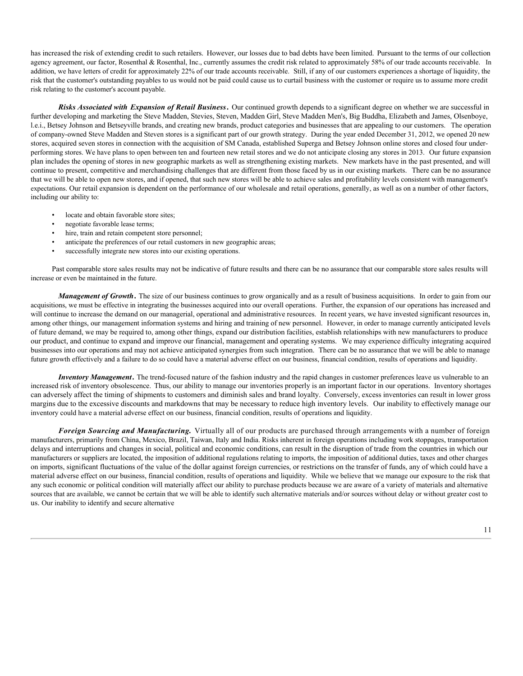has increased the risk of extending credit to such retailers. However, our losses due to bad debts have been limited. Pursuant to the terms of our collection agency agreement, our factor, Rosenthal & Rosenthal, Inc., currently assumes the credit risk related to approximately 58% of our trade accounts receivable. In addition, we have letters of credit for approximately 22% of our trade accounts receivable. Still, if any of our customers experiences a shortage of liquidity, the risk that the customer's outstanding payables to us would not be paid could cause us to curtail business with the customer or require us to assume more credit risk relating to the customer's account payable.

*Risks Associated with Expansion of Retail Business***.** Our continued growth depends to a significant degree on whether we are successful in further developing and marketing the Steve Madden, Stevies, Steven, Madden Girl, Steve Madden Men's, Big Buddha, Elizabeth and James, Olsenboye, l.e.i., Betsey Johnson and Betseyville brands, and creating new brands, product categories and businesses that are appealing to our customers. The operation of company-owned Steve Madden and Steven stores is a significant part of our growth strategy. During the year ended December 31, 2012, we opened 20 new stores, acquired seven stores in connection with the acquisition of SM Canada, established Superga and Betsey Johnson online stores and closed four underperforming stores. We have plans to open between ten and fourteen new retail stores and we do not anticipate closing any stores in 2013. Our future expansion plan includes the opening of stores in new geographic markets as well as strengthening existing markets. New markets have in the past presented, and will continue to present, competitive and merchandising challenges that are different from those faced by us in our existing markets. There can be no assurance that we will be able to open new stores, and if opened, that such new stores will be able to achieve sales and profitability levels consistent with management's expectations. Our retail expansion is dependent on the performance of our wholesale and retail operations, generally, as well as on a number of other factors, including our ability to:

- locate and obtain favorable store sites;
- negotiate favorable lease terms;
- hire, train and retain competent store personnel;
- anticipate the preferences of our retail customers in new geographic areas;
- successfully integrate new stores into our existing operations.

Past comparable store sales results may not be indicative of future results and there can be no assurance that our comparable store sales results will increase or even be maintained in the future.

*Management of Growth*. The size of our business continues to grow organically and as a result of business acquisitions. In order to gain from our acquisitions, we must be effective in integrating the businesses acquired into our overall operations. Further, the expansion of our operations has increased and will continue to increase the demand on our managerial, operational and administrative resources. In recent years, we have invested significant resources in, among other things, our management information systems and hiring and training of new personnel. However, in order to manage currently anticipated levels of future demand, we may be required to, among other things, expand our distribution facilities, establish relationships with new manufacturers to produce our product, and continue to expand and improve our financial, management and operating systems. We may experience difficulty integrating acquired businesses into our operations and may not achieve anticipated synergies from such integration. There can be no assurance that we will be able to manage future growth effectively and a failure to do so could have a material adverse effect on our business, financial condition, results of operations and liquidity.

*Inventory Management*. The trend-focused nature of the fashion industry and the rapid changes in customer preferences leave us vulnerable to an increased risk of inventory obsolescence. Thus, our ability to manage our inventories properly is an important factor in our operations. Inventory shortages can adversely affect the timing of shipments to customers and diminish sales and brand loyalty. Conversely, excess inventories can result in lower gross margins due to the excessive discounts and markdowns that may be necessary to reduce high inventory levels. Our inability to effectively manage our inventory could have a material adverse effect on our business, financial condition, results of operations and liquidity.

*Foreign Sourcing and Manufacturing.* Virtually all of our products are purchased through arrangements with a number of foreign manufacturers, primarily from China, Mexico, Brazil, Taiwan, Italy and India. Risks inherent in foreign operations including work stoppages, transportation delays and interruptions and changes in social, political and economic conditions, can result in the disruption of trade from the countries in which our manufacturers or suppliers are located, the imposition of additional regulations relating to imports, the imposition of additional duties, taxes and other charges on imports, significant fluctuations of the value of the dollar against foreign currencies, or restrictions on the transfer of funds, any of which could have a material adverse effect on our business, financial condition, results of operations and liquidity. While we believe that we manage our exposure to the risk that any such economic or political condition will materially affect our ability to purchase products because we are aware of a variety of materials and alternative sources that are available, we cannot be certain that we will be able to identify such alternative materials and/or sources without delay or without greater cost to us. Our inability to identify and secure alternative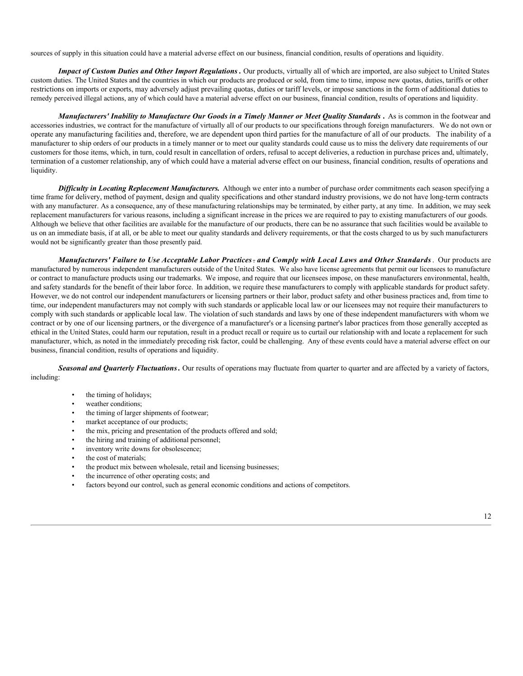sources of supply in this situation could have a material adverse effect on our business, financial condition, results of operations and liquidity.

*Impact of Custom Duties and Other Import Regulations***.** Our products, virtually all of which are imported, are also subject to United States custom duties. The United States and the countries in which our products are produced or sold, from time to time, impose new quotas, duties, tariffs or other restrictions on imports or exports, may adversely adjust prevailing quotas, duties or tariff levels, or impose sanctions in the form of additional duties to remedy perceived illegal actions, any of which could have a material adverse effect on our business, financial condition, results of operations and liquidity.

*Manufacturers' Inability to Manufacture Our Goods in a Timely Manner or Meet Quality Standards* **.** As is common in the footwear and accessories industries, we contract for the manufacture of virtually all of our products to our specifications through foreign manufacturers. We do not own or operate any manufacturing facilities and, therefore, we are dependent upon third parties for the manufacture of all of our products. The inability of a manufacturer to ship orders of our products in a timely manner or to meet our quality standards could cause us to miss the delivery date requirements of our customers for those items, which, in turn, could result in cancellation of orders, refusal to accept deliveries, a reduction in purchase prices and, ultimately, termination of a customer relationship, any of which could have a material adverse effect on our business, financial condition, results of operations and liquidity.

*Difficulty in Locating Replacement Manufacturers.* Although we enter into a number of purchase order commitments each season specifying a time frame for delivery, method of payment, design and quality specifications and other standard industry provisions, we do not have long-term contracts with any manufacturer. As a consequence, any of these manufacturing relationships may be terminated, by either party, at any time. In addition, we may seek replacement manufacturers for various reasons, including a significant increase in the prices we are required to pay to existing manufacturers of our goods. Although we believe that other facilities are available for the manufacture of our products, there can be no assurance that such facilities would be available to us on an immediate basis, if at all, or be able to meet our quality standards and delivery requirements, or that the costs charged to us by such manufacturers would not be significantly greater than those presently paid.

*Manufacturers' Failure to Use Acceptable Labor Practices*. *and Comply with Local Laws and Other Standards*. Our products are manufactured by numerous independent manufacturers outside of the United States. We also have license agreements that permit our licensees to manufacture or contract to manufacture products using our trademarks. We impose, and require that our licensees impose, on these manufacturers environmental, health, and safety standards for the benefit of their labor force. In addition, we require these manufacturers to comply with applicable standards for product safety. However, we do not control our independent manufacturers or licensing partners or their labor, product safety and other business practices and, from time to time, our independent manufacturers may not comply with such standards or applicable local law or our licensees may not require their manufacturers to comply with such standards or applicable local law. The violation of such standards and laws by one of these independent manufacturers with whom we contract or by one of our licensing partners, or the divergence of a manufacturer's or a licensing partner's labor practices from those generally accepted as ethical in the United States, could harm our reputation, result in a product recall or require us to curtail our relationship with and locate a replacement for such manufacturer, which, as noted in the immediately preceding risk factor, could be challenging. Any of these events could have a material adverse effect on our business, financial condition, results of operations and liquidity.

**Seasonal and Quarterly Fluctuations.** Our results of operations may fluctuate from quarter to quarter and are affected by a variety of factors, including:

- the timing of holidays;
- weather conditions;
- the timing of larger shipments of footwear;
- market acceptance of our products;
- the mix, pricing and presentation of the products offered and sold;
- the hiring and training of additional personnel;
- inventory write downs for obsolescence;
- the cost of materials:
- the product mix between wholesale, retail and licensing businesses;
- the incurrence of other operating costs; and
- factors beyond our control, such as general economic conditions and actions of competitors.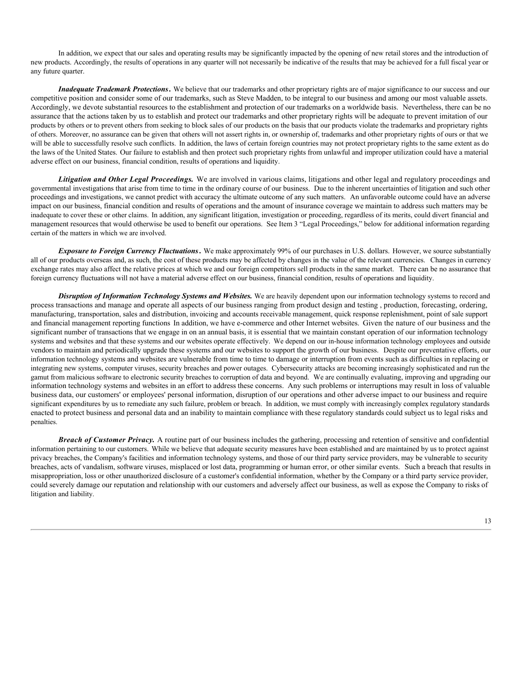In addition, we expect that our sales and operating results may be significantly impacted by the opening of new retail stores and the introduction of new products. Accordingly, the results of operations in any quarter will not necessarily be indicative of the results that may be achieved for a full fiscal year or any future quarter.

*Inadequate Trademark Protections***.** We believe that our trademarks and other proprietary rights are of major significance to our success and our competitive position and consider some of our trademarks, such as Steve Madden, to be integral to our business and among our most valuable assets. Accordingly, we devote substantial resources to the establishment and protection of our trademarks on a worldwide basis. Nevertheless, there can be no assurance that the actions taken by us to establish and protect our trademarks and other proprietary rights will be adequate to prevent imitation of our products by others or to prevent others from seeking to block sales of our products on the basis that our products violate the trademarks and proprietary rights of others. Moreover, no assurance can be given that others will not assert rights in, or ownership of, trademarks and other proprietary rights of ours or that we will be able to successfully resolve such conflicts. In addition, the laws of certain foreign countries may not protect proprietary rights to the same extent as do the laws of the United States. Our failure to establish and then protect such proprietary rights from unlawful and improper utilization could have a material adverse effect on our business, financial condition, results of operations and liquidity.

*Litigation and Other Legal Proceedings.* We are involved in various claims, litigations and other legal and regulatory proceedings and governmental investigations that arise from time to time in the ordinary course of our business. Due to the inherent uncertainties of litigation and such other proceedings and investigations, we cannot predict with accuracy the ultimate outcome of any such matters. An unfavorable outcome could have an adverse impact on our business, financial condition and results of operations and the amount of insurance coverage we maintain to address such matters may be inadequate to cover these or other claims. In addition, any significant litigation, investigation or proceeding, regardless of its merits, could divert financial and management resources that would otherwise be used to benefit our operations. See Item 3 "Legal Proceedings," below for additional information regarding certain of the matters in which we are involved.

*Exposure to Foreign Currency Fluctuations***.** We make approximately 99% of our purchases in U.S. dollars. However, we source substantially all of our products overseas and, as such, the cost of these products may be affected by changes in the value of the relevant currencies. Changes in currency exchange rates may also affect the relative prices at which we and our foreign competitors sell products in the same market. There can be no assurance that foreign currency fluctuations will not have a material adverse effect on our business, financial condition, results of operations and liquidity.

**Disruption of Information Technology Systems and Websites.** We are heavily dependent upon our information technology systems to record and process transactions and manage and operate all aspects of our business ranging from product design and testing , production, forecasting, ordering, manufacturing, transportation, sales and distribution, invoicing and accounts receivable management, quick response replenishment, point of sale support and financial management reporting functions In addition, we have e-commerce and other Internet websites. Given the nature of our business and the significant number of transactions that we engage in on an annual basis, it is essential that we maintain constant operation of our information technology systems and websites and that these systems and our websites operate effectively. We depend on our in-house information technology employees and outside vendors to maintain and periodically upgrade these systems and our websites to support the growth of our business. Despite our preventative efforts, our information technology systems and websites are vulnerable from time to time to damage or interruption from events such as difficulties in replacing or integrating new systems, computer viruses, security breaches and power outages. Cybersecurity attacks are becoming increasingly sophisticated and run the gamut from malicious software to electronic security breaches to corruption of data and beyond. We are continually evaluating, improving and upgrading our information technology systems and websites in an effort to address these concerns. Any such problems or interruptions may result in loss of valuable business data, our customers' or employees' personal information, disruption of our operations and other adverse impact to our business and require significant expenditures by us to remediate any such failure, problem or breach. In addition, we must comply with increasingly complex regulatory standards enacted to protect business and personal data and an inability to maintain compliance with these regulatory standards could subject us to legal risks and penalties.

*Breach of Customer Privacy.* A routine part of our business includes the gathering, processing and retention of sensitive and confidential information pertaining to our customers. While we believe that adequate security measures have been established and are maintained by us to protect against privacy breaches, the Company's facilities and information technology systems, and those of our third party service providers, may be vulnerable to security breaches, acts of vandalism, software viruses, misplaced or lost data, programming or human error, or other similar events. Such a breach that results in misappropriation, loss or other unauthorized disclosure of a customer's confidential information, whether by the Company or a third party service provider, could severely damage our reputation and relationship with our customers and adversely affect our business, as well as expose the Company to risks of litigation and liability.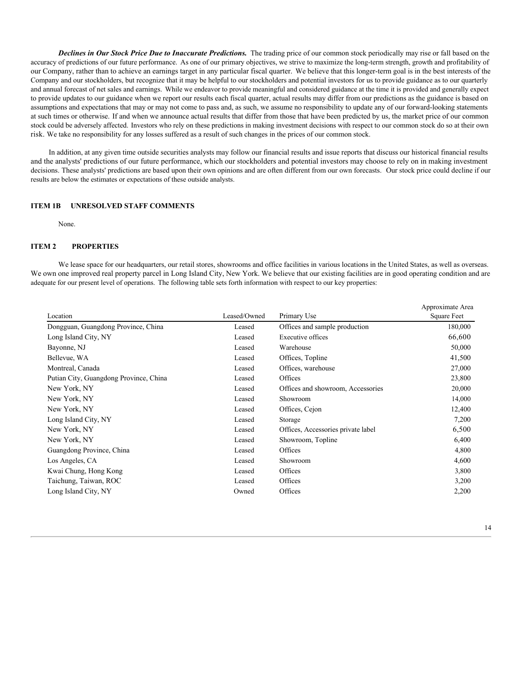<span id="page-16-0"></span>*Declines in Our Stock Price Due to Inaccurate Predictions.* The trading price of our common stock periodically may rise or fall based on the accuracy of predictions of our future performance. As one of our primary objectives, we strive to maximize the long-term strength, growth and profitability of our Company, rather than to achieve an earnings target in any particular fiscal quarter. We believe that this longer-term goal is in the best interests of the Company and our stockholders, but recognize that it may be helpful to our stockholders and potential investors for us to provide guidance as to our quarterly and annual forecast of net sales and earnings. While we endeavor to provide meaningful and considered guidance at the time it is provided and generally expect to provide updates to our guidance when we report our results each fiscal quarter, actual results may differ from our predictions as the guidance is based on assumptions and expectations that may or may not come to pass and, as such, we assume no responsibility to update any of our forward-looking statements at such times or otherwise. If and when we announce actual results that differ from those that have been predicted by us, the market price of our common stock could be adversely affected. Investors who rely on these predictions in making investment decisions with respect to our common stock do so at their own risk. We take no responsibility for any losses suffered as a result of such changes in the prices of our common stock.

In addition, at any given time outside securities analysts may follow our financial results and issue reports that discuss our historical financial results and the analysts' predictions of our future performance, which our stockholders and potential investors may choose to rely on in making investment decisions. These analysts' predictions are based upon their own opinions and are often different from our own forecasts. Our stock price could decline if our results are below the estimates or expectations of these outside analysts.

## **ITEM 1B UNRESOLVED STAFF COMMENTS**

None.

### **ITEM 2 PROPERTIES**

We lease space for our headquarters, our retail stores, showrooms and office facilities in various locations in the United States, as well as overseas. We own one improved real property parcel in Long Island City, New York. We believe that our existing facilities are in good operating condition and are adequate for our present level of operations. The following table sets forth information with respect to our key properties:

| Location                               | Leased/Owned | Primary Use                        | Approximate Area<br>Square Feet |
|----------------------------------------|--------------|------------------------------------|---------------------------------|
| Dongguan, Guangdong Province, China    | Leased       | Offices and sample production      | 180,000                         |
| Long Island City, NY                   | Leased       | Executive offices                  | 66,600                          |
| Bayonne, NJ                            | Leased       | Warehouse                          | 50,000                          |
| Bellevue, WA                           | Leased       | Offices, Topline                   | 41,500                          |
| Montreal, Canada                       | Leased       | Offices, warehouse                 | 27,000                          |
| Putian City, Guangdong Province, China | Leased       | Offices                            | 23,800                          |
| New York, NY                           | Leased       | Offices and showroom, Accessories  | 20,000                          |
| New York, NY                           | Leased       | Showroom                           | 14,000                          |
| New York, NY                           | Leased       | Offices, Cejon                     | 12,400                          |
| Long Island City, NY                   | Leased       | Storage                            | 7,200                           |
| New York, NY                           | Leased       | Offices, Accessories private label | 6,500                           |
| New York, NY                           | Leased       | Showroom, Topline                  | 6,400                           |
| Guangdong Province, China              | Leased       | Offices                            | 4,800                           |
| Los Angeles, CA                        | Leased       | Showroom                           | 4,600                           |
| Kwai Chung, Hong Kong                  | Leased       | Offices                            | 3,800                           |
| Taichung, Taiwan, ROC                  | Leased       | Offices                            | 3,200                           |
| Long Island City, NY                   | Owned        | Offices                            | 2,200                           |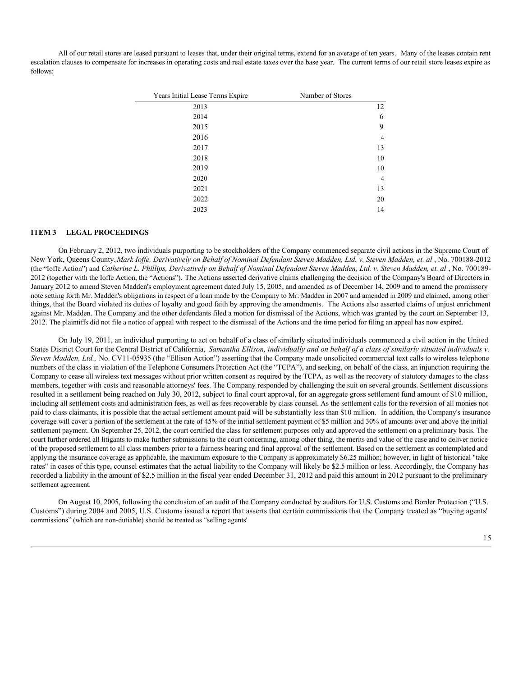<span id="page-17-0"></span>All of our retail stores are leased pursuant to leases that, under their original terms, extend for an average of ten years. Many of the leases contain rent escalation clauses to compensate for increases in operating costs and real estate taxes over the base year. The current terms of our retail store leases expire as follows:

| Years Initial Lease Terms Expire | Number of Stores |
|----------------------------------|------------------|
| 2013                             | 12               |
| 2014                             | 6                |
| 2015                             | 9                |
| 2016                             | $\overline{4}$   |
| 2017                             | 13               |
| 2018                             | 10               |
| 2019                             | 10               |
| 2020                             | $\overline{4}$   |
| 2021                             | 13               |
| 2022                             | 20               |
| 2023                             | 14               |

#### **ITEM 3 LEGAL PROCEEDINGS**

On February 2, 2012, two individuals purporting to be stockholders of the Company commenced separate civil actions in the Supreme Court of New York, Queens County, *Mark Ioffe, Derivatively on Behalf of Nominal Defendant Steven Madden, Ltd. v. Steven Madden, et. al* , No. 700188-2012 (the "Ioffe Action") and *Catherine L. Phillips, Derivatively on Behalf of Nominal Defendant Steven Madden, Ltd. v. Steven Madden, et. al* , No. 700189- 2012 (together with the Ioffe Action, the "Actions"). The Actions asserted derivative claims challenging the decision of the Company's Board of Directors in January 2012 to amend Steven Madden's employment agreement dated July 15, 2005, and amended as of December 14, 2009 and to amend the promissory note setting forth Mr. Madden's obligations in respect of a loan made by the Company to Mr. Madden in 2007 and amended in 2009 and claimed, among other things, that the Board violated its duties of loyalty and good faith by approving the amendments. The Actions also asserted claims of unjust enrichment against Mr. Madden. The Company and the other defendants filed a motion for dismissal of the Actions, which was granted by the court on September 13, 2012. The plaintiffs did not file a notice of appeal with respect to the dismissal of the Actions and the time period for filing an appeal has now expired.

On July 19, 2011, an individual purporting to act on behalf of a class of similarly situated individuals commenced a civil action in the United States District Court for the Central District of California, *Samantha Ellison, individually and on behalf of a class of similarly situated individuals v. Steven Madden, Ltd.,* No. CV11-05935 (the "Ellison Action") asserting that the Company made unsolicited commercial text calls to wireless telephone numbers of the class in violation of the Telephone Consumers Protection Act (the "TCPA"), and seeking, on behalf of the class, an injunction requiring the Company to cease all wireless text messages without prior written consent as required by the TCPA, as well as the recovery of statutory damages to the class members, together with costs and reasonable attorneys' fees. The Company responded by challenging the suit on several grounds. Settlement discussions resulted in a settlement being reached on July 30, 2012, subject to final court approval, for an aggregate gross settlement fund amount of \$10 million, including all settlement costs and administration fees, as well as fees recoverable by class counsel. As the settlement calls for the reversion of all monies not paid to class claimants, it is possible that the actual settlement amount paid will be substantially less than \$10 million. In addition, the Company's insurance coverage will cover a portion of the settlement at the rate of 45% of the initial settlement payment of \$5 million and 30% of amounts over and above the initial settlement payment. On September 25, 2012, the court certified the class for settlement purposes only and approved the settlement on a preliminary basis. The court further ordered all litigants to make further submissions to the court concerning, among other thing, the merits and value of the case and to deliver notice of the proposed settlement to all class members prior to a fairness hearing and final approval of the settlement. Based on the settlement as contemplated and applying the insurance coverage as applicable, the maximum exposure to the Company is approximately \$6.25 million; however, in light of historical "take rates" in cases of this type, counsel estimates that the actual liability to the Company will likely be \$2.5 million or less. Accordingly, the Company has recorded a liability in the amount of \$2.5 million in the fiscal year ended December 31, 2012 and paid this amount in 2012 pursuant to the preliminary settlement agreement.

On August 10, 2005, following the conclusion of an audit of the Company conducted by auditors for U.S. Customs and Border Protection ("U.S. Customs") during 2004 and 2005, U.S. Customs issued a report that asserts that certain commissions that the Company treated as "buying agents' commissions" (which are non-dutiable) should be treated as "selling agents'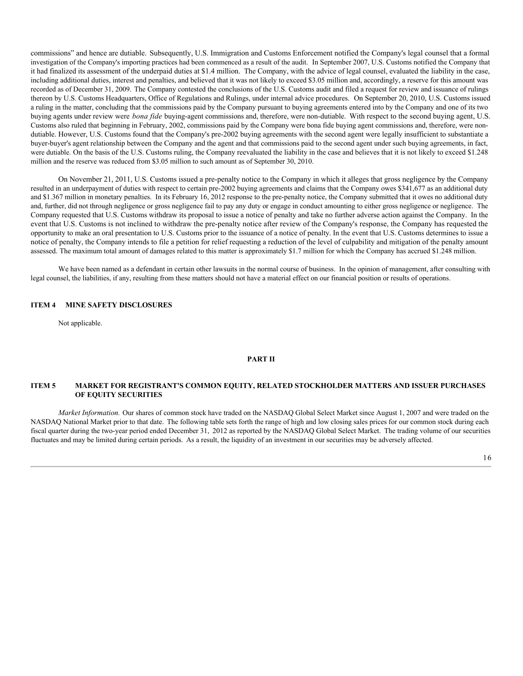<span id="page-18-0"></span>commissions" and hence are dutiable. Subsequently, U.S. Immigration and Customs Enforcement notified the Company's legal counsel that a formal investigation of the Company's importing practices had been commenced as a result of the audit. In September 2007, U.S. Customs notified the Company that it had finalized its assessment of the underpaid duties at \$1.4 million. The Company, with the advice of legal counsel, evaluated the liability in the case, including additional duties, interest and penalties, and believed that it was not likely to exceed \$3.05 million and, accordingly, a reserve for this amount was recorded as of December 31, 2009. The Company contested the conclusions of the U.S. Customs audit and filed a request for review and issuance of rulings thereon by U.S. Customs Headquarters, Office of Regulations and Rulings, under internal advice procedures. On September 20, 2010, U.S. Customs issued a ruling in the matter, concluding that the commissions paid by the Company pursuant to buying agreements entered into by the Company and one of its two buying agents under review were *bona fide* buying-agent commissions and, therefore, were non-dutiable. With respect to the second buying agent, U.S. Customs also ruled that beginning in February, 2002, commissions paid by the Company were bona fide buying agent commissions and, therefore, were nondutiable. However, U.S. Customs found that the Company's pre-2002 buying agreements with the second agent were legally insufficient to substantiate a buyer-buyer's agent relationship between the Company and the agent and that commissions paid to the second agent under such buying agreements, in fact, were dutiable. On the basis of the U.S. Customs ruling, the Company reevaluated the liability in the case and believes that it is not likely to exceed \$1.248 million and the reserve was reduced from \$3.05 million to such amount as of September 30, 2010.

On November 21, 2011, U.S. Customs issued a pre-penalty notice to the Company in which it alleges that gross negligence by the Company resulted in an underpayment of duties with respect to certain pre-2002 buying agreements and claims that the Company owes \$341,677 as an additional duty and \$1.367 million in monetary penalties. In its February 16, 2012 response to the pre-penalty notice, the Company submitted that it owes no additional duty and, further, did not through negligence or gross negligence fail to pay any duty or engage in conduct amounting to either gross negligence or negligence. The Company requested that U.S. Customs withdraw its proposal to issue a notice of penalty and take no further adverse action against the Company. In the event that U.S. Customs is not inclined to withdraw the pre-penalty notice after review of the Company's response, the Company has requested the opportunity to make an oral presentation to U.S. Customs prior to the issuance of a notice of penalty. In the event that U.S. Customs determines to issue a notice of penalty, the Company intends to file a petition for relief requesting a reduction of the level of culpability and mitigation of the penalty amount assessed. The maximum total amount of damages related to this matter is approximately \$1.7 million for which the Company has accrued \$1.248 million.

We have been named as a defendant in certain other lawsuits in the normal course of business. In the opinion of management, after consulting with legal counsel, the liabilities, if any, resulting from these matters should not have a material effect on our financial position or results of operations.

## **ITEM 4 MINE SAFETY DISCLOSURES**

Not applicable.

#### **PART II**

## **ITEM 5 MARKET FOR REGISTRANT'S COMMON EQUITY, RELATED STOCKHOLDER MATTERS AND ISSUER PURCHASES OF EQUITY SECURITIES**

*Market Information.* Our shares of common stock have traded on the NASDAQ Global Select Market since August 1, 2007 and were traded on the NASDAQ National Market prior to that date. The following table sets forth the range of high and low closing sales prices for our common stock during each fiscal quarter during the two-year period ended December 31, 2012 as reported by the NASDAQ Global Select Market. The trading volume of our securities fluctuates and may be limited during certain periods. As a result, the liquidity of an investment in our securities may be adversely affected.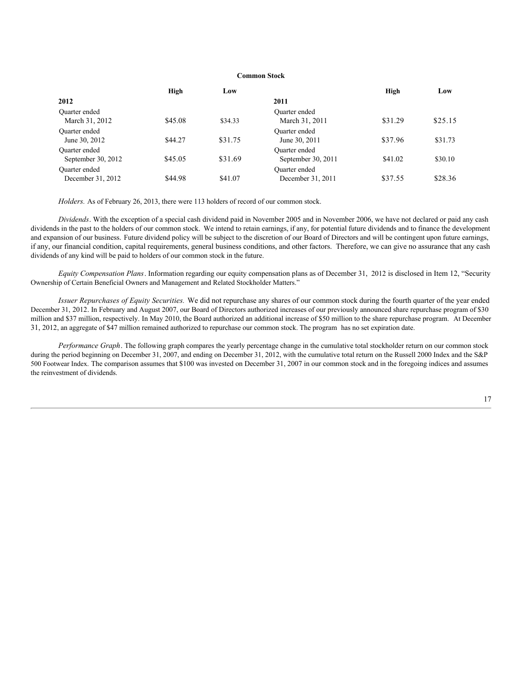#### **Common Stock**

|                                            | High    | Low     |                                           | <b>High</b> | Low     |
|--------------------------------------------|---------|---------|-------------------------------------------|-------------|---------|
| 2012                                       |         |         | 2011                                      |             |         |
| <b>Ouarter</b> ended<br>March 31, 2012     | \$45.08 | \$34.33 | <b>Ouarter</b> ended<br>March 31, 2011    | \$31.29     | \$25.15 |
| <b>Ouarter</b> ended<br>June 30, 2012      | \$44.27 | \$31.75 | <b>Ouarter</b> ended<br>June 30, 2011     | \$37.96     | \$31.73 |
| <b>Ouarter</b> ended<br>September 30, 2012 | \$45.05 | \$31.69 | Ouarter ended<br>September 30, 2011       | \$41.02     | \$30.10 |
| <b>Ouarter</b> ended<br>December 31, 2012  | \$44.98 | \$41.07 | <b>Ouarter</b> ended<br>December 31, 2011 | \$37.55     | \$28.36 |

*Holders.* As of February 26, 2013, there were 113 holders of record of our common stock.

*Dividends*. With the exception of a special cash dividend paid in November 2005 and in November 2006, we have not declared or paid any cash dividends in the past to the holders of our common stock. We intend to retain earnings, if any, for potential future dividends and to finance the development and expansion of our business. Future dividend policy will be subject to the discretion of our Board of Directors and will be contingent upon future earnings, if any, our financial condition, capital requirements, general business conditions, and other factors. Therefore, we can give no assurance that any cash dividends of any kind will be paid to holders of our common stock in the future.

*Equity Compensation Plans*. Information regarding our equity compensation plans as of December 31, 2012 is disclosed in Item 12, "Security Ownership of Certain Beneficial Owners and Management and Related Stockholder Matters."

*Issuer Repurchases of Equity Securities.* We did not repurchase any shares of our common stock during the fourth quarter of the year ended December 31, 2012. In February and August 2007, our Board of Directors authorized increases of our previously announced share repurchase program of \$30 million and \$37 million, respectively. In May 2010, the Board authorized an additional increase of \$50 million to the share repurchase program. At December 31, 2012, an aggregate of \$47 million remained authorized to repurchase our common stock. The program has no set expiration date.

*Performance Graph*. The following graph compares the yearly percentage change in the cumulative total stockholder return on our common stock during the period beginning on December 31, 2007, and ending on December 31, 2012, with the cumulative total return on the Russell 2000 Index and the S&P 500 Footwear Index. The comparison assumes that \$100 was invested on December 31, 2007 in our common stock and in the foregoing indices and assumes the reinvestment of dividends.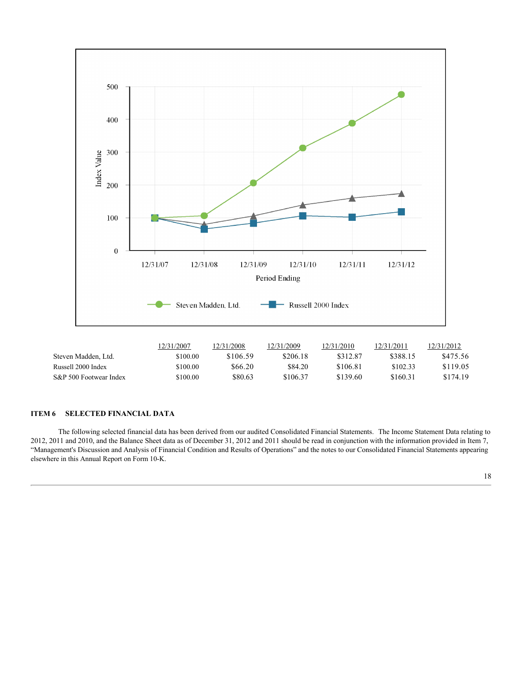<span id="page-20-0"></span>

## **ITEM 6 SELECTED FINANCIAL DATA**

The following selected financial data has been derived from our audited Consolidated Financial Statements. The Income Statement Data relating to 2012, 2011 and 2010, and the Balance Sheet data as of December 31, 2012 and 2011 should be read in conjunction with the information provided in Item 7, "Management's Discussion and Analysis of Financial Condition and Results of Operations" and the notes to our Consolidated Financial Statements appearing elsewhere in this Annual Report on Form 10-K.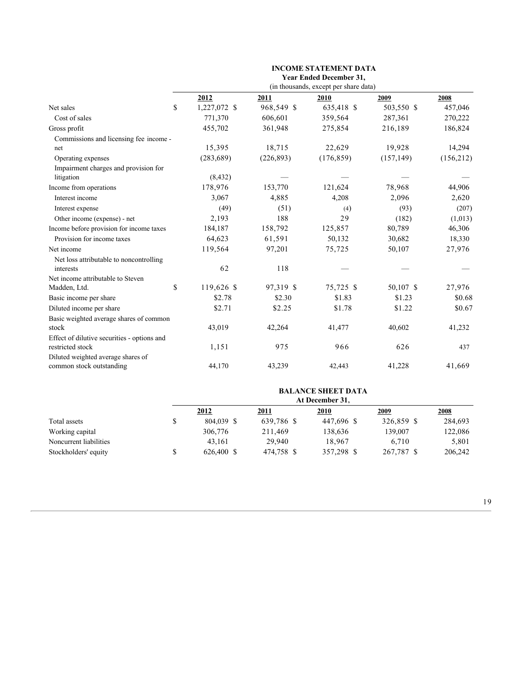<span id="page-21-0"></span>

|                                             |                                       |            | Year Ended December 31, |            |            |  |  |  |  |
|---------------------------------------------|---------------------------------------|------------|-------------------------|------------|------------|--|--|--|--|
|                                             | (in thousands, except per share data) |            |                         |            |            |  |  |  |  |
|                                             | 2012                                  | 2011       | 2010                    | 2009       | 2008       |  |  |  |  |
| Net sales                                   | \$<br>1,227,072 \$                    | 968,549 \$ | 635,418 \$              | 503,550 \$ | 457,046    |  |  |  |  |
| Cost of sales                               | 771,370                               | 606,601    | 359,564                 | 287,361    | 270,222    |  |  |  |  |
| Gross profit                                | 455,702                               | 361,948    | 275,854                 | 216,189    | 186,824    |  |  |  |  |
| Commissions and licensing fee income -      |                                       |            |                         |            |            |  |  |  |  |
| net                                         | 15,395                                | 18,715     | 22,629                  | 19,928     | 14,294     |  |  |  |  |
| Operating expenses                          | (283, 689)                            | (226, 893) | (176, 859)              | (157, 149) | (156, 212) |  |  |  |  |
| Impairment charges and provision for        |                                       |            |                         |            |            |  |  |  |  |
| litigation                                  | (8, 432)                              |            |                         |            |            |  |  |  |  |
| Income from operations                      | 178,976                               | 153,770    | 121,624                 | 78,968     | 44,906     |  |  |  |  |
| Interest income                             | 3,067                                 | 4,885      | 4,208                   | 2,096      | 2,620      |  |  |  |  |
| Interest expense                            | (49)                                  | (51)       | (4)                     | (93)       | (207)      |  |  |  |  |
| Other income (expense) - net                | 2,193                                 | 188        | 29                      | (182)      | (1,013)    |  |  |  |  |
| Income before provision for income taxes    | 184,187                               | 158,792    | 125,857                 | 80,789     | 46,306     |  |  |  |  |
| Provision for income taxes                  | 64,623                                | 61,591     | 50,132                  | 30,682     | 18,330     |  |  |  |  |
| Net income                                  | 119,564                               | 97,201     | 75,725                  | 50,107     | 27,976     |  |  |  |  |
| Net loss attributable to noncontrolling     |                                       |            |                         |            |            |  |  |  |  |
| interests                                   | 62                                    | 118        |                         |            |            |  |  |  |  |
| Net income attributable to Steven           |                                       |            |                         |            |            |  |  |  |  |
| Madden, Ltd.                                | \$<br>119,626 \$                      | 97,319 \$  | 75,725 \$               | 50,107 \$  | 27,976     |  |  |  |  |
| Basic income per share                      | \$2.78                                | \$2.30     | \$1.83                  | \$1.23     | \$0.68     |  |  |  |  |
| Diluted income per share                    | \$2.71                                | \$2.25     | \$1.78                  | \$1.22     | \$0.67     |  |  |  |  |
| Basic weighted average shares of common     |                                       |            |                         |            |            |  |  |  |  |
| stock                                       | 43,019                                | 42,264     | 41,477                  | 40,602     | 41,232     |  |  |  |  |
| Effect of dilutive securities - options and |                                       |            |                         |            |            |  |  |  |  |
| restricted stock                            | 1,151                                 | 975        | 966                     | 626        | 437        |  |  |  |  |
| Diluted weighted average shares of          |                                       |            |                         |            |            |  |  |  |  |
| common stock outstanding                    | 44,170                                | 43,239     | 42,443                  | 41,228     | 41,669     |  |  |  |  |

## **INCOME STATEMENT DATA**

**BALANCE SHEET DATA**

| At December 31,  |             |            |            |         |  |  |  |  |
|------------------|-------------|------------|------------|---------|--|--|--|--|
| 2012             | <u>2011</u> | 2010       | 2009       | 2008    |  |  |  |  |
| \$<br>804,039 \$ | 639,786 \$  | 447.696 \$ | 326,859 \$ | 284,693 |  |  |  |  |
| 306,776          | 211.469     | 138.636    | 139,007    | 122,086 |  |  |  |  |
| 43.161           | 29.940      | 18.967     | 6.710      | 5,801   |  |  |  |  |
| \$<br>626,400 \$ | 474,758 \$  | 357,298 \$ | 267,787 \$ | 206,242 |  |  |  |  |
|                  |             |            |            |         |  |  |  |  |

19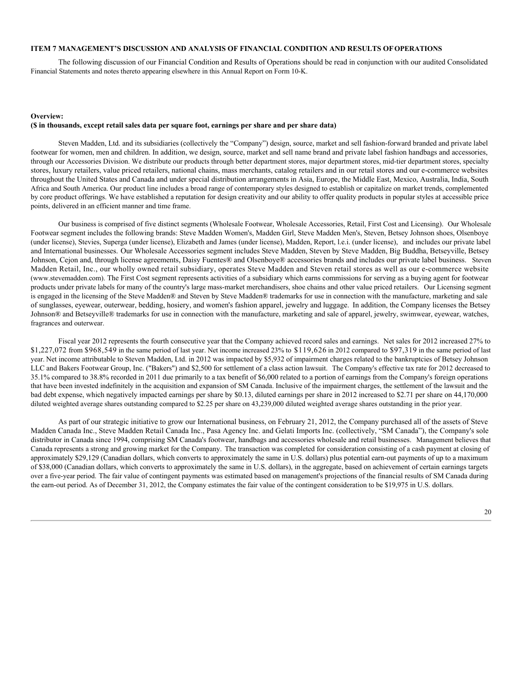## **ITEM 7 MANAGEMENT'S DISCUSSION AND ANALYSIS OF FINANCIAL CONDITION AND RESULTS OF OPERATIONS**

The following discussion of our Financial Condition and Results of Operations should be read in conjunction with our audited Consolidated Financial Statements and notes thereto appearing elsewhere in this Annual Report on Form 10-K.

## **Overview: (\$ in thousands, except retail sales data per square foot, earnings per share and per share data)**

Steven Madden, Ltd. and its subsidiaries (collectively the "Company") design, source, market and sell fashion-forward branded and private label footwear for women, men and children. In addition, we design, source, market and sell name brand and private label fashion handbags and accessories, through our Accessories Division. We distribute our products through better department stores, major department stores, mid-tier department stores, specialty stores, luxury retailers, value priced retailers, national chains, mass merchants, catalog retailers and in our retail stores and our e-commerce websites throughout the United States and Canada and under special distribution arrangements in Asia, Europe, the Middle East, Mexico, Australia, India, South Africa and South America. Our product line includes a broad range of contemporary styles designed to establish or capitalize on market trends, complemented by core product offerings. We have established a reputation for design creativity and our ability to offer quality products in popular styles at accessible price points, delivered in an efficient manner and time frame.

Our business is comprised of five distinct segments (Wholesale Footwear, Wholesale Accessories, Retail, First Cost and Licensing). Our Wholesale Footwear segment includes the following brands: Steve Madden Women's, Madden Girl, Steve Madden Men's, Steven, Betsey Johnson shoes, Olsenboye (under license), Stevies, Superga (under license), Elizabeth and James (under license), Madden, Report, l.e.i. (under license), and includes our private label and International businesses. Our Wholesale Accessories segment includes Steve Madden, Steven by Steve Madden, Big Buddha, Betseyville, Betsey Johnson, Cejon and, through license agreements, Daisy Fuentes® and Olsenboye® accessories brands and includes our private label business. Steven Madden Retail, Inc., our wholly owned retail subsidiary, operates Steve Madden and Steven retail stores as well as our e-commerce website (www.stevemadden.com). The First Cost segment represents activities of a subsidiary which earns commissions for serving as a buying agent for footwear products under private labels for many of the country's large mass-market merchandisers, shoe chains and other value priced retailers. Our Licensing segment is engaged in the licensing of the Steve Madden® and Steven by Steve Madden® trademarks for use in connection with the manufacture, marketing and sale of sunglasses, eyewear, outerwear, bedding, hosiery, and women's fashion apparel, jewelry and luggage. In addition, the Company licenses the Betsey Johnson® and Betseyville® trademarks for use in connection with the manufacture, marketing and sale of apparel, jewelry, swimwear, eyewear, watches, fragrances and outerwear.

Fiscal year 2012 represents the fourth consecutive year that the Company achieved record sales and earnings. Net sales for 2012 increased 27% to \$1,227,072 from \$968,549 in the same period of last year. Net income increased 23% to \$119,626 in 2012 compared to \$97,319 in the same period of last year. Net income attributable to Steven Madden, Ltd. in 2012 was impacted by \$5,932 of impairment charges related to the bankruptcies of Betsey Johnson LLC and Bakers Footwear Group, Inc. ("Bakers") and \$2,500 for settlement of a class action lawsuit. The Company's effective tax rate for 2012 decreased to 35.1% compared to 38.8% recorded in 2011 due primarily to a tax benefit of \$6,000 related to a portion of earnings from the Company's foreign operations that have been invested indefinitely in the acquisition and expansion of SM Canada. Inclusive of the impairment charges, the settlement of the lawsuit and the bad debt expense, which negatively impacted earnings per share by \$0.13, diluted earnings per share in 2012 increased to \$2.71 per share on 44,170,000 diluted weighted average shares outstanding compared to \$2.25 per share on 43,239,000 diluted weighted average shares outstanding in the prior year.

As part of our strategic initiative to grow our International business, on February 21, 2012, the Company purchased all of the assets of Steve Madden Canada Inc., Steve Madden Retail Canada Inc., Pasa Agency Inc. and Gelati Imports Inc. (collectively, "SM Canada"), the Company's sole distributor in Canada since 1994, comprising SM Canada's footwear, handbags and accessories wholesale and retail businesses. Management believes that Canada represents a strong and growing market for the Company. The transaction was completed for consideration consisting of a cash payment at closing of approximately \$29,129 (Canadian dollars, which converts to approximately the same in U.S. dollars) plus potential earn-out payments of up to a maximum of \$38,000 (Canadian dollars, which converts to approximately the same in U.S. dollars), in the aggregate, based on achievement of certain earnings targets over a five-year period. The fair value of contingent payments was estimated based on management's projections of the financial results of SM Canada during the earn-out period. As of December 31, 2012, the Company estimates the fair value of the contingent consideration to be \$19,975 in U.S. dollars.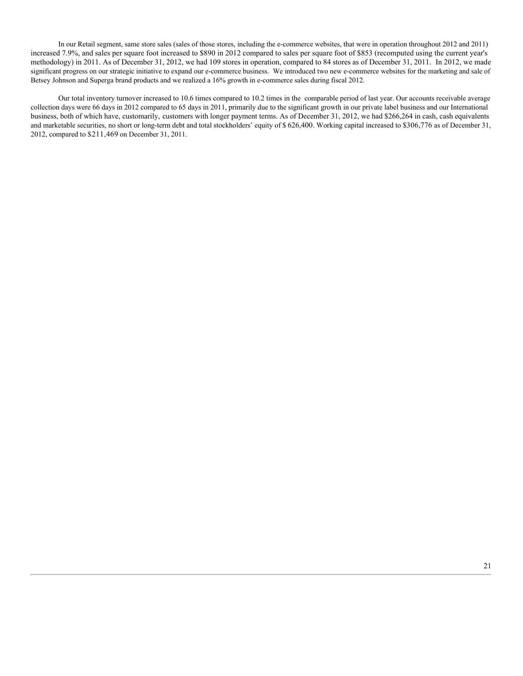In our Retail segment, same store sales (sales of those stores, including the e-commerce websites, that were in operation throughout 2012 and 2011) increased 7.9%, and sales per square foot increased to \$890 in 2012 compared to sales per square foot of \$853 (recomputed using the current year's methodology) in 2011. As of December 31, 2012, we had 109 stores in operation, compared to 84 stores as of December 31, 2011. In 2012, we made significant progress on our strategic initiative to expand our e-commerce business. We introduced two new e-commerce websites for the marketing and sale of Betsey Johnson and Superga brand products and we realized a 16% growth in e-commerce sales during fiscal 2012.

Our total inventory turnover increased to 10.6 times compared to 10.2 times in the comparable period of last year. Our accounts receivable average collection days were 66 days in 2012 compared to 65 days in 2011, primarily due to the significant growth in our private label business and our International business, both of which have, customarily, customers with longer payment terms. As of December 31, 2012, we had \$266,264 in cash, cash equivalents and marketable securities, no short or long-term debt and total stockholders' equity of \$ 626,400. Working capital increased to \$306,776 as of December 31, 2012, compared to \$211,469 on December 31, 2011.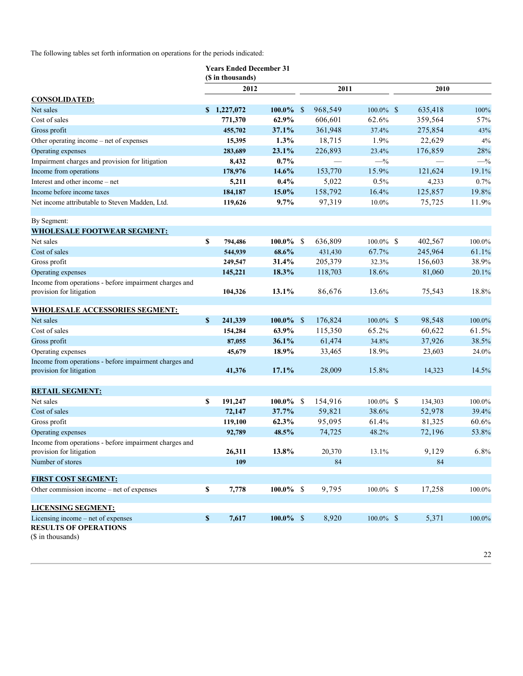The following tables set forth information on operations for the periods indicated:

|                                                        | <b>Years Ended December 31</b><br>(\$ in thousands) |             |              |  |         |              |  |         |           |
|--------------------------------------------------------|-----------------------------------------------------|-------------|--------------|--|---------|--------------|--|---------|-----------|
|                                                        |                                                     | 2012        |              |  | 2011    |              |  | 2010    |           |
| <b>CONSOLIDATED:</b>                                   |                                                     |             |              |  |         |              |  |         |           |
| Net sales                                              |                                                     | \$1,227,072 | $100.0\%$ \$ |  | 968,549 | $100.0\%$ \$ |  | 635,418 | 100%      |
| Cost of sales                                          |                                                     | 771,370     | 62.9%        |  | 606.601 | 62.6%        |  | 359,564 | 57%       |
| Gross profit                                           |                                                     | 455,702     | 37.1%        |  | 361,948 | 37.4%        |  | 275,854 | 43%       |
| Other operating income – net of expenses               |                                                     | 15,395      | 1.3%         |  | 18,715  | 1.9%         |  | 22,629  | 4%        |
| Operating expenses                                     |                                                     | 283,689     | 23.1%        |  | 226,893 | 23.4%        |  | 176,859 | 28%       |
| Impairment charges and provision for litigation        |                                                     | 8,432       | 0.7%         |  |         | $-$ %        |  |         | $-$ %     |
| Income from operations                                 |                                                     | 178,976     | 14.6%        |  | 153,770 | 15.9%        |  | 121,624 | 19.1%     |
| Interest and other income - net                        |                                                     | 5,211       | $0.4\%$      |  | 5,022   | 0.5%         |  | 4,233   | 0.7%      |
| Income before income taxes                             |                                                     | 184,187     | $15.0\%$     |  | 158,792 | 16.4%        |  | 125,857 | 19.8%     |
| Net income attributable to Steven Madden, Ltd.         |                                                     | 119,626     | 9.7%         |  | 97,319  | 10.0%        |  | 75,725  | 11.9%     |
|                                                        |                                                     |             |              |  |         |              |  |         |           |
| By Segment:                                            |                                                     |             |              |  |         |              |  |         |           |
| <b>WHOLESALE FOOTWEAR SEGMENT:</b>                     |                                                     |             |              |  |         |              |  |         |           |
| Net sales                                              | \$                                                  | 794,486     | $100.0\%$ \$ |  | 636,809 | $100.0\%$ \$ |  | 402,567 | 100.0%    |
| Cost of sales                                          |                                                     | 544,939     | 68.6%        |  | 431,430 | 67.7%        |  | 245,964 | 61.1%     |
| Gross profit                                           |                                                     | 249,547     | 31.4%        |  | 205,379 | 32.3%        |  | 156,603 | 38.9%     |
| Operating expenses                                     |                                                     | 145,221     | 18.3%        |  | 118,703 | 18.6%        |  | 81,060  | 20.1%     |
| Income from operations - before impairment charges and |                                                     |             |              |  |         |              |  |         |           |
| provision for litigation                               |                                                     | 104,326     | 13.1%        |  | 86,676  | 13.6%        |  | 75,543  | 18.8%     |
| <b>WHOLESALE ACCESSORIES SEGMENT:</b>                  |                                                     |             |              |  |         |              |  |         |           |
| Net sales                                              | \$                                                  | 241,339     | $100.0\%$ \$ |  | 176,824 | $100.0\%$ \$ |  | 98,548  | 100.0%    |
| Cost of sales                                          |                                                     | 154,284     | 63.9%        |  | 115,350 | 65.2%        |  | 60,622  | 61.5%     |
| Gross profit                                           |                                                     | 87,055      | 36.1%        |  | 61,474  | 34.8%        |  | 37,926  | 38.5%     |
| Operating expenses                                     |                                                     | 45,679      | 18.9%        |  | 33,465  | 18.9%        |  | 23,603  | 24.0%     |
| Income from operations - before impairment charges and |                                                     |             |              |  |         |              |  |         |           |
| provision for litigation                               |                                                     | 41,376      | 17.1%        |  | 28,009  | 15.8%        |  | 14,323  | 14.5%     |
|                                                        |                                                     |             |              |  |         |              |  |         |           |
| <b>RETAIL SEGMENT:</b>                                 |                                                     |             |              |  |         |              |  |         |           |
| Net sales                                              | \$                                                  | 191,247     | $100.0\%$ \$ |  | 154,916 | $100.0\%$ \$ |  | 134,303 | 100.0%    |
| Cost of sales                                          |                                                     | 72,147      | 37.7%        |  | 59,821  | 38.6%        |  | 52,978  | 39.4%     |
| Gross profit                                           |                                                     | 119,100     | 62.3%        |  | 95,095  | 61.4%        |  | 81,325  | 60.6%     |
| Operating expenses                                     |                                                     | 92,789      | 48.5%        |  | 74,725  | 48.2%        |  | 72,196  | 53.8%     |
| Income from operations - before impairment charges and |                                                     |             |              |  |         |              |  |         |           |
| provision for litigation                               |                                                     | 26,311      | 13.8%        |  | 20,370  | 13.1%        |  | 9,129   | 6.8%      |
| Number of stores                                       |                                                     | 109         |              |  | 84      |              |  | 84      |           |
|                                                        |                                                     |             |              |  |         |              |  |         |           |
| <b>FIRST COST SEGMENT:</b>                             |                                                     |             |              |  |         |              |  |         |           |
| Other commission income – net of expenses              | \$                                                  | 7,778       | $100.0\%$ \$ |  | 9,795   | $100.0\%$ \$ |  | 17,258  | $100.0\%$ |
| <b>LICENSING SEGMENT:</b>                              |                                                     |             |              |  |         |              |  |         |           |
| Licensing income – net of expenses                     | \$                                                  | 7,617       | $100.0\%$ \$ |  | 8,920   | $100.0\%$ \$ |  | 5,371   | 100.0%    |
| <b>RESULTS OF OPERATIONS</b>                           |                                                     |             |              |  |         |              |  |         |           |
| (\$ in thousands)                                      |                                                     |             |              |  |         |              |  |         |           |
|                                                        |                                                     |             |              |  |         |              |  |         |           |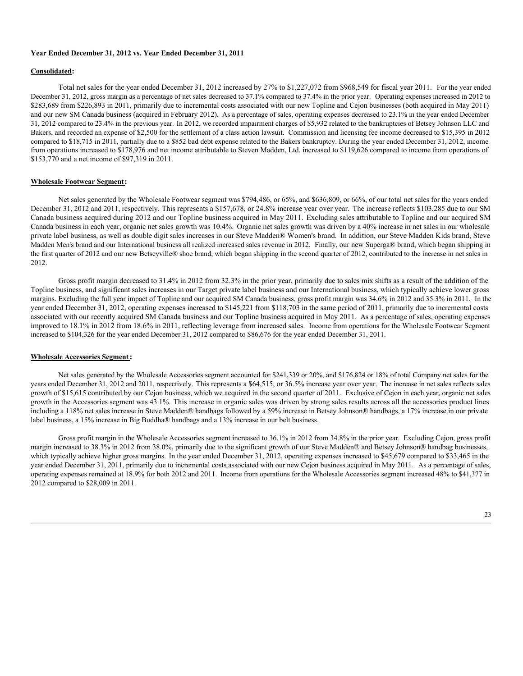#### **Year Ended December 31, 2012 vs. Year Ended December 31, 2011**

#### **Consolidated:**

Total net sales for the year ended December 31, 2012 increased by 27% to \$1,227,072 from \$968,549 for fiscal year 2011. For the year ended December 31, 2012, gross margin as a percentage of net sales decreased to 37.1% compared to 37.4% in the prior year. Operating expenses increased in 2012 to \$283,689 from \$226,893 in 2011, primarily due to incremental costs associated with our new Topline and Cejon businesses (both acquired in May 2011) and our new SM Canada business (acquired in February 2012). As a percentage of sales, operating expenses decreased to 23.1% in the year ended December 31, 2012 compared to 23.4% in the previous year. In 2012, we recorded impairment charges of \$5,932 related to the bankruptcies of Betsey Johnson LLC and Bakers, and recorded an expense of \$2,500 for the settlement of a class action lawsuit. Commission and licensing fee income decreased to \$15,395 in 2012 compared to \$18,715 in 2011, partially due to a \$852 bad debt expense related to the Bakers bankruptcy. During the year ended December 31, 2012, income from operations increased to \$178,976 and net income attributable to Steven Madden, Ltd. increased to \$119,626 compared to income from operations of \$153,770 and a net income of \$97,319 in 2011.

#### **Wholesale Footwear Segment:**

Net sales generated by the Wholesale Footwear segment was \$794,486, or 65%, and \$636,809, or 66%, of our total net sales for the years ended December 31, 2012 and 2011, respectively. This represents a \$157,678, or 24.8% increase year over year. The increase reflects \$103,285 due to our SM Canada business acquired during 2012 and our Topline business acquired in May 2011. Excluding sales attributable to Topline and our acquired SM Canada business in each year, organic net sales growth was 10.4%. Organic net sales growth was driven by a 40% increase in net sales in our wholesale private label business, as well as double digit sales increases in our Steve Madden® Women's brand. In addition, our Steve Madden Kids brand, Steve Madden Men's brand and our International business all realized increased sales revenue in 2012. Finally, our new Superga® brand, which began shipping in the first quarter of 2012 and our new Betseyville® shoe brand, which began shipping in the second quarter of 2012, contributed to the increase in net sales in 2012.

Gross profit margin decreased to 31.4% in 2012 from 32.3% in the prior year, primarily due to sales mix shifts as a result of the addition of the Topline business, and significant sales increases in our Target private label business and our International business, which typically achieve lower gross margins. Excluding the full year impact of Topline and our acquired SM Canada business, gross profit margin was 34.6% in 2012 and 35.3% in 2011. In the year ended December 31, 2012, operating expenses increased to \$145,221 from \$118,703 in the same period of 2011, primarily due to incremental costs associated with our recently acquired SM Canada business and our Topline business acquired in May 2011. As a percentage of sales, operating expenses improved to 18.1% in 2012 from 18.6% in 2011, reflecting leverage from increased sales. Income from operations for the Wholesale Footwear Segment increased to \$104,326 for the year ended December 31, 2012 compared to \$86,676 for the year ended December 31, 2011.

#### **Wholesale Accessories Segment:**

Net sales generated by the Wholesale Accessories segment accounted for \$241,339 or 20%, and \$176,824 or 18% of total Company net sales for the years ended December 31, 2012 and 2011, respectively. This represents a \$64,515, or 36.5% increase year over year. The increase in net sales reflects sales growth of \$15,615 contributed by our Cejon business, which we acquired in the second quarter of 2011. Exclusive of Cejon in each year, organic net sales growth in the Accessories segment was 43.1%. This increase in organic sales was driven by strong sales results across all the accessories product lines including a 118% net sales increase in Steve Madden® handbags followed by a 59% increase in Betsey Johnson® handbags, a 17% increase in our private label business, a 15% increase in Big Buddha® handbags and a 13% increase in our belt business.

Gross profit margin in the Wholesale Accessories segment increased to 36.1% in 2012 from 34.8% in the prior year. Excluding Cejon, gross profit margin increased to 38.3% in 2012 from 38.0%, primarily due to the significant growth of our Steve Madden® and Betsey Johnson® handbag businesses, which typically achieve higher gross margins. In the year ended December 31, 2012, operating expenses increased to \$45,679 compared to \$33,465 in the year ended December 31, 2011, primarily due to incremental costs associated with our new Cejon business acquired in May 2011. As a percentage of sales, operating expenses remained at 18.9% for both 2012 and 2011. Income from operations for the Wholesale Accessories segment increased 48% to \$41,377 in 2012 compared to \$28,009 in 2011.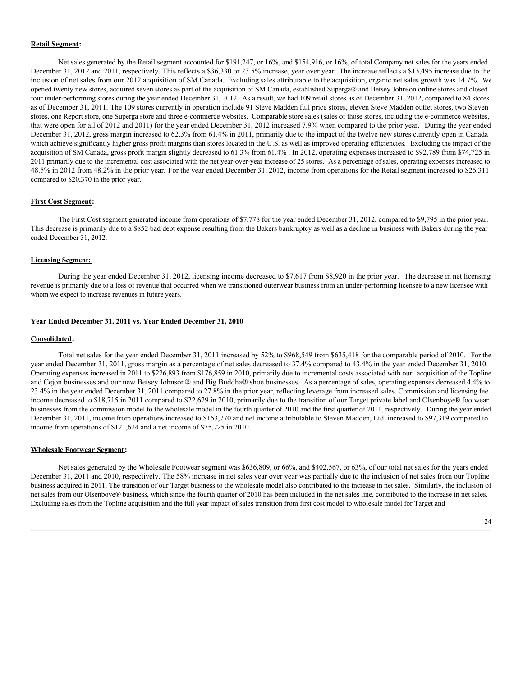#### **Retail Segment:**

Net sales generated by the Retail segment accounted for \$191,247, or 16%, and \$154,916, or 16%, of total Company net sales for the years ended December 31, 2012 and 2011, respectively. This reflects a \$36,330 or 23.5% increase, year over year. The increase reflects a \$13,495 increase due to the inclusion of net sales from our 2012 acquisition of SM Canada. Excluding sales attributable to the acquisition, organic net sales growth was 14.7%. We opened twenty new stores, acquired seven stores as part of the acquisition of SM Canada, established Superga® and Betsey Johnson online stores and closed four under-performing stores during the year ended December 31, 2012. As a result, we had 109 retail stores as of December 31, 2012, compared to 84 stores as of December 31, 2011. The 109 stores currently in operation include 91 Steve Madden full price stores, eleven Steve Madden outlet stores, two Steven stores, one Report store, one Superga store and three e-commerce websites. Comparable store sales (sales of those stores, including the e-commerce websites, that were open for all of 2012 and 2011) for the year ended December 31, 2012 increased 7.9% when compared to the prior year. During the year ended December 31, 2012, gross margin increased to 62.3% from 61.4% in 2011, primarily due to the impact of the twelve new stores currently open in Canada which achieve significantly higher gross profit margins than stores located in the U.S. as well as improved operating efficiencies. Excluding the impact of the acquisition of SM Canada, gross profit margin slightly decreased to 61.3% from 61.4% . In 2012, operating expenses increased to \$92,789 from \$74,725 in 2011 primarily due to the incremental cost associated with the net year-over-year increase of 25 stores. As a percentage of sales, operating expenses increased to 48.5% in 2012 from 48.2% in the prior year. For the year ended December 31, 2012, income from operations for the Retail segment increased to \$26,311 compared to \$20,370 in the prior year.

#### **First Cost Segment:**

The First Cost segment generated income from operations of \$7,778 for the year ended December 31, 2012, compared to \$9,795 in the prior year. This decrease is primarily due to a \$852 bad debt expense resulting from the Bakers bankruptcy as well as a decline in business with Bakers during the year ended December 31, 2012.

#### **Licensing Segment:**

During the year ended December 31, 2012, licensing income decreased to \$7,617 from \$8,920 in the prior year. The decrease in net licensing revenue is primarily due to a loss of revenue that occurred when we transitioned outerwear business from an under-performing licensee to a new licensee with whom we expect to increase revenues in future years.

#### **Year Ended December 31, 2011 vs. Year Ended December 31, 2010**

#### **Consolidated:**

Total net sales for the year ended December 31, 2011 increased by 52% to \$968,549 from \$635,418 for the comparable period of 2010. For the year ended December 31, 2011, gross margin as a percentage of net sales decreased to 37.4% compared to 43.4% in the year ended December 31, 2010. Operating expenses increased in 2011 to \$226,893 from \$176,859 in 2010, primarily due to incremental costs associated with our acquisition of the Topline and Cejon businesses and our new Betsey Johnson® and Big Buddha® shoe businesses. As a percentage of sales, operating expenses decreased 4.4% to 23.4% in the year ended December 31, 2011 compared to 27.8% in the prior year, reflecting leverage from increased sales. Commission and licensing fee income decreased to \$18,715 in 2011 compared to \$22,629 in 2010, primarily due to the transition of our Target private label and Olsenboye® footwear businesses from the commission model to the wholesale model in the fourth quarter of 2010 and the first quarter of 2011, respectively. During the year ended December 31, 2011, income from operations increased to \$153,770 and net income attributable to Steven Madden, Ltd. increased to \$97,319 compared to income from operations of \$121,624 and a net income of \$75,725 in 2010.

#### **Wholesale Footwear Segment:**

Net sales generated by the Wholesale Footwear segment was \$636,809, or 66%, and \$402,567, or 63%, of our total net sales for the years ended December 31, 2011 and 2010, respectively. The 58% increase in net sales year over year was partially due to the inclusion of net sales from our Topline business acquired in 2011. The transition of our Target business to the wholesale model also contributed to the increase in net sales. Similarly, the inclusion of net sales from our Olsenboye® business, which since the fourth quarter of 2010 has been included in the net sales line, contributed to the increase in net sales. Excluding sales from the Topline acquisition and the full year impact of sales transition from first cost model to wholesale model for Target and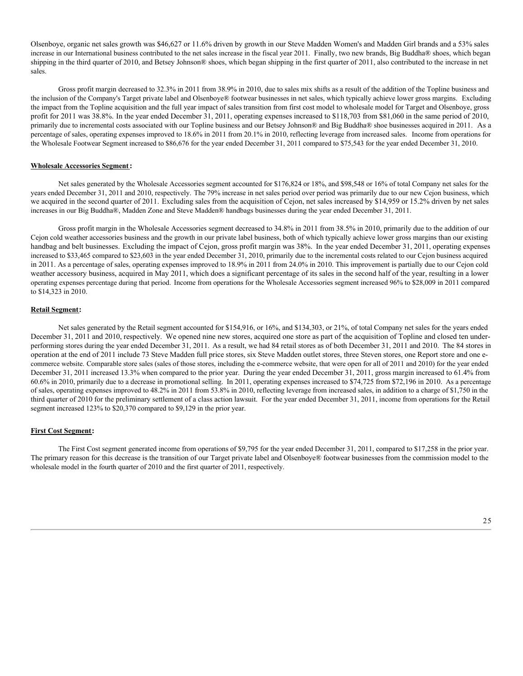Olsenboye, organic net sales growth was \$46,627 or 11.6% driven by growth in our Steve Madden Women's and Madden Girl brands and a 53% sales increase in our International business contributed to the net sales increase in the fiscal year 2011. Finally, two new brands, Big Buddha® shoes, which began shipping in the third quarter of 2010, and Betsey Johnson® shoes, which began shipping in the first quarter of 2011, also contributed to the increase in net sales.

Gross profit margin decreased to 32.3% in 2011 from 38.9% in 2010, due to sales mix shifts as a result of the addition of the Topline business and the inclusion of the Company's Target private label and Olsenboye® footwear businesses in net sales, which typically achieve lower gross margins. Excluding the impact from the Topline acquisition and the full year impact of sales transition from first cost model to wholesale model for Target and Olsenboye, gross profit for 2011 was 38.8%. In the year ended December 31, 2011, operating expenses increased to \$118,703 from \$81,060 in the same period of 2010, primarily due to incremental costs associated with our Topline business and our Betsey Johnson® and Big Buddha® shoe businesses acquired in 2011. As a percentage of sales, operating expenses improved to 18.6% in 2011 from 20.1% in 2010, reflecting leverage from increased sales. Income from operations for the Wholesale Footwear Segment increased to \$86,676 for the year ended December 31, 2011 compared to \$75,543 for the year ended December 31, 2010.

#### **Wholesale Accessories Segment:**

Net sales generated by the Wholesale Accessories segment accounted for \$176,824 or 18%, and \$98,548 or 16% of total Company net sales for the years ended December 31, 2011 and 2010, respectively. The 79% increase in net sales period over period was primarily due to our new Cejon business, which we acquired in the second quarter of 2011. Excluding sales from the acquisition of Cejon, net sales increased by \$14,959 or 15.2% driven by net sales increases in our Big Buddha®, Madden Zone and Steve Madden® handbags businesses during the year ended December 31, 2011.

Gross profit margin in the Wholesale Accessories segment decreased to 34.8% in 2011 from 38.5% in 2010, primarily due to the addition of our Cejon cold weather accessories business and the growth in our private label business, both of which typically achieve lower gross margins than our existing handbag and belt businesses. Excluding the impact of Cejon, gross profit margin was 38%. In the year ended December 31, 2011, operating expenses increased to \$33,465 compared to \$23,603 in the year ended December 31, 2010, primarily due to the incremental costs related to our Cejon business acquired in 2011. As a percentage of sales, operating expenses improved to 18.9% in 2011 from 24.0% in 2010. This improvement is partially due to our Cejon cold weather accessory business, acquired in May 2011, which does a significant percentage of its sales in the second half of the year, resulting in a lower operating expenses percentage during that period. Income from operations for the Wholesale Accessories segment increased 96% to \$28,009 in 2011 compared to \$14,323 in 2010.

#### **Retail Segment:**

Net sales generated by the Retail segment accounted for \$154,916, or 16%, and \$134,303, or 21%, of total Company net sales for the years ended December 31, 2011 and 2010, respectively. We opened nine new stores, acquired one store as part of the acquisition of Topline and closed ten underperforming stores during the year ended December 31, 2011. As a result, we had 84 retail stores as of both December 31, 2011 and 2010. The 84 stores in operation at the end of 2011 include 73 Steve Madden full price stores, six Steve Madden outlet stores, three Steven stores, one Report store and one ecommerce website. Comparable store sales (sales of those stores, including the e-commerce website, that were open for all of 2011 and 2010) for the year ended December 31, 2011 increased 13.3% when compared to the prior year. During the year ended December 31, 2011, gross margin increased to 61.4% from 60.6% in 2010, primarily due to a decrease in promotional selling. In 2011, operating expenses increased to \$74,725 from \$72,196 in 2010. As a percentage of sales, operating expenses improved to 48.2% in 2011 from 53.8% in 2010, reflecting leverage from increased sales, in addition to a charge of \$1,750 in the third quarter of 2010 for the preliminary settlement of a class action lawsuit. For the year ended December 31, 2011, income from operations for the Retail segment increased 123% to \$20,370 compared to \$9,129 in the prior year.

#### **First Cost Segment:**

The First Cost segment generated income from operations of \$9,795 for the year ended December 31, 2011, compared to \$17,258 in the prior year. The primary reason for this decrease is the transition of our Target private label and Olsenboye® footwear businesses from the commission model to the wholesale model in the fourth quarter of 2010 and the first quarter of 2011, respectively.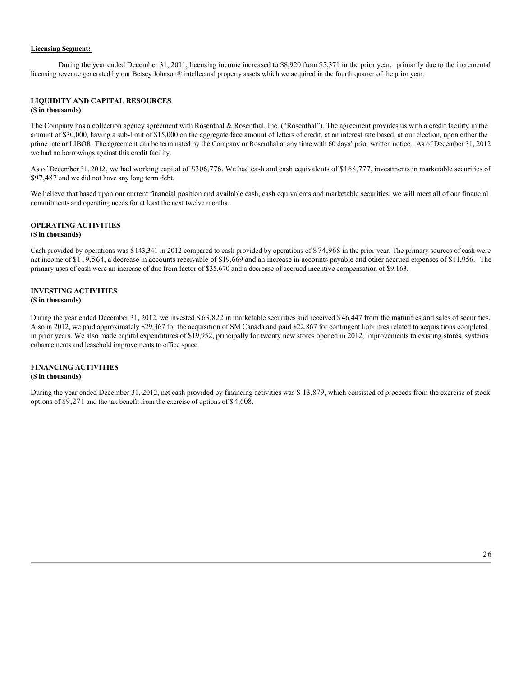#### **Licensing Segment:**

During the year ended December 31, 2011, licensing income increased to \$8,920 from \$5,371 in the prior year, primarily due to the incremental licensing revenue generated by our Betsey Johnson® intellectual property assets which we acquired in the fourth quarter of the prior year.

### **LIQUIDITY AND CAPITAL RESOURCES (\$ in thousands)**

The Company has a collection agency agreement with Rosenthal & Rosenthal, Inc. ("Rosenthal"). The agreement provides us with a credit facility in the amount of \$30,000, having a sub-limit of \$15,000 on the aggregate face amount of letters of credit, at an interest rate based, at our election, upon either the prime rate or LIBOR. The agreement can be terminated by the Company or Rosenthal at any time with 60 days' prior written notice. As of December 31, 2012 we had no borrowings against this credit facility.

As of December 31, 2012, we had working capital of \$306,776. We had cash and cash equivalents of \$168,777, investments in marketable securities of \$97,487 and we did not have any long term debt.

We believe that based upon our current financial position and available cash, cash equivalents and marketable securities, we will meet all of our financial commitments and operating needs for at least the next twelve months.

## **OPERATING ACTIVITIES (\$ in thousands)**

Cash provided by operations was \$143,341 in 2012 compared to cash provided by operations of \$ 74,968 in the prior year. The primary sources of cash were net income of \$119,564, a decrease in accounts receivable of \$19,669 and an increase in accounts payable and other accrued expenses of \$11,956. The primary uses of cash were an increase of due from factor of \$35,670 and a decrease of accrued incentive compensation of \$9,163.

## **INVESTING ACTIVITIES (\$ in thousands)**

During the year ended December 31, 2012, we invested \$ 63,822 in marketable securities and received \$46,447 from the maturities and sales of securities. Also in 2012, we paid approximately \$29,367 for the acquisition of SM Canada and paid \$22,867 for contingent liabilities related to acquisitions completed in prior years. We also made capital expenditures of \$19,952, principally for twenty new stores opened in 2012, improvements to existing stores, systems enhancements and leasehold improvements to office space.

## **FINANCING ACTIVITIES (\$ in thousands)**

During the year ended December 31, 2012, net cash provided by financing activities was \$ 13,879, which consisted of proceeds from the exercise of stock options of \$9,271 and the tax benefit from the exercise of options of \$ 4,608.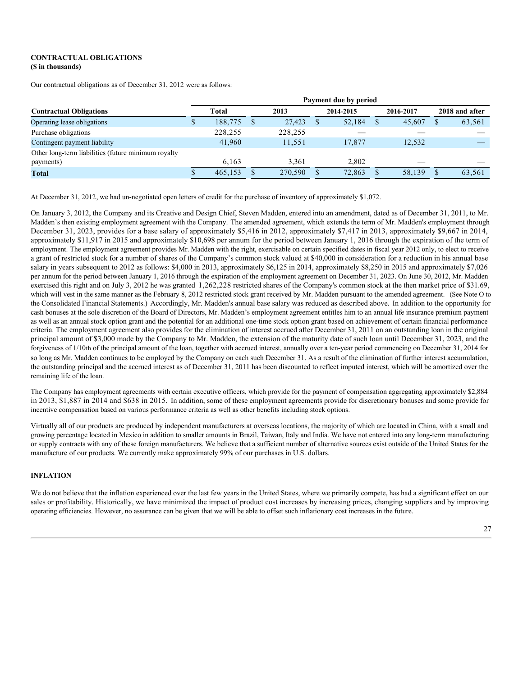#### **CONTRACTUAL OBLIGATIONS (\$ in thousands)**

Our contractual obligations as of December 31, 2012 were as follows:

|                                                                  | Payment due by period |         |  |         |  |           |  |           |                |
|------------------------------------------------------------------|-----------------------|---------|--|---------|--|-----------|--|-----------|----------------|
| <b>Contractual Obligations</b>                                   |                       | Total   |  | 2013    |  | 2014-2015 |  | 2016-2017 | 2018 and after |
| Operating lease obligations                                      | Φ                     | 188,775 |  | 27,423  |  | 52,184    |  | 45,607    | 63,561         |
| Purchase obligations                                             |                       | 228,255 |  | 228,255 |  |           |  |           |                |
| Contingent payment liability                                     |                       | 41,960  |  | 11.551  |  | 17.877    |  | 12,532    |                |
| Other long-term liabilities (future minimum royalty<br>payments) |                       | 6.163   |  | 3.361   |  | 2.802     |  |           |                |
| <b>Total</b>                                                     |                       | 465.153 |  | 270,590 |  | 72,863    |  | 58,139    | 63,561         |

At December 31, 2012, we had un-negotiated open letters of credit for the purchase of inventory of approximately \$1,072.

On January 3, 2012, the Company and its Creative and Design Chief, Steven Madden, entered into an amendment, dated as of December 31, 2011, to Mr. Madden's then existing employment agreement with the Company. The amended agreement, which extends the term of Mr. Madden's employment through December 31, 2023, provides for a base salary of approximately \$5,416 in 2012, approximately \$7,417 in 2013, approximately \$9,667 in 2014, approximately \$11,917 in 2015 and approximately \$10,698 per annum for the period between January 1, 2016 through the expiration of the term of employment. The employment agreement provides Mr. Madden with the right, exercisable on certain specified dates in fiscal year 2012 only, to elect to receive a grant of restricted stock for a number of shares of the Company's common stock valued at \$40,000 in consideration for a reduction in his annual base salary in years subsequent to 2012 as follows: \$4,000 in 2013, approximately \$6,125 in 2014, approximately \$8,250 in 2015 and approximately \$7,026 per annum for the period between January 1, 2016 through the expiration of the employment agreement on December 31, 2023. On June 30, 2012, Mr. Madden exercised this right and on July 3, 2012 he was granted 1,262,228 restricted shares of the Company's common stock at the then market price of \$31.69, which will vest in the same manner as the February 8, 2012 restricted stock grant received by Mr. Madden pursuant to the amended agreement. (See Note O to the Consolidated Financial Statements.) Accordingly, Mr. Madden's annual base salary was reduced as described above. In addition to the opportunity for cash bonuses at the sole discretion of the Board of Directors, Mr. Madden's employment agreement entitles him to an annual life insurance premium payment as well as an annual stock option grant and the potential for an additional one-time stock option grant based on achievement of certain financial performance criteria. The employment agreement also provides for the elimination of interest accrued after December 31, 2011 on an outstanding loan in the original principal amount of \$3,000 made by the Company to Mr. Madden, the extension of the maturity date of such loan until December 31, 2023, and the forgiveness of 1/10th of the principal amount of the loan, together with accrued interest, annually over a ten-year period commencing on December 31, 2014 for so long as Mr. Madden continues to be employed by the Company on each such December 31. As a result of the elimination of further interest accumulation, the outstanding principal and the accrued interest as of December 31, 2011 has been discounted to reflect imputed interest, which will be amortized over the remaining life of the loan.

The Company has employment agreements with certain executive officers, which provide for the payment of compensation aggregating approximately \$2,884 in 2013, \$1,887 in 2014 and \$638 in 2015. In addition, some of these employment agreements provide for discretionary bonuses and some provide for incentive compensation based on various performance criteria as well as other benefits including stock options.

Virtually all of our products are produced by independent manufacturers at overseas locations, the majority of which are located in China, with a small and growing percentage located in Mexico in addition to smaller amounts in Brazil, Taiwan, Italy and India. We have not entered into any long-term manufacturing or supply contracts with any of these foreign manufacturers. We believe that a sufficient number of alternative sources exist outside of the United States for the manufacture of our products. We currently make approximately 99% of our purchases in U.S. dollars.

## **INFLATION**

We do not believe that the inflation experienced over the last few years in the United States, where we primarily compete, has had a significant effect on our sales or profitability. Historically, we have minimized the impact of product cost increases by increasing prices, changing suppliers and by improving operating efficiencies. However, no assurance can be given that we will be able to offset such inflationary cost increases in the future.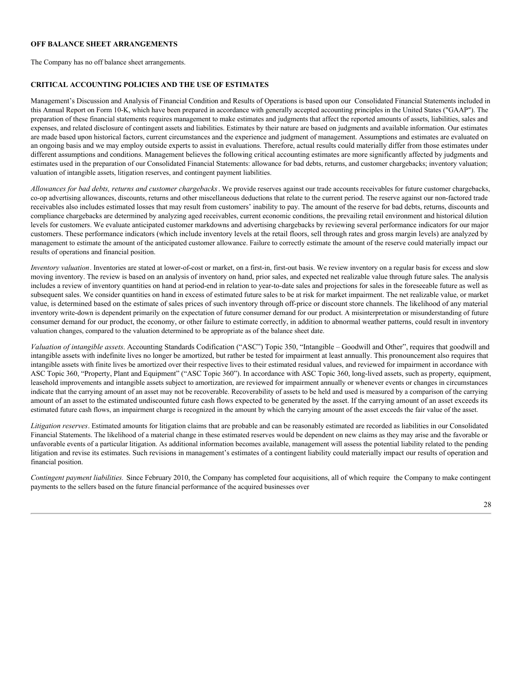## **OFF BALANCE SHEET ARRANGEMENTS**

The Company has no off balance sheet arrangements.

## **CRITICAL ACCOUNTING POLICIES AND THE USE OF ESTIMATES**

Management's Discussion and Analysis of Financial Condition and Results of Operations is based upon our Consolidated Financial Statements included in this Annual Report on Form 10-K, which have been prepared in accordance with generally accepted accounting principles in the United States ("GAAP"). The preparation of these financial statements requires management to make estimates and judgments that affect the reported amounts of assets, liabilities, sales and expenses, and related disclosure of contingent assets and liabilities. Estimates by their nature are based on judgments and available information. Our estimates are made based upon historical factors, current circumstances and the experience and judgment of management. Assumptions and estimates are evaluated on an ongoing basis and we may employ outside experts to assist in evaluations. Therefore, actual results could materially differ from those estimates under different assumptions and conditions. Management believes the following critical accounting estimates are more significantly affected by judgments and estimates used in the preparation of our Consolidated Financial Statements: allowance for bad debts, returns, and customer chargebacks; inventory valuation; valuation of intangible assets, litigation reserves, and contingent payment liabilities.

*Allowances for bad debts, returns and customer chargebacks*. We provide reserves against our trade accounts receivables for future customer chargebacks, co-op advertising allowances, discounts, returns and other miscellaneous deductions that relate to the current period. The reserve against our non-factored trade receivables also includes estimated losses that may result from customers' inability to pay. The amount of the reserve for bad debts, returns, discounts and compliance chargebacks are determined by analyzing aged receivables, current economic conditions, the prevailing retail environment and historical dilution levels for customers. We evaluate anticipated customer markdowns and advertising chargebacks by reviewing several performance indicators for our major customers. These performance indicators (which include inventory levels at the retail floors, sell through rates and gross margin levels) are analyzed by management to estimate the amount of the anticipated customer allowance. Failure to correctly estimate the amount of the reserve could materially impact our results of operations and financial position.

*Inventory valuation*. Inventories are stated at lower-of-cost or market, on a first-in, first-out basis. We review inventory on a regular basis for excess and slow moving inventory. The review is based on an analysis of inventory on hand, prior sales, and expected net realizable value through future sales. The analysis includes a review of inventory quantities on hand at period-end in relation to year-to-date sales and projections for sales in the foreseeable future as well as subsequent sales. We consider quantities on hand in excess of estimated future sales to be at risk for market impairment. The net realizable value, or market value, is determined based on the estimate of sales prices of such inventory through off-price or discount store channels. The likelihood of any material inventory write-down is dependent primarily on the expectation of future consumer demand for our product. A misinterpretation or misunderstanding of future consumer demand for our product, the economy, or other failure to estimate correctly, in addition to abnormal weather patterns, could result in inventory valuation changes, compared to the valuation determined to be appropriate as of the balance sheet date.

*Valuation of intangible assets*. Accounting Standards Codification ("ASC") Topic 350, "Intangible – Goodwill and Other", requires that goodwill and intangible assets with indefinite lives no longer be amortized, but rather be tested for impairment at least annually. This pronouncement also requires that intangible assets with finite lives be amortized over their respective lives to their estimated residual values, and reviewed for impairment in accordance with ASC Topic 360, "Property, Plant and Equipment" ("ASC Topic 360"). In accordance with ASC Topic 360, long-lived assets, such as property, equipment, leasehold improvements and intangible assets subject to amortization, are reviewed for impairment annually or whenever events or changes in circumstances indicate that the carrying amount of an asset may not be recoverable. Recoverability of assets to be held and used is measured by a comparison of the carrying amount of an asset to the estimated undiscounted future cash flows expected to be generated by the asset. If the carrying amount of an asset exceeds its estimated future cash flows, an impairment charge is recognized in the amount by which the carrying amount of the asset exceeds the fair value of the asset.

*Litigation reserves*. Estimated amounts for litigation claims that are probable and can be reasonably estimated are recorded as liabilities in our Consolidated Financial Statements. The likelihood of a material change in these estimated reserves would be dependent on new claims as they may arise and the favorable or unfavorable events of a particular litigation. As additional information becomes available, management will assess the potential liability related to the pending litigation and revise its estimates. Such revisions in management's estimates of a contingent liability could materially impact our results of operation and financial position.

*Contingent payment liabilities.* Since February 2010, the Company has completed four acquisitions, all of which require the Company to make contingent payments to the sellers based on the future financial performance of the acquired businesses over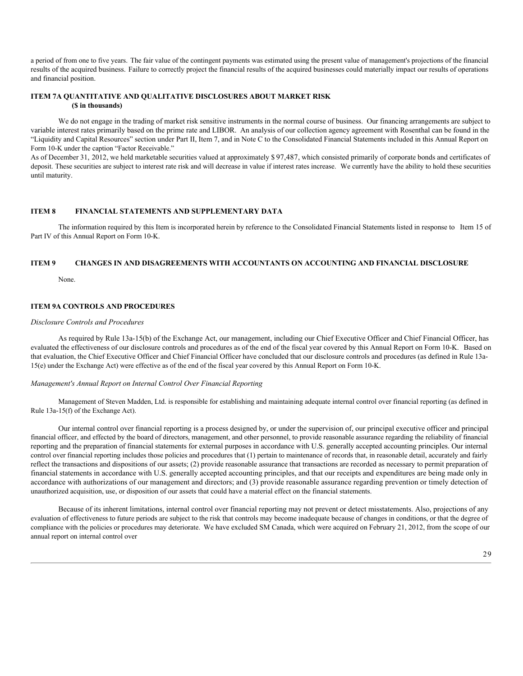<span id="page-31-0"></span>a period of from one to five years. The fair value of the contingent payments was estimated using the present value of management's projections of the financial results of the acquired business. Failure to correctly project the financial results of the acquired businesses could materially impact our results of operations and financial position.

## **ITEM 7A QUANTITATIVE AND QUALITATIVE DISCLOSURES ABOUT MARKET RISK (\$ in thousands)**

We do not engage in the trading of market risk sensitive instruments in the normal course of business. Our financing arrangements are subject to variable interest rates primarily based on the prime rate and LIBOR. An analysis of our collection agency agreement with Rosenthal can be found in the "Liquidity and Capital Resources" section under Part II, Item 7, and in Note C to the Consolidated Financial Statements included in this Annual Report on Form 10-K under the caption "Factor Receivable."

As of December 31, 2012, we held marketable securities valued at approximately \$ 97,487, which consisted primarily of corporate bonds and certificates of deposit. These securities are subject to interest rate risk and will decrease in value if interest rates increase. We currently have the ability to hold these securities until maturity.

## **ITEM 8 FINANCIAL STATEMENTS AND SUPPLEMENTARY DATA**

The information required by this Item is incorporated herein by reference to the Consolidated Financial Statements listed in response to Item 15 of Part IV of this Annual Report on Form 10-K.

## **ITEM 9 CHANGES IN AND DISAGREEMENTS WITH ACCOUNTANTS ON ACCOUNTING AND FINANCIAL DISCLOSURE**

None.

## **ITEM 9A CONTROLS AND PROCEDURES**

## *Disclosure Controls and Procedures*

As required by Rule 13a-15(b) of the Exchange Act, our management, including our Chief Executive Officer and Chief Financial Officer, has evaluated the effectiveness of our disclosure controls and procedures as of the end of the fiscal year covered by this Annual Report on Form 10-K. Based on that evaluation, the Chief Executive Officer and Chief Financial Officer have concluded that our disclosure controls and procedures (as defined in Rule 13a-15(e) under the Exchange Act) were effective as of the end of the fiscal year covered by this Annual Report on Form 10-K.

#### *Management's Annual Report on Internal Control Over Financial Reporting*

Management of Steven Madden, Ltd. is responsible for establishing and maintaining adequate internal control over financial reporting (as defined in Rule 13a-15(f) of the Exchange Act).

Our internal control over financial reporting is a process designed by, or under the supervision of, our principal executive officer and principal financial officer, and effected by the board of directors, management, and other personnel, to provide reasonable assurance regarding the reliability of financial reporting and the preparation of financial statements for external purposes in accordance with U.S. generally accepted accounting principles. Our internal control over financial reporting includes those policies and procedures that (1) pertain to maintenance of records that, in reasonable detail, accurately and fairly reflect the transactions and dispositions of our assets; (2) provide reasonable assurance that transactions are recorded as necessary to permit preparation of financial statements in accordance with U.S. generally accepted accounting principles, and that our receipts and expenditures are being made only in accordance with authorizations of our management and directors; and (3) provide reasonable assurance regarding prevention or timely detection of unauthorized acquisition, use, or disposition of our assets that could have a material effect on the financial statements.

Because of its inherent limitations, internal control over financial reporting may not prevent or detect misstatements. Also, projections of any evaluation of effectiveness to future periods are subject to the risk that controls may become inadequate because of changes in conditions, or that the degree of compliance with the policies or procedures may deteriorate. We have excluded SM Canada, which were acquired on February 21, 2012, from the scope of our annual report on internal control over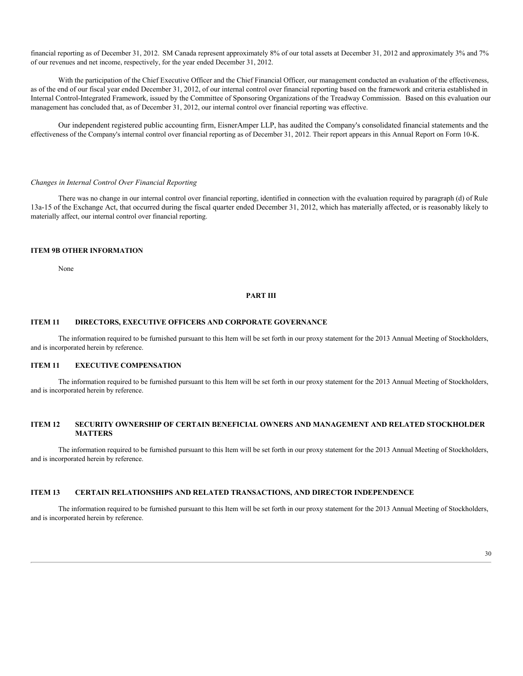<span id="page-32-0"></span>financial reporting as of December 31, 2012. SM Canada represent approximately 8% of our total assets at December 31, 2012 and approximately 3% and 7% of our revenues and net income, respectively, for the year ended December 31, 2012.

With the participation of the Chief Executive Officer and the Chief Financial Officer, our management conducted an evaluation of the effectiveness, as of the end of our fiscal year ended December 31, 2012, of our internal control over financial reporting based on the framework and criteria established in Internal Control-Integrated Framework, issued by the Committee of Sponsoring Organizations of the Treadway Commission. Based on this evaluation our management has concluded that, as of December 31, 2012, our internal control over financial reporting was effective.

Our independent registered public accounting firm, EisnerAmper LLP, has audited the Company's consolidated financial statements and the effectiveness of the Company's internal control over financial reporting as of December 31, 2012. Their report appears in this Annual Report on Form 10-K.

#### *Changes in Internal Control Over Financial Reporting*

There was no change in our internal control over financial reporting, identified in connection with the evaluation required by paragraph (d) of Rule 13a-15 of the Exchange Act, that occurred during the fiscal quarter ended December 31, 2012, which has materially affected, or is reasonably likely to materially affect, our internal control over financial reporting.

#### **ITEM 9B OTHER INFORMATION**

None

#### **PART III**

#### **ITEM 11 DIRECTORS, EXECUTIVE OFFICERS AND CORPORATE GOVERNANCE**

The information required to be furnished pursuant to this Item will be set forth in our proxy statement for the 2013 Annual Meeting of Stockholders, and is incorporated herein by reference.

## **ITEM 11 EXECUTIVE COMPENSATION**

The information required to be furnished pursuant to this Item will be set forth in our proxy statement for the 2013 Annual Meeting of Stockholders, and is incorporated herein by reference.

### **ITEM 12 SECURITY OWNERSHIP OF CERTAIN BENEFICIAL OWNERS AND MANAGEMENT AND RELATED STOCKHOLDER MATTERS**

The information required to be furnished pursuant to this Item will be set forth in our proxy statement for the 2013 Annual Meeting of Stockholders, and is incorporated herein by reference.

## **ITEM 13 CERTAIN RELATIONSHIPS AND RELATED TRANSACTIONS, AND DIRECTOR INDEPENDENCE**

The information required to be furnished pursuant to this Item will be set forth in our proxy statement for the 2013 Annual Meeting of Stockholders, and is incorporated herein by reference.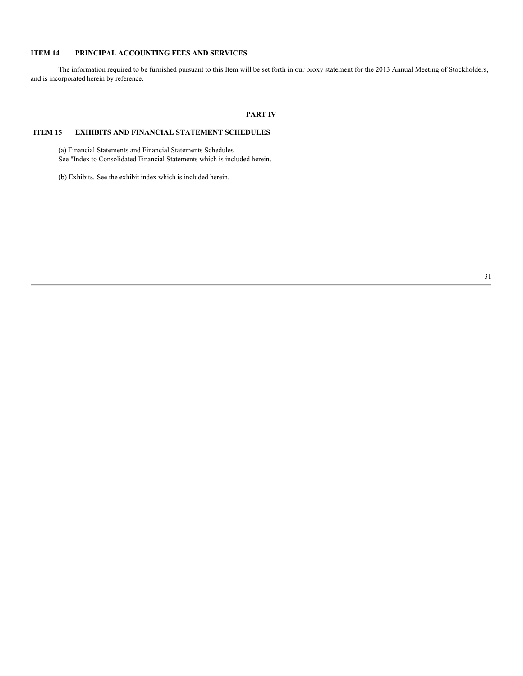## <span id="page-33-0"></span>**ITEM 14 PRINCIPAL ACCOUNTING FEES AND SERVICES**

The information required to be furnished pursuant to this Item will be set forth in our proxy statement for the 2013 Annual Meeting of Stockholders, and is incorporated herein by reference.

## **PART IV**

## **ITEM 15 EXHIBITS AND FINANCIAL STATEMENT SCHEDULES**

(a) Financial Statements and Financial Statements Schedules See "Index to Consolidated Financial Statements which is included herein.

(b) Exhibits. See the exhibit index which is included herein.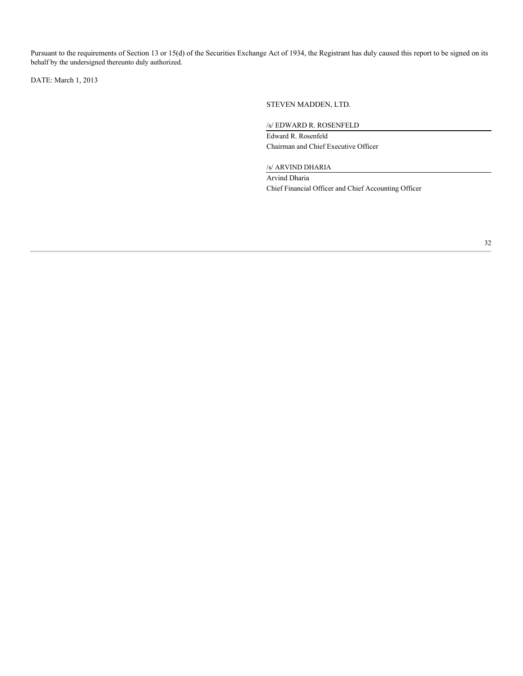Pursuant to the requirements of Section 13 or 15(d) of the Securities Exchange Act of 1934, the Registrant has duly caused this report to be signed on its behalf by the undersigned thereunto duly authorized.

DATE: March 1, 2013

STEVEN MADDEN, LTD.

/s/ EDWARD R. ROSENFELD

Edward R. Rosenfeld Chairman and Chief Executive Officer

/s/ ARVIND DHARIA

## Arvind Dharia

Chief Financial Officer and Chief Accounting Officer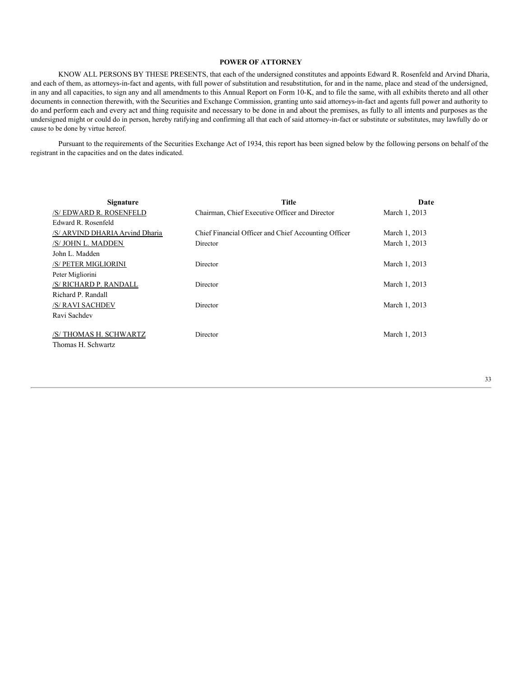## **POWER OF ATTORNEY**

KNOW ALL PERSONS BY THESE PRESENTS, that each of the undersigned constitutes and appoints Edward R. Rosenfeld and Arvind Dharia, and each of them, as attorneys-in-fact and agents, with full power of substitution and resubstitution, for and in the name, place and stead of the undersigned, in any and all capacities, to sign any and all amendments to this Annual Report on Form 10-K, and to file the same, with all exhibits thereto and all other documents in connection therewith, with the Securities and Exchange Commission, granting unto said attorneys-in-fact and agents full power and authority to do and perform each and every act and thing requisite and necessary to be done in and about the premises, as fully to all intents and purposes as the undersigned might or could do in person, hereby ratifying and confirming all that each of said attorney-in-fact or substitute or substitutes, may lawfully do or cause to be done by virtue hereof.

Pursuant to the requirements of the Securities Exchange Act of 1934, this report has been signed below by the following persons on behalf of the registrant in the capacities and on the dates indicated.

| <b>Signature</b>                | <b>Title</b>                                         | Date          |
|---------------------------------|------------------------------------------------------|---------------|
| /S/ EDWARD R. ROSENFELD         | Chairman, Chief Executive Officer and Director       | March 1, 2013 |
| Edward R. Rosenfeld             |                                                      |               |
| /S/ ARVIND DHARIA Arvind Dharia | Chief Financial Officer and Chief Accounting Officer | March 1, 2013 |
| /S/ JOHN L. MADDEN              | Director                                             | March 1, 2013 |
| John L. Madden                  |                                                      |               |
| /S/ PETER MIGLIORINI            | Director                                             | March 1, 2013 |
| Peter Migliorini                |                                                      |               |
| /S/ RICHARD P. RANDALL          | Director                                             | March 1, 2013 |
| Richard P. Randall              |                                                      |               |
| /S/ RAVI SACHDEV                | Director                                             | March 1, 2013 |
| Ravi Sachdev                    |                                                      |               |
|                                 |                                                      |               |
| /S/ THOMAS H. SCHWARTZ          | Director                                             | March 1, 2013 |
| Thomas H. Schwartz              |                                                      |               |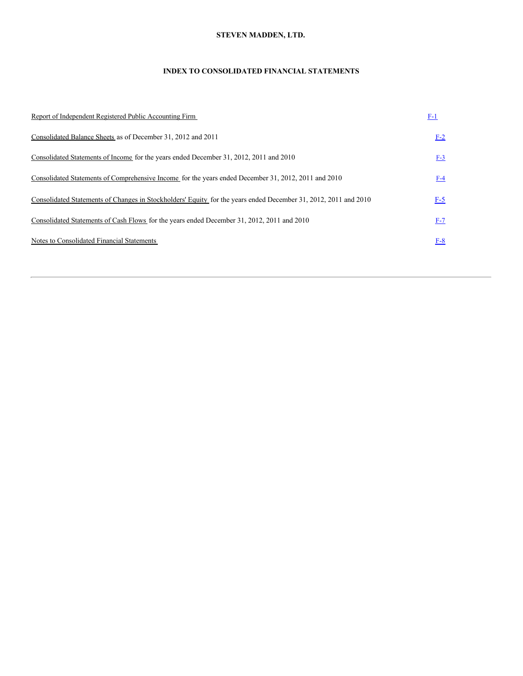# **STEVEN MADDEN, LTD.**

# **INDEX TO CONSOLIDATED FINANCIAL STATEMENTS**

| Report of Independent Registered Public Accounting Firm                                                         | $F-1$ |
|-----------------------------------------------------------------------------------------------------------------|-------|
| Consolidated Balance Sheets as of December 31, 2012 and 2011                                                    | $F-2$ |
| Consolidated Statements of Income for the years ended December 31, 2012, 2011 and 2010                          | $F-3$ |
| Consolidated Statements of Comprehensive Income for the years ended December 31, 2012, 2011 and 2010            | $F-4$ |
| Consolidated Statements of Changes in Stockholders' Equity for the years ended December 31, 2012, 2011 and 2010 | $F-5$ |
| Consolidated Statements of Cash Flows for the years ended December 31, 2012, 2011 and 2010                      | $F-7$ |
| Notes to Consolidated Financial Statements                                                                      | $F-8$ |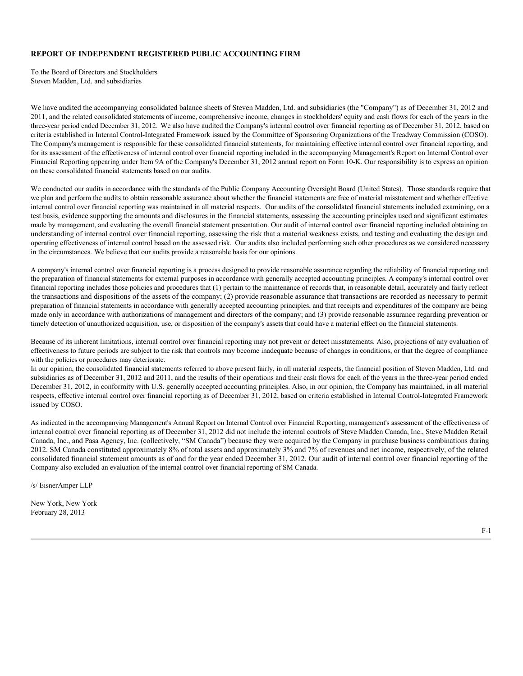## <span id="page-37-0"></span>**REPORT OF INDEPENDENT REGISTERED PUBLIC ACCOUNTING FIRM**

To the Board of Directors and Stockholders Steven Madden, Ltd. and subsidiaries

We have audited the accompanying consolidated balance sheets of Steven Madden, Ltd. and subsidiaries (the "Company") as of December 31, 2012 and 2011, and the related consolidated statements of income, comprehensive income, changes in stockholders' equity and cash flows for each of the years in the three-year period ended December 31, 2012. We also have audited the Company's internal control over financial reporting as of December 31, 2012, based on criteria established in Internal Control-Integrated Framework issued by the Committee of Sponsoring Organizations of the Treadway Commission (COSO). The Company's management is responsible for these consolidated financial statements, for maintaining effective internal control over financial reporting, and for its assessment of the effectiveness of internal control over financial reporting included in the accompanying Management's Report on Internal Control over Financial Reporting appearing under Item 9A of the Company's December 31, 2012 annual report on Form 10-K. Our responsibility is to express an opinion on these consolidated financial statements based on our audits.

We conducted our audits in accordance with the standards of the Public Company Accounting Oversight Board (United States). Those standards require that we plan and perform the audits to obtain reasonable assurance about whether the financial statements are free of material misstatement and whether effective internal control over financial reporting was maintained in all material respects. Our audits of the consolidated financial statements included examining, on a test basis, evidence supporting the amounts and disclosures in the financial statements, assessing the accounting principles used and significant estimates made by management, and evaluating the overall financial statement presentation. Our audit of internal control over financial reporting included obtaining an understanding of internal control over financial reporting, assessing the risk that a material weakness exists, and testing and evaluating the design and operating effectiveness of internal control based on the assessed risk. Our audits also included performing such other procedures as we considered necessary in the circumstances. We believe that our audits provide a reasonable basis for our opinions.

A company's internal control over financial reporting is a process designed to provide reasonable assurance regarding the reliability of financial reporting and the preparation of financial statements for external purposes in accordance with generally accepted accounting principles. A company's internal control over financial reporting includes those policies and procedures that (1) pertain to the maintenance of records that, in reasonable detail, accurately and fairly reflect the transactions and dispositions of the assets of the company; (2) provide reasonable assurance that transactions are recorded as necessary to permit preparation of financial statements in accordance with generally accepted accounting principles, and that receipts and expenditures of the company are being made only in accordance with authorizations of management and directors of the company; and (3) provide reasonable assurance regarding prevention or timely detection of unauthorized acquisition, use, or disposition of the company's assets that could have a material effect on the financial statements.

Because of its inherent limitations, internal control over financial reporting may not prevent or detect misstatements. Also, projections of any evaluation of effectiveness to future periods are subject to the risk that controls may become inadequate because of changes in conditions, or that the degree of compliance with the policies or procedures may deteriorate.

In our opinion, the consolidated financial statements referred to above present fairly, in all material respects, the financial position of Steven Madden, Ltd. and subsidiaries as of December 31, 2012 and 2011, and the results of their operations and their cash flows for each of the years in the three-year period ended December 31, 2012, in conformity with U.S. generally accepted accounting principles. Also, in our opinion, the Company has maintained, in all material respects, effective internal control over financial reporting as of December 31, 2012, based on criteria established in Internal Control-Integrated Framework issued by COSO.

As indicated in the accompanying Management's Annual Report on Internal Control over Financial Reporting, management's assessment of the effectiveness of internal control over financial reporting as of December 31, 2012 did not include the internal controls of Steve Madden Canada, Inc., Steve Madden Retail Canada, Inc., and Pasa Agency, Inc. (collectively, "SM Canada") because they were acquired by the Company in purchase business combinations during 2012. SM Canada constituted approximately 8% of total assets and approximately 3% and 7% of revenues and net income, respectively, of the related consolidated financial statement amounts as of and for the year ended December 31, 2012. Our audit of internal control over financial reporting of the Company also excluded an evaluation of the internal control over financial reporting of SM Canada.

/s/ EisnerAmper LLP

New York, New York February 28, 2013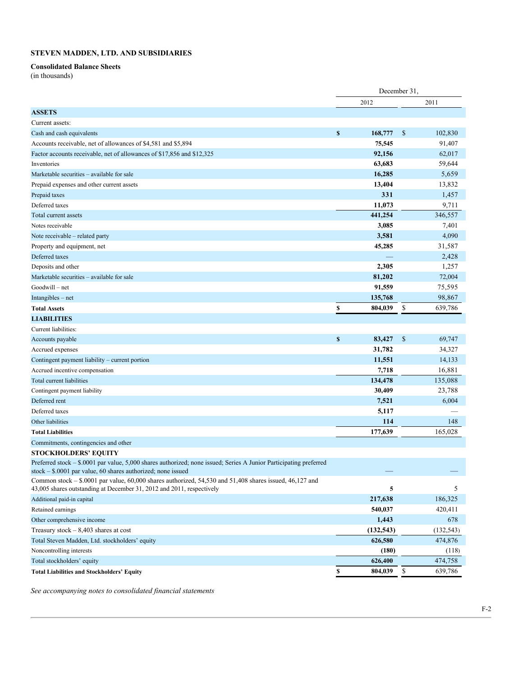# **Consolidated Balance Sheets**

(in thousands)

|                                                                                                                                                                                      | December 31,       |            |    |            |
|--------------------------------------------------------------------------------------------------------------------------------------------------------------------------------------|--------------------|------------|----|------------|
|                                                                                                                                                                                      |                    | 2012       |    | 2011       |
| <b>ASSETS</b>                                                                                                                                                                        |                    |            |    |            |
| Current assets:                                                                                                                                                                      |                    |            |    |            |
| Cash and cash equivalents                                                                                                                                                            | $\boldsymbol{\$}$  | 168,777    | \$ | 102,830    |
| Accounts receivable, net of allowances of \$4,581 and \$5,894                                                                                                                        |                    | 75,545     |    | 91,407     |
| Factor accounts receivable, net of allowances of \$17,856 and \$12,325                                                                                                               |                    | 92,156     |    | 62,017     |
| Inventories                                                                                                                                                                          |                    | 63,683     |    | 59,644     |
| Marketable securities - available for sale                                                                                                                                           |                    | 16,285     |    | 5,659      |
| Prepaid expenses and other current assets                                                                                                                                            |                    | 13,404     |    | 13,832     |
| Prepaid taxes                                                                                                                                                                        |                    | 331        |    | 1,457      |
| Deferred taxes                                                                                                                                                                       |                    | 11,073     |    | 9,711      |
| Total current assets                                                                                                                                                                 |                    | 441,254    |    | 346,557    |
| Notes receivable                                                                                                                                                                     |                    | 3,085      |    | 7,401      |
| Note receivable – related party                                                                                                                                                      |                    | 3,581      |    | 4,090      |
| Property and equipment, net                                                                                                                                                          |                    | 45,285     |    | 31,587     |
| Deferred taxes                                                                                                                                                                       |                    |            |    | 2,428      |
| Deposits and other                                                                                                                                                                   |                    | 2,305      |    | 1,257      |
| Marketable securities – available for sale                                                                                                                                           |                    | 81,202     |    | 72,004     |
| Goodwill - net                                                                                                                                                                       |                    | 91,559     |    | 75,595     |
| Intangibles - net                                                                                                                                                                    |                    | 135,768    |    | 98,867     |
| <b>Total Assets</b>                                                                                                                                                                  | \$                 | 804,039    | \$ | 639,786    |
| <b>LIABILITIES</b>                                                                                                                                                                   |                    |            |    |            |
| Current liabilities:                                                                                                                                                                 |                    |            |    |            |
| Accounts payable                                                                                                                                                                     | $\pmb{\mathbb{S}}$ | 83,427     | \$ | 69,747     |
| Accrued expenses                                                                                                                                                                     |                    | 31,782     |    | 34,327     |
| Contingent payment liability – current portion                                                                                                                                       |                    | 11,551     |    | 14,133     |
| Accrued incentive compensation                                                                                                                                                       |                    | 7,718      |    | 16,881     |
| Total current liabilities                                                                                                                                                            |                    | 134,478    |    | 135,088    |
| Contingent payment liability                                                                                                                                                         |                    | 30,409     |    | 23,788     |
| Deferred rent                                                                                                                                                                        |                    | 7,521      |    | 6,004      |
| Deferred taxes                                                                                                                                                                       |                    | 5,117      |    |            |
| Other liabilities                                                                                                                                                                    |                    | 114        |    | 148        |
| <b>Total Liabilities</b>                                                                                                                                                             |                    | 177,639    |    | 165,028    |
| Commitments, contingencies and other                                                                                                                                                 |                    |            |    |            |
| <b>STOCKHOLDERS' EQUITY</b>                                                                                                                                                          |                    |            |    |            |
| Preferred stock – \$.0001 par value, 5,000 shares authorized; none issued; Series A Junior Participating preferred<br>stock $-$ \$.0001 par value, 60 shares authorized; none issued |                    |            |    |            |
| Common stock $-$ \$.0001 par value, 60,000 shares authorized, 54,530 and 51,408 shares issued, 46,127 and<br>43,005 shares outstanding at December 31, 2012 and 2011, respectively   |                    | 5          |    | 5          |
| Additional paid-in capital                                                                                                                                                           |                    | 217,638    |    | 186,325    |
| Retained earnings                                                                                                                                                                    |                    | 540,037    |    | 420,411    |
| Other comprehensive income                                                                                                                                                           |                    | 1,443      |    | 678        |
| Treasury stock $-8,403$ shares at cost                                                                                                                                               |                    | (132, 543) |    | (132, 543) |
| Total Steven Madden, Ltd. stockholders' equity                                                                                                                                       |                    | 626,580    |    | 474,876    |
| Noncontrolling interests                                                                                                                                                             |                    | (180)      |    | (118)      |
| Total stockholders' equity                                                                                                                                                           |                    | 626,400    |    | 474,758    |
| <b>Total Liabilities and Stockholders' Equity</b>                                                                                                                                    | \$                 | 804,039    | \$ | 639,786    |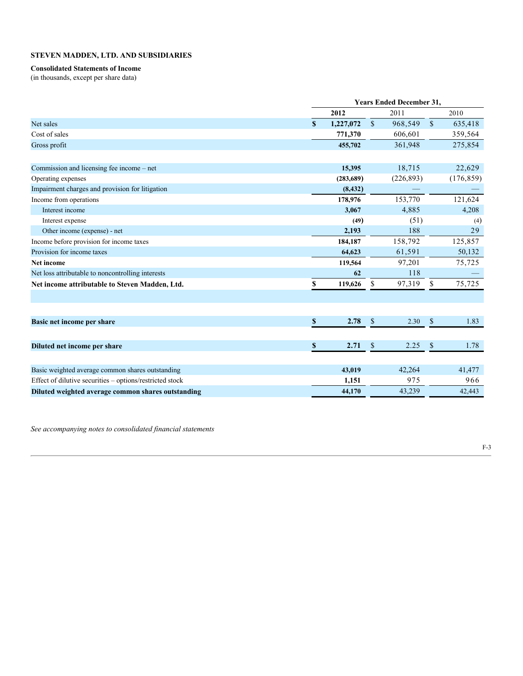# <span id="page-39-0"></span>**Consolidated Statements of Income**

(in thousands, except per share data)

|                                                          |              | <b>Years Ended December 31,</b> |               |            |                           |            |  |
|----------------------------------------------------------|--------------|---------------------------------|---------------|------------|---------------------------|------------|--|
|                                                          |              | 2012                            |               | 2011       |                           | 2010       |  |
| Net sales                                                | $\mathbf{s}$ | 1,227,072                       | $\mathbb{S}$  | 968,549    | $\sqrt{3}$                | 635,418    |  |
| Cost of sales                                            |              | 771,370                         |               | 606,601    |                           | 359,564    |  |
| Gross profit                                             |              | 455,702                         |               | 361,948    |                           | 275,854    |  |
| Commission and licensing fee income – net                |              | 15,395                          |               | 18,715     |                           | 22,629     |  |
| Operating expenses                                       |              | (283, 689)                      |               | (226, 893) |                           | (176, 859) |  |
| Impairment charges and provision for litigation          |              | (8, 432)                        |               |            |                           |            |  |
| Income from operations                                   |              | 178,976                         |               | 153,770    |                           | 121,624    |  |
| Interest income                                          |              | 3,067                           |               | 4,885      |                           | 4,208      |  |
| Interest expense                                         |              | (49)                            |               | (51)       |                           | (4)        |  |
| Other income (expense) - net                             |              | 2,193                           |               | 188        |                           | 29         |  |
| Income before provision for income taxes                 |              | 184,187                         |               | 158,792    |                           | 125,857    |  |
| Provision for income taxes                               |              | 64,623                          |               | 61,591     |                           | 50,132     |  |
| Net income                                               |              | 119,564                         |               | 97,201     |                           | 75,725     |  |
| Net loss attributable to noncontrolling interests        |              | 62                              |               | 118        |                           |            |  |
| Net income attributable to Steven Madden, Ltd.           | S            | 119,626                         | \$            | 97,319     | \$                        | 75,725     |  |
|                                                          |              |                                 |               |            |                           |            |  |
| Basic net income per share                               | \$           | 2.78                            | <sup>\$</sup> | 2.30       | $\mathbb{S}$              | 1.83       |  |
| Diluted net income per share                             | \$           | 2.71                            | $\mathcal{S}$ | 2.25       | $\boldsymbol{\mathsf{S}}$ | 1.78       |  |
|                                                          |              |                                 |               |            |                           |            |  |
| Basic weighted average common shares outstanding         |              | 43,019                          |               | 42,264     |                           | 41,477     |  |
| Effect of dilutive securities - options/restricted stock |              | 1,151                           |               | 975        |                           | 966        |  |
| Diluted weighted average common shares outstanding       |              | 44,170                          |               | 43,239     |                           | 42,443     |  |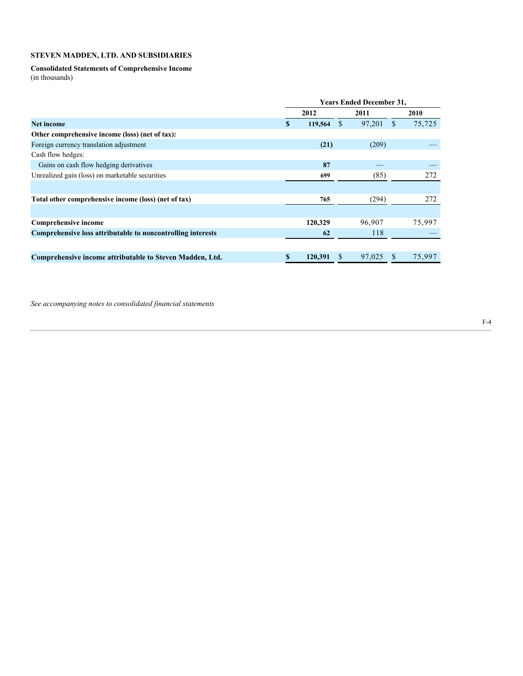## **Consolidated Statements of Comprehensive Income** (in thousands)

|                                                             | <b>Years Ended December 31,</b> |         |      |        |               |        |
|-------------------------------------------------------------|---------------------------------|---------|------|--------|---------------|--------|
|                                                             |                                 | 2012    | 2011 |        | 2010          |        |
| <b>Net income</b>                                           | S                               | 119,564 | -S   | 97,201 | <sup>\$</sup> | 75,725 |
| Other comprehensive income (loss) (net of tax):             |                                 |         |      |        |               |        |
| Foreign currency translation adjustment                     |                                 | (21)    |      | (209)  |               |        |
| Cash flow hedges:                                           |                                 |         |      |        |               |        |
| Gains on cash flow hedging derivatives                      |                                 | 87      |      |        |               |        |
| Unrealized gain (loss) on marketable securities             |                                 | 699     |      | (85)   |               | 272    |
|                                                             |                                 |         |      |        |               |        |
| Total other comprehensive income (loss) (net of tax)        |                                 | 765     |      | (294)  |               | 272    |
|                                                             |                                 |         |      |        |               |        |
| <b>Comprehensive income</b>                                 |                                 | 120,329 |      | 96,907 |               | 75,997 |
| Comprehensive loss attributable to noncontrolling interests |                                 | 62      |      | 118    |               |        |
|                                                             |                                 |         |      |        |               |        |
| Comprehensive income attributable to Steven Madden, Ltd.    | S                               | 120,391 | S    | 97,025 | <sup>S</sup>  | 75,997 |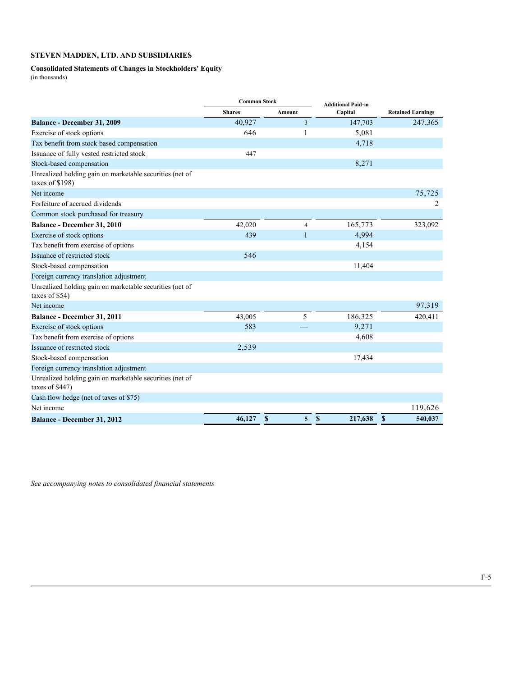# <span id="page-41-0"></span>**Consolidated Statements of Changes in Stockholders' Equity**

(in thousands)

|                                                                              | <b>Common Stock</b> |                | <b>Additional Paid-in</b> |                          |
|------------------------------------------------------------------------------|---------------------|----------------|---------------------------|--------------------------|
|                                                                              | <b>Shares</b>       | Amount         | Capital                   | <b>Retained Earnings</b> |
| Balance - December 31, 2009                                                  | 40,927              | $\overline{3}$ | 147,703                   | 247,365                  |
| Exercise of stock options                                                    | 646                 |                | 5,081                     |                          |
| Tax benefit from stock based compensation                                    |                     |                | 4,718                     |                          |
| Issuance of fully vested restricted stock                                    | 447                 |                |                           |                          |
| Stock-based compensation                                                     |                     |                | 8,271                     |                          |
| Unrealized holding gain on marketable securities (net of<br>taxes of $$198)$ |                     |                |                           |                          |
| Net income                                                                   |                     |                |                           | 75,725                   |
| Forfeiture of accrued dividends                                              |                     |                |                           | 2                        |
| Common stock purchased for treasury                                          |                     |                |                           |                          |
| Balance - December 31, 2010                                                  | 42,020              | $\overline{4}$ | 165,773                   | 323,092                  |
| Exercise of stock options                                                    | 439                 | 1              | 4,994                     |                          |
| Tax benefit from exercise of options                                         |                     |                | 4,154                     |                          |
| Issuance of restricted stock                                                 | 546                 |                |                           |                          |
| Stock-based compensation                                                     |                     |                | 11,404                    |                          |
| Foreign currency translation adjustment                                      |                     |                |                           |                          |
| Unrealized holding gain on marketable securities (net of<br>taxes of $$54)$  |                     |                |                           |                          |
| Net income                                                                   |                     |                |                           | 97,319                   |
| Balance - December 31, 2011                                                  | 43,005              | 5              | 186,325                   | 420,411                  |
| Exercise of stock options                                                    | 583                 |                | 9,271                     |                          |
| Tax benefit from exercise of options                                         |                     |                | 4,608                     |                          |
| Issuance of restricted stock                                                 | 2,539               |                |                           |                          |
| Stock-based compensation                                                     |                     |                | 17,434                    |                          |
| Foreign currency translation adjustment                                      |                     |                |                           |                          |
| Unrealized holding gain on marketable securities (net of<br>taxes of \$447)  |                     |                |                           |                          |
| Cash flow hedge (net of taxes of \$75)                                       |                     |                |                           |                          |
| Net income                                                                   |                     |                |                           | 119,626                  |
| Balance - December 31, 2012                                                  | 46,127              | \$<br>5        | \$<br>217,638             | \$<br>540,037            |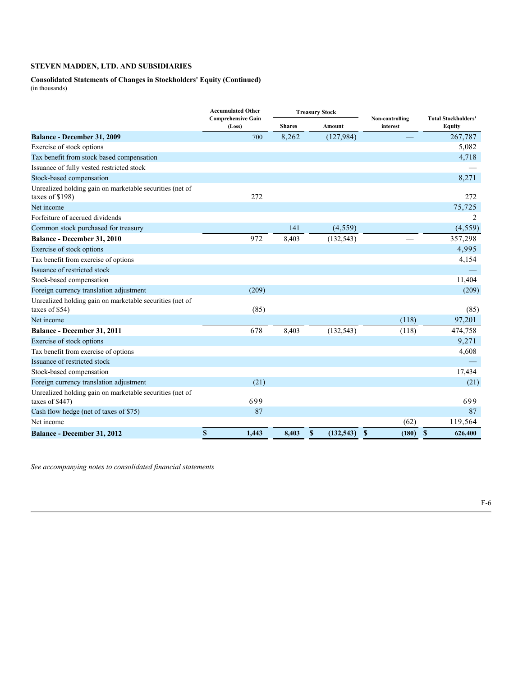## **Consolidated Statements of Changes in Stockholders' Equity (Continued)** (in thousands)

|                                                                             | <b>Accumulated Other</b>            |               | <b>Treasury Stock</b>    |                             |                                             |
|-----------------------------------------------------------------------------|-------------------------------------|---------------|--------------------------|-----------------------------|---------------------------------------------|
|                                                                             | <b>Comprehensive Gain</b><br>(Loss) | <b>Shares</b> | Amount                   | Non-controlling<br>interest | <b>Total Stockholders'</b><br><b>Equity</b> |
| Balance - December 31, 2009                                                 | 700                                 | 8,262         | (127, 984)               |                             | 267,787                                     |
| Exercise of stock options                                                   |                                     |               |                          |                             | 5,082                                       |
| Tax benefit from stock based compensation                                   |                                     |               |                          |                             | 4,718                                       |
| Issuance of fully vested restricted stock                                   |                                     |               |                          |                             |                                             |
| Stock-based compensation                                                    |                                     |               |                          |                             | 8,271                                       |
| Unrealized holding gain on marketable securities (net of<br>taxes of \$198) | 272                                 |               |                          |                             | 272                                         |
| Net income                                                                  |                                     |               |                          |                             | 75,725                                      |
| Forfeiture of accrued dividends                                             |                                     |               |                          |                             |                                             |
| Common stock purchased for treasury                                         |                                     | 141           | (4, 559)                 |                             | (4, 559)                                    |
| Balance - December 31, 2010                                                 | 972                                 | 8,403         | (132, 543)               |                             | 357,298                                     |
| Exercise of stock options                                                   |                                     |               |                          |                             | 4,995                                       |
| Tax benefit from exercise of options                                        |                                     |               |                          |                             | 4,154                                       |
| Issuance of restricted stock                                                |                                     |               |                          |                             |                                             |
| Stock-based compensation                                                    |                                     |               |                          |                             | 11,404                                      |
| Foreign currency translation adjustment                                     | (209)                               |               |                          |                             | (209)                                       |
| Unrealized holding gain on marketable securities (net of<br>taxes of \$54)  | (85)                                |               |                          |                             | (85)                                        |
| Net income                                                                  |                                     |               |                          | (118)                       | 97,201                                      |
| Balance - December 31, 2011                                                 | 678                                 | 8,403         | (132, 543)               | (118)                       | 474,758                                     |
| Exercise of stock options                                                   |                                     |               |                          |                             | 9,271                                       |
| Tax benefit from exercise of options                                        |                                     |               |                          |                             | 4,608                                       |
| Issuance of restricted stock                                                |                                     |               |                          |                             |                                             |
| Stock-based compensation                                                    |                                     |               |                          |                             | 17,434                                      |
| Foreign currency translation adjustment                                     | (21)                                |               |                          |                             | (21)                                        |
| Unrealized holding gain on marketable securities (net of<br>taxes of \$447) | 699                                 |               |                          |                             | 699                                         |
| Cash flow hedge (net of taxes of \$75)                                      | 87                                  |               |                          |                             | 87                                          |
| Net income                                                                  |                                     |               |                          | (62)                        | 119,564                                     |
| <b>Balance - December 31, 2012</b>                                          | \$<br>1,443                         | 8,403         | $\mathbf S$<br>(132,543) | $\mathbf S$<br>(180)        | $\mathbf S$<br>626,400                      |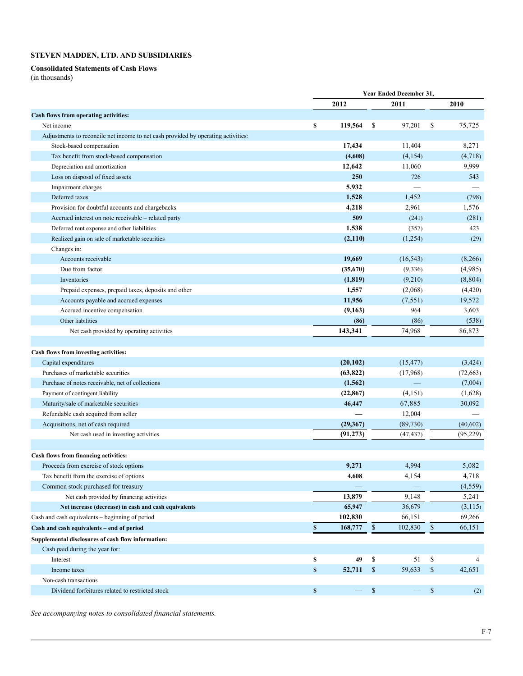## <span id="page-43-0"></span>**Consolidated Statements of Cash Flows**

(in thousands)

|                                                                                   |                    | Year Ended December 31, |               |                   |      |                       |  |  |
|-----------------------------------------------------------------------------------|--------------------|-------------------------|---------------|-------------------|------|-----------------------|--|--|
|                                                                                   |                    | 2012                    |               | 2011              |      | 2010                  |  |  |
| Cash flows from operating activities:                                             |                    |                         |               |                   |      |                       |  |  |
| Net income                                                                        | \$                 | 119,564                 | \$            | 97,201            | \$   | 75,725                |  |  |
| Adjustments to reconcile net income to net cash provided by operating activities: |                    |                         |               |                   |      |                       |  |  |
| Stock-based compensation                                                          |                    | 17,434                  |               | 11,404            |      | 8,271                 |  |  |
| Tax benefit from stock-based compensation                                         |                    | (4,608)                 |               | (4,154)           |      | (4,718)               |  |  |
| Depreciation and amortization                                                     |                    | 12,642                  |               | 11,060            |      | 9,999                 |  |  |
| Loss on disposal of fixed assets                                                  |                    | 250                     |               | 726               |      | 543                   |  |  |
| Impairment charges                                                                |                    | 5,932                   |               |                   |      |                       |  |  |
| Deferred taxes                                                                    |                    | 1,528                   |               | 1,452             |      | (798)                 |  |  |
| Provision for doubtful accounts and chargebacks                                   |                    | 4,218                   |               | 2,961             |      | 1,576                 |  |  |
| Accrued interest on note receivable - related party                               |                    | 509                     |               | (241)             |      | (281)                 |  |  |
| Deferred rent expense and other liabilities                                       |                    | 1,538                   |               | (357)             |      | 423                   |  |  |
| Realized gain on sale of marketable securities                                    |                    | (2,110)                 |               | (1,254)           |      | (29)                  |  |  |
| Changes in:                                                                       |                    |                         |               |                   |      |                       |  |  |
| Accounts receivable                                                               |                    | 19,669                  |               | (16, 543)         |      | (8,266)               |  |  |
| Due from factor                                                                   |                    | (35,670)                |               | (9,336)           |      | (4,985)               |  |  |
| Inventories                                                                       |                    | (1, 819)                |               | (9,210)           |      | (8, 804)              |  |  |
| Prepaid expenses, prepaid taxes, deposits and other                               |                    | 1,557                   |               | (2,068)           |      | (4, 420)              |  |  |
| Accounts payable and accrued expenses                                             |                    | 11,956                  |               | (7,551)           |      | 19,572                |  |  |
| Accrued incentive compensation                                                    |                    | (9,163)                 |               | 964               |      | 3,603                 |  |  |
| Other liabilities                                                                 |                    | (86)                    |               | (86)              |      | (538)                 |  |  |
| Net cash provided by operating activities                                         |                    | 143,341                 |               | 74,968            |      | 86,873                |  |  |
|                                                                                   |                    |                         |               |                   |      |                       |  |  |
| Cash flows from investing activities:                                             |                    |                         |               |                   |      |                       |  |  |
| Capital expenditures                                                              |                    | (20, 102)               |               | (15, 477)         |      | (3,424)               |  |  |
| Purchases of marketable securities                                                |                    | (63, 822)               |               | (17,968)          |      | (72, 663)             |  |  |
| Purchase of notes receivable, net of collections                                  |                    | (1, 562)                |               |                   |      | (7,004)               |  |  |
| Payment of contingent liability                                                   |                    | (22, 867)               |               | (4,151)<br>67,885 |      | (1,628)               |  |  |
| Maturity/sale of marketable securities                                            |                    | 46,447                  |               |                   |      | 30,092                |  |  |
| Refundable cash acquired from seller<br>Acquisitions, net of cash required        |                    |                         |               | 12,004            |      |                       |  |  |
| Net cash used in investing activities                                             |                    | (29, 367)               |               | (89, 730)         |      | (40,602)<br>(95, 229) |  |  |
|                                                                                   |                    | (91, 273)               |               | (47, 437)         |      |                       |  |  |
| Cash flows from financing activities:                                             |                    |                         |               |                   |      |                       |  |  |
| Proceeds from exercise of stock options                                           |                    | 9,271                   |               | 4,994             |      | 5,082                 |  |  |
| Tax benefit from the exercise of options                                          |                    | 4,608                   |               | 4,154             |      | 4,718                 |  |  |
| Common stock purchased for treasury                                               |                    |                         |               |                   |      | (4, 559)              |  |  |
| Net cash provided by financing activities                                         |                    | 13,879                  |               | 9,148             |      | 5,241                 |  |  |
| Net increase (decrease) in cash and cash equivalents                              |                    | 65,947                  |               | 36,679            |      | (3, 115)              |  |  |
| Cash and cash equivalents - beginning of period                                   |                    | 102,830                 |               | 66,151            |      | 69,266                |  |  |
| Cash and cash equivalents - end of period                                         | $\mathbb S$        | 168,777                 | $\mathbb{S}$  | 102,830           | \$   | 66,151                |  |  |
| Supplemental disclosures of cash flow information:                                |                    |                         |               |                   |      |                       |  |  |
| Cash paid during the year for:                                                    |                    |                         |               |                   |      |                       |  |  |
| Interest                                                                          | \$                 | 49                      | \$            | 51                | \$   | 4                     |  |  |
| Income taxes                                                                      | $\pmb{\mathbb{S}}$ | 52,711                  | $\mathcal{S}$ | 59,633            | $\$$ | 42,651                |  |  |
| Non-cash transactions                                                             |                    |                         |               |                   |      |                       |  |  |
| Dividend forfeitures related to restricted stock                                  | $\boldsymbol{s}$   |                         | \$            |                   | $\$$ | (2)                   |  |  |
|                                                                                   |                    |                         |               |                   |      |                       |  |  |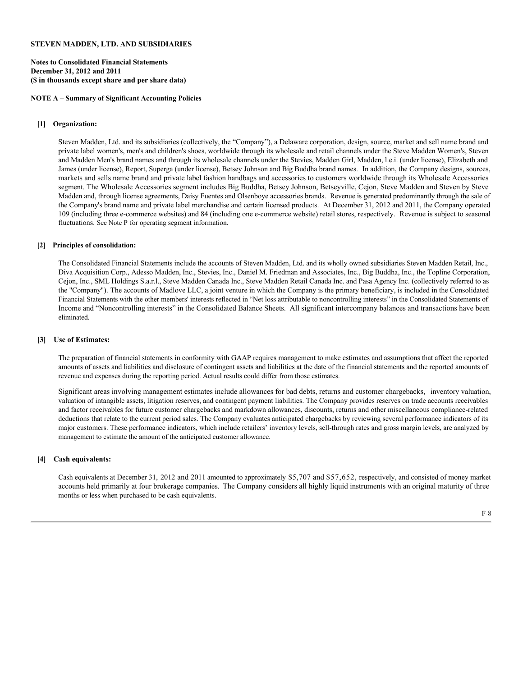**Notes to Consolidated Financial Statements December 31, 2012 and 2011 (\$ in thousands except share and per share data)**

## **NOTE A – Summary of Significant Accounting Policies**

#### **[1] Organization:**

Steven Madden, Ltd. and its subsidiaries (collectively, the "Company"), a Delaware corporation, design, source, market and sell name brand and private label women's, men's and children's shoes, worldwide through its wholesale and retail channels under the Steve Madden Women's, Steven and Madden Men's brand names and through its wholesale channels under the Stevies, Madden Girl, Madden, l.e.i. (under license), Elizabeth and James (under license), Report, Superga (under license), Betsey Johnson and Big Buddha brand names. In addition, the Company designs, sources, markets and sells name brand and private label fashion handbags and accessories to customers worldwide through its Wholesale Accessories segment. The Wholesale Accessories segment includes Big Buddha, Betsey Johnson, Betseyville, Cejon, Steve Madden and Steven by Steve Madden and, through license agreements, Daisy Fuentes and Olsenboye accessories brands. Revenue is generated predominantly through the sale of the Company's brand name and private label merchandise and certain licensed products. At December 31, 2012 and 2011, the Company operated 109 (including three e-commerce websites) and 84 (including one e-commerce website) retail stores, respectively. Revenue is subject to seasonal fluctuations. See Note P for operating segment information.

#### **[2] Principles of consolidation:**

The Consolidated Financial Statements include the accounts of Steven Madden, Ltd. and its wholly owned subsidiaries Steven Madden Retail, Inc., Diva Acquisition Corp., Adesso Madden, Inc., Stevies, Inc., Daniel M. Friedman and Associates, Inc., Big Buddha, Inc., the Topline Corporation, Cejon, Inc., SML Holdings S.a.r.l., Steve Madden Canada Inc., Steve Madden Retail Canada Inc. and Pasa Agency Inc. (collectively referred to as the "Company"). The accounts of Madlove LLC, a joint venture in which the Company is the primary beneficiary, is included in the Consolidated Financial Statements with the other members' interests reflected in "Net loss attributable to noncontrolling interests" in the Consolidated Statements of Income and "Noncontrolling interests" in the Consolidated Balance Sheets. All significant intercompany balances and transactions have been eliminated.

#### **[3] Use of Estimates:**

The preparation of financial statements in conformity with GAAP requires management to make estimates and assumptions that affect the reported amounts of assets and liabilities and disclosure of contingent assets and liabilities at the date of the financial statements and the reported amounts of revenue and expenses during the reporting period. Actual results could differ from those estimates.

Significant areas involving management estimates include allowances for bad debts, returns and customer chargebacks, inventory valuation, valuation of intangible assets, litigation reserves, and contingent payment liabilities. The Company provides reserves on trade accounts receivables and factor receivables for future customer chargebacks and markdown allowances, discounts, returns and other miscellaneous compliance-related deductions that relate to the current period sales. The Company evaluates anticipated chargebacks by reviewing several performance indicators of its major customers. These performance indicators, which include retailers' inventory levels, sell-through rates and gross margin levels, are analyzed by management to estimate the amount of the anticipated customer allowance.

#### **[4] Cash equivalents:**

Cash equivalents at December 31, 2012 and 2011 amounted to approximately \$5,707 and \$57,652, respectively, and consisted of money market accounts held primarily at four brokerage companies. The Company considers all highly liquid instruments with an original maturity of three months or less when purchased to be cash equivalents.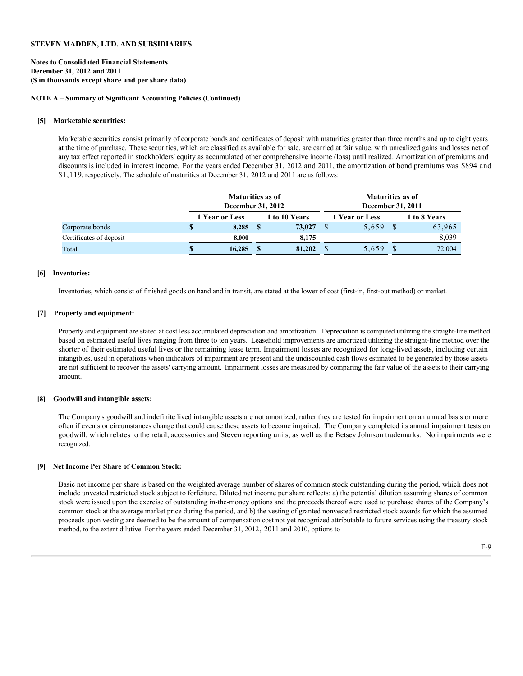**Notes to Consolidated Financial Statements December 31, 2012 and 2011 (\$ in thousands except share and per share data)**

#### **NOTE A – Summary of Significant Accounting Policies (Continued)**

#### **[5] Marketable securities:**

Marketable securities consist primarily of corporate bonds and certificates of deposit with maturities greater than three months and up to eight years at the time of purchase. These securities, which are classified as available for sale, are carried at fair value, with unrealized gains and losses net of any tax effect reported in stockholders' equity as accumulated other comprehensive income (loss) until realized. Amortization of premiums and discounts is included in interest income. For the years ended December 31, 2012 and 2011, the amortization of bond premiums was \$894 and \$1,119, respectively. The schedule of maturities at December 31, 2012 and 2011 are as follows:

|                         | Maturities as of<br><b>December 31, 2012</b> |  |               |  | <b>Maturities as of</b><br>December 31, 2011 |              |
|-------------------------|----------------------------------------------|--|---------------|--|----------------------------------------------|--------------|
|                         | 1 Year or Less                               |  | 1 to 10 Years |  | 1 Year or Less                               | 1 to 8 Years |
| Corporate bonds         | \$<br>8,285                                  |  | 73,027        |  | 5,659                                        | 63,965       |
| Certificates of deposit | 8.000                                        |  | 8.175         |  |                                              | 8.039        |
| Total                   | \$<br>16,285                                 |  | 81,202        |  | 5,659                                        | 72.004       |

#### **[6] Inventories:**

Inventories, which consist of finished goods on hand and in transit, are stated at the lower of cost (first-in, first-out method) or market.

## **[7] Property and equipment:**

Property and equipment are stated at cost less accumulated depreciation and amortization. Depreciation is computed utilizing the straight-line method based on estimated useful lives ranging from three to ten years. Leasehold improvements are amortized utilizing the straight-line method over the shorter of their estimated useful lives or the remaining lease term. Impairment losses are recognized for long-lived assets, including certain intangibles, used in operations when indicators of impairment are present and the undiscounted cash flows estimated to be generated by those assets are not sufficient to recover the assets' carrying amount. Impairment losses are measured by comparing the fair value of the assets to their carrying amount.

## **[8] Goodwill and intangible assets:**

The Company's goodwill and indefinite lived intangible assets are not amortized, rather they are tested for impairment on an annual basis or more often if events or circumstances change that could cause these assets to become impaired. The Company completed its annual impairment tests on goodwill, which relates to the retail, accessories and Steven reporting units, as well as the Betsey Johnson trademarks. No impairments were recognized.

## **[9] Net Income Per Share of Common Stock:**

Basic net income per share is based on the weighted average number of shares of common stock outstanding during the period, which does not include unvested restricted stock subject to forfeiture. Diluted net income per share reflects: a) the potential dilution assuming shares of common stock were issued upon the exercise of outstanding in-the-money options and the proceeds thereof were used to purchase shares of the Company's common stock at the average market price during the period, and b) the vesting of granted nonvested restricted stock awards for which the assumed proceeds upon vesting are deemed to be the amount of compensation cost not yet recognized attributable to future services using the treasury stock method, to the extent dilutive. For the years ended December 31, 2012, 2011 and 2010, options to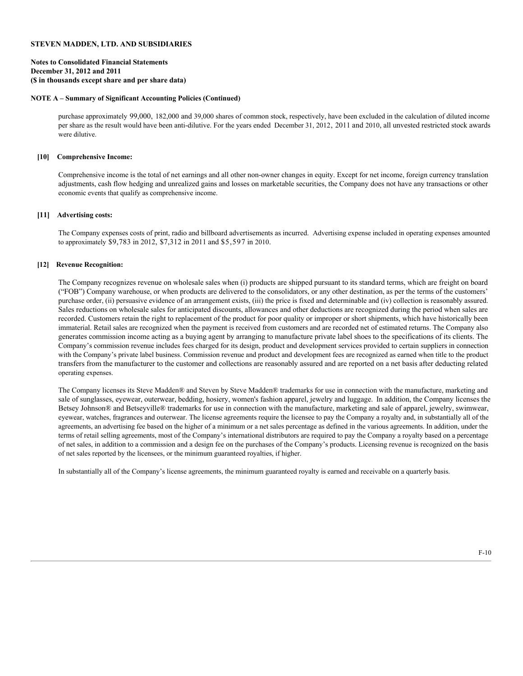**Notes to Consolidated Financial Statements December 31, 2012 and 2011 (\$ in thousands except share and per share data)**

#### **NOTE A – Summary of Significant Accounting Policies (Continued)**

purchase approximately 99,000, 182,000 and 39,000 shares of common stock, respectively, have been excluded in the calculation of diluted income per share as the result would have been anti-dilutive. For the years ended December 31, 2012, 2011 and 2010, all unvested restricted stock awards were dilutive.

#### **[10] Comprehensive Income:**

Comprehensive income is the total of net earnings and all other non-owner changes in equity. Except for net income, foreign currency translation adjustments, cash flow hedging and unrealized gains and losses on marketable securities, the Company does not have any transactions or other economic events that qualify as comprehensive income.

#### **[11] Advertising costs:**

The Company expenses costs of print, radio and billboard advertisements as incurred. Advertising expense included in operating expenses amounted to approximately \$9,783 in 2012, \$7,312 in 2011 and \$5,597 in 2010.

#### **[12] Revenue Recognition:**

The Company recognizes revenue on wholesale sales when (i) products are shipped pursuant to its standard terms, which are freight on board ("FOB") Company warehouse, or when products are delivered to the consolidators, or any other destination, as per the terms of the customers' purchase order, (ii) persuasive evidence of an arrangement exists, (iii) the price is fixed and determinable and (iv) collection is reasonably assured. Sales reductions on wholesale sales for anticipated discounts, allowances and other deductions are recognized during the period when sales are recorded. Customers retain the right to replacement of the product for poor quality or improper or short shipments, which have historically been immaterial. Retail sales are recognized when the payment is received from customers and are recorded net of estimated returns. The Company also generates commission income acting as a buying agent by arranging to manufacture private label shoes to the specifications of its clients. The Company's commission revenue includes fees charged for its design, product and development services provided to certain suppliers in connection with the Company's private label business. Commission revenue and product and development fees are recognized as earned when title to the product transfers from the manufacturer to the customer and collections are reasonably assured and are reported on a net basis after deducting related operating expenses.

The Company licenses its Steve Madden® and Steven by Steve Madden® trademarks for use in connection with the manufacture, marketing and sale of sunglasses, eyewear, outerwear, bedding, hosiery, women's fashion apparel, jewelry and luggage. In addition, the Company licenses the Betsey Johnson® and Betseyville® trademarks for use in connection with the manufacture, marketing and sale of apparel, jewelry, swimwear, eyewear, watches, fragrances and outerwear. The license agreements require the licensee to pay the Company a royalty and, in substantially all of the agreements, an advertising fee based on the higher of a minimum or a net sales percentage as defined in the various agreements. In addition, under the terms of retail selling agreements, most of the Company's international distributors are required to pay the Company a royalty based on a percentage of net sales, in addition to a commission and a design fee on the purchases of the Company's products. Licensing revenue is recognized on the basis of net sales reported by the licensees, or the minimum guaranteed royalties, if higher.

In substantially all of the Company's license agreements, the minimum guaranteed royalty is earned and receivable on a quarterly basis.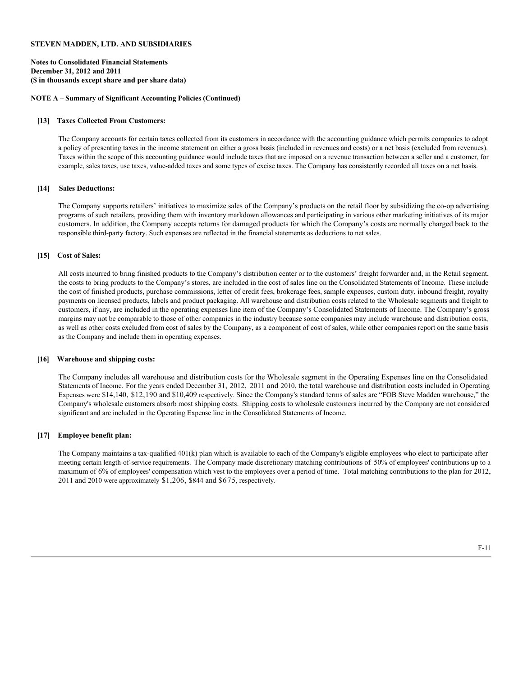**Notes to Consolidated Financial Statements December 31, 2012 and 2011 (\$ in thousands except share and per share data)**

#### **NOTE A – Summary of Significant Accounting Policies (Continued)**

#### **[13] Taxes Collected From Customers:**

The Company accounts for certain taxes collected from its customers in accordance with the accounting guidance which permits companies to adopt a policy of presenting taxes in the income statement on either a gross basis (included in revenues and costs) or a net basis (excluded from revenues). Taxes within the scope of this accounting guidance would include taxes that are imposed on a revenue transaction between a seller and a customer, for example, sales taxes, use taxes, value-added taxes and some types of excise taxes. The Company has consistently recorded all taxes on a net basis.

## **[14] Sales Deductions:**

The Company supports retailers' initiatives to maximize sales of the Company's products on the retail floor by subsidizing the co-op advertising programs of such retailers, providing them with inventory markdown allowances and participating in various other marketing initiatives of its major customers. In addition, the Company accepts returns for damaged products for which the Company's costs are normally charged back to the responsible third-party factory. Such expenses are reflected in the financial statements as deductions to net sales.

#### **[15] Cost of Sales:**

All costs incurred to bring finished products to the Company's distribution center or to the customers' freight forwarder and, in the Retail segment, the costs to bring products to the Company's stores, are included in the cost of sales line on the Consolidated Statements of Income. These include the cost of finished products, purchase commissions, letter of credit fees, brokerage fees, sample expenses, custom duty, inbound freight, royalty payments on licensed products, labels and product packaging. All warehouse and distribution costs related to the Wholesale segments and freight to customers, if any, are included in the operating expenses line item of the Company's Consolidated Statements of Income. The Company's gross margins may not be comparable to those of other companies in the industry because some companies may include warehouse and distribution costs, as well as other costs excluded from cost of sales by the Company, as a component of cost of sales, while other companies report on the same basis as the Company and include them in operating expenses.

#### **[16] Warehouse and shipping costs:**

The Company includes all warehouse and distribution costs for the Wholesale segment in the Operating Expenses line on the Consolidated Statements of Income. For the years ended December 31, 2012, 2011 and 2010, the total warehouse and distribution costs included in Operating Expenses were \$14,140, \$12,190 and \$10,409 respectively. Since the Company's standard terms of sales are "FOB Steve Madden warehouse," the Company's wholesale customers absorb most shipping costs. Shipping costs to wholesale customers incurred by the Company are not considered significant and are included in the Operating Expense line in the Consolidated Statements of Income.

## **[17] Employee benefit plan:**

The Company maintains a tax-qualified 401(k) plan which is available to each of the Company's eligible employees who elect to participate after meeting certain length-of-service requirements. The Company made discretionary matching contributions of 50% of employees' contributions up to a maximum of 6% of employees' compensation which vest to the employees over a period of time. Total matching contributions to the plan for 2012, 2011 and 2010 were approximately \$1,206, \$844 and \$675, respectively.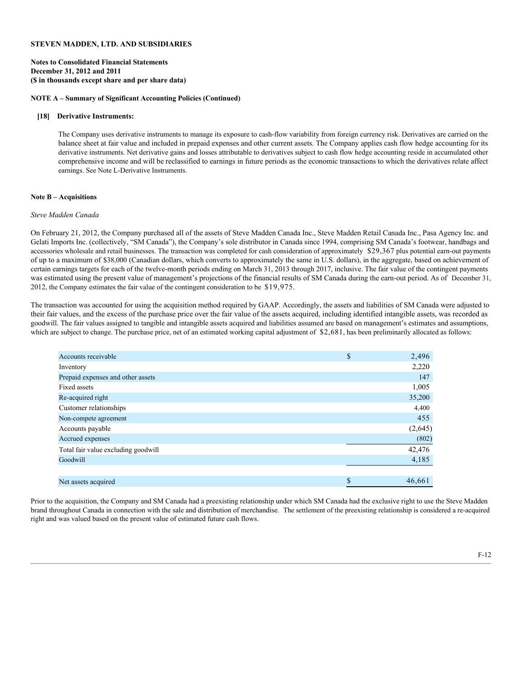**Notes to Consolidated Financial Statements December 31, 2012 and 2011 (\$ in thousands except share and per share data)**

#### **NOTE A – Summary of Significant Accounting Policies (Continued)**

#### **[18] Derivative Instruments:**

The Company uses derivative instruments to manage its exposure to cash-flow variability from foreign currency risk. Derivatives are carried on the balance sheet at fair value and included in prepaid expenses and other current assets. The Company applies cash flow hedge accounting for its derivative instruments. Net derivative gains and losses attributable to derivatives subject to cash flow hedge accounting reside in accumulated other comprehensive income and will be reclassified to earnings in future periods as the economic transactions to which the derivatives relate affect earnings. See Note L-Derivative Instruments.

#### **Note B – Acquisitions**

#### *Steve Madden Canada*

On February 21, 2012, the Company purchased all of the assets of Steve Madden Canada Inc., Steve Madden Retail Canada Inc., Pasa Agency Inc. and Gelati Imports Inc. (collectively, "SM Canada"), the Company's sole distributor in Canada since 1994, comprising SM Canada's footwear, handbags and accessories wholesale and retail businesses. The transaction was completed for cash consideration of approximately \$29,367 plus potential earn-out payments of up to a maximum of \$38,000 (Canadian dollars, which converts to approximately the same in U.S. dollars), in the aggregate, based on achievement of certain earnings targets for each of the twelve-month periods ending on March 31, 2013 through 2017, inclusive. The fair value of the contingent payments was estimated using the present value of management's projections of the financial results of SM Canada during the earn-out period. As of December 31, 2012, the Company estimates the fair value of the contingent consideration to be \$19,975.

The transaction was accounted for using the acquisition method required by GAAP. Accordingly, the assets and liabilities of SM Canada were adjusted to their fair values, and the excess of the purchase price over the fair value of the assets acquired, including identified intangible assets, was recorded as goodwill. The fair values assigned to tangible and intangible assets acquired and liabilities assumed are based on management's estimates and assumptions, which are subject to change. The purchase price, net of an estimated working capital adjustment of \$2,681, has been preliminarily allocated as follows:

| Accounts receivable                 | $\mathbb{S}$ | 2,496   |
|-------------------------------------|--------------|---------|
| Inventory                           |              | 2,220   |
| Prepaid expenses and other assets   |              | 147     |
| Fixed assets                        |              | 1,005   |
| Re-acquired right                   |              | 35,200  |
| Customer relationships              |              | 4,400   |
| Non-compete agreement               |              | 455     |
| Accounts payable                    |              | (2,645) |
| Accrued expenses                    |              | (802)   |
| Total fair value excluding goodwill |              | 42,476  |
| Goodwill                            |              | 4,185   |
|                                     |              |         |
| Net assets acquired                 | \$           | 46.661  |

Prior to the acquisition, the Company and SM Canada had a preexisting relationship under which SM Canada had the exclusive right to use the Steve Madden brand throughout Canada in connection with the sale and distribution of merchandise. The settlement of the preexisting relationship is considered a re-acquired right and was valued based on the present value of estimated future cash flows.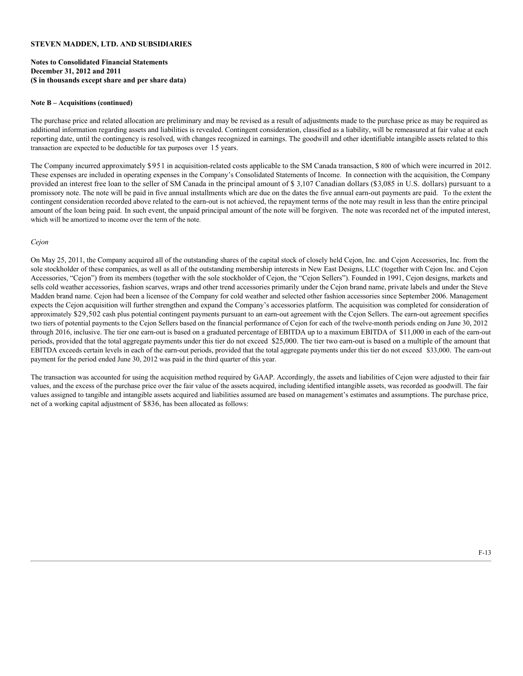**Notes to Consolidated Financial Statements December 31, 2012 and 2011 (\$ in thousands except share and per share data)**

#### **Note B – Acquisitions (continued)**

The purchase price and related allocation are preliminary and may be revised as a result of adjustments made to the purchase price as may be required as additional information regarding assets and liabilities is revealed. Contingent consideration, classified as a liability, will be remeasured at fair value at each reporting date, until the contingency is resolved, with changes recognized in earnings. The goodwill and other identifiable intangible assets related to this transaction are expected to be deductible for tax purposes over 15 years.

The Company incurred approximately \$ 951 in acquisition-related costs applicable to the SM Canada transaction, \$ 800 of which were incurred in 2012. These expenses are included in operating expenses in the Company's Consolidated Statements of Income. In connection with the acquisition, the Company provided an interest free loan to the seller of SM Canada in the principal amount of \$ 3,107 Canadian dollars (\$3,085 in U.S. dollars) pursuant to a promissory note. The note will be paid in five annual installments which are due on the dates the five annual earn-out payments are paid. To the extent the contingent consideration recorded above related to the earn-out is not achieved, the repayment terms of the note may result in less than the entire principal amount of the loan being paid. In such event, the unpaid principal amount of the note will be forgiven. The note was recorded net of the imputed interest, which will be amortized to income over the term of the note.

#### *Cejon*

On May 25, 2011, the Company acquired all of the outstanding shares of the capital stock of closely held Cejon, Inc. and Cejon Accessories, Inc. from the sole stockholder of these companies, as well as all of the outstanding membership interests in New East Designs, LLC (together with Cejon Inc. and Cejon Accessories, "Cejon") from its members (together with the sole stockholder of Cejon, the "Cejon Sellers"). Founded in 1991, Cejon designs, markets and sells cold weather accessories, fashion scarves, wraps and other trend accessories primarily under the Cejon brand name, private labels and under the Steve Madden brand name. Cejon had been a licensee of the Company for cold weather and selected other fashion accessories since September 2006. Management expects the Cejon acquisition will further strengthen and expand the Company's accessories platform. The acquisition was completed for consideration of approximately \$29,502 cash plus potential contingent payments pursuant to an earn-out agreement with the Cejon Sellers. The earn-out agreement specifies two tiers of potential payments to the Cejon Sellers based on the financial performance of Cejon for each of the twelve-month periods ending on June 30, 2012 through 2016, inclusive. The tier one earn-out is based on a graduated percentage of EBITDA up to a maximum EBITDA of \$11,000 in each of the earn-out periods, provided that the total aggregate payments under this tier do not exceed \$25,000. The tier two earn-out is based on a multiple of the amount that EBITDA exceeds certain levels in each of the earn-out periods, provided that the total aggregate payments under this tier do not exceed \$33,000. The earn-out payment for the period ended June 30, 2012 was paid in the third quarter of this year.

The transaction was accounted for using the acquisition method required by GAAP. Accordingly, the assets and liabilities of Cejon were adjusted to their fair values, and the excess of the purchase price over the fair value of the assets acquired, including identified intangible assets, was recorded as goodwill. The fair values assigned to tangible and intangible assets acquired and liabilities assumed are based on management's estimates and assumptions. The purchase price, net of a working capital adjustment of \$836, has been allocated as follows: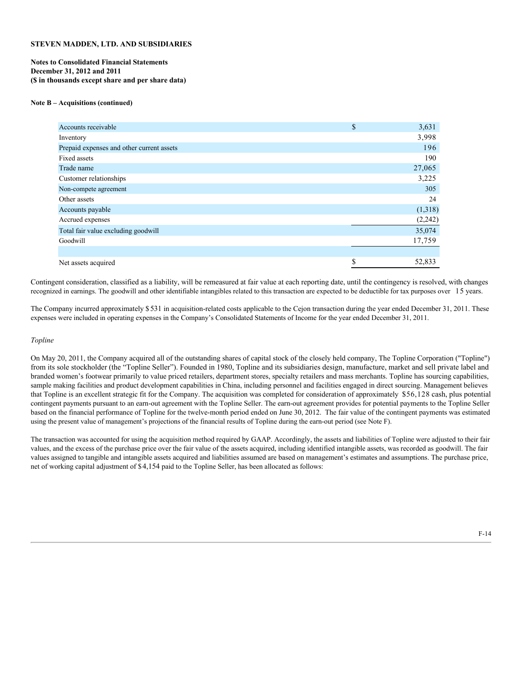**Notes to Consolidated Financial Statements December 31, 2012 and 2011 (\$ in thousands except share and per share data)**

## **Note B – Acquisitions (continued)**

| Accounts receivable                       | \$<br>3,631  |
|-------------------------------------------|--------------|
| Inventory                                 | 3,998        |
| Prepaid expenses and other current assets | 196          |
| Fixed assets                              | 190          |
| Trade name                                | 27,065       |
| Customer relationships                    | 3,225        |
| Non-compete agreement                     | 305          |
| Other assets                              | 24           |
| Accounts payable                          | (1,318)      |
| Accrued expenses                          | (2, 242)     |
| Total fair value excluding goodwill       | 35,074       |
| Goodwill                                  | 17,759       |
|                                           |              |
| Net assets acquired                       | \$<br>52,833 |

Contingent consideration, classified as a liability, will be remeasured at fair value at each reporting date, until the contingency is resolved, with changes recognized in earnings. The goodwill and other identifiable intangibles related to this transaction are expected to be deductible for tax purposes over 15 years.

The Company incurred approximately \$ 531 in acquisition-related costs applicable to the Cejon transaction during the year ended December 31, 2011. These expenses were included in operating expenses in the Company's Consolidated Statements of Income for the year ended December 31, 2011.

## *Topline*

On May 20, 2011, the Company acquired all of the outstanding shares of capital stock of the closely held company, The Topline Corporation ("Topline") from its sole stockholder (the "Topline Seller"). Founded in 1980, Topline and its subsidiaries design, manufacture, market and sell private label and branded women's footwear primarily to value priced retailers, department stores, specialty retailers and mass merchants. Topline has sourcing capabilities, sample making facilities and product development capabilities in China, including personnel and facilities engaged in direct sourcing. Management believes that Topline is an excellent strategic fit for the Company. The acquisition was completed for consideration of approximately \$56,128 cash, plus potential contingent payments pursuant to an earn-out agreement with the Topline Seller. The earn-out agreement provides for potential payments to the Topline Seller based on the financial performance of Topline for the twelve-month period ended on June 30, 2012. The fair value of the contingent payments was estimated using the present value of management's projections of the financial results of Topline during the earn-out period (see Note F).

The transaction was accounted for using the acquisition method required by GAAP. Accordingly, the assets and liabilities of Topline were adjusted to their fair values, and the excess of the purchase price over the fair value of the assets acquired, including identified intangible assets, was recorded as goodwill. The fair values assigned to tangible and intangible assets acquired and liabilities assumed are based on management's estimates and assumptions. The purchase price, net of working capital adjustment of \$ 4,154 paid to the Topline Seller, has been allocated as follows: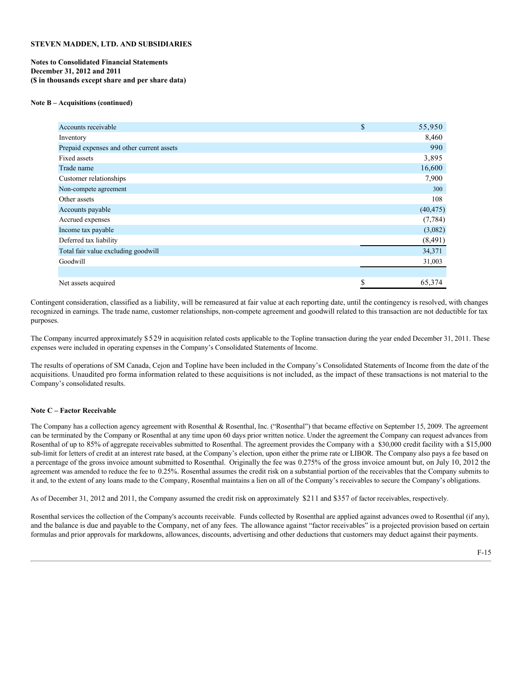**Notes to Consolidated Financial Statements December 31, 2012 and 2011 (\$ in thousands except share and per share data)**

## **Note B – Acquisitions (continued)**

| Accounts receivable                       | $\mathcal{S}$ | 55,950    |
|-------------------------------------------|---------------|-----------|
| Inventory                                 |               | 8,460     |
| Prepaid expenses and other current assets |               | 990       |
| Fixed assets                              |               | 3,895     |
| Trade name                                |               | 16,600    |
| Customer relationships                    |               | 7,900     |
| Non-compete agreement                     |               | 300       |
| Other assets                              |               | 108       |
| Accounts payable                          |               | (40, 475) |
| Accrued expenses                          |               | (7, 784)  |
| Income tax payable                        |               | (3,082)   |
| Deferred tax liability                    |               | (8,491)   |
| Total fair value excluding goodwill       |               | 34,371    |
| Goodwill                                  |               | 31,003    |
|                                           |               |           |
| Net assets acquired                       | \$            | 65,374    |

Contingent consideration, classified as a liability, will be remeasured at fair value at each reporting date, until the contingency is resolved, with changes recognized in earnings. The trade name, customer relationships, non-compete agreement and goodwill related to this transaction are not deductible for tax purposes.

The Company incurred approximately \$ 529 in acquisition related costs applicable to the Topline transaction during the year ended December 31, 2011. These expenses were included in operating expenses in the Company's Consolidated Statements of Income.

The results of operations of SM Canada, Cejon and Topline have been included in the Company's Consolidated Statements of Income from the date of the acquisitions. Unaudited pro forma information related to these acquisitions is not included, as the impact of these transactions is not material to the Company's consolidated results.

## **Note C – Factor Receivable**

The Company has a collection agency agreement with Rosenthal & Rosenthal, Inc. ("Rosenthal") that became effective on September 15, 2009. The agreement can be terminated by the Company or Rosenthal at any time upon 60 days prior written notice. Under the agreement the Company can request advances from Rosenthal of up to 85% of aggregate receivables submitted to Rosenthal. The agreement provides the Company with a \$30,000 credit facility with a \$15,000 sub-limit for letters of credit at an interest rate based, at the Company's election, upon either the prime rate or LIBOR. The Company also pays a fee based on a percentage of the gross invoice amount submitted to Rosenthal. Originally the fee was 0.275% of the gross invoice amount but, on July 10, 2012 the agreement was amended to reduce the fee to 0.25%. Rosenthal assumes the credit risk on a substantial portion of the receivables that the Company submits to it and, to the extent of any loans made to the Company, Rosenthal maintains a lien on all of the Company's receivables to secure the Company's obligations.

As of December 31, 2012 and 2011, the Company assumed the credit risk on approximately \$211 and \$357 of factor receivables, respectively.

Rosenthal services the collection of the Company's accounts receivable. Funds collected by Rosenthal are applied against advances owed to Rosenthal (if any), and the balance is due and payable to the Company, net of any fees. The allowance against "factor receivables" is a projected provision based on certain formulas and prior approvals for markdowns, allowances, discounts, advertising and other deductions that customers may deduct against their payments.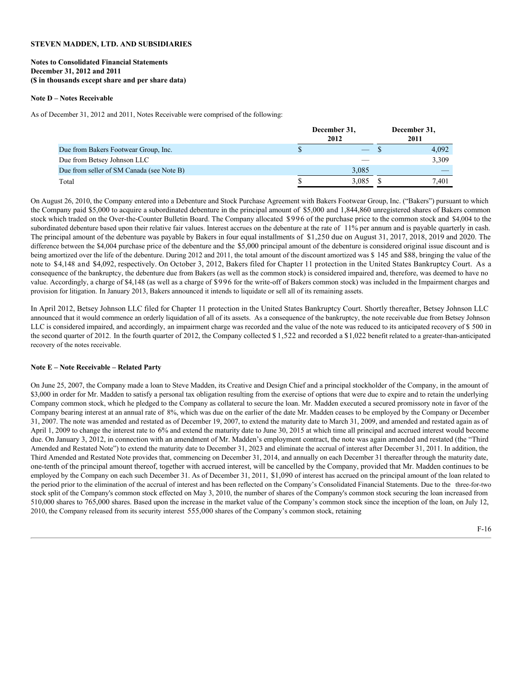## **Notes to Consolidated Financial Statements December 31, 2012 and 2011 (\$ in thousands except share and per share data)**

### **Note D – Notes Receivable**

As of December 31, 2012 and 2011, Notes Receivable were comprised of the following:

|                                           | December 31,<br>2012 | December 31,<br>2011 |  |       |
|-------------------------------------------|----------------------|----------------------|--|-------|
| Due from Bakers Footwear Group, Inc.      |                      |                      |  | 4.092 |
| Due from Betsey Johnson LLC               |                      |                      |  | 3.309 |
| Due from seller of SM Canada (see Note B) |                      | 3,085                |  |       |
| Total                                     |                      | 3.085                |  | 7.401 |

On August 26, 2010, the Company entered into a Debenture and Stock Purchase Agreement with Bakers Footwear Group, Inc. ("Bakers") pursuant to which the Company paid \$5,000 to acquire a subordinated debenture in the principal amount of \$5,000 and 1,844,860 unregistered shares of Bakers common stock which traded on the Over-the-Counter Bulletin Board. The Company allocated \$996 of the purchase price to the common stock and \$4,004 to the subordinated debenture based upon their relative fair values. Interest accrues on the debenture at the rate of 11% per annum and is payable quarterly in cash. The principal amount of the debenture was payable by Bakers in four equal installments of \$1,250 due on August 31, 2017, 2018, 2019 and 2020. The difference between the \$4,004 purchase price of the debenture and the \$5,000 principal amount of the debenture is considered original issue discount and is being amortized over the life of the debenture. During 2012 and 2011, the total amount of the discount amortized was \$ 145 and \$88, bringing the value of the note to \$4,148 and \$4,092, respectively. On October 3, 2012, Bakers filed for Chapter 11 protection in the United States Bankruptcy Court. As a consequence of the bankruptcy, the debenture due from Bakers (as well as the common stock) is considered impaired and, therefore, was deemed to have no value. Accordingly, a charge of \$4,148 (as well as a charge of \$996 for the write-off of Bakers common stock) was included in the Impairment charges and provision for litigation. In January 2013, Bakers announced it intends to liquidate or sell all of its remaining assets.

In April 2012, Betsey Johnson LLC filed for Chapter 11 protection in the United States Bankruptcy Court. Shortly thereafter, Betsey Johnson LLC announced that it would commence an orderly liquidation of all of its assets. As a consequence of the bankruptcy, the note receivable due from Betsey Johnson LLC is considered impaired, and accordingly, an impairment charge was recorded and the value of the note was reduced to its anticipated recovery of \$ 500 in the second quarter of 2012. In the fourth quarter of 2012, the Company collected \$1,522 and recorded a \$1,022 benefit related to a greater-than-anticipated recovery of the notes receivable.

## **Note E – Note Receivable – Related Party**

On June 25, 2007, the Company made a loan to Steve Madden, its Creative and Design Chief and a principal stockholder of the Company, in the amount of \$3,000 in order for Mr. Madden to satisfy a personal tax obligation resulting from the exercise of options that were due to expire and to retain the underlying Company common stock, which he pledged to the Company as collateral to secure the loan. Mr. Madden executed a secured promissory note in favor of the Company bearing interest at an annual rate of 8%, which was due on the earlier of the date Mr. Madden ceases to be employed by the Company or December 31, 2007. The note was amended and restated as of December 19, 2007, to extend the maturity date to March 31, 2009, and amended and restated again as of April 1, 2009 to change the interest rate to 6% and extend the maturity date to June 30, 2015 at which time all principal and accrued interest would become due. On January 3, 2012, in connection with an amendment of Mr. Madden's employment contract, the note was again amended and restated (the "Third Amended and Restated Note") to extend the maturity date to December 31, 2023 and eliminate the accrual of interest after December 31, 2011. In addition, the Third Amended and Restated Note provides that, commencing on December 31, 2014, and annually on each December 31 thereafter through the maturity date, one-tenth of the principal amount thereof, together with accrued interest, will be cancelled by the Company, provided that Mr. Madden continues to be employed by the Company on each such December 31. As of December 31, 2011, \$1,090 of interest has accrued on the principal amount of the loan related to the period prior to the elimination of the accrual of interest and has been reflected on the Company's Consolidated Financial Statements. Due to the three-for-two stock split of the Company's common stock effected on May 3, 2010, the number of shares of the Company's common stock securing the loan increased from 510,000 shares to 765,000 shares. Based upon the increase in the market value of the Company's common stock since the inception of the loan, on July 12, 2010, the Company released from its security interest 555,000 shares of the Company's common stock, retaining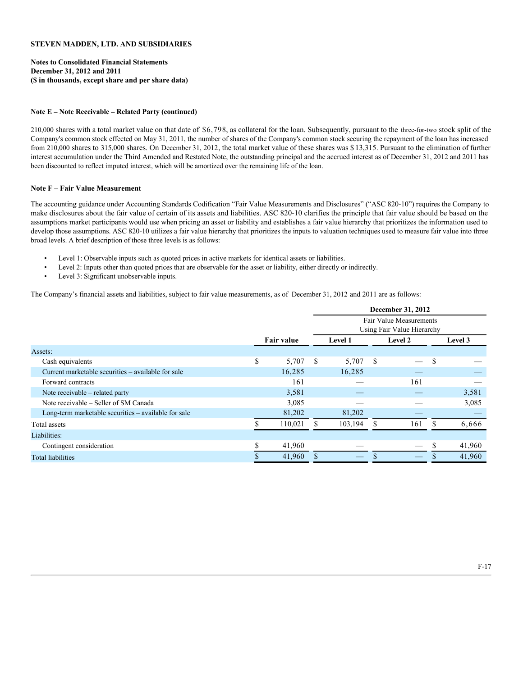**Notes to Consolidated Financial Statements December 31, 2012 and 2011 (\$ in thousands, except share and per share data)**

## **Note E – Note Receivable – Related Party (continued)**

210,000 shares with a total market value on that date of \$6,798, as collateral for the loan. Subsequently, pursuant to the three-for-two stock split of the Company's common stock effected on May 31, 2011, the number of shares of the Company's common stock securing the repayment of the loan has increased from 210,000 shares to 315,000 shares. On December 31, 2012, the total market value of these shares was \$ 13,315. Pursuant to the elimination of further interest accumulation under the Third Amended and Restated Note, the outstanding principal and the accrued interest as of December 31, 2012 and 2011 has been discounted to reflect imputed interest, which will be amortized over the remaining life of the loan.

## **Note F – Fair Value Measurement**

The accounting guidance under Accounting Standards Codification "Fair Value Measurements and Disclosures" ("ASC 820-10") requires the Company to make disclosures about the fair value of certain of its assets and liabilities. ASC 820-10 clarifies the principle that fair value should be based on the assumptions market participants would use when pricing an asset or liability and establishes a fair value hierarchy that prioritizes the information used to develop those assumptions. ASC 820-10 utilizes a fair value hierarchy that prioritizes the inputs to valuation techniques used to measure fair value into three broad levels. A brief description of those three levels is as follows:

- Level 1: Observable inputs such as quoted prices in active markets for identical assets or liabilities.
- Level 2: Inputs other than quoted prices that are observable for the asset or liability, either directly or indirectly.
- Level 3: Significant unobservable inputs.

The Company's financial assets and liabilities, subject to fair value measurements, as of December 31, 2012 and 2011 are as follows:

|                                                      |                                                       |            | December 31, 2012 |         |               |                |     |         |
|------------------------------------------------------|-------------------------------------------------------|------------|-------------------|---------|---------------|----------------|-----|---------|
|                                                      | Fair Value Measurements<br>Using Fair Value Hierarchy |            |                   |         |               |                |     |         |
|                                                      |                                                       | Fair value |                   | Level 1 |               | <b>Level 2</b> |     | Level 3 |
| Assets:                                              |                                                       |            |                   |         |               |                |     |         |
| Cash equivalents                                     | \$                                                    | 5,707      | S                 | 5,707   | <sup>\$</sup> |                | S   |         |
| Current marketable securities – available for sale   |                                                       | 16,285     |                   | 16,285  |               |                |     |         |
| Forward contracts                                    |                                                       | 161        |                   |         |               | 161            |     |         |
| Note receivable – related party                      |                                                       | 3,581      |                   |         |               |                |     | 3,581   |
| Note receivable – Seller of SM Canada                |                                                       | 3,085      |                   |         |               |                |     | 3,085   |
| Long-term marketable securities – available for sale |                                                       | 81,202     |                   | 81,202  |               |                |     |         |
| Total assets                                         |                                                       | 110,021    |                   | 103,194 |               | 161            | \$. | 6,666   |
| Liabilities:                                         |                                                       |            |                   |         |               |                |     |         |
| Contingent consideration                             |                                                       | 41,960     |                   |         |               |                | S   | 41,960  |
| <b>Total liabilities</b>                             |                                                       | 41,960     | \$.               |         |               |                |     | 41,960  |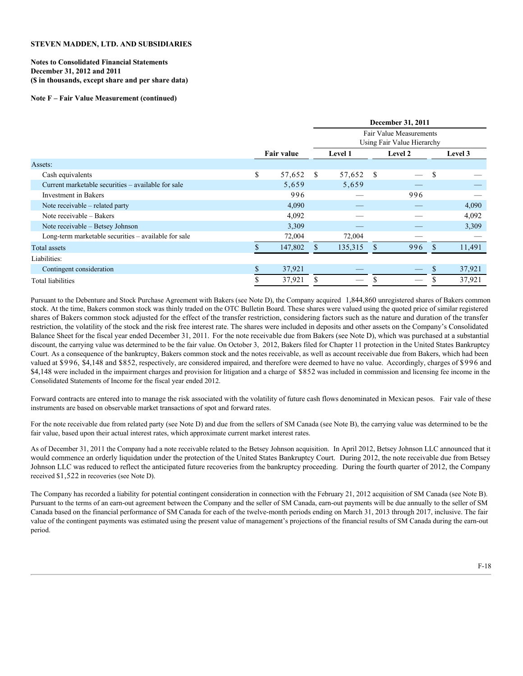**Notes to Consolidated Financial Statements December 31, 2012 and 2011 (\$ in thousands, except share and per share data)**

#### **Note F – Fair Value Measurement (continued)**

|                                                      |              | December 31, 2011                                     |                |               |                |    |         |
|------------------------------------------------------|--------------|-------------------------------------------------------|----------------|---------------|----------------|----|---------|
|                                                      |              | Fair Value Measurements<br>Using Fair Value Hierarchy |                |               |                |    |         |
|                                                      | Fair value   |                                                       | <b>Level 1</b> |               | <b>Level 2</b> |    | Level 3 |
| Assets:                                              |              |                                                       |                |               |                |    |         |
| Cash equivalents                                     | \$<br>57,652 | <sup>S</sup>                                          | 57,652         | <sup>\$</sup> |                | -S |         |
| Current marketable securities – available for sale   | 5,659        |                                                       | 5,659          |               |                |    |         |
| <b>Investment in Bakers</b>                          | 996          |                                                       |                |               | 996            |    |         |
| Note receivable – related party                      | 4,090        |                                                       |                |               |                |    | 4,090   |
| Note receivable – Bakers                             | 4,092        |                                                       |                |               |                |    | 4,092   |
| Note receivable – Betsey Johnson                     | 3,309        |                                                       |                |               |                |    | 3,309   |
| Long-term marketable securities – available for sale | 72,004       |                                                       | 72,004         |               |                |    |         |
| Total assets                                         | 147,802      |                                                       | 135,315        |               | 996            |    | 11,491  |
| Liabilities:                                         |              |                                                       |                |               |                |    |         |
| Contingent consideration                             | 37,921       |                                                       |                |               |                | \$ | 37,921  |
| Total liabilities                                    | 37,921       | S                                                     |                | \$            |                | S  | 37,921  |

Pursuant to the Debenture and Stock Purchase Agreement with Bakers (see Note D), the Company acquired 1,844,860 unregistered shares of Bakers common stock. At the time, Bakers common stock was thinly traded on the OTC Bulletin Board. These shares were valued using the quoted price of similar registered shares of Bakers common stock adjusted for the effect of the transfer restriction, considering factors such as the nature and duration of the transfer restriction, the volatility of the stock and the risk free interest rate. The shares were included in deposits and other assets on the Company's Consolidated Balance Sheet for the fiscal year ended December 31, 2011. For the note receivable due from Bakers (see Note D), which was purchased at a substantial discount, the carrying value was determined to be the fair value. On October 3, 2012, Bakers filed for Chapter 11 protection in the United States Bankruptcy Court. As a consequence of the bankruptcy, Bakers common stock and the notes receivable, as well as account receivable due from Bakers, which had been valued at \$996, \$4,148 and \$852, respectively, are considered impaired, and therefore were deemed to have no value. Accordingly, charges of \$996 and \$4,148 were included in the impairment charges and provision for litigation and a charge of \$852 was included in commission and licensing fee income in the Consolidated Statements of Income for the fiscal year ended 2012.

Forward contracts are entered into to manage the risk associated with the volatility of future cash flows denominated in Mexican pesos. Fair vale of these instruments are based on observable market transactions of spot and forward rates.

For the note receivable due from related party (see Note D) and due from the sellers of SM Canada (see Note B), the carrying value was determined to be the fair value, based upon their actual interest rates, which approximate current market interest rates.

As of December 31, 2011 the Company had a note receivable related to the Betsey Johnson acquisition. In April 2012, Betsey Johnson LLC announced that it would commence an orderly liquidation under the protection of the United States Bankruptcy Court. During 2012, the note receivable due from Betsey Johnson LLC was reduced to reflect the anticipated future recoveries from the bankruptcy proceeding. During the fourth quarter of 2012, the Company received \$1,522 in recoveries (see Note D).

The Company has recorded a liability for potential contingent consideration in connection with the February 21, 2012 acquisition of SM Canada (see Note B). Pursuant to the terms of an earn-out agreement between the Company and the seller of SM Canada, earn-out payments will be due annually to the seller of SM Canada based on the financial performance of SM Canada for each of the twelve-month periods ending on March 31, 2013 through 2017, inclusive. The fair value of the contingent payments was estimated using the present value of management's projections of the financial results of SM Canada during the earn-out period.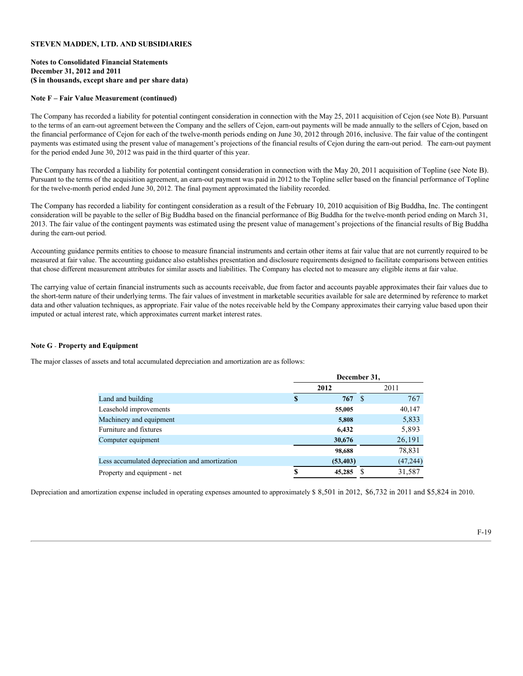## **Notes to Consolidated Financial Statements December 31, 2012 and 2011 (\$ in thousands, except share and per share data)**

#### **Note F – Fair Value Measurement (continued)**

The Company has recorded a liability for potential contingent consideration in connection with the May 25, 2011 acquisition of Cejon (see Note B). Pursuant to the terms of an earn-out agreement between the Company and the sellers of Cejon, earn-out payments will be made annually to the sellers of Cejon, based on the financial performance of Cejon for each of the twelve-month periods ending on June 30, 2012 through 2016, inclusive. The fair value of the contingent payments was estimated using the present value of management's projections of the financial results of Cejon during the earn-out period. The earn-out payment for the period ended June 30, 2012 was paid in the third quarter of this year.

The Company has recorded a liability for potential contingent consideration in connection with the May 20, 2011 acquisition of Topline (see Note B). Pursuant to the terms of the acquisition agreement, an earn-out payment was paid in 2012 to the Topline seller based on the financial performance of Topline for the twelve-month period ended June 30, 2012. The final payment approximated the liability recorded.

The Company has recorded a liability for contingent consideration as a result of the February 10, 2010 acquisition of Big Buddha, Inc. The contingent consideration will be payable to the seller of Big Buddha based on the financial performance of Big Buddha for the twelve-month period ending on March 31, 2013. The fair value of the contingent payments was estimated using the present value of management's projections of the financial results of Big Buddha during the earn-out period.

Accounting guidance permits entities to choose to measure financial instruments and certain other items at fair value that are not currently required to be measured at fair value. The accounting guidance also establishes presentation and disclosure requirements designed to facilitate comparisons between entities that chose different measurement attributes for similar assets and liabilities. The Company has elected not to measure any eligible items at fair value.

The carrying value of certain financial instruments such as accounts receivable, due from factor and accounts payable approximates their fair values due to the short-term nature of their underlying terms. The fair values of investment in marketable securities available for sale are determined by reference to market data and other valuation techniques, as appropriate. Fair value of the notes receivable held by the Company approximates their carrying value based upon their imputed or actual interest rate, which approximates current market interest rates.

## **Note G** - **Property and Equipment**

The major classes of assets and total accumulated depreciation and amortization are as follows:

|                                                | December 31, |           |    |           |  |  |
|------------------------------------------------|--------------|-----------|----|-----------|--|--|
|                                                |              | 2012      |    | 2011      |  |  |
| Land and building                              | S            | 767       | -8 | 767       |  |  |
| Leasehold improvements                         |              | 55,005    |    | 40,147    |  |  |
| Machinery and equipment                        |              | 5,808     |    | 5,833     |  |  |
| Furniture and fixtures                         |              | 6,432     |    | 5,893     |  |  |
| Computer equipment                             |              | 30,676    |    | 26,191    |  |  |
|                                                |              | 98,688    |    | 78,831    |  |  |
| Less accumulated depreciation and amortization |              | (53, 403) |    | (47, 244) |  |  |
| Property and equipment - net                   | S            | 45,285    |    | 31,587    |  |  |

Depreciation and amortization expense included in operating expenses amounted to approximately \$ 8,501 in 2012, \$6,732 in 2011 and \$5,824 in 2010.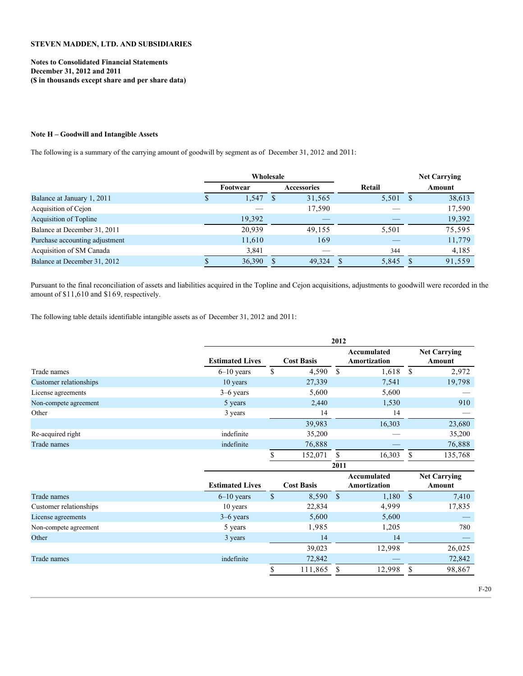**Notes to Consolidated Financial Statements December 31, 2012 and 2011 (\$ in thousands except share and per share data)**

## **Note H – Goodwill and Intangible Assets**

The following is a summary of the carrying amount of goodwill by segment as of December 31, 2012 and 2011:

|                                | Wholesale |  |                    |        |  | <b>Net Carrying</b> |
|--------------------------------|-----------|--|--------------------|--------|--|---------------------|
|                                | Footwear  |  | <b>Accessories</b> | Retail |  | Amount              |
| Balance at January 1, 2011     | 1,547     |  | 31,565             | 5,501  |  | 38,613              |
| Acquisition of Cejon           |           |  | 17,590             |        |  | 17,590              |
| Acquisition of Topline         | 19.392    |  |                    |        |  | 19,392              |
| Balance at December 31, 2011   | 20,939    |  | 49,155             | 5,501  |  | 75,595              |
| Purchase accounting adjustment | 11,610    |  | 169                |        |  | 11,779              |
| Acquisition of SM Canada       | 3,841     |  |                    | 344    |  | 4,185               |
| Balance at December 31, 2012   | 36,390    |  | 49.324             | 5,845  |  | 91,559              |

Pursuant to the final reconciliation of assets and liabilities acquired in the Topline and Cejon acquisitions, adjustments to goodwill were recorded in the amount of \$11,610 and \$169, respectively.

The following table details identifiable intangible assets as of December 31, 2012 and 2011:

|                        |                        |              |                   | 2012               |                             |               |                                      |
|------------------------|------------------------|--------------|-------------------|--------------------|-----------------------------|---------------|--------------------------------------|
|                        | <b>Estimated Lives</b> |              | <b>Cost Basis</b> |                    | Accumulated<br>Amortization |               | <b>Net Carrying</b><br><b>Amount</b> |
| Trade names            | $6 - 10$ years         | \$           | 4,590             | <sup>S</sup>       | 1,618                       | <sup>\$</sup> | 2,972                                |
| Customer relationships | 10 years               |              | 27,339            |                    | 7,541                       |               | 19,798                               |
| License agreements     | $3-6$ years            |              | 5,600             |                    | 5,600                       |               |                                      |
| Non-compete agreement  | 5 years                |              | 2,440             |                    | 1,530                       |               | 910                                  |
| Other                  | 3 years                |              | 14                |                    | 14                          |               |                                      |
|                        |                        |              | 39,983            |                    | 16,303                      |               | 23,680                               |
| Re-acquired right      | indefinite             |              | 35,200            |                    |                             |               | 35,200                               |
| Trade names            | indefinite             |              | 76,888            |                    |                             |               | 76,888                               |
|                        |                        | S.           | 152,071           | \$                 | 16,303                      | \$            | 135,768                              |
|                        |                        |              |                   | 2011               |                             |               |                                      |
|                        | <b>Estimated Lives</b> |              | <b>Cost Basis</b> |                    | Accumulated<br>Amortization |               | <b>Net Carrying</b><br><b>Amount</b> |
| Trade names            | $6-10$ years           | $\mathbb{S}$ | 8,590             | $\mathbf{\hat{s}}$ | 1,180                       | $\mathbb{S}$  | 7,410                                |
| Customer relationships | 10 years               |              | 22,834            |                    | 4,999                       |               | 17,835                               |
| License agreements     | $3-6$ years            |              | 5,600             |                    | 5,600                       |               |                                      |
| Non-compete agreement  | 5 years                |              | 1,985             |                    | 1,205                       |               | 780                                  |
| Other                  | 3 years                |              | 14                |                    | 14                          |               |                                      |
|                        |                        |              | 39,023            |                    | 12,998                      |               | 26,025                               |
| Trade names            | indefinite             |              | 72,842            |                    |                             |               | 72,842                               |
|                        |                        | S            | 111,865           | \$.                | 12,998                      | S             | 98,867                               |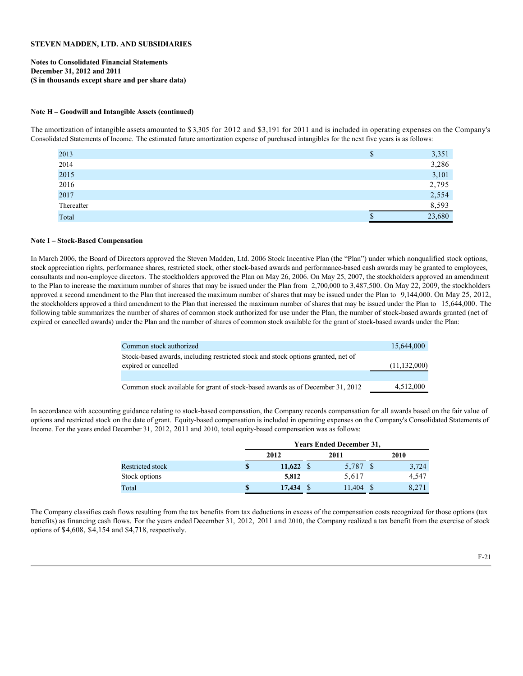**Notes to Consolidated Financial Statements December 31, 2012 and 2011 (\$ in thousands except share and per share data)**

## **Note H – Goodwill and Intangible Assets (continued)**

The amortization of intangible assets amounted to \$3,305 for 2012 and \$3,191 for 2011 and is included in operating expenses on the Company's Consolidated Statements of Income. The estimated future amortization expense of purchased intangibles for the next five years is as follows:

| 2013       | Φ | 3,351  |
|------------|---|--------|
| 2014       |   | 3,286  |
| 2015       |   | 3,101  |
| 2016       |   | 2,795  |
| 2017       |   | 2,554  |
| Thereafter |   | 8,593  |
| Total      |   | 23,680 |

#### **Note I – Stock-Based Compensation**

In March 2006, the Board of Directors approved the Steven Madden, Ltd. 2006 Stock Incentive Plan (the "Plan") under which nonqualified stock options, stock appreciation rights, performance shares, restricted stock, other stock-based awards and performance-based cash awards may be granted to employees, consultants and non-employee directors. The stockholders approved the Plan on May 26, 2006. On May 25, 2007, the stockholders approved an amendment to the Plan to increase the maximum number of shares that may be issued under the Plan from 2,700,000 to 3,487,500. On May 22, 2009, the stockholders approved a second amendment to the Plan that increased the maximum number of shares that may be issued under the Plan to 9,144,000. On May 25, 2012, the stockholders approved a third amendment to the Plan that increased the maximum number of shares that may be issued under the Plan to 15,644,000. The following table summarizes the number of shares of common stock authorized for use under the Plan, the number of stock-based awards granted (net of expired or cancelled awards) under the Plan and the number of shares of common stock available for the grant of stock-based awards under the Plan:

| Common stock authorized                                                                                  | 15,644,000     |
|----------------------------------------------------------------------------------------------------------|----------------|
| Stock-based awards, including restricted stock and stock options granted, net of<br>expired or cancelled | (11, 132, 000) |
|                                                                                                          |                |
| Common stock available for grant of stock-based awards as of December 31, 2012                           | 4,512,000      |

In accordance with accounting guidance relating to stock-based compensation, the Company records compensation for all awards based on the fair value of options and restricted stock on the date of grant. Equity-based compensation is included in operating expenses on the Company's Consolidated Statements of Income. For the years ended December 31, 2012, 2011 and 2010, total equity-based compensation was as follows:

|                  | <b>Years Ended December 31,</b> |             |  |        |      |       |  |  |
|------------------|---------------------------------|-------------|--|--------|------|-------|--|--|
|                  |                                 | 2012        |  |        | 2010 |       |  |  |
| Restricted stock |                                 | $11,622$ \$ |  | 5,787  |      | 3,724 |  |  |
| Stock options    |                                 | 5,812       |  | 5.617  |      | 4.547 |  |  |
| Total            |                                 | 17,434      |  | 11.404 |      | 8,271 |  |  |

The Company classifies cash flows resulting from the tax benefits from tax deductions in excess of the compensation costs recognized for those options (tax benefits) as financing cash flows. For the years ended December 31, 2012, 2011 and 2010, the Company realized a tax benefit from the exercise of stock options of \$4,608, \$4,154 and \$4,718, respectively.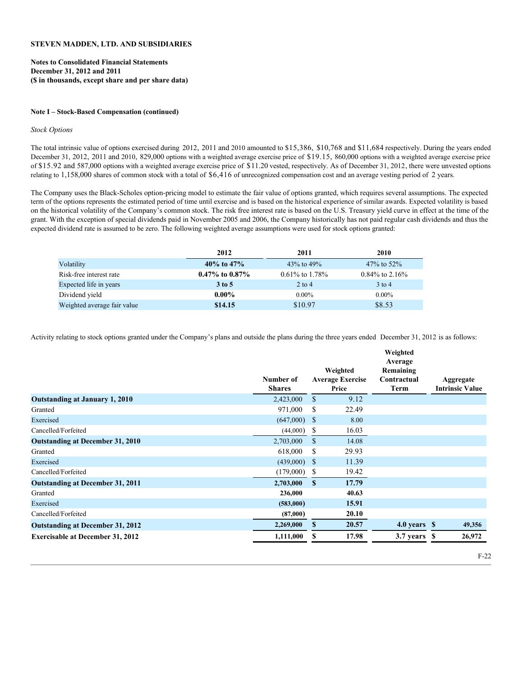## **Notes to Consolidated Financial Statements December 31, 2012 and 2011 (\$ in thousands, except share and per share data)**

### **Note I – Stock-Based Compensation (continued)**

#### *Stock Options*

The total intrinsic value of options exercised during 2012, 2011 and 2010 amounted to \$15,386, \$10,768 and \$11,684 respectively. During the years ended December 31, 2012, 2011 and 2010, 829,000 options with a weighted average exercise price of \$19.15, 860,000 options with a weighted average exercise price of \$15.92 and 587,000 options with a weighted average exercise price of \$11.20 vested, respectively. As of December 31, 2012, there were unvested options relating to 1,158,000 shares of common stock with a total of \$6,416 of unrecognized compensation cost and an average vesting period of 2 years.

The Company uses the Black-Scholes option-pricing model to estimate the fair value of options granted, which requires several assumptions. The expected term of the options represents the estimated period of time until exercise and is based on the historical experience of similar awards. Expected volatility is based on the historical volatility of the Company's common stock. The risk free interest rate is based on the U.S. Treasury yield curve in effect at the time of the grant. With the exception of special dividends paid in November 2005 and 2006, the Company historically has not paid regular cash dividends and thus the expected dividend rate is assumed to be zero. The following weighted average assumptions were used for stock options granted:

|                             | 2012           | 2011              | 2010              |
|-----------------------------|----------------|-------------------|-------------------|
| Volatility                  | 40\% to 47\%   | 43\% to 49\%      | 47\% to 52\%      |
| Risk-free interest rate     | 0.47% to 0.87% | $0.61\%$ to 1.78% | $0.84\%$ to 2.16% |
| Expected life in years      | $3$ to 5       | $2$ to 4          | $3$ to 4          |
| Dividend yield              | $0.00\%$       | $0.00\%$          | $0.00\%$          |
| Weighted average fair value | \$14.15        | \$10.97           | \$8.53            |

Activity relating to stock options granted under the Company's plans and outside the plans during the three years ended December 31, 2012 is as follows:

|                                         | Number of<br><b>Shares</b> |              | Weighted<br><b>Average Exercise</b><br>Price | Weighted<br>Average<br>Remaining<br>Contractual<br><b>Term</b> | Aggregate<br><b>Intrinsic Value</b> |
|-----------------------------------------|----------------------------|--------------|----------------------------------------------|----------------------------------------------------------------|-------------------------------------|
| <b>Outstanding at January 1, 2010</b>   | 2,423,000                  | $\mathbb{S}$ | 9.12                                         |                                                                |                                     |
| Granted                                 | 971,000                    | \$           | 22.49                                        |                                                                |                                     |
| Exercised                               | (647,000)                  | <sup>S</sup> | 8.00                                         |                                                                |                                     |
| Cancelled/Forfeited                     | (44,000)                   | -S           | 16.03                                        |                                                                |                                     |
| <b>Outstanding at December 31, 2010</b> | 2,703,000                  | $\mathbb{S}$ | 14.08                                        |                                                                |                                     |
| Granted                                 | 618,000                    | S.           | 29.93                                        |                                                                |                                     |
| Exercised                               | (439,000)                  | <sup>S</sup> | 11.39                                        |                                                                |                                     |
| Cancelled/Forfeited                     | (179,000)                  | <sup>S</sup> | 19.42                                        |                                                                |                                     |
| Outstanding at December 31, 2011        | 2,703,000                  | $\mathbf{s}$ | 17.79                                        |                                                                |                                     |
| Granted                                 | 236,000                    |              | 40.63                                        |                                                                |                                     |
| Exercised                               | (583,000)                  |              | 15.91                                        |                                                                |                                     |
| Cancelled/Forfeited                     | (87,000)                   |              | 20.10                                        |                                                                |                                     |
| <b>Outstanding at December 31, 2012</b> | 2,269,000                  | $\mathbf{s}$ | 20.57                                        | $4.0 \text{ years}$ \$                                         | 49,356                              |
| <b>Exercisable at December 31, 2012</b> | 1,111,000                  | S            | 17.98                                        | 3.7 years \$                                                   | 26,972                              |
|                                         |                            |              |                                              |                                                                |                                     |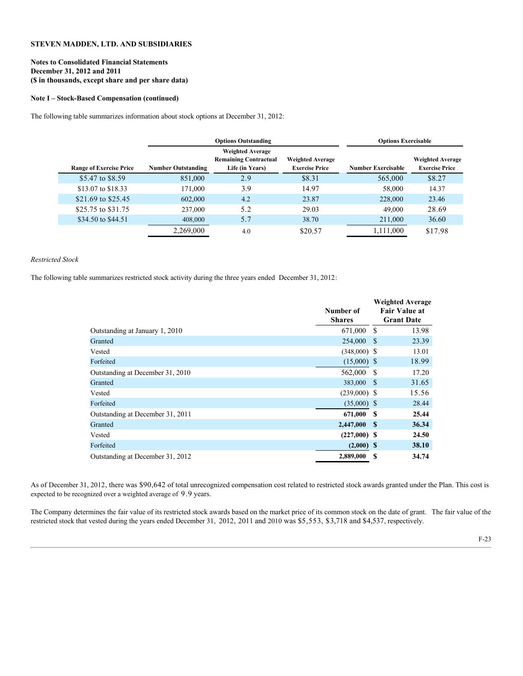## **Notes to Consolidated Financial Statements December 31, 2012 and 2011 (\$ in thousands, except share and per share data)**

## **Note I – Stock-Based Compensation (continued)**

The following table summarizes information about stock options at December 31, 2012:

|                                |                           | <b>Options Outstanding</b>                                                 |                                                  | <b>Options Exercisable</b> |                                                  |
|--------------------------------|---------------------------|----------------------------------------------------------------------------|--------------------------------------------------|----------------------------|--------------------------------------------------|
| <b>Range of Exercise Price</b> | <b>Number Outstanding</b> | <b>Weighted Average</b><br><b>Remaining Contractual</b><br>Life (in Years) | <b>Weighted Average</b><br><b>Exercise Price</b> | Number Exercisable         | <b>Weighted Average</b><br><b>Exercise Price</b> |
| \$5.47 to \$8.59               | 851,000                   | 2.9                                                                        | \$8.31                                           | 565,000                    | \$8.27                                           |
| \$13.07 to \$18.33             | 171,000                   | 3.9                                                                        | 14.97                                            | 58,000                     | 14.37                                            |
| \$21.69 to \$25.45             | 602,000                   | 4.2                                                                        | 23.87                                            | 228,000                    | 23.46                                            |
| \$25.75 to \$31.75             | 237,000                   | 5.2                                                                        | 29.03                                            | 49,000                     | 28.69                                            |
| \$34.50 to \$44.51             | 408,000                   | 5.7                                                                        | 38.70                                            | 211,000                    | 36.60                                            |
|                                | 2,269,000                 | 4.0                                                                        | \$20.57                                          | 1,111,000                  | \$17.98                                          |

## *Restricted Stock*

The following table summarizes restricted stock activity during the three years ended December 31, 2012:

|                                  | Number of<br><b>Shares</b> |    | <b>Weighted Average</b><br><b>Fair Value at</b><br><b>Grant Date</b> |
|----------------------------------|----------------------------|----|----------------------------------------------------------------------|
| Outstanding at January 1, 2010   | 671,000                    | -S | 13.98                                                                |
| Granted                          | 254,000                    | S  | 23.39                                                                |
| Vested                           | $(348,000)$ \$             |    | 13.01                                                                |
| Forfeited                        | $(15,000)$ \$              |    | 18.99                                                                |
| Outstanding at December 31, 2010 | 562,000                    | -S | 17.20                                                                |
| Granted                          | 383,000                    | -S | 31.65                                                                |
| Vested                           | $(239,000)$ \$             |    | 15.56                                                                |
| Forfeited                        | $(35,000)$ \$              |    | 28.44                                                                |
| Outstanding at December 31, 2011 | 671,000                    | -S | 25.44                                                                |
| Granted                          | 2,447,000                  | S  | 36.34                                                                |
| Vested                           | $(227,000)$ \$             |    | 24.50                                                                |
| Forfeited                        | $(2,000)$ \$               |    | 38.10                                                                |
| Outstanding at December 31, 2012 | 2,889,000                  | S  | 34.74                                                                |

As of December 31, 2012, there was \$90,642 of total unrecognized compensation cost related to restricted stock awards granted under the Plan. This cost is expected to be recognized over a weighted average of 9.9 years.

The Company determines the fair value of its restricted stock awards based on the market price of its common stock on the date of grant. The fair value of the restricted stock that vested during the years ended December 31, 2012, 2011 and 2010 was \$5,553, \$3,718 and \$4,537, respectively.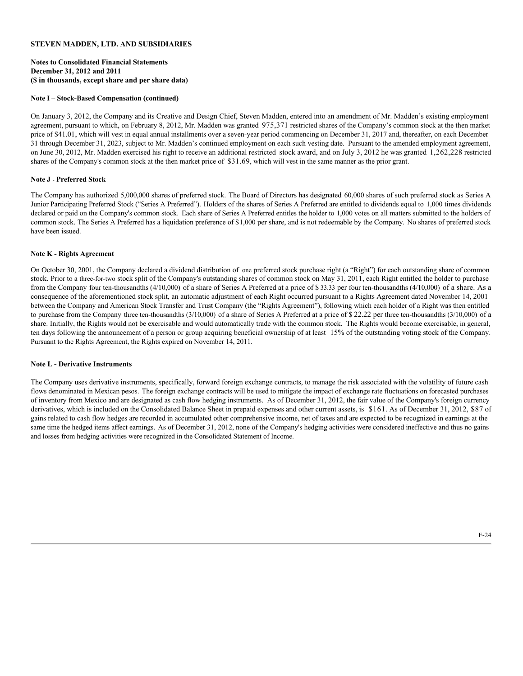## **Notes to Consolidated Financial Statements December 31, 2012 and 2011 (\$ in thousands, except share and per share data)**

#### **Note I – Stock-Based Compensation (continued)**

On January 3, 2012, the Company and its Creative and Design Chief, Steven Madden, entered into an amendment of Mr. Madden's existing employment agreement, pursuant to which, on February 8, 2012, Mr. Madden was granted 975,371 restricted shares of the Company's common stock at the then market price of \$41.01, which will vest in equal annual installments over a seven-year period commencing on December 31, 2017 and, thereafter, on each December 31 through December 31, 2023, subject to Mr. Madden's continued employment on each such vesting date. Pursuant to the amended employment agreement, on June 30, 2012, Mr. Madden exercised his right to receive an additional restricted stock award, and on July 3, 2012 he was granted 1,262,228 restricted shares of the Company's common stock at the then market price of \$31.69, which will vest in the same manner as the prior grant.

#### **Note J** - **Preferred Stock**

The Company has authorized 5,000,000 shares of preferred stock. The Board of Directors has designated 60,000 shares of such preferred stock as Series A Junior Participating Preferred Stock ("Series A Preferred"). Holders of the shares of Series A Preferred are entitled to dividends equal to 1,000 times dividends declared or paid on the Company's common stock. Each share of Series A Preferred entitles the holder to 1,000 votes on all matters submitted to the holders of common stock. The Series A Preferred has a liquidation preference of \$1,000 per share, and is not redeemable by the Company. No shares of preferred stock have been issued.

#### **Note K - Rights Agreement**

On October 30, 2001, the Company declared a dividend distribution of one preferred stock purchase right (a "Right") for each outstanding share of common stock. Prior to a three-for-two stock split of the Company's outstanding shares of common stock on May 31, 2011, each Right entitled the holder to purchase from the Company four ten-thousandths (4/10,000) of a share of Series A Preferred at a price of \$ 33.33 per four ten-thousandths (4/10,000) of a share. As a consequence of the aforementioned stock split, an automatic adjustment of each Right occurred pursuant to a Rights Agreement dated November 14, 2001 between the Company and American Stock Transfer and Trust Company (the "Rights Agreement"), following which each holder of a Right was then entitled to purchase from the Company three ten-thousandths (3/10,000) of a share of Series A Preferred at a price of \$ 22.22 per three ten-thousandths (3/10,000) of a share. Initially, the Rights would not be exercisable and would automatically trade with the common stock. The Rights would become exercisable, in general, ten days following the announcement of a person or group acquiring beneficial ownership of at least 15% of the outstanding voting stock of the Company. Pursuant to the Rights Agreement, the Rights expired on November 14, 2011.

## **Note L - Derivative Instruments**

The Company uses derivative instruments, specifically, forward foreign exchange contracts, to manage the risk associated with the volatility of future cash flows denominated in Mexican pesos. The foreign exchange contracts will be used to mitigate the impact of exchange rate fluctuations on forecasted purchases of inventory from Mexico and are designated as cash flow hedging instruments. As of December 31, 2012, the fair value of the Company's foreign currency derivatives, which is included on the Consolidated Balance Sheet in prepaid expenses and other current assets, is \$161. As of December 31, 2012, \$87 of gains related to cash flow hedges are recorded in accumulated other comprehensive income, net of taxes and are expected to be recognized in earnings at the same time the hedged items affect earnings. As of December 31, 2012, none of the Company's hedging activities were considered ineffective and thus no gains and losses from hedging activities were recognized in the Consolidated Statement of Income.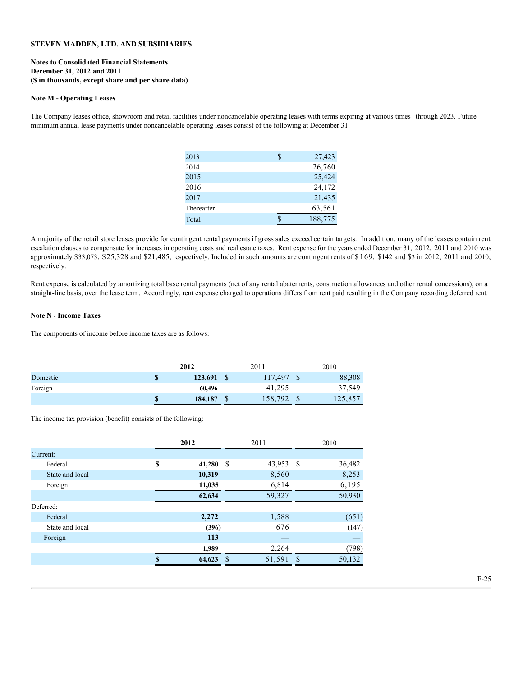## **Notes to Consolidated Financial Statements December 31, 2012 and 2011 (\$ in thousands, except share and per share data)**

#### **Note M - Operating Leases**

The Company leases office, showroom and retail facilities under noncancelable operating leases with terms expiring at various times through 2023. Future minimum annual lease payments under noncancelable operating leases consist of the following at December 31:

| 2013       | S  | 27,423  |
|------------|----|---------|
| 2014       |    | 26,760  |
| 2015       |    | 25,424  |
| 2016       |    | 24,172  |
| 2017       |    | 21,435  |
| Thereafter |    | 63,561  |
| Total      | \$ | 188,775 |

A majority of the retail store leases provide for contingent rental payments if gross sales exceed certain targets. In addition, many of the leases contain rent escalation clauses to compensate for increases in operating costs and real estate taxes. Rent expense for the years ended December 31, 2012, 2011 and 2010 was approximately \$33,073, \$25,328 and \$21,485, respectively. Included in such amounts are contingent rents of \$ 169, \$142 and \$3 in 2012, 2011 and 2010, respectively.

Rent expense is calculated by amortizing total base rental payments (net of any rental abatements, construction allowances and other rental concessions), on a straight-line basis, over the lease term. Accordingly, rent expense charged to operations differs from rent paid resulting in the Company recording deferred rent.

## **Note N** - **Income Taxes**

The components of income before income taxes are as follows:

|          | 2012          |    | 2011    | 2010 |         |  |
|----------|---------------|----|---------|------|---------|--|
| Domestic | \$<br>123,691 | S  | 117,497 | S    | 88,308  |  |
| Foreign  | 60,496        |    | 41.295  |      | 37,549  |  |
|          | \$<br>184,187 | \$ | 158,792 | S    | 125,857 |  |

The income tax provision (benefit) consists of the following:

|                 |              | 2012   |               | 2011      |               | 2010   |
|-----------------|--------------|--------|---------------|-----------|---------------|--------|
| Current:        |              |        |               |           |               |        |
| Federal         | \$           | 41,280 | \$            | 43,953 \$ |               | 36,482 |
| State and local |              | 10,319 |               | 8,560     |               | 8,253  |
| Foreign         |              | 11,035 |               | 6,814     |               | 6,195  |
|                 |              | 62,634 |               | 59,327    |               | 50,930 |
| Deferred:       |              |        |               |           |               |        |
| Federal         |              | 2,272  |               | 1,588     |               | (651)  |
| State and local |              | (396)  |               | 676       |               | (147)  |
| Foreign         |              | 113    |               |           |               |        |
|                 |              | 1,989  |               | 2,264     |               | (798)  |
|                 | $\mathbf{s}$ | 64,623 | <sup>\$</sup> | 61,591    | <sup>\$</sup> | 50,132 |
|                 |              |        |               |           |               |        |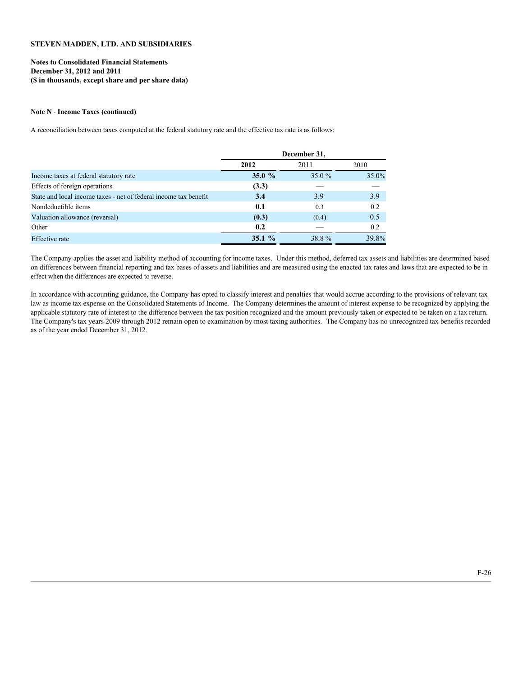**Notes to Consolidated Financial Statements December 31, 2012 and 2011 (\$ in thousands, except share and per share data)**

## **Note N** - **Income Taxes (continued)**

A reconciliation between taxes computed at the federal statutory rate and the effective tax rate is as follows:

|                                                                  | December 31, |        |       |  |  |  |  |
|------------------------------------------------------------------|--------------|--------|-------|--|--|--|--|
|                                                                  | 2012         | 2011   | 2010  |  |  |  |  |
| Income taxes at federal statutory rate                           | 35.0 $%$     | 35.0 % | 35.0% |  |  |  |  |
| Effects of foreign operations                                    | (3.3)        |        |       |  |  |  |  |
| State and local income taxes - net of federal income tax benefit | 3.4          | 3.9    | 3.9   |  |  |  |  |
| Nondeductible items                                              | 0.1          | 0.3    | 0.2   |  |  |  |  |
| Valuation allowance (reversal)                                   | (0.3)        | (0.4)  | 0.5   |  |  |  |  |
| Other                                                            | 0.2          |        | 0.2   |  |  |  |  |
| Effective rate                                                   | $35.1 \%$    | 38.8%  | 39.8% |  |  |  |  |

The Company applies the asset and liability method of accounting for income taxes. Under this method, deferred tax assets and liabilities are determined based on differences between financial reporting and tax bases of assets and liabilities and are measured using the enacted tax rates and laws that are expected to be in effect when the differences are expected to reverse.

In accordance with accounting guidance, the Company has opted to classify interest and penalties that would accrue according to the provisions of relevant tax law as income tax expense on the Consolidated Statements of Income. The Company determines the amount of interest expense to be recognized by applying the applicable statutory rate of interest to the difference between the tax position recognized and the amount previously taken or expected to be taken on a tax return. The Company's tax years 2009 through 2012 remain open to examination by most taxing authorities. The Company has no unrecognized tax benefits recorded as of the year ended December 31, 2012.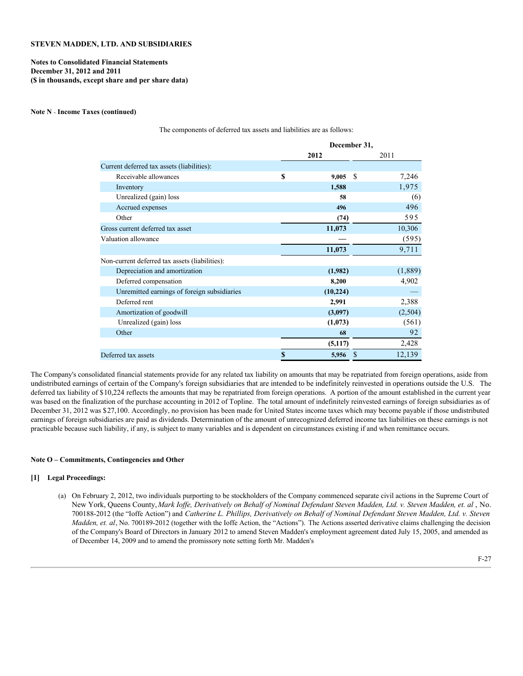**Notes to Consolidated Financial Statements December 31, 2012 and 2011 (\$ in thousands, except share and per share data)**

#### **Note N** - **Income Taxes (continued)**

The components of deferred tax assets and liabilities are as follows:

|                                                | December 31, |           |   |         |  |
|------------------------------------------------|--------------|-----------|---|---------|--|
|                                                |              | 2012      |   | 2011    |  |
| Current deferred tax assets (liabilities):     |              |           |   |         |  |
| Receivable allowances                          | \$           | 9,005     | S | 7,246   |  |
| Inventory                                      |              | 1,588     |   | 1,975   |  |
| Unrealized (gain) loss                         |              | 58        |   | (6)     |  |
| Accrued expenses                               |              | 496       |   | 496     |  |
| Other                                          |              | (74)      |   | 595     |  |
| Gross current deferred tax asset               |              | 11,073    |   | 10,306  |  |
| Valuation allowance                            |              |           |   | (595)   |  |
|                                                |              | 11,073    |   | 9,711   |  |
| Non-current deferred tax assets (liabilities): |              |           |   |         |  |
| Depreciation and amortization                  |              | (1,982)   |   | (1,889) |  |
| Deferred compensation                          |              | 8,200     |   | 4,902   |  |
| Unremitted earnings of foreign subsidiaries    |              | (10, 224) |   |         |  |
| Deferred rent                                  |              | 2,991     |   | 2,388   |  |
| Amortization of goodwill                       |              | (3,097)   |   | (2,504) |  |
| Unrealized (gain) loss                         |              | (1,073)   |   | (561)   |  |
| Other                                          |              | 68        |   | 92      |  |
|                                                |              | (5,117)   |   | 2,428   |  |
| Deferred tax assets                            | \$           | 5,956     | S | 12,139  |  |

The Company's consolidated financial statements provide for any related tax liability on amounts that may be repatriated from foreign operations, aside from undistributed earnings of certain of the Company's foreign subsidiaries that are intended to be indefinitely reinvested in operations outside the U.S. The deferred tax liability of \$10,224 reflects the amounts that may be repatriated from foreign operations. A portion of the amount established in the current year was based on the finalization of the purchase accounting in 2012 of Topline. The total amount of indefinitely reinvested earnings of foreign subsidiaries as of December 31, 2012 was \$27,100. Accordingly, no provision has been made for United States income taxes which may become payable if those undistributed earnings of foreign subsidiaries are paid as dividends. Determination of the amount of unrecognized deferred income tax liabilities on these earnings is not practicable because such liability, if any, is subject to many variables and is dependent on circumstances existing if and when remittance occurs.

## **Note O – Commitments, Contingencies and Other**

## **[1] Legal Proceedings:**

(a) On February 2, 2012, two individuals purporting to be stockholders of the Company commenced separate civil actions in the Supreme Court of New York, Queens County, *Mark Ioffe, Derivatively on Behalf of Nominal Defendant Steven Madden, Ltd. v. Steven Madden, et. al* , No. 700188-2012 (the "Ioffe Action") and *Catherine L. Phillips, Derivatively on Behalf of Nominal Defendant Steven Madden, Ltd. v. Steven Madden, et. al*, No. 700189-2012 (together with the Ioffe Action, the "Actions"). The Actions asserted derivative claims challenging the decision of the Company's Board of Directors in January 2012 to amend Steven Madden's employment agreement dated July 15, 2005, and amended as of December 14, 2009 and to amend the promissory note setting forth Mr. Madden's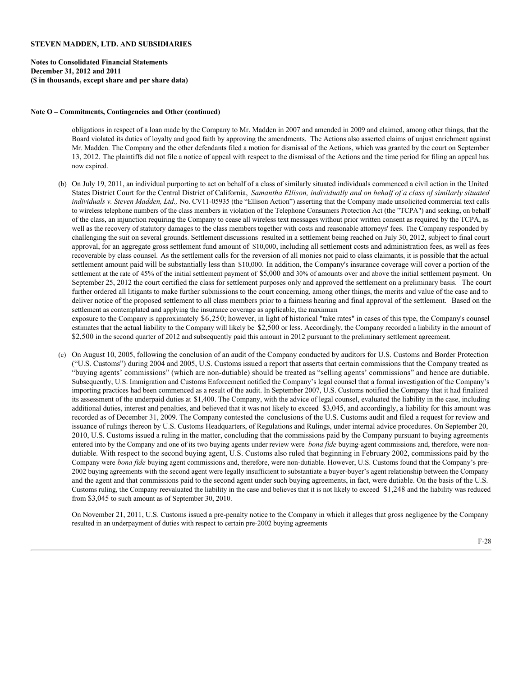**Notes to Consolidated Financial Statements December 31, 2012 and 2011 (\$ in thousands, except share and per share data)**

#### **Note O – Commitments, Contingencies and Other (continued)**

obligations in respect of a loan made by the Company to Mr. Madden in 2007 and amended in 2009 and claimed, among other things, that the Board violated its duties of loyalty and good faith by approving the amendments. The Actions also asserted claims of unjust enrichment against Mr. Madden. The Company and the other defendants filed a motion for dismissal of the Actions, which was granted by the court on September 13, 2012. The plaintiffs did not file a notice of appeal with respect to the dismissal of the Actions and the time period for filing an appeal has now expired.

(b) On July 19, 2011, an individual purporting to act on behalf of a class of similarly situated individuals commenced a civil action in the United States District Court for the Central District of California, *Samantha Ellison, individually and on behalf of a class of similarly situated individuals v. Steven Madden, Ltd.,* No. CV11-05935 (the "Ellison Action") asserting that the Company made unsolicited commercial text calls to wireless telephone numbers of the class members in violation of the Telephone Consumers Protection Act (the "TCPA") and seeking, on behalf of the class, an injunction requiring the Company to cease all wireless text messages without prior written consent as required by the TCPA, as well as the recovery of statutory damages to the class members together with costs and reasonable attorneys' fees. The Company responded by challenging the suit on several grounds. Settlement discussions resulted in a settlement being reached on July 30, 2012, subject to final court approval, for an aggregate gross settlement fund amount of \$10,000, including all settlement costs and administration fees, as well as fees recoverable by class counsel. As the settlement calls for the reversion of all monies not paid to class claimants, it is possible that the actual settlement amount paid will be substantially less than \$10,000. In addition, the Company's insurance coverage will cover a portion of the settlement at the rate of 45% of the initial settlement payment of \$5,000 and 30% of amounts over and above the initial settlement payment. On September 25, 2012 the court certified the class for settlement purposes only and approved the settlement on a preliminary basis. The court further ordered all litigants to make further submissions to the court concerning, among other things, the merits and value of the case and to deliver notice of the proposed settlement to all class members prior to a fairness hearing and final approval of the settlement. Based on the settlement as contemplated and applying the insurance coverage as applicable, the maximum

exposure to the Company is approximately \$6,250; however, in light of historical "take rates" in cases of this type, the Company's counsel estimates that the actual liability to the Company will likely be \$2,500 or less. Accordingly, the Company recorded a liability in the amount of \$2,500 in the second quarter of 2012 and subsequently paid this amount in 2012 pursuant to the preliminary settlement agreement.

(c) On August 10, 2005, following the conclusion of an audit of the Company conducted by auditors for U.S. Customs and Border Protection ("U.S. Customs") during 2004 and 2005, U.S. Customs issued a report that asserts that certain commissions that the Company treated as "buying agents' commissions" (which are non-dutiable) should be treated as "selling agents' commissions" and hence are dutiable. Subsequently, U.S. Immigration and Customs Enforcement notified the Company's legal counsel that a formal investigation of the Company's importing practices had been commenced as a result of the audit. In September 2007, U.S. Customs notified the Company that it had finalized its assessment of the underpaid duties at \$1,400. The Company, with the advice of legal counsel, evaluated the liability in the case, including additional duties, interest and penalties, and believed that it was not likely to exceed \$3,045, and accordingly, a liability for this amount was recorded as of December 31, 2009. The Company contested the conclusions of the U.S. Customs audit and filed a request for review and issuance of rulings thereon by U.S. Customs Headquarters, of Regulations and Rulings, under internal advice procedures. On September 20, 2010, U.S. Customs issued a ruling in the matter, concluding that the commissions paid by the Company pursuant to buying agreements entered into by the Company and one of its two buying agents under review were *bona fide* buying-agent commissions and, therefore, were nondutiable. With respect to the second buying agent, U.S. Customs also ruled that beginning in February 2002, commissions paid by the Company were *bona fide* buying agent commissions and, therefore, were non-dutiable. However, U.S. Customs found that the Company's pre-2002 buying agreements with the second agent were legally insufficient to substantiate a buyer-buyer's agent relationship between the Company and the agent and that commissions paid to the second agent under such buying agreements, in fact, were dutiable. On the basis of the U.S. Customs ruling, the Company reevaluated the liability in the case and believes that it is not likely to exceed \$1,248 and the liability was reduced from \$3,045 to such amount as of September 30, 2010.

On November 21, 2011, U.S. Customs issued a pre-penalty notice to the Company in which it alleges that gross negligence by the Company resulted in an underpayment of duties with respect to certain pre-2002 buying agreements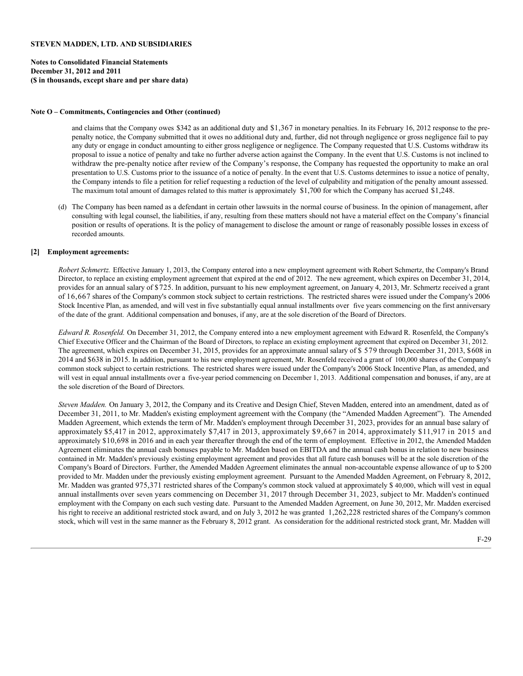**Notes to Consolidated Financial Statements December 31, 2012 and 2011 (\$ in thousands, except share and per share data)**

#### **Note O – Commitments, Contingencies and Other (continued)**

and claims that the Company owes \$342 as an additional duty and \$1,367 in monetary penalties. In its February 16, 2012 response to the prepenalty notice, the Company submitted that it owes no additional duty and, further, did not through negligence or gross negligence fail to pay any duty or engage in conduct amounting to either gross negligence or negligence. The Company requested that U.S. Customs withdraw its proposal to issue a notice of penalty and take no further adverse action against the Company. In the event that U.S. Customs is not inclined to withdraw the pre-penalty notice after review of the Company's response, the Company has requested the opportunity to make an oral presentation to U.S. Customs prior to the issuance of a notice of penalty. In the event that U.S. Customs determines to issue a notice of penalty, the Company intends to file a petition for relief requesting a reduction of the level of culpability and mitigation of the penalty amount assessed. The maximum total amount of damages related to this matter is approximately \$1,700 for which the Company has accrued \$1,248.

(d) The Company has been named as a defendant in certain other lawsuits in the normal course of business. In the opinion of management, after consulting with legal counsel, the liabilities, if any, resulting from these matters should not have a material effect on the Company's financial position or results of operations. It is the policy of management to disclose the amount or range of reasonably possible losses in excess of recorded amounts.

## **[2] Employment agreements:**

*Robert Schmertz.* Effective January 1, 2013, the Company entered into a new employment agreement with Robert Schmertz, the Company's Brand Director, to replace an existing employment agreement that expired at the end of 2012. The new agreement, which expires on December 31, 2014, provides for an annual salary of \$725. In addition, pursuant to his new employment agreement, on January 4, 2013, Mr. Schmertz received a grant of 16,667 shares of the Company's common stock subject to certain restrictions. The restricted shares were issued under the Company's 2006 Stock Incentive Plan, as amended, and will vest in five substantially equal annual installments over five years commencing on the first anniversary of the date of the grant. Additional compensation and bonuses, if any, are at the sole discretion of the Board of Directors.

*Edward R. Rosenfeld.* On December 31, 2012, the Company entered into a new employment agreement with Edward R. Rosenfeld, the Company's Chief Executive Officer and the Chairman of the Board of Directors, to replace an existing employment agreement that expired on December 31, 2012. The agreement, which expires on December 31, 2015, provides for an approximate annual salary of \$ 579 through December 31, 2013, \$608 in 2014 and \$638 in 2015. In addition, pursuant to his new employment agreement, Mr. Rosenfeld received a grant of 100,000 shares of the Company's common stock subject to certain restrictions. The restricted shares were issued under the Company's 2006 Stock Incentive Plan, as amended, and will vest in equal annual installments over a five-year period commencing on December 1, 2013. Additional compensation and bonuses, if any, are at the sole discretion of the Board of Directors.

*Steven Madden.* On January 3, 2012, the Company and its Creative and Design Chief, Steven Madden, entered into an amendment, dated as of December 31, 2011, to Mr. Madden's existing employment agreement with the Company (the "Amended Madden Agreement"). The Amended Madden Agreement, which extends the term of Mr. Madden's employment through December 31, 2023, provides for an annual base salary of approximately \$5,417 in 2012, approximately \$7,417 in 2013, approximately \$9,667 in 2014, approximately \$11,917 in 2015 and approximately \$10,698 in 2016 and in each year thereafter through the end of the term of employment. Effective in 2012, the Amended Madden Agreement eliminates the annual cash bonuses payable to Mr. Madden based on EBITDA and the annual cash bonus in relation to new business contained in Mr. Madden's previously existing employment agreement and provides that all future cash bonuses will be at the sole discretion of the Company's Board of Directors. Further, the Amended Madden Agreement eliminates the annual non-accountable expense allowance of up to \$ 200 provided to Mr. Madden under the previously existing employment agreement. Pursuant to the Amended Madden Agreement, on February 8, 2012, Mr. Madden was granted 975,371 restricted shares of the Company's common stock valued at approximately \$ 40,000, which will vest in equal annual installments over seven years commencing on December 31, 2017 through December 31, 2023, subject to Mr. Madden's continued employment with the Company on each such vesting date. Pursuant to the Amended Madden Agreement, on June 30, 2012, Mr. Madden exercised his right to receive an additional restricted stock award, and on July 3, 2012 he was granted 1,262,228 restricted shares of the Company's common stock, which will vest in the same manner as the February 8, 2012 grant. As consideration for the additional restricted stock grant, Mr. Madden will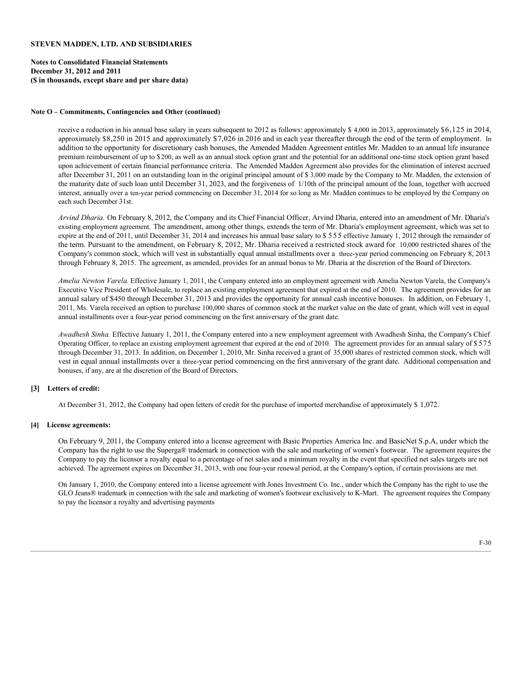**Notes to Consolidated Financial Statements December 31, 2012 and 2011 (\$ in thousands, except share and per share data)**

#### **Note O – Commitments, Contingencies and Other (continued)**

receive a reduction in his annual base salary in years subsequent to 2012 as follows: approximately \$ 4,000 in 2013, approximately \$6,125 in 2014, approximately \$8,250 in 2015 and approximately \$7,026 in 2016 and in each year thereafter through the end of the term of employment. In addition to the opportunity for discretionary cash bonuses, the Amended Madden Agreement entitles Mr. Madden to an annual life insurance premium reimbursement of up to \$200, as well as an annual stock option grant and the potential for an additional one-time stock option grant based upon achievement of certain financial performance criteria. The Amended Madden Agreement also provides for the elimination of interest accrued after December 31, 2011 on an outstanding loan in the original principal amount of \$ 3,000 made by the Company to Mr. Madden, the extension of the maturity date of such loan until December 31, 2023, and the forgiveness of 1/10th of the principal amount of the loan, together with accrued interest, annually over a ten-year period commencing on December 31, 2014 for so long as Mr. Madden continues to be employed by the Company on each such December 31st.

*Arvind Dharia.* On February 8, 2012, the Company and its Chief Financial Officer, Arvind Dharia, entered into an amendment of Mr. Dharia's existing employment agreement. The amendment, among other things, extends the term of Mr. Dharia's employment agreement, which was set to expire at the end of 2011, until December 31, 2014 and increases his annual base salary to \$ 555 effective January 1, 2012 through the remainder of the term. Pursuant to the amendment, on February 8, 2012, Mr. Dharia received a restricted stock award for 10,000 restricted shares of the Company's common stock, which will vest in substantially equal annual installments over a three-year period commencing on February 8, 2013 through February 8, 2015. The agreement, as amended, provides for an annual bonus to Mr. Dharia at the discretion of the Board of Directors.

*Amelia Newton Varela.* Effective January 1, 2011, the Company entered into an employment agreement with Amelia Newton Varela, the Company's Executive Vice President of Wholesale, to replace an existing employment agreement that expired at the end of 2010. The agreement provides for an annual salary of \$450 through December 31, 2013 and provides the opportunity for annual cash incentive bonuses. In addition, on February 1, 2011, Ms. Varela received an option to purchase 100,000 shares of common stock at the market value on the date of grant, which will vest in equal annual installments over a four-year period commencing on the first anniversary of the grant date.

*Awadhesh Sinha.* Effective January 1, 2011, the Company entered into a new employment agreement with Awadhesh Sinha, the Company's Chief Operating Officer, to replace an existing employment agreement that expired at the end of 2010. The agreement provides for an annual salary of \$ 575 through December 31, 2013. In addition, on December 1, 2010, Mr. Sinha received a grant of 35,000 shares of restricted common stock, which will vest in equal annual installments over a three-year period commencing on the first anniversary of the grant date. Additional compensation and bonuses, if any, are at the discretion of the Board of Directors.

## **[3] Letters of credit:**

At December 31, 2012, the Company had open letters of credit for the purchase of imported merchandise of approximately \$ 1,072.

#### **[4] License agreements:**

On February 9, 2011, the Company entered into a license agreement with Basic Properties America Inc. and BasicNet S.p.A, under which the Company has the right to use the Superga® trademark in connection with the sale and marketing of women's footwear. The agreement requires the Company to pay the licensor a royalty equal to a percentage of net sales and a minimum royalty in the event that specified net sales targets are not achieved. The agreement expires on December 31, 2013, with one four-year renewal period, at the Company's option, if certain provisions are met.

On January 1, 2010, the Company entered into a license agreement with Jones Investment Co. Inc., under which the Company has the right to use the GLO Jeans® trademark in connection with the sale and marketing of women's footwear exclusively to K-Mart. The agreement requires the Company to pay the licensor a royalty and advertising payments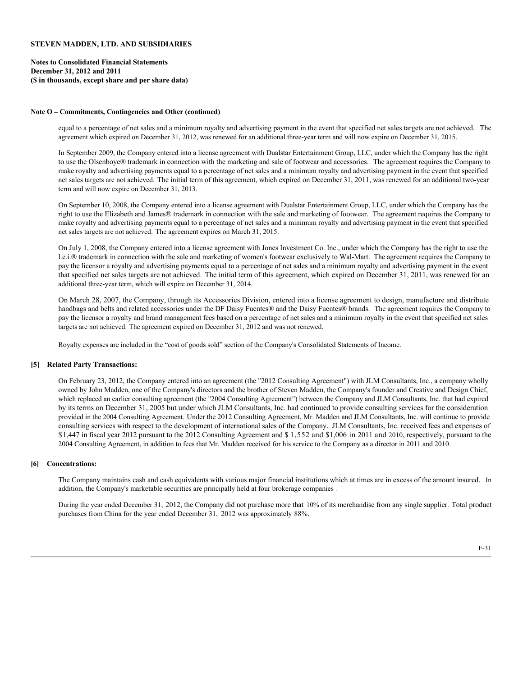**Notes to Consolidated Financial Statements December 31, 2012 and 2011 (\$ in thousands, except share and per share data)**

#### **Note O – Commitments, Contingencies and Other (continued)**

equal to a percentage of net sales and a minimum royalty and advertising payment in the event that specified net sales targets are not achieved. The agreement which expired on December 31, 2012, was renewed for an additional three-year term and will now expire on December 31, 2015.

In September 2009, the Company entered into a license agreement with Dualstar Entertainment Group, LLC, under which the Company has the right to use the Olsenboye® trademark in connection with the marketing and sale of footwear and accessories. The agreement requires the Company to make royalty and advertising payments equal to a percentage of net sales and a minimum royalty and advertising payment in the event that specified net sales targets are not achieved. The initial term of this agreement, which expired on December 31, 2011, was renewed for an additional two-year term and will now expire on December 31, 2013.

On September 10, 2008, the Company entered into a license agreement with Dualstar Entertainment Group, LLC, under which the Company has the right to use the Elizabeth and James® trademark in connection with the sale and marketing of footwear. The agreement requires the Company to make royalty and advertising payments equal to a percentage of net sales and a minimum royalty and advertising payment in the event that specified net sales targets are not achieved. The agreement expires on March 31, 2015.

On July 1, 2008, the Company entered into a license agreement with Jones Investment Co. Inc., under which the Company has the right to use the l.e.i.® trademark in connection with the sale and marketing of women's footwear exclusively to Wal-Mart. The agreement requires the Company to pay the licensor a royalty and advertising payments equal to a percentage of net sales and a minimum royalty and advertising payment in the event that specified net sales targets are not achieved. The initial term of this agreement, which expired on December 31, 2011, was renewed for an additional three-year term, which will expire on December 31, 2014.

On March 28, 2007, the Company, through its Accessories Division, entered into a license agreement to design, manufacture and distribute handbags and belts and related accessories under the DF Daisy Fuentes® and the Daisy Fuentes® brands. The agreement requires the Company to pay the licensor a royalty and brand management fees based on a percentage of net sales and a minimum royalty in the event that specified net sales targets are not achieved. The agreement expired on December 31, 2012 and was not renewed.

Royalty expenses are included in the "cost of goods sold" section of the Company's Consolidated Statements of Income.

## **[5] Related Party Transactions:**

On February 23, 2012, the Company entered into an agreement (the "2012 Consulting Agreement") with JLM Consultants, Inc., a company wholly owned by John Madden, one of the Company's directors and the brother of Steven Madden, the Company's founder and Creative and Design Chief, which replaced an earlier consulting agreement (the "2004 Consulting Agreement") between the Company and JLM Consultants, Inc. that had expired by its terms on December 31, 2005 but under which JLM Consultants, Inc. had continued to provide consulting services for the consideration provided in the 2004 Consulting Agreement. Under the 2012 Consulting Agreement, Mr. Madden and JLM Consultants, Inc. will continue to provide consulting services with respect to the development of international sales of the Company. JLM Consultants, Inc. received fees and expenses of \$1,447 in fiscal year 2012 pursuant to the 2012 Consulting Agreement and \$ 1,552 and \$1,006 in 2011 and 2010, respectively, pursuant to the 2004 Consulting Agreement, in addition to fees that Mr. Madden received for his service to the Company as a director in 2011 and 2010.

#### **[6] Concentrations:**

The Company maintains cash and cash equivalents with various major financial institutions which at times are in excess of the amount insured. In addition, the Company's marketable securities are principally held at four brokerage companies .

During the year ended December 31, 2012, the Company did not purchase more that 10% of its merchandise from any single supplier. Total product purchases from China for the year ended December 31, 2012 was approximately 88%.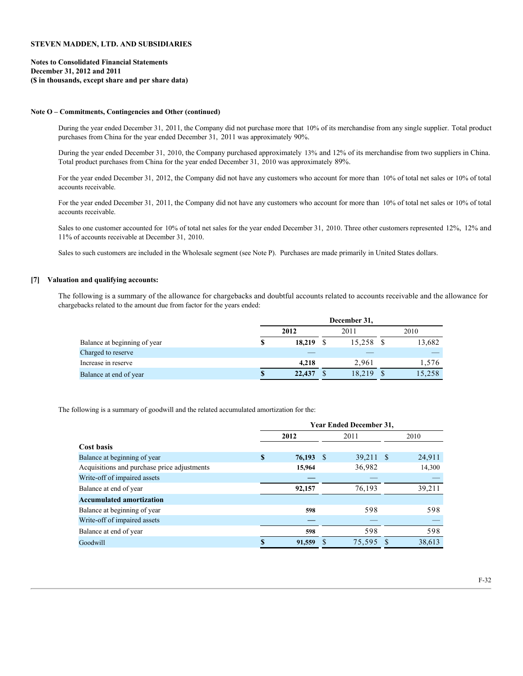**Notes to Consolidated Financial Statements December 31, 2012 and 2011 (\$ in thousands, except share and per share data)**

## **Note O – Commitments, Contingencies and Other (continued)**

During the year ended December 31, 2011, the Company did not purchase more that 10% of its merchandise from any single supplier. Total product purchases from China for the year ended December 31, 2011 was approximately 90%.

During the year ended December 31, 2010, the Company purchased approximately 13% and 12% of its merchandise from two suppliers in China. Total product purchases from China for the year ended December 31, 2010 was approximately 89%.

For the year ended December 31, 2012, the Company did not have any customers who account for more than 10% of total net sales or 10% of total accounts receivable.

For the year ended December 31, 2011, the Company did not have any customers who account for more than 10% of total net sales or 10% of total accounts receivable.

Sales to one customer accounted for 10% of total net sales for the year ended December 31, 2010. Three other customers represented 12%, 12% and 11% of accounts receivable at December 31, 2010.

Sales to such customers are included in the Wholesale segment (see Note P). Purchases are made primarily in United States dollars.

## **[7] Valuation and qualifying accounts:**

The following is a summary of the allowance for chargebacks and doubtful accounts related to accounts receivable and the allowance for chargebacks related to the amount due from factor for the years ended:

|                              |   | December 31. |  |        |      |        |  |  |  |  |  |  |
|------------------------------|---|--------------|--|--------|------|--------|--|--|--|--|--|--|
| Balance at beginning of year |   | 2012         |  | 2011   | 2010 |        |  |  |  |  |  |  |
|                              |   | 18.219       |  | 15.258 |      | 13.682 |  |  |  |  |  |  |
| Charged to reserve           |   |              |  |        |      |        |  |  |  |  |  |  |
| Increase in reserve          |   | 4.218        |  | 2.961  |      | 1.576  |  |  |  |  |  |  |
| Balance at end of year       | S | 22,437       |  | 18.219 |      | 15,258 |  |  |  |  |  |  |

The following is a summary of goodwill and the related accumulated amortization for the:

|                                             | <b>Year Ended December 31,</b> |        |    |        |      |        |  |  |  |  |  |  |
|---------------------------------------------|--------------------------------|--------|----|--------|------|--------|--|--|--|--|--|--|
|                                             |                                | 2012   |    | 2011   | 2010 |        |  |  |  |  |  |  |
| Cost basis                                  |                                |        |    |        |      |        |  |  |  |  |  |  |
| Balance at beginning of year                | \$                             | 76,193 | -S | 39,211 | - \$ | 24,911 |  |  |  |  |  |  |
| Acquisitions and purchase price adjustments |                                | 15,964 |    | 36,982 |      | 14,300 |  |  |  |  |  |  |
| Write-off of impaired assets                |                                |        |    |        |      |        |  |  |  |  |  |  |
| Balance at end of year                      |                                | 92,157 |    | 76,193 |      | 39,211 |  |  |  |  |  |  |
| <b>Accumulated amortization</b>             |                                |        |    |        |      |        |  |  |  |  |  |  |
| Balance at beginning of year                |                                | 598    |    | 598    |      | 598    |  |  |  |  |  |  |
| Write-off of impaired assets                |                                |        |    |        |      |        |  |  |  |  |  |  |
| Balance at end of year                      |                                | 598    |    | 598    |      | 598    |  |  |  |  |  |  |
| Goodwill                                    | S                              | 91,559 |    | 75,595 |      | 38,613 |  |  |  |  |  |  |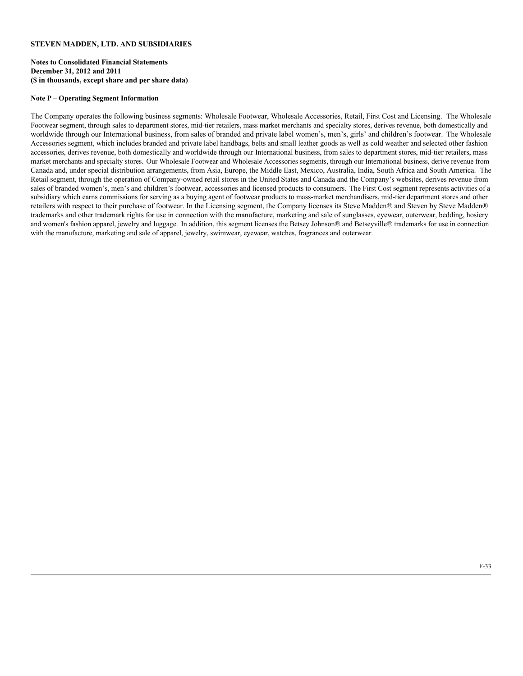## **Notes to Consolidated Financial Statements December 31, 2012 and 2011 (\$ in thousands, except share and per share data)**

## **Note P – Operating Segment Information**

The Company operates the following business segments: Wholesale Footwear, Wholesale Accessories, Retail, First Cost and Licensing. The Wholesale Footwear segment, through sales to department stores, mid-tier retailers, mass market merchants and specialty stores, derives revenue, both domestically and worldwide through our International business, from sales of branded and private label women's, men's, girls' and children's footwear. The Wholesale Accessories segment, which includes branded and private label handbags, belts and small leather goods as well as cold weather and selected other fashion accessories, derives revenue, both domestically and worldwide through our International business, from sales to department stores, mid-tier retailers, mass market merchants and specialty stores. Our Wholesale Footwear and Wholesale Accessories segments, through our International business, derive revenue from Canada and, under special distribution arrangements, from Asia, Europe, the Middle East, Mexico, Australia, India, South Africa and South America. The Retail segment, through the operation of Company-owned retail stores in the United States and Canada and the Company's websites, derives revenue from sales of branded women's, men's and children's footwear, accessories and licensed products to consumers. The First Cost segment represents activities of a subsidiary which earns commissions for serving as a buying agent of footwear products to mass-market merchandisers, mid-tier department stores and other retailers with respect to their purchase of footwear. In the Licensing segment, the Company licenses its Steve Madden® and Steven by Steve Madden® trademarks and other trademark rights for use in connection with the manufacture, marketing and sale of sunglasses, eyewear, outerwear, bedding, hosiery and women's fashion apparel, jewelry and luggage. In addition, this segment licenses the Betsey Johnson® and Betseyville® trademarks for use in connection with the manufacture, marketing and sale of apparel, jewelry, swimwear, eyewear, watches, fragrances and outerwear.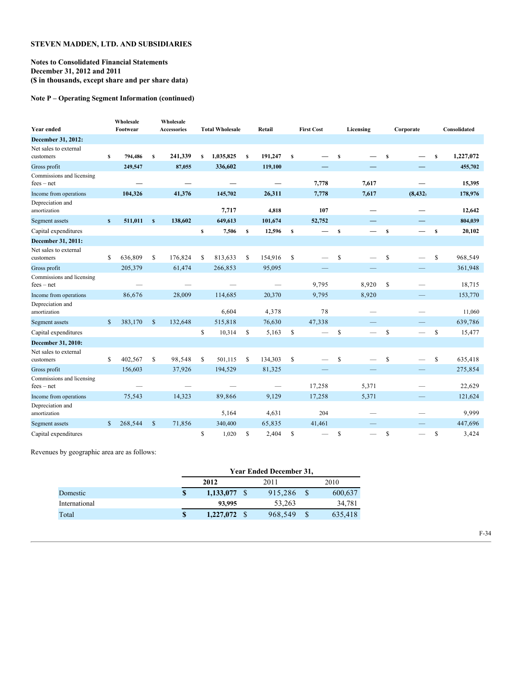## **Notes to Consolidated Financial Statements December 31, 2012 and 2011 (\$ in thousands, except share and per share data)**

**Note P – Operating Segment Information (continued)**

| <b>Year ended</b>                         |              | Wholesale<br>Footwear |              | Wholesale<br><b>Accessories</b> |    | <b>Total Wholesale</b> |    | Retail  |    | <b>First Cost</b> |    | Licensing | Corporate             |    | Consolidated |
|-------------------------------------------|--------------|-----------------------|--------------|---------------------------------|----|------------------------|----|---------|----|-------------------|----|-----------|-----------------------|----|--------------|
| December 31, 2012:                        |              |                       |              |                                 |    |                        |    |         |    |                   |    |           |                       |    |              |
| Net sales to external<br>customers        | s            | 794,486               | s            | 241,339                         | s  | 1,035,825              | s  | 191,247 | S  |                   | s  |           | \$                    | s  | 1,227,072    |
| Gross profit                              |              | 249,547               |              | 87,055                          |    | 336,602                |    | 119,100 |    |                   |    |           |                       |    | 455,702      |
| Commissions and licensing<br>$fees - net$ |              |                       |              |                                 |    |                        |    |         |    | 7,778             |    | 7,617     |                       |    | 15,395       |
| Income from operations                    |              | 104,326               |              | 41,376                          |    | 145,702                |    | 26,311  |    | 7,778             |    | 7,617     | (8, 432)              |    | 178,976      |
| Depreciation and<br>amortization          |              |                       |              |                                 |    | 7,717                  |    | 4,818   |    | 107               |    |           |                       |    | 12,642       |
| Segment assets                            | $\mathbf{s}$ | 511,011               | <sub>S</sub> | 138,602                         |    | 649,613                |    | 101,674 |    | 52,752            |    |           |                       |    | 804,039      |
| Capital expenditures                      |              |                       |              |                                 | s  | 7,506                  | s  | 12,596  | \$ |                   | s  |           | \$                    | s  | 20,102       |
| December 31, 2011:                        |              |                       |              |                                 |    |                        |    |         |    |                   |    |           |                       |    |              |
| Net sales to external<br>customers        | \$           | 636,809               | \$           | 176,824                         | \$ | 813,633                | \$ | 154,916 | \$ |                   | \$ |           | \$                    | \$ | 968,549      |
| Gross profit                              |              | 205,379               |              | 61,474                          |    | 266,853                |    | 95,095  |    |                   |    |           |                       |    | 361,948      |
| Commissions and licensing<br>$fees - net$ |              |                       |              |                                 |    |                        |    |         |    | 9,795             |    | 8,920     | \$                    |    | 18,715       |
| Income from operations                    |              | 86,676                |              | 28,009                          |    | 114,685                |    | 20,370  |    | 9,795             |    | 8,920     |                       |    | 153,770      |
| Depreciation and<br>amortization          |              |                       |              |                                 |    | 6,604                  |    | 4,378   |    | 78                |    |           |                       |    | 11,060       |
| Segment assets                            | $\mathbf{s}$ | 383,170               | $\mathbb{S}$ | 132,648                         |    | 515,818                |    | 76,630  |    | 47,338            |    |           |                       |    | 639,786      |
| Capital expenditures                      |              |                       |              |                                 | \$ | 10,314                 | \$ | 5,163   | \$ |                   | \$ |           | \$<br>$\qquad \qquad$ | \$ | 15,477       |
| December 31, 2010:                        |              |                       |              |                                 |    |                        |    |         |    |                   |    |           |                       |    |              |
| Net sales to external<br>customers        | \$           | 402,567               | \$           | 98,548                          | \$ | 501,115                | \$ | 134,303 | \$ |                   | \$ |           | \$                    | \$ | 635,418      |
| Gross profit                              |              | 156,603               |              | 37,926                          |    | 194,529                |    | 81,325  |    |                   |    |           |                       |    | 275,854      |
| Commissions and licensing<br>$fees - net$ |              |                       |              |                                 |    |                        |    |         |    | 17,258            |    | 5,371     |                       |    | 22,629       |
| Income from operations                    |              | 75,543                |              | 14,323                          |    | 89,866                 |    | 9,129   |    | 17,258            |    | 5,371     |                       |    | 121,624      |
| Depreciation and<br>amortization          |              |                       |              |                                 |    | 5,164                  |    | 4,631   |    | 204               |    |           |                       |    | 9,999        |
| Segment assets                            | $\mathbb{S}$ | 268,544               | \$           | 71,856                          |    | 340,400                |    | 65,835  |    | 41,461            |    |           |                       |    | 447,696      |
| Capital expenditures                      |              |                       |              |                                 | \$ | 1,020                  | \$ | 2.404   | \$ |                   | \$ |           | \$                    | \$ | 3,424        |

Revenues by geographic area are as follows:

|               | <b>Year Ended December 31,</b> |  |         |  |         |  |  |  |  |  |
|---------------|--------------------------------|--|---------|--|---------|--|--|--|--|--|
|               | 2012                           |  | 2011    |  | 2010    |  |  |  |  |  |
| Domestic      | 1,133,077                      |  | 915,286 |  | 600,637 |  |  |  |  |  |
| International | 93,995                         |  | 53.263  |  | 34.781  |  |  |  |  |  |
| Total         | 1,227,072                      |  | 968,549 |  | 635,418 |  |  |  |  |  |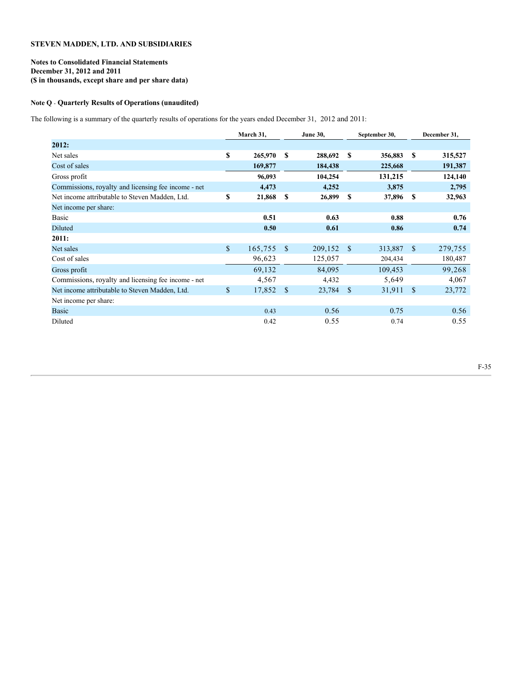**Notes to Consolidated Financial Statements December 31, 2012 and 2011 (\$ in thousands, except share and per share data)**

## **Note Q** - **Quarterly Results of Operations (unaudited)**

The following is a summary of the quarterly results of operations for the years ended December 31, 2012 and 2011:

|                                                     |              | March 31, | <b>June 30,</b> |         |               | September 30, |               | December 31. |
|-----------------------------------------------------|--------------|-----------|-----------------|---------|---------------|---------------|---------------|--------------|
| 2012:                                               |              |           |                 |         |               |               |               |              |
| Net sales                                           | \$           | 265,970   | S               | 288,692 | S             | 356,883       | S             | 315,527      |
| Cost of sales                                       |              | 169,877   |                 | 184,438 |               | 225,668       |               | 191,387      |
| Gross profit                                        |              | 96,093    |                 | 104,254 |               | 131,215       |               | 124,140      |
| Commissions, royalty and licensing fee income - net |              | 4,473     |                 | 4,252   |               | 3,875         |               | 2,795        |
| Net income attributable to Steven Madden, Ltd.      | \$           | 21,868    | <sup>\$</sup>   | 26,899  | \$            | 37,896        | -S            | 32,963       |
| Net income per share:                               |              |           |                 |         |               |               |               |              |
| <b>Basic</b>                                        |              | 0.51      |                 | 0.63    |               | 0.88          |               | 0.76         |
| <b>Diluted</b>                                      |              | 0.50      |                 | 0.61    |               | 0.86          |               | 0.74         |
| 2011:                                               |              |           |                 |         |               |               |               |              |
| Net sales                                           | $\mathbb{S}$ | 165,755   | $\mathcal{S}$   | 209,152 | $\mathcal{S}$ | 313,887       | $\mathcal{S}$ | 279,755      |
| Cost of sales                                       |              | 96,623    |                 | 125,057 |               | 204,434       |               | 180,487      |
| Gross profit                                        |              | 69,132    |                 | 84,095  |               | 109,453       |               | 99,268       |
| Commissions, royalty and licensing fee income - net |              | 4,567     |                 | 4,432   |               | 5,649         |               | 4,067        |
| Net income attributable to Steven Madden, Ltd.      | $\mathbb{S}$ | 17,852    | <sup>\$</sup>   | 23,784  | $\mathbb{S}$  | 31,911        | -S            | 23,772       |
| Net income per share:                               |              |           |                 |         |               |               |               |              |
| <b>Basic</b>                                        |              | 0.43      |                 | 0.56    |               | 0.75          |               | 0.56         |
| Diluted                                             |              | 0.42      |                 | 0.55    |               | 0.74          |               | 0.55         |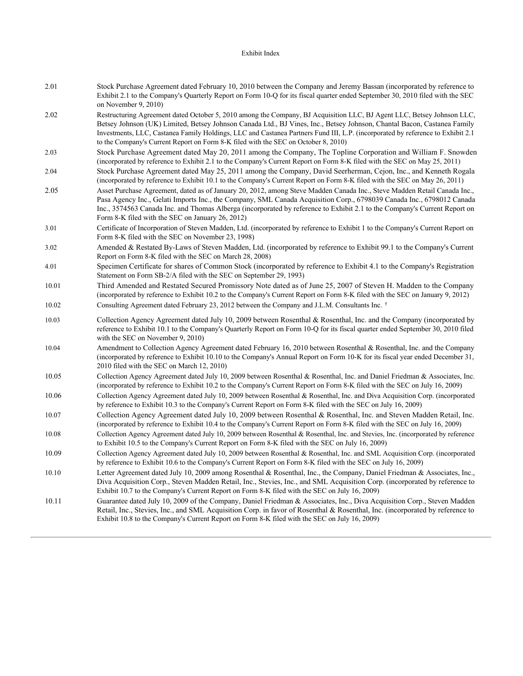#### Exhibit Index

| 2.01 | Stock Purchase Agreement dated February 10, 2010 between the Company and Jeremy Bassan (incorporated by reference to          |
|------|-------------------------------------------------------------------------------------------------------------------------------|
|      | Exhibit 2.1 to the Company's Quarterly Report on Form 10-Q for its fiscal quarter ended September 30, 2010 filed with the SEC |
|      | on November 9, 2010)                                                                                                          |

- 2.02 Restructuring Agreement dated October 5, 2010 among the Company, BJ Acquisition LLC, BJ Agent LLC, Betsey Johnson LLC, Betsey Johnson (UK) Limited, Betsey Johnson Canada Ltd., BJ Vines, Inc., Betsey Johnson, Chantal Bacon, Castanea Family Investments, LLC, Castanea Family Holdings, LLC and Castanea Partners Fund III, L.P. (incorporated by reference to Exhibit 2.1 to the Company's Current Report on Form 8-K filed with the SEC on October 8, 2010)
- 2.03 Stock Purchase Agreement dated May 20, 2011 among the Company, The Topline Corporation and William F. Snowden (incorporated by reference to Exhibit 2.1 to the Company's Current Report on Form 8-K filed with the SEC on May 25, 2011)
- 2.04 Stock Purchase Agreement dated May 25, 2011 among the Company, David Seerherman, Cejon, Inc., and Kenneth Rogala (incorporated by reference to Exhibit 10.1 to the Company's Current Report on Form 8-K filed with the SEC on May 26, 2011)
- 2.05 Asset Purchase Agreement, dated as of January 20, 2012, among Steve Madden Canada Inc., Steve Madden Retail Canada Inc., Pasa Agency Inc., Gelati Imports Inc., the Company, SML Canada Acquisition Corp., 6798039 Canada Inc., 6798012 Canada Inc., 3574563 Canada Inc. and Thomas Alberga (incorporated by reference to Exhibit 2.1 to the Company's Current Report on Form 8-K filed with the SEC on January 26, 2012)
- 3.01 Certificate of Incorporation of Steven Madden, Ltd. (incorporated by reference to Exhibit 1 to the Company's Current Report on Form 8-K filed with the SEC on November 23, 1998)
- 3.02 Amended & Restated By-Laws of Steven Madden, Ltd. (incorporated by reference to Exhibit 99.1 to the Company's Current Report on Form 8-K filed with the SEC on March 28, 2008)
- 4.01 Specimen Certificate for shares of Common Stock (incorporated by reference to Exhibit 4.1 to the Company's Registration Statement on Form SB-2/A filed with the SEC on September 29, 1993)
- 10.01 Third Amended and Restated Secured Promissory Note dated as of June 25, 2007 of Steven H. Madden to the Company (incorporated by reference to Exhibit 10.2 to the Company's Current Report on Form 8-K filed with the SEC on January 9, 2012)
- 10.02 Consulting Agreement dated February 23, 2012 between the Company and J.L.M. Consultants Inc. †
- 10.03 Collection Agency Agreement dated July 10, 2009 between Rosenthal & Rosenthal, Inc. and the Company (incorporated by reference to Exhibit 10.1 to the Company's Quarterly Report on Form 10-Q for its fiscal quarter ended September 30, 2010 filed with the SEC on November 9, 2010)
- 10.04 Amendment to Collection Agency Agreement dated February 16, 2010 between Rosenthal & Rosenthal, Inc. and the Company (incorporated by reference to Exhibit 10.10 to the Company's Annual Report on Form 10-K for its fiscal year ended December 31, 2010 filed with the SEC on March 12, 2010)
- 10.05 Collection Agency Agreement dated July 10, 2009 between Rosenthal & Rosenthal, Inc. and Daniel Friedman & Associates, Inc. (incorporated by reference to Exhibit 10.2 to the Company's Current Report on Form 8-K filed with the SEC on July 16, 2009)
- 10.06 Collection Agency Agreement dated July 10, 2009 between Rosenthal & Rosenthal, Inc. and Diva Acquisition Corp. (incorporated by reference to Exhibit 10.3 to the Company's Current Report on Form 8-K filed with the SEC on July 16, 2009)
- 10.07 Collection Agency Agreement dated July 10, 2009 between Rosenthal & Rosenthal, Inc. and Steven Madden Retail, Inc. (incorporated by reference to Exhibit 10.4 to the Company's Current Report on Form 8-K filed with the SEC on July 16, 2009)
- 10.08 Collection Agency Agreement dated July 10, 2009 between Rosenthal & Rosenthal, Inc. and Stevies, Inc. (incorporated by reference to Exhibit 10.5 to the Company's Current Report on Form 8-K filed with the SEC on July 16, 2009)
- 10.09 Collection Agency Agreement dated July 10, 2009 between Rosenthal & Rosenthal, Inc. and SML Acquisition Corp. (incorporated by reference to Exhibit 10.6 to the Company's Current Report on Form 8-K filed with the SEC on July 16, 2009)
- 10.10 Letter Agreement dated July 10, 2009 among Rosenthal & Rosenthal, Inc., the Company, Daniel Friedman & Associates, Inc., Diva Acquisition Corp., Steven Madden Retail, Inc., Stevies, Inc., and SML Acquisition Corp. (incorporated by reference to Exhibit 10.7 to the Company's Current Report on Form 8-K filed with the SEC on July 16, 2009)
- 10.11 Guarantee dated July 10, 2009 of the Company, Daniel Friedman & Associates, Inc., Diva Acquisition Corp., Steven Madden Retail, Inc., Stevies, Inc., and SML Acquisition Corp. in favor of Rosenthal & Rosenthal, Inc. (incorporated by reference to Exhibit 10.8 to the Company's Current Report on Form 8-K filed with the SEC on July 16, 2009)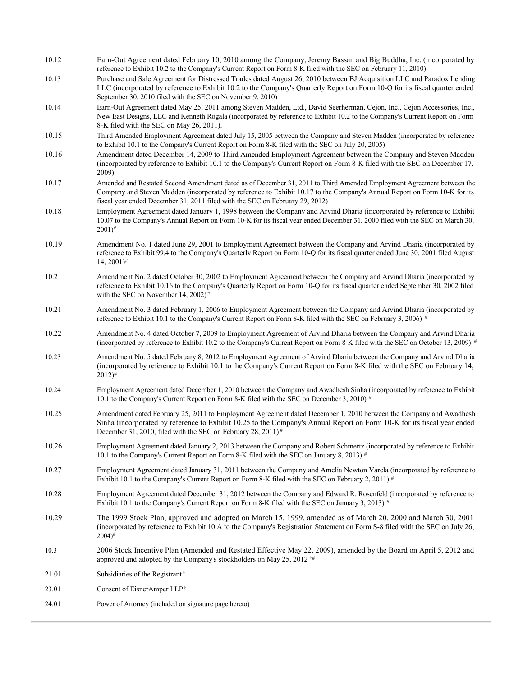- 10.12 Earn-Out Agreement dated February 10, 2010 among the Company, Jeremy Bassan and Big Buddha, Inc. (incorporated by reference to Exhibit 10.2 to the Company's Current Report on Form 8-K filed with the SEC on February 11, 2010)
- 10.13 Purchase and Sale Agreement for Distressed Trades dated August 26, 2010 between BJ Acquisition LLC and Paradox Lending LLC (incorporated by reference to Exhibit 10.2 to the Company's Quarterly Report on Form 10-Q for its fiscal quarter ended September 30, 2010 filed with the SEC on November 9, 2010)
- 10.14 Earn-Out Agreement dated May 25, 2011 among Steven Madden, Ltd., David Seerherman, Cejon, Inc., Cejon Accessories, Inc., New East Designs, LLC and Kenneth Rogala (incorporated by reference to Exhibit 10.2 to the Company's Current Report on Form 8-K filed with the SEC on May 26, 2011).
- 10.15 Third Amended Employment Agreement dated July 15, 2005 between the Company and Steven Madden (incorporated by reference to Exhibit 10.1 to the Company's Current Report on Form 8-K filed with the SEC on July 20, 2005)
- 10.16 Amendment dated December 14, 2009 to Third Amended Employment Agreement between the Company and Steven Madden (incorporated by reference to Exhibit 10.1 to the Company's Current Report on Form 8-K filed with the SEC on December 17, 2009)
- 10.17 Amended and Restated Second Amendment dated as of December 31, 2011 to Third Amended Employment Agreement between the Company and Steven Madden (incorporated by reference to Exhibit 10.17 to the Company's Annual Report on Form 10-K for its fiscal year ended December 31, 2011 filed with the SEC on February 29, 2012)
- 10.18 Employment Agreement dated January 1, 1998 between the Company and Arvind Dharia (incorporated by reference to Exhibit 10.07 to the Company's Annual Report on Form 10-K for its fiscal year ended December 31, 2000 filed with the SEC on March 30,  $2001)$ <sup>#</sup>
- 10.19 Amendment No. 1 dated June 29, 2001 to Employment Agreement between the Company and Arvind Dharia (incorporated by reference to Exhibit 99.4 to the Company's Quarterly Report on Form 10-Q for its fiscal quarter ended June 30, 2001 filed August  $14, 2001$ <sup>#</sup>
- 10.2 Amendment No. 2 dated October 30, 2002 to Employment Agreement between the Company and Arvind Dharia (incorporated by reference to Exhibit 10.16 to the Company's Quarterly Report on Form 10-Q for its fiscal quarter ended September 30, 2002 filed with the SEC on November 14,  $2002$ <sup>#</sup>
- 10.21 Amendment No. 3 dated February 1, 2006 to Employment Agreement between the Company and Arvind Dharia (incorporated by reference to Exhibit 10.1 to the Company's Current Report on Form 8-K filed with the SEC on February 3, 2006) #
- 10.22 Amendment No. 4 dated October 7, 2009 to Employment Agreement of Arvind Dharia between the Company and Arvind Dharia (incorporated by reference to Exhibit 10.2 to the Company's Current Report on Form 8-K filed with the SEC on October 13, 2009) #
- 10.23 Amendment No. 5 dated February 8, 2012 to Employment Agreement of Arvind Dharia between the Company and Arvind Dharia (incorporated by reference to Exhibit 10.1 to the Company's Current Report on Form 8-K filed with the SEC on February 14,  $2012$ <sup>#</sup>
- 10.24 Employment Agreement dated December 1, 2010 between the Company and Awadhesh Sinha (incorporated by reference to Exhibit 10.1 to the Company's Current Report on Form 8-K filed with the SEC on December 3, 2010) #
- 10.25 Amendment dated February 25, 2011 to Employment Agreement dated December 1, 2010 between the Company and Awadhesh Sinha (incorporated by reference to Exhibit 10.25 to the Company's Annual Report on Form 10-K for its fiscal year ended December 31, 2010, filed with the SEC on February 28, 2011)<sup>#</sup>
- 10.26 Employment Agreement dated January 2, 2013 between the Company and Robert Schmertz (incorporated by reference to Exhibit 10.1 to the Company's Current Report on Form 8-K filed with the SEC on January 8, 2013) #
- 10.27 Employment Agreement dated January 31, 2011 between the Company and Amelia Newton Varela (incorporated by reference to Exhibit 10.1 to the Company's Current Report on Form 8-K filed with the SEC on February 2, 2011)<sup>#</sup>
- 10.28 Employment Agreement dated December 31, 2012 between the Company and Edward R. Rosenfeld (incorporated by reference to Exhibit 10.1 to the Company's Current Report on Form 8-K filed with the SEC on January 3, 2013)  $#$
- 10.29 The 1999 Stock Plan, approved and adopted on March 15, 1999, amended as of March 20, 2000 and March 30, 2001 (incorporated by reference to Exhibit 10.A to the Company's Registration Statement on Form S-8 filed with the SEC on July 26,  $2004$ <sup>#</sup>
- 10.3 2006 Stock Incentive Plan (Amended and Restated Effective May 22, 2009), amended by the Board on April 5, 2012 and approved and adopted by the Company's stockholders on May 25, 2012 <sup>†#</sup>
- 21.01 Subsidiaries of the Registrant †
- 23.01 Consent of EisnerAmper LLP†
- 24.01 Power of Attorney (included on signature page hereto)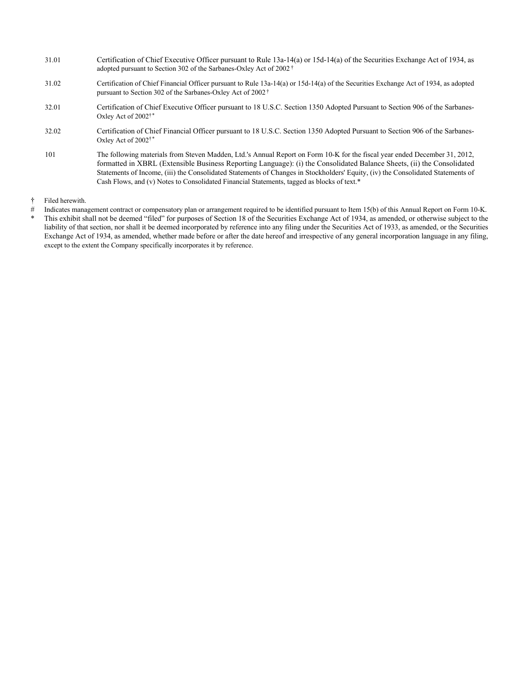- 31.01 Certification of Chief Executive Officer pursuant to Rule 13a-14(a) or 15d-14(a) of the Securities Exchange Act of 1934, as adopted pursuant to Section 302 of the Sarbanes-Oxley Act of 2002 †
- 31.02 Certification of Chief Financial Officer pursuant to Rule 13a-14(a) or 15d-14(a) of the Securities Exchange Act of 1934, as adopted pursuant to Section 302 of the Sarbanes-Oxley Act of 2002 †
- 32.01 Certification of Chief Executive Officer pursuant to 18 U.S.C. Section 1350 Adopted Pursuant to Section 906 of the Sarbanes-Oxley Act of 2002† \*
- 32.02 Certification of Chief Financial Officer pursuant to 18 U.S.C. Section 1350 Adopted Pursuant to Section 906 of the Sarbanes-Oxley Act of 2002† \*
- 101 The following materials from Steven Madden, Ltd.'s Annual Report on Form 10-K for the fiscal year ended December 31, 2012, formatted in XBRL (Extensible Business Reporting Language): (i) the Consolidated Balance Sheets, (ii) the Consolidated Statements of Income, (iii) the Consolidated Statements of Changes in Stockholders' Equity, (iv) the Consolidated Statements of Cash Flows, and (v) Notes to Consolidated Financial Statements, tagged as blocks of text.\*
- † Filed herewith.
- # Indicates management contract or compensatory plan or arrangement required to be identified pursuant to Item 15(b) of this Annual Report on Form 10-K. \* This exhibit shall not be deemed "filed" for purposes of Section 18 of the Securities Exchange Act of 1934, as amended, or otherwise subject to the liability of that section, nor shall it be deemed incorporated by reference into any filing under the Securities Act of 1933, as amended, or the Securities Exchange Act of 1934, as amended, whether made before or after the date hereof and irrespective of any general incorporation language in any filing, except to the extent the Company specifically incorporates it by reference.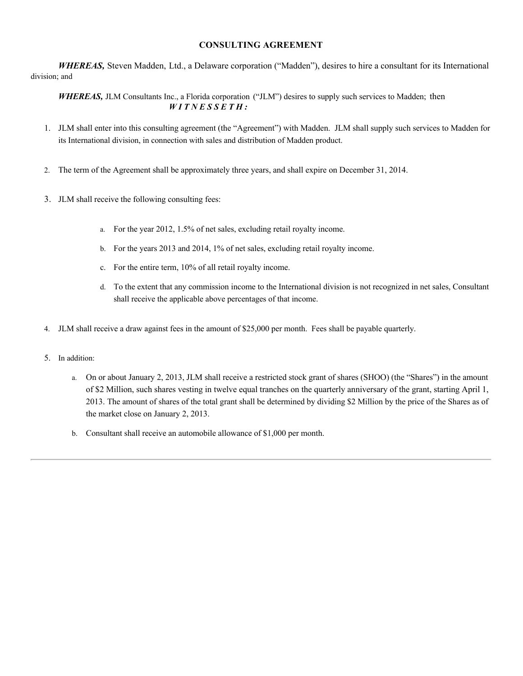# **CONSULTING AGREEMENT**

*WHEREAS,* Steven Madden, Ltd., a Delaware corporation ("Madden"), desires to hire a consultant for its International division; and

*WHEREAS,* JLM Consultants Inc., a Florida corporation ("JLM") desires to supply such services to Madden; then *W I T N E S S E T H :*

- 1. JLM shall enter into this consulting agreement (the "Agreement") with Madden. JLM shall supply such services to Madden for its International division, in connection with sales and distribution of Madden product.
- 2. The term of the Agreement shall be approximately three years, and shall expire on December 31, 2014.
- 3. JLM shall receive the following consulting fees:
	- a. For the year 2012, 1.5% of net sales, excluding retail royalty income.
	- b. For the years 2013 and 2014, 1% of net sales, excluding retail royalty income.
	- c. For the entire term, 10% of all retail royalty income.
	- d. To the extent that any commission income to the International division is not recognized in net sales, Consultant shall receive the applicable above percentages of that income.
- 4. JLM shall receive a draw against fees in the amount of \$25,000 per month. Fees shall be payable quarterly.
- 5. In addition:
	- a. On or about January 2, 2013, JLM shall receive a restricted stock grant of shares (SHOO) (the "Shares") in the amount of \$2 Million, such shares vesting in twelve equal tranches on the quarterly anniversary of the grant, starting April 1, 2013. The amount of shares of the total grant shall be determined by dividing \$2 Million by the price of the Shares as of the market close on January 2, 2013.
	- b. Consultant shall receive an automobile allowance of \$1,000 per month.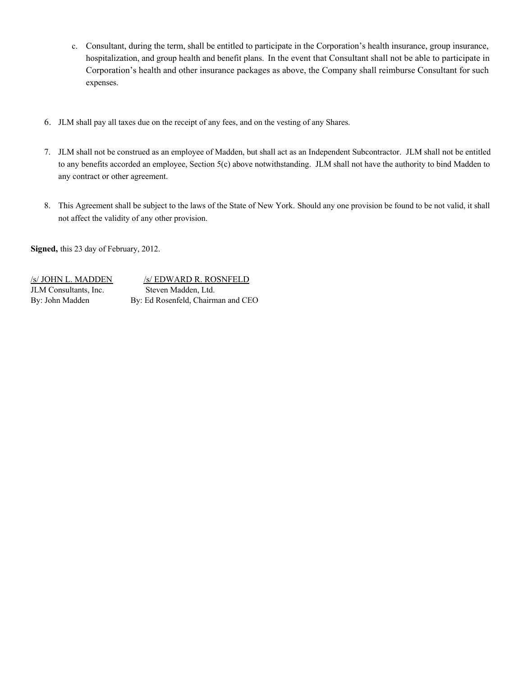- c. Consultant, during the term, shall be entitled to participate in the Corporation's health insurance, group insurance, hospitalization, and group health and benefit plans. In the event that Consultant shall not be able to participate in Corporation's health and other insurance packages as above, the Company shall reimburse Consultant for such expenses.
- 6. JLM shall pay all taxes due on the receipt of any fees, and on the vesting of any Shares.
- 7. JLM shall not be construed as an employee of Madden, but shall act as an Independent Subcontractor. JLM shall not be entitled to any benefits accorded an employee, Section 5(c) above notwithstanding. JLM shall not have the authority to bind Madden to any contract or other agreement.
- 8. This Agreement shall be subject to the laws of the State of New York. Should any one provision be found to be not valid, it shall not affect the validity of any other provision.

**Signed,** this 23 day of February, 2012.

JLM Consultants, Inc. Steven Madden, Ltd.

/s/ JOHN L. MADDEN /s/ EDWARD R. ROSNFELD By: John Madden By: Ed Rosenfeld, Chairman and CEO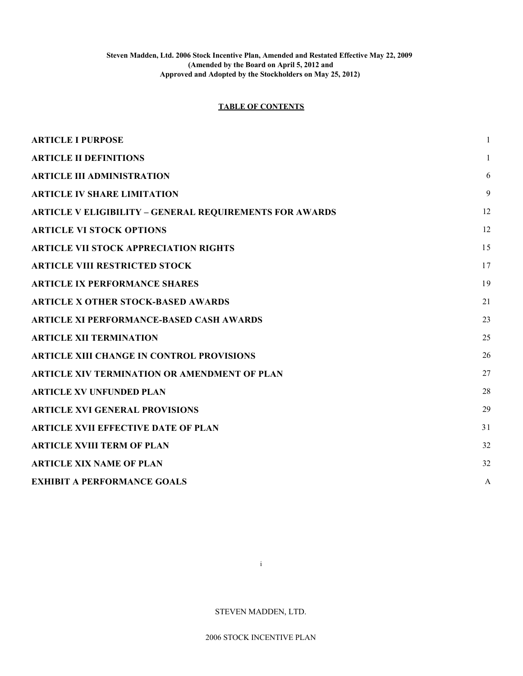# **TABLE OF CONTENTS**

| <b>ARTICLE I PURPOSE</b>                                       | $\mathbf{1}$ |
|----------------------------------------------------------------|--------------|
| <b>ARTICLE II DEFINITIONS</b>                                  | $\mathbf{1}$ |
| <b>ARTICLE III ADMINISTRATION</b>                              | 6            |
| <b>ARTICLE IV SHARE LIMITATION</b>                             | 9            |
| <b>ARTICLE V ELIGIBILITY - GENERAL REQUIREMENTS FOR AWARDS</b> | 12           |
| <b>ARTICLE VI STOCK OPTIONS</b>                                | 12           |
| <b>ARTICLE VII STOCK APPRECIATION RIGHTS</b>                   | 15           |
| <b>ARTICLE VIII RESTRICTED STOCK</b>                           | 17           |
| <b>ARTICLE IX PERFORMANCE SHARES</b>                           | 19           |
| <b>ARTICLE X OTHER STOCK-BASED AWARDS</b>                      | 21           |
| <b>ARTICLE XI PERFORMANCE-BASED CASH AWARDS</b>                | 23           |
| <b>ARTICLE XII TERMINATION</b>                                 | 25           |
| <b>ARTICLE XIII CHANGE IN CONTROL PROVISIONS</b>               | 26           |
| <b>ARTICLE XIV TERMINATION OR AMENDMENT OF PLAN</b>            | 27           |
| <b>ARTICLE XV UNFUNDED PLAN</b>                                | 28           |
| <b>ARTICLE XVI GENERAL PROVISIONS</b>                          | 29           |
| <b>ARTICLE XVII EFFECTIVE DATE OF PLAN</b>                     | 31           |
| <b>ARTICLE XVIII TERM OF PLAN</b>                              | 32           |
| <b>ARTICLE XIX NAME OF PLAN</b>                                | 32           |
| <b>EXHIBIT A PERFORMANCE GOALS</b>                             | A            |
|                                                                |              |

STEVEN MADDEN, LTD.

i

2006 STOCK INCENTIVE PLAN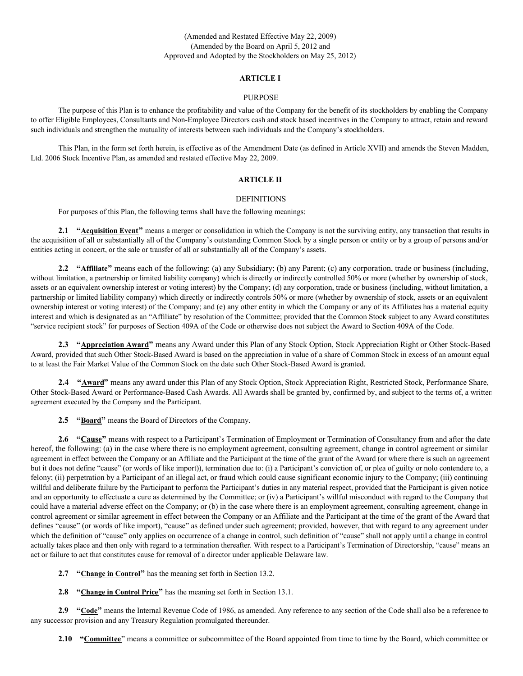(Amended and Restated Effective May 22, 2009) (Amended by the Board on April 5, 2012 and Approved and Adopted by the Stockholders on May 25, 2012)

# **ARTICLE I**

#### PURPOSE

The purpose of this Plan is to enhance the profitability and value of the Company for the benefit of its stockholders by enabling the Company to offer Eligible Employees, Consultants and Non-Employee Directors cash and stock based incentives in the Company to attract, retain and reward such individuals and strengthen the mutuality of interests between such individuals and the Company's stockholders.

This Plan, in the form set forth herein, is effective as of the Amendment Date (as defined in Article XVII) and amends the Steven Madden, Ltd. 2006 Stock Incentive Plan, as amended and restated effective May 22, 2009.

#### **ARTICLE II**

## **DEFINITIONS**

For purposes of this Plan, the following terms shall have the following meanings:

**2.1 "Acquisition Event"** means a merger or consolidation in which the Company is not the surviving entity, any transaction that results in the acquisition of all or substantially all of the Company's outstanding Common Stock by a single person or entity or by a group of persons and/or entities acting in concert, or the sale or transfer of all or substantially all of the Company's assets.

**2.2 "Affiliate"** means each of the following: (a) any Subsidiary; (b) any Parent; (c) any corporation, trade or business (including, without limitation, a partnership or limited liability company) which is directly or indirectly controlled 50% or more (whether by ownership of stock, assets or an equivalent ownership interest or voting interest) by the Company; (d) any corporation, trade or business (including, without limitation, a partnership or limited liability company) which directly or indirectly controls 50% or more (whether by ownership of stock, assets or an equivalent ownership interest or voting interest) of the Company; and (e) any other entity in which the Company or any of its Affiliates has a material equity interest and which is designated as an "Affiliate" by resolution of the Committee; provided that the Common Stock subject to any Award constitutes "service recipient stock" for purposes of Section 409A of the Code or otherwise does not subject the Award to Section 409A of the Code.

**2.3 "Appreciation Award"** means any Award under this Plan of any Stock Option, Stock Appreciation Right or Other Stock-Based Award, provided that such Other Stock-Based Award is based on the appreciation in value of a share of Common Stock in excess of an amount equal to at least the Fair Market Value of the Common Stock on the date such Other Stock-Based Award is granted.

**2.4 "Award"** means any award under this Plan of any Stock Option, Stock Appreciation Right, Restricted Stock, Performance Share, Other Stock-Based Award or Performance-Based Cash Awards. All Awards shall be granted by, confirmed by, and subject to the terms of, a written agreement executed by the Company and the Participant.

**2.5 "Board"** means the Board of Directors of the Company.

**2.6 "Cause"** means with respect to a Participant's Termination of Employment or Termination of Consultancy from and after the date hereof, the following: (a) in the case where there is no employment agreement, consulting agreement, change in control agreement or similar agreement in effect between the Company or an Affiliate and the Participant at the time of the grant of the Award (or where there is such an agreement but it does not define "cause" (or words of like import)), termination due to: (i) a Participant's conviction of, or plea of guilty or nolo contendere to, a felony; (ii) perpetration by a Participant of an illegal act, or fraud which could cause significant economic injury to the Company; (iii) continuing willful and deliberate failure by the Participant to perform the Participant's duties in any material respect, provided that the Participant is given notice and an opportunity to effectuate a cure as determined by the Committee; or (iv) a Participant's willful misconduct with regard to the Company that could have a material adverse effect on the Company; or (b) in the case where there is an employment agreement, consulting agreement, change in control agreement or similar agreement in effect between the Company or an Affiliate and the Participant at the time of the grant of the Award that defines "cause" (or words of like import), "cause" as defined under such agreement; provided, however, that with regard to any agreement under which the definition of "cause" only applies on occurrence of a change in control, such definition of "cause" shall not apply until a change in control actually takes place and then only with regard to a termination thereafter. With respect to a Participant's Termination of Directorship, "cause" means an act or failure to act that constitutes cause for removal of a director under applicable Delaware law.

**2.7 "Change in Control"** has the meaning set forth in Section 13.2.

**2.8 "Change in Control Price"** has the meaning set forth in Section 13.1.

**2.9 "Code"** means the Internal Revenue Code of 1986, as amended. Any reference to any section of the Code shall also be a reference to any successor provision and any Treasury Regulation promulgated thereunder.

**2.10 "Committee**" means a committee or subcommittee of the Board appointed from time to time by the Board, which committee or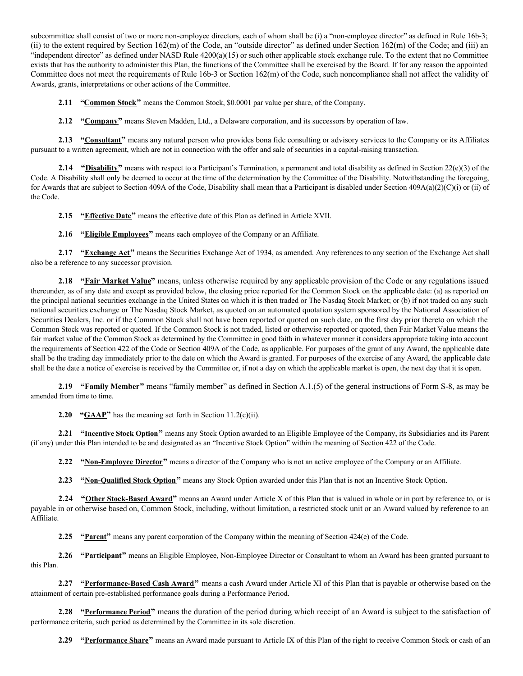subcommittee shall consist of two or more non-employee directors, each of whom shall be (i) a "non-employee director" as defined in Rule 16b-3; (ii) to the extent required by Section 162(m) of the Code, an "outside director" as defined under Section 162(m) of the Code; and (iii) an "independent director" as defined under NASD Rule 4200(a)(15) or such other applicable stock exchange rule. To the extent that no Committee exists that has the authority to administer this Plan, the functions of the Committee shall be exercised by the Board. If for any reason the appointed Committee does not meet the requirements of Rule 16b-3 or Section 162(m) of the Code, such noncompliance shall not affect the validity of [Awards, grants, interpretations or other actions of the Committee.](#page-3-0)

**[2.11 "](#page-3-0)Common Stock"** means the Common Stock, \$0.0001 par value per share, of the Company.

**2.12 "[Compan](#page-11-0)y"** [means Steven Mad](#page-16-0)den, Ltd., a Delaware corporation, and its successors by operation of law.

**[2.13 "](#page-16-0)Consultant"** means any natural person who provides bona fide consulting or advisory services to the Compa[ny](#page-16-0)or its Affiliates [pursuant to a written agreement, w](#page-17-0)hich are not in connection with the offer and sale of securities in a capital-raising transaction.

**2.14** "Disability" means with respect to a Participant's Termination, a permanent and total disability as defined in Section 22(e)(3) of the Code. A Disability shall only be deemed to occur at the time of the determination by the Committee of the Disability. Notwithstanding the foregoing, for Awa[rds that are subject to Section 409A of the Code, Disability shall mean that a](#page-18-0) Participant is disabled under Section 409A([a\)\(2](#page-18-0))(C)(i) or (ii) of [the Code.](#page-20-0)

**2.15 "Effective Date"** [means the effecti](#page-21-0)ve date of this Plan as defined in Article XVII.

**2.16 "Eligible Employees"** [means each employee of the Company or an Affiliate](#page-31-0).

2.17 "[Exc](#page-31-0)hange Act" means the Securities Exchange Act of 1934, as amended. Any references to any section of the Exchange Act shall also be a refere[nce to any successor provision.](#page-31-0)

**2.18 "[Fair Market Va](#page-32-0)lue"** means, unless otherwise required by any applicable provision of the Code or any r[eg](#page-32-0)ulations issued thereunder, as of any date and except as provided below, the closing price reported for the Common Stock on the applicable date: (a) as reported on [the principal national securities exchange in the United States on which it is then traded](#page-32-0) or The Nasdaq Stock Market; or (b) if not [tra](#page-32-0)ded on any such [national securities exchange or The Nasda](#page-32-0)q Stock Market, as quoted on an automated quotation system sponsored by the Natio[na](#page-32-0)l Association of Securities Dealers, Inc. or if the Common Stock shall not have been reported or quoted on such date, on the first day prior thereto on which the Common Stoc[k was reported or quoted. If the Common Stock is not traded, liste](#page-32-0)d or otherwise reported or quoted, then Fair Mark[et V](#page-32-0)alue means the fair market value of the Common Stock as determined by the Committee in good faith in whatever manner it considers appropriate taking into account the requiremen[ts of Section 422 of the Code o](#page-32-0)r Section 409A of the Code, as applicable. For purposes of the grant of any Award, [the](#page-32-0) applicable date shall be the trading day immediately prior to the date on which the Award is granted. For purposes of the exercise of any Award, the applicable date [shall be the date a notice of exercise is received by the Commit](#page-32-0)tee or, if not a day on which the applicable market is open, the next d[ay t](#page-32-0)hat it is open.

**2.19 "Family Member"** [means "family member" as de](#page-33-0)fined in Section A.1.(5) of the general instructions of Fo[rm](#page-33-0) S-8, as may be amended from time to time.

**2.20 "GAAP"** has the meaning set forth in Section 11.2(c)(ii).

**2.21 "Incentive Stock Option"** means any Stock Option awarded to an Eligible Employee of the Company, its Subsidiaries and its Parent (if any) under this Plan intended to be and designated as an "Incentive Stock Option" within the meaning of Section 422 of the Code.

**2.22 "Non-Employee Director"** means a director of the Company who is not an active employee of the Company or an Affiliate.

**2.23 "Non-Qualified Stock Option"** means any Stock Option awarded under this Plan that is not an Incentive Stock Option.

**2.24 "Other Stock-Based Award"** means an Award under Article X of this Plan that is valued in whole or in part by reference to, or is payable in or otherwise based on, Common Stock, including, without limitation, a restricted stock unit or an Award valued by reference to an Affiliate.

**2.25 "Parent"** means any parent corporation of the Company within the meaning of Section 424(e) of the Code.

**2.26 "Participant"** means an Eligible Employee, Non-Employee Director or Consultant to whom an Award has been granted pursuant to this Plan.

**2.27 "Performance-Based Cash Award"** means a cash Award under Article XI of this Plan that is payable or otherwise based on the attainment of certain pre-established performance goals during a Performance Period.

**2.28 "Performance Period"** means the duration of the period during which receipt of an Award is subject to the satisfaction of performance criteria, such period as determined by the Committee in its sole discretion.

**2.29 "Performance Share"** means an Award made pursuant to Article IX of this Plan of the right to receive Common Stock or cash of an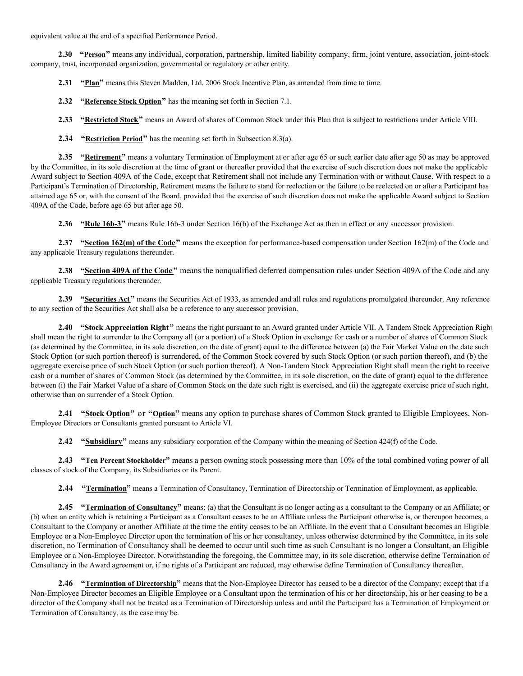equivalent value at the end of a specified Performance Period.

**2.30 "Person"** means any individual, corporation, partnership, limited liability company, firm, joint venture, association, joint-stock company, trust, incorporated organization, governmental or regulatory or other entity.

**2.31 "Plan"** means this Steven Madden, Ltd. 2006 Stock Incentive Plan, as amended from time to time.

**2.32 "Reference Stock Option"** has the meaning set forth in Section 7.1.

**2.33 "Restricted Stock"** means an Award of shares of Common Stock under this Plan that is subject to restrictions under Article VIII.

**2.34 "Restriction Period"** has the meaning set forth in Subsection 8.3(a).

**2.35 "Retirement"** means a voluntary Termination of Employment at or after age 65 or such earlier date after age 50 as may be approved by the Committee, in its sole discretion at the time of grant or thereafter provided that the exercise of such discretion does not make the applicable Award subject to Section 409A of the Code, except that Retirement shall not include any Termination with or without Cause. With respect to a Participant's Termination of Directorship, Retirement means the failure to stand for reelection or the failure to be reelected on or after a Participant has attained age 65 or, with the consent of the Board, provided that the exercise of such discretion does not make the applicable Award subject to Section 409A of the Code, before age 65 but after age 50.

**2.36 "Rule 16b-3"** means Rule 16b-3 under Section 16(b) of the Exchange Act as then in effect or any successor provision.

**2.37 "Section 162(m) of the Code"** means the exception for performance-based compensation under Section 162(m) of the Code and any applicable Treasury regulations thereunder.

**2.38 "Section 409A of the Code"** means the nonqualified deferred compensation rules under Section 409A of the Code and any applicable Treasury regulations thereunder.

**2.39 "Securities Act"** means the Securities Act of 1933, as amended and all rules and regulations promulgated thereunder. Any reference to any section of the Securities Act shall also be a reference to any successor provision.

**2.40 "Stock Appreciation Right"** means the right pursuant to an Award granted under Article VII. A Tandem Stock Appreciation Right shall mean the right to surrender to the Company all (or a portion) of a Stock Option in exchange for cash or a number of shares of Common Stock (as determined by the Committee, in its sole discretion, on the date of grant) equal to the difference between (a) the Fair Market Value on the date such Stock Option (or such portion thereof) is surrendered, of the Common Stock covered by such Stock Option (or such portion thereof), and (b) the aggregate exercise price of such Stock Option (or such portion thereof). A Non-Tandem Stock Appreciation Right shall mean the right to receive cash or a number of shares of Common Stock (as determined by the Committee, in its sole discretion, on the date of grant) equal to the difference between (i) the Fair Market Value of a share of Common Stock on the date such right is exercised, and (ii) the aggregate exercise price of such right, otherwise than on surrender of a Stock Option.

**2.41 "Stock Option"** or **"Option"** means any option to purchase shares of Common Stock granted to Eligible Employees, Non-Employee Directors or Consultants granted pursuant to Article VI.

**2.42 "Subsidiary"** means any subsidiary corporation of the Company within the meaning of Section 424(f) of the Code.

**2.43 "Ten Percent Stockholder"** means a person owning stock possessing more than 10% of the total combined voting power of all classes of stock of the Company, its Subsidiaries or its Parent.

**2.44 "Termination"** means a Termination of Consultancy, Termination of Directorship or Termination of Employment, as applicable.

**2.45** "**Termination of Consultancy**" means: (a) that the Consultant is no longer acting as a consultant to the Company or an Affiliate; or (b) when an entity which is retaining a Participant as a Consultant ceases to be an Affiliate unless the Participant otherwise is, or thereupon becomes, a Consultant to the Company or another Affiliate at the time the entity ceases to be an Affiliate. In the event that a Consultant becomes an Eligible Employee or a Non-Employee Director upon the termination of his or her consultancy, unless otherwise determined by the Committee, in its sole discretion, no Termination of Consultancy shall be deemed to occur until such time as such Consultant is no longer a Consultant, an Eligible Employee or a Non-Employee Director. Notwithstanding the foregoing, the Committee may, in its sole discretion, otherwise define Termination of Consultancy in the Award agreement or, if no rights of a Participant are reduced, may otherwise define Termination of Consultancy thereafter.

**2.46 "Termination of Directorship"** means that the Non-Employee Director has ceased to be a director of the Company; except that if a Non-Employee Director becomes an Eligible Employee or a Consultant upon the termination of his or her directorship, his or her ceasing to be a director of the Company shall not be treated as a Termination of Directorship unless and until the Participant has a Termination of Employment or Termination of Consultancy, as the case may be.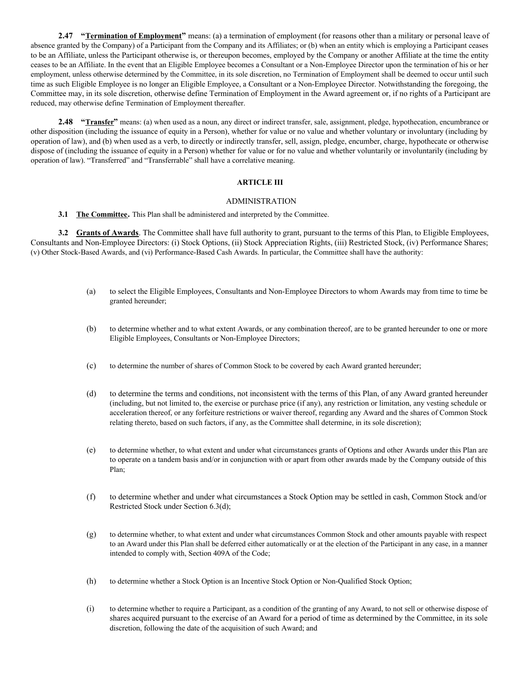**2.47 "Termination of Employment"** means: (a) a termination of employment (for reasons other than a military or personal leave of absence granted by the Company) of a Participant from the Company and its Affiliates; or (b) when an entity which is employing a Participant ceases to be an Affiliate, unless the Participant otherwise is, or thereupon becomes, employed by the Company or another Affiliate at the time the entity ceases to be an Affiliate. In the event that an Eligible Employee becomes a Consultant or a Non-Employee Director upon the termination of his or her employment, unless otherwise determined by the Committee, in its sole discretion, no Termination of Employment shall be deemed to occur until such time as such Eligible Employee is no longer an Eligible Employee, a Consultant or a Non-Employee Director. Notwithstanding the foregoing, the Committee may, in its sole discretion, otherwise define Termination of Employment in the Award agreement or, if no rights of a Participant are reduced, may otherwise define Termination of Employment thereafter.

**2.48** "**Transfer**" means: (a) when used as a noun, any direct or indirect transfer, sale, assignment, pledge, hypothecation, encumbrance or other disposition (including the issuance of equity in a Person), whether for value or no value and whether voluntary or involuntary (including by operation of law), and (b) when used as a verb, to directly or indirectly transfer, sell, assign, pledge, encumber, charge, hypothecate or otherwise dispose of (including the issuance of equity in a Person) whether for value or for no value and whether voluntarily or involuntarily (including by operation of law). "Transferred" and "Transferrable" shall have a correlative meaning.

## **ARTICLE III**

# ADMINISTRATION

**3.1 The Committee.** This Plan shall be administered and interpreted by the Committee.

**3.2 Grants of Awards**. The Committee shall have full authority to grant, pursuant to the terms of this Plan, to Eligible Employees, Consultants and Non-Employee Directors: (i) Stock Options, (ii) Stock Appreciation Rights, (iii) Restricted Stock, (iv) Performance Shares; (v) Other Stock-Based Awards, and (vi) Performance-Based Cash Awards. In particular, the Committee shall have the authority:

- (a) to select the Eligible Employees, Consultants and Non-Employee Directors to whom Awards may from time to time be granted hereunder;
- (b) to determine whether and to what extent Awards, or any combination thereof, are to be granted hereunder to one or more Eligible Employees, Consultants or Non-Employee Directors;
- (c) to determine the number of shares of Common Stock to be covered by each Award granted hereunder;
- (d) to determine the terms and conditions, not inconsistent with the terms of this Plan, of any Award granted hereunder (including, but not limited to, the exercise or purchase price (if any), any restriction or limitation, any vesting schedule or acceleration thereof, or any forfeiture restrictions or waiver thereof, regarding any Award and the shares of Common Stock relating thereto, based on such factors, if any, as the Committee shall determine, in its sole discretion);
- (e) to determine whether, to what extent and under what circumstances grants of Options and other Awards under this Plan are to operate on a tandem basis and/or in conjunction with or apart from other awards made by the Company outside of this Plan;
- (f) to determine whether and under what circumstances a Stock Option may be settled in cash, Common Stock and/or Restricted Stock under Section 6.3(d);
- (g) to determine whether, to what extent and under what circumstances Common Stock and other amounts payable with respect to an Award under this Plan shall be deferred either automatically or at the election of the Participant in any case, in a manner intended to comply with, Section 409A of the Code;
- (h) to determine whether a Stock Option is an Incentive Stock Option or Non-Qualified Stock Option;
- (i) to determine whether to require a Participant, as a condition of the granting of any Award, to not sell or otherwise dispose of shares acquired pursuant to the exercise of an Award for a period of time as determined by the Committee, in its sole discretion, following the date of the acquisition of such Award; and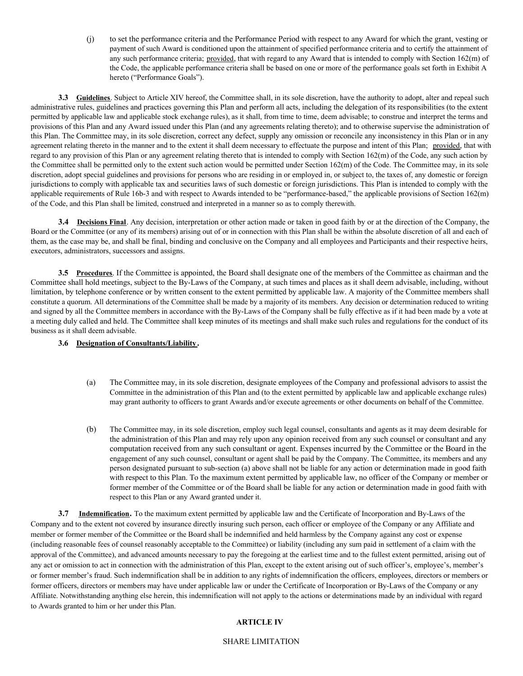(j) to set the performance criteria and the Performance Period with respect to any Award for which the grant, vesting or payment of such Award is conditioned upon the attainment of specified performance criteria and to certify the attainment of any such performance criteria; provided, that with regard to any Award that is intended to comply with Section 162(m) of the Code, the applicable performance criteria shall be based on one or more of the performance goals set forth in Exhibit A hereto ("Performance Goals").

**3.3 Guidelines**. Subject to Article XIV hereof, the Committee shall, in its sole discretion, have the authority to adopt, alter and repeal such administrative rules, guidelines and practices governing this Plan and perform all acts, including the delegation of its responsibilities (to the extent permitted by applicable law and applicable stock exchange rules), as it shall, from time to time, deem advisable; to construe and interpret the terms and provisions of this Plan and any Award issued under this Plan (and any agreements relating thereto); and to otherwise supervise the administration of this Plan. The Committee may, in its sole discretion, correct any defect, supply any omission or reconcile any inconsistency in this Plan or in any agreement relating thereto in the manner and to the extent it shall deem necessary to effectuate the purpose and intent of this Plan; provided, that with regard to any provision of this Plan or any agreement relating thereto that is intended to comply with Section 162(m) of the Code, any such action by the Committee shall be permitted only to the extent such action would be permitted under Section 162(m) of the Code. The Committee may, in its sole discretion, adopt special guidelines and provisions for persons who are residing in or employed in, or subject to, the taxes of, any domestic or foreign jurisdictions to comply with applicable tax and securities laws of such domestic or foreign jurisdictions. This Plan is intended to comply with the applicable requirements of Rule 16b-3 and with respect to Awards intended to be "performance-based," the applicable provisions of Section 162(m) of the Code, and this Plan shall be limited, construed and interpreted in a manner so as to comply therewith.

**3.4 Decisions Final**. Any decision, interpretation or other action made or taken in good faith by or at the direction of the Company, the Board or the Committee (or any of its members) arising out of or in connection with this Plan shall be within the absolute discretion of all and each of them, as the case may be, and shall be final, binding and conclusive on the Company and all employees and Participants and their respective heirs, executors, administrators, successors and assigns.

**3.5 Procedures**. If the Committee is appointed, the Board shall designate one of the members of the Committee as chairman and the Committee shall hold meetings, subject to the By-Laws of the Company, at such times and places as it shall deem advisable, including, without limitation, by telephone conference or by written consent to the extent permitted by applicable law. A majority of the Committee members shall constitute a quorum. All determinations of the Committee shall be made by a majority of its members. Any decision or determination reduced to writing and signed by all the Committee members in accordance with the By-Laws of the Company shall be fully effective as if it had been made by a vote at a meeting duly called and held. The Committee shall keep minutes of its meetings and shall make such rules and regulations for the conduct of its business as it shall deem advisable.

# **3.6 Designation of Consultants/Liability.**

- (a) The Committee may, in its sole discretion, designate employees of the Company and professional advisors to assist the Committee in the administration of this Plan and (to the extent permitted by applicable law and applicable exchange rules) may grant authority to officers to grant Awards and/or execute agreements or other documents on behalf of the Committee.
- (b) The Committee may, in its sole discretion, employ such legal counsel, consultants and agents as it may deem desirable for the administration of this Plan and may rely upon any opinion received from any such counsel or consultant and any computation received from any such consultant or agent. Expenses incurred by the Committee or the Board in the engagement of any such counsel, consultant or agent shall be paid by the Company. The Committee, its members and any person designated pursuant to sub-section (a) above shall not be liable for any action or determination made in good faith with respect to this Plan. To the maximum extent permitted by applicable law, no officer of the Company or member or former member of the Committee or of the Board shall be liable for any action or determination made in good faith with respect to this Plan or any Award granted under it.

**3.7 Indemnification.** To the maximum extent permitted by applicable law and the Certificate of Incorporation and By-Laws of the Company and to the extent not covered by insurance directly insuring such person, each officer or employee of the Company or any Affiliate and member or former member of the Committee or the Board shall be indemnified and held harmless by the Company against any cost or expense (including reasonable fees of counsel reasonably acceptable to the Committee) or liability (including any sum paid in settlement of a claim with the approval of the Committee), and advanced amounts necessary to pay the foregoing at the earliest time and to the fullest extent permitted, arising out of any act or omission to act in connection with the administration of this Plan, except to the extent arising out of such officer's, employee's, member's or former member's fraud. Such indemnification shall be in addition to any rights of indemnification the officers, employees, directors or members or former officers, directors or members may have under applicable law or under the Certificate of Incorporation or By-Laws of the Company or any Affiliate. Notwithstanding anything else herein, this indemnification will not apply to the actions or determinations made by an individual with regard to Awards granted to him or her under this Plan.

# **ARTICLE IV**

## SHARE LIMITATION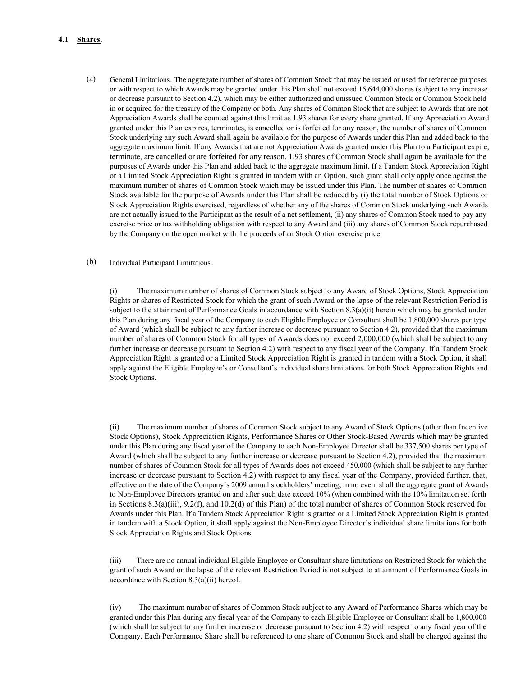## **4.1 Shares.**

(a) General Limitations. The aggregate number of shares of Common Stock that may be issued or used for reference purposes or with respect to which Awards may be granted under this Plan shall not exceed 15,644,000 shares (subject to any increase or decrease pursuant to Section 4.2), which may be either authorized and unissued Common Stock or Common Stock held in or acquired for the treasury of the Company or both. Any shares of Common Stock that are subject to Awards that are not Appreciation Awards shall be counted against this limit as 1.93 shares for every share granted. If any Appreciation Award granted under this Plan expires, terminates, is cancelled or is forfeited for any reason, the number of shares of Common Stock underlying any such Award shall again be available for the purpose of Awards under this Plan and added back to the aggregate maximum limit. If any Awards that are not Appreciation Awards granted under this Plan to a Participant expire, terminate, are cancelled or are forfeited for any reason, 1.93 shares of Common Stock shall again be available for the purposes of Awards under this Plan and added back to the aggregate maximum limit. If a Tandem Stock Appreciation Right or a Limited Stock Appreciation Right is granted in tandem with an Option, such grant shall only apply once against the maximum number of shares of Common Stock which may be issued under this Plan. The number of shares of Common Stock available for the purpose of Awards under this Plan shall be reduced by (i) the total number of Stock Options or Stock Appreciation Rights exercised, regardless of whether any of the shares of Common Stock underlying such Awards are not actually issued to the Participant as the result of a net settlement, (ii) any shares of Common Stock used to pay any exercise price or tax withholding obligation with respect to any Award and (iii) any shares of Common Stock repurchased by the Company on the open market with the proceeds of an Stock Option exercise price.

# (b) Individual Participant Limitations.

(i) The maximum number of shares of Common Stock subject to any Award of Stock Options, Stock Appreciation Rights or shares of Restricted Stock for which the grant of such Award or the lapse of the relevant Restriction Period is subject to the attainment of Performance Goals in accordance with Section 8.3(a)(ii) herein which may be granted under this Plan during any fiscal year of the Company to each Eligible Employee or Consultant shall be 1,800,000 shares per type of Award (which shall be subject to any further increase or decrease pursuant to Section 4.2), provided that the maximum number of shares of Common Stock for all types of Awards does not exceed 2,000,000 (which shall be subject to any further increase or decrease pursuant to Section 4.2) with respect to any fiscal year of the Company. If a Tandem Stock Appreciation Right is granted or a Limited Stock Appreciation Right is granted in tandem with a Stock Option, it shall apply against the Eligible Employee's or Consultant's individual share limitations for both Stock Appreciation Rights and Stock Options.

(ii) The maximum number of shares of Common Stock subject to any Award of Stock Options (other than Incentive Stock Options), Stock Appreciation Rights, Performance Shares or Other Stock-Based Awards which may be granted under this Plan during any fiscal year of the Company to each Non-Employee Director shall be 337,500 shares per type of Award (which shall be subject to any further increase or decrease pursuant to Section 4.2), provided that the maximum number of shares of Common Stock for all types of Awards does not exceed 450,000 (which shall be subject to any further increase or decrease pursuant to Section 4.2) with respect to any fiscal year of the Company, provided further, that, effective on the date of the Company's 2009 annual stockholders' meeting, in no event shall the aggregate grant of Awards to Non-Employee Directors granted on and after such date exceed 10% (when combined with the 10% limitation set forth in Sections 8.3(a)(iii), 9.2(f), and 10.2(d) of this Plan) of the total number of shares of Common Stock reserved for Awards under this Plan. If a Tandem Stock Appreciation Right is granted or a Limited Stock Appreciation Right is granted in tandem with a Stock Option, it shall apply against the Non-Employee Director's individual share limitations for both Stock Appreciation Rights and Stock Options.

(iii) There are no annual individual Eligible Employee or Consultant share limitations on Restricted Stock for which the grant of such Award or the lapse of the relevant Restriction Period is not subject to attainment of Performance Goals in accordance with Section 8.3(a)(ii) hereof.

(iv) The maximum number of shares of Common Stock subject to any Award of Performance Shares which may be granted under this Plan during any fiscal year of the Company to each Eligible Employee or Consultant shall be 1,800,000 (which shall be subject to any further increase or decrease pursuant to Section 4.2) with respect to any fiscal year of the Company. Each Performance Share shall be referenced to one share of Common Stock and shall be charged against the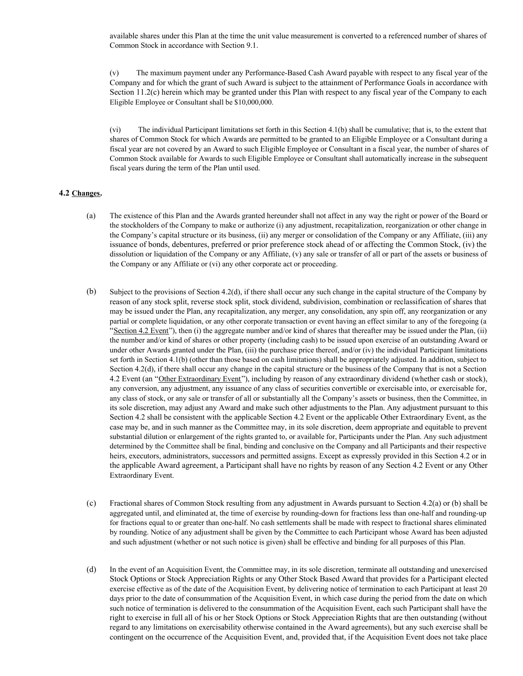available shares under this Plan at the time the unit value measurement is converted to a referenced number of shares of Common Stock in accordance with Section 9.1.

(v) The maximum payment under any Performance-Based Cash Award payable with respect to any fiscal year of the Company and for which the grant of such Award is subject to the attainment of Performance Goals in accordance with Section 11.2(c) herein which may be granted under this Plan with respect to any fiscal year of the Company to each Eligible Employee or Consultant shall be \$10,000,000.

(vi) The individual Participant limitations set forth in this Section 4.1(b) shall be cumulative; that is, to the extent that shares of Common Stock for which Awards are permitted to be granted to an Eligible Employee or a Consultant during a fiscal year are not covered by an Award to such Eligible Employee or Consultant in a fiscal year, the number of shares of Common Stock available for Awards to such Eligible Employee or Consultant shall automatically increase in the subsequent fiscal years during the term of the Plan until used.

## **4.2 Changes.**

- (a) The existence of this Plan and the Awards granted hereunder shall not affect in any way the right or power of the Board or the stockholders of the Company to make or authorize (i) any adjustment, recapitalization, reorganization or other change in the Company's capital structure or its business, (ii) any merger or consolidation of the Company or any Affiliate, (iii) any issuance of bonds, debentures, preferred or prior preference stock ahead of or affecting the Common Stock, (iv) the dissolution or liquidation of the Company or any Affiliate, (v) any sale or transfer of all or part of the assets or business of the Company or any Affiliate or (vi) any other corporate act or proceeding.
- (b) Subject to the provisions of Section 4.2(d), if there shall occur any such change in the capital structure of the Company by reason of any stock split, reverse stock split, stock dividend, subdivision, combination or reclassification of shares that may be issued under the Plan, any recapitalization, any merger, any consolidation, any spin off, any reorganization or any partial or complete liquidation, or any other corporate transaction or event having an effect similar to any of the foregoing (a "Section 4.2 Event"), then (i) the aggregate number and/or kind of shares that thereafter may be issued under the Plan, (ii) the number and/or kind of shares or other property (including cash) to be issued upon exercise of an outstanding Award or under other Awards granted under the Plan, (iii) the purchase price thereof, and/or (iv) the individual Participant limitations set forth in Section 4.1(b) (other than those based on cash limitations) shall be appropriately adjusted. In addition, subject to Section 4.2(d), if there shall occur any change in the capital structure or the business of the Company that is not a Section 4.2 Event (an "Other Extraordinary Event"), including by reason of any extraordinary dividend (whether cash or stock), any conversion, any adjustment, any issuance of any class of securities convertible or exercisable into, or exercisable for, any class of stock, or any sale or transfer of all or substantially all the Company's assets or business, then the Committee, in its sole discretion, may adjust any Award and make such other adjustments to the Plan. Any adjustment pursuant to this Section 4.2 shall be consistent with the applicable Section 4.2 Event or the applicable Other Extraordinary Event, as the case may be, and in such manner as the Committee may, in its sole discretion, deem appropriate and equitable to prevent substantial dilution or enlargement of the rights granted to, or available for, Participants under the Plan. Any such adjustment determined by the Committee shall be final, binding and conclusive on the Company and all Participants and their respective heirs, executors, administrators, successors and permitted assigns. Except as expressly provided in this Section 4.2 or in the applicable Award agreement, a Participant shall have no rights by reason of any Section 4.2 Event or any Other Extraordinary Event.
- (c) Fractional shares of Common Stock resulting from any adjustment in Awards pursuant to Section 4.2(a) or (b) shall be aggregated until, and eliminated at, the time of exercise by rounding-down for fractions less than one-half and rounding-up for fractions equal to or greater than one-half. No cash settlements shall be made with respect to fractional shares eliminated by rounding. Notice of any adjustment shall be given by the Committee to each Participant whose Award has been adjusted and such adjustment (whether or not such notice is given) shall be effective and binding for all purposes of this Plan.
- (d) In the event of an Acquisition Event, the Committee may, in its sole discretion, terminate all outstanding and unexercised Stock Options or Stock Appreciation Rights or any Other Stock Based Award that provides for a Participant elected exercise effective as of the date of the Acquisition Event, by delivering notice of termination to each Participant at least 20 days prior to the date of consummation of the Acquisition Event, in which case during the period from the date on which such notice of termination is delivered to the consummation of the Acquisition Event, each such Participant shall have the right to exercise in full all of his or her Stock Options or Stock Appreciation Rights that are then outstanding (without regard to any limitations on exercisability otherwise contained in the Award agreements), but any such exercise shall be contingent on the occurrence of the Acquisition Event, and, provided that, if the Acquisition Event does not take place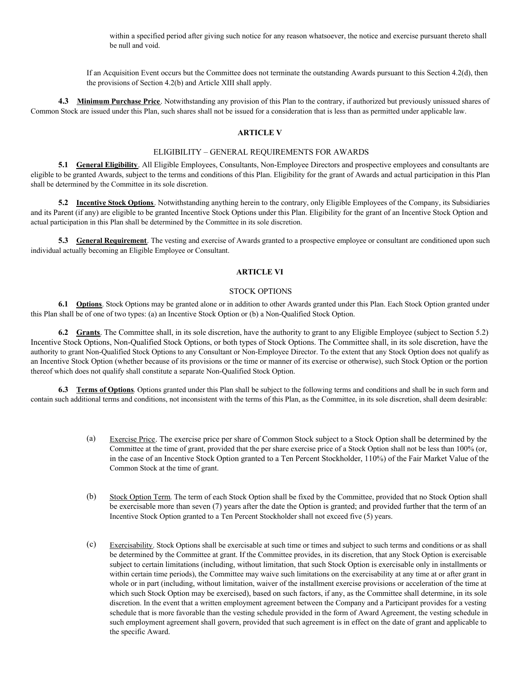within a specified period after giving such notice for any reason whatsoever, the notice and exercise pursuant thereto shall be null and void.

If an Acquisition Event occurs but the Committee does not terminate the outstanding Awards pursuant to this Section 4.2(d), then the provisions of Section 4.2(b) and Article XIII shall apply.

**4.3 Minimum Purchase Price**. Notwithstanding any provision of this Plan to the contrary, if authorized but previously unissued shares of Common Stock are issued under this Plan, such shares shall not be issued for a consideration that is less than as permitted under applicable law.

## **ARTICLE V**

# ELIGIBILITY – GENERAL REQUIREMENTS FOR AWARDS

**5.1 General Eligibility**. All Eligible Employees, Consultants, Non-Employee Directors and prospective employees and consultants are eligible to be granted Awards, subject to the terms and conditions of this Plan. Eligibility for the grant of Awards and actual participation in this Plan shall be determined by the Committee in its sole discretion.

**5.2 Incentive Stock Options**. Notwithstanding anything herein to the contrary, only Eligible Employees of the Company, its Subsidiaries and its Parent (if any) are eligible to be granted Incentive Stock Options under this Plan. Eligibility for the grant of an Incentive Stock Option and actual participation in this Plan shall be determined by the Committee in its sole discretion.

**5.3 General Requirement**. The vesting and exercise of Awards granted to a prospective employee or consultant are conditioned upon such individual actually becoming an Eligible Employee or Consultant.

# **ARTICLE VI**

# STOCK OPTIONS

**6.1 Options**. Stock Options may be granted alone or in addition to other Awards granted under this Plan. Each Stock Option granted under this Plan shall be of one of two types: (a) an Incentive Stock Option or (b) a Non-Qualified Stock Option.

**6.2 Grants**. The Committee shall, in its sole discretion, have the authority to grant to any Eligible Employee (subject to Section 5.2) Incentive Stock Options, Non-Qualified Stock Options, or both types of Stock Options. The Committee shall, in its sole discretion, have the authority to grant Non-Qualified Stock Options to any Consultant or Non-Employee Director. To the extent that any Stock Option does not qualify as an Incentive Stock Option (whether because of its provisions or the time or manner of its exercise or otherwise), such Stock Option or the portion thereof which does not qualify shall constitute a separate Non-Qualified Stock Option.

**6.3 Terms of Options**. Options granted under this Plan shall be subject to the following terms and conditions and shall be in such form and contain such additional terms and conditions, not inconsistent with the terms of this Plan, as the Committee, in its sole discretion, shall deem desirable:

- (a) Exercise Price. The exercise price per share of Common Stock subject to a Stock Option shall be determined by the Committee at the time of grant, provided that the per share exercise price of a Stock Option shall not be less than 100% (or, in the case of an Incentive Stock Option granted to a Ten Percent Stockholder, 110%) of the Fair Market Value of the Common Stock at the time of grant.
- (b) Stock Option Term. The term of each Stock Option shall be fixed by the Committee, provided that no Stock Option shall be exercisable more than seven (7) years after the date the Option is granted; and provided further that the term of an Incentive Stock Option granted to a Ten Percent Stockholder shall not exceed five (5) years.
- (c) Exercisability. Stock Options shall be exercisable at such time or times and subject to such terms and conditions or as shall be determined by the Committee at grant. If the Committee provides, in its discretion, that any Stock Option is exercisable subject to certain limitations (including, without limitation, that such Stock Option is exercisable only in installments or within certain time periods), the Committee may waive such limitations on the exercisability at any time at or after grant in whole or in part (including, without limitation, waiver of the installment exercise provisions or acceleration of the time at which such Stock Option may be exercised), based on such factors, if any, as the Committee shall determine, in its sole discretion. In the event that a written employment agreement between the Company and a Participant provides for a vesting schedule that is more favorable than the vesting schedule provided in the form of Award Agreement, the vesting schedule in such employment agreement shall govern, provided that such agreement is in effect on the date of grant and applicable to the specific Award.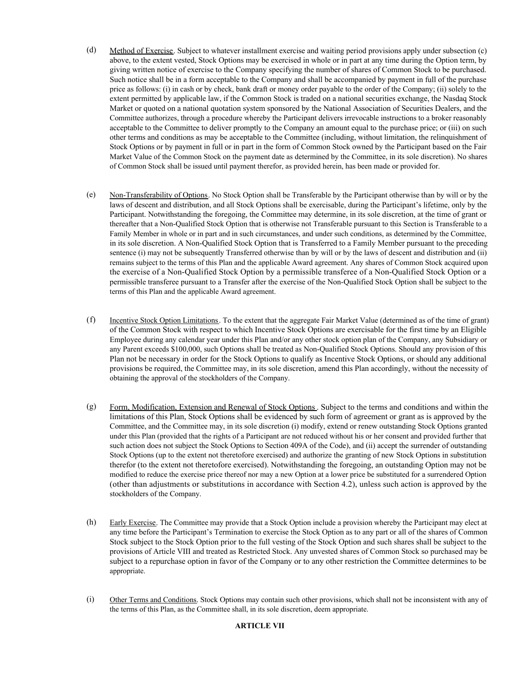- (d) Method of Exercise. Subject to whatever installment exercise and waiting period provisions apply under subsection (c) above, to the extent vested, Stock Options may be exercised in whole or in part at any time during the Option term, by giving written notice of exercise to the Company specifying the number of shares of Common Stock to be purchased. Such notice shall be in a form acceptable to the Company and shall be accompanied by payment in full of the purchase price as follows: (i) in cash or by check, bank draft or money order payable to the order of the Company; (ii) solely to the extent permitted by applicable law, if the Common Stock is traded on a national securities exchange, the Nasdaq Stock Market or quoted on a national quotation system sponsored by the National Association of Securities Dealers, and the Committee authorizes, through a procedure whereby the Participant delivers irrevocable instructions to a broker reasonably acceptable to the Committee to deliver promptly to the Company an amount equal to the purchase price; or (iii) on such other terms and conditions as may be acceptable to the Committee (including, without limitation, the relinquishment of Stock Options or by payment in full or in part in the form of Common Stock owned by the Participant based on the Fair Market Value of the Common Stock on the payment date as determined by the Committee, in its sole discretion). No shares of Common Stock shall be issued until payment therefor, as provided herein, has been made or provided for.
- (e) Non-Transferability of Options. No Stock Option shall be Transferable by the Participant otherwise than by will or by the laws of descent and distribution, and all Stock Options shall be exercisable, during the Participant's lifetime, only by the Participant. Notwithstanding the foregoing, the Committee may determine, in its sole discretion, at the time of grant or thereafter that a Non-Qualified Stock Option that is otherwise not Transferable pursuant to this Section is Transferable to a Family Member in whole or in part and in such circumstances, and under such conditions, as determined by the Committee, in its sole discretion. A Non-Qualified Stock Option that is Transferred to a Family Member pursuant to the preceding sentence (i) may not be subsequently Transferred otherwise than by will or by the laws of descent and distribution and (ii) remains subject to the terms of this Plan and the applicable Award agreement. Any shares of Common Stock acquired upon the exercise of a Non-Qualified Stock Option by a permissible transferee of a Non-Qualified Stock Option or a permissible transferee pursuant to a Transfer after the exercise of the Non-Qualified Stock Option shall be subject to the terms of this Plan and the applicable Award agreement.
- (f) Incentive Stock Option Limitations. To the extent that the aggregate Fair Market Value (determined as of the time of grant) of the Common Stock with respect to which Incentive Stock Options are exercisable for the first time by an Eligible Employee during any calendar year under this Plan and/or any other stock option plan of the Company, any Subsidiary or any Parent exceeds \$100,000, such Options shall be treated as Non-Qualified Stock Options. Should any provision of this Plan not be necessary in order for the Stock Options to qualify as Incentive Stock Options, or should any additional provisions be required, the Committee may, in its sole discretion, amend this Plan accordingly, without the necessity of obtaining the approval of the stockholders of the Company.
- (g) Form, Modification, Extension and Renewal of Stock Options . Subject to the terms and conditions and within the limitations of this Plan, Stock Options shall be evidenced by such form of agreement or grant as is approved by the Committee, and the Committee may, in its sole discretion (i) modify, extend or renew outstanding Stock Options granted under this Plan (provided that the rights of a Participant are not reduced without his or her consent and provided further that such action does not subject the Stock Options to Section 409A of the Code), and (ii) accept the surrender of outstanding Stock Options (up to the extent not theretofore exercised) and authorize the granting of new Stock Options in substitution therefor (to the extent not theretofore exercised). Notwithstanding the foregoing, an outstanding Option may not be modified to reduce the exercise price thereof nor may a new Option at a lower price be substituted for a surrendered Option (other than adjustments or substitutions in accordance with Section 4.2), unless such action is approved by the stockholders of the Company.
- (h) Early Exercise. The Committee may provide that a Stock Option include a provision whereby the Participant may elect at any time before the Participant's Termination to exercise the Stock Option as to any part or all of the shares of Common Stock subject to the Stock Option prior to the full vesting of the Stock Option and such shares shall be subject to the provisions of Article VIII and treated as Restricted Stock. Any unvested shares of Common Stock so purchased may be subject to a repurchase option in favor of the Company or to any other restriction the Committee determines to be appropriate.
- (i) Other Terms and Conditions. Stock Options may contain such other provisions, which shall not be inconsistent with any of the terms of this Plan, as the Committee shall, in its sole discretion, deem appropriate.

# **ARTICLE VII**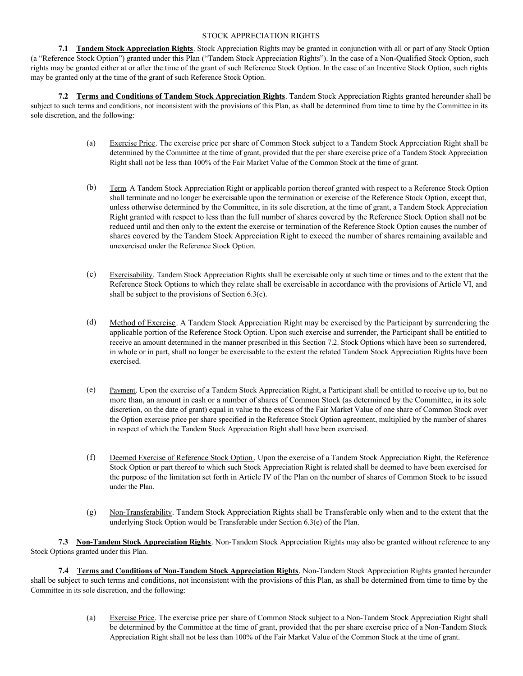# STOCK APPRECIATION RIGHTS

**7.1 Tandem Stock Appreciation Rights**. Stock Appreciation Rights may be granted in conjunction with all or part of any Stock Option (a "Reference Stock Option") granted under this Plan ("Tandem Stock Appreciation Rights"). In the case of a Non-Qualified Stock Option, such rights may be granted either at or after the time of the grant of such Reference Stock Option. In the case of an Incentive Stock Option, such rights may be granted only at the time of the grant of such Reference Stock Option.

**7.2 Terms and Conditions of Tandem Stock Appreciation Rights**. Tandem Stock Appreciation Rights granted hereunder shall be subject to such terms and conditions, not inconsistent with the provisions of this Plan, as shall be determined from time to time by the Committee in its sole discretion, and the following:

- (a) Exercise Price. The exercise price per share of Common Stock subject to a Tandem Stock Appreciation Right shall be determined by the Committee at the time of grant, provided that the per share exercise price of a Tandem Stock Appreciation Right shall not be less than 100% of the Fair Market Value of the Common Stock at the time of grant.
- (b) Term. A Tandem Stock Appreciation Right or applicable portion thereof granted with respect to a Reference Stock Option shall terminate and no longer be exercisable upon the termination or exercise of the Reference Stock Option, except that, unless otherwise determined by the Committee, in its sole discretion, at the time of grant, a Tandem Stock Appreciation Right granted with respect to less than the full number of shares covered by the Reference Stock Option shall not be reduced until and then only to the extent the exercise or termination of the Reference Stock Option causes the number of shares covered by the Tandem Stock Appreciation Right to exceed the number of shares remaining available and unexercised under the Reference Stock Option.
- (c) Exercisability. Tandem Stock Appreciation Rights shall be exercisable only at such time or times and to the extent that the Reference Stock Options to which they relate shall be exercisable in accordance with the provisions of Article VI, and shall be subject to the provisions of Section 6.3(c).
- (d) Method of Exercise. A Tandem Stock Appreciation Right may be exercised by the Participant by surrendering the applicable portion of the Reference Stock Option. Upon such exercise and surrender, the Participant shall be entitled to receive an amount determined in the manner prescribed in this Section 7.2. Stock Options which have been so surrendered, in whole or in part, shall no longer be exercisable to the extent the related Tandem Stock Appreciation Rights have been exercised.
- (e) Payment. Upon the exercise of a Tandem Stock Appreciation Right, a Participant shall be entitled to receive up to, but no more than, an amount in cash or a number of shares of Common Stock (as determined by the Committee, in its sole discretion, on the date of grant) equal in value to the excess of the Fair Market Value of one share of Common Stock over the Option exercise price per share specified in the Reference Stock Option agreement, multiplied by the number of shares in respect of which the Tandem Stock Appreciation Right shall have been exercised.
- (f) Deemed Exercise of Reference Stock Option . Upon the exercise of a Tandem Stock Appreciation Right, the Reference Stock Option or part thereof to which such Stock Appreciation Right is related shall be deemed to have been exercised for the purpose of the limitation set forth in Article IV of the Plan on the number of shares of Common Stock to be issued under the Plan.
- (g) Non-Transferability. Tandem Stock Appreciation Rights shall be Transferable only when and to the extent that the underlying Stock Option would be Transferable under Section 6.3(e) of the Plan.

**7.3 Non-Tandem Stock Appreciation Rights**. Non-Tandem Stock Appreciation Rights may also be granted without reference to any Stock Options granted under this Plan.

**7.4 Terms and Conditions of Non-Tandem Stock Appreciation Rights**. Non-Tandem Stock Appreciation Rights granted hereunder shall be subject to such terms and conditions, not inconsistent with the provisions of this Plan, as shall be determined from time to time by the Committee in its sole discretion, and the following:

> (a) Exercise Price. The exercise price per share of Common Stock subject to a Non-Tandem Stock Appreciation Right shall be determined by the Committee at the time of grant, provided that the per share exercise price of a Non-Tandem Stock Appreciation Right shall not be less than 100% of the Fair Market Value of the Common Stock at the time of grant.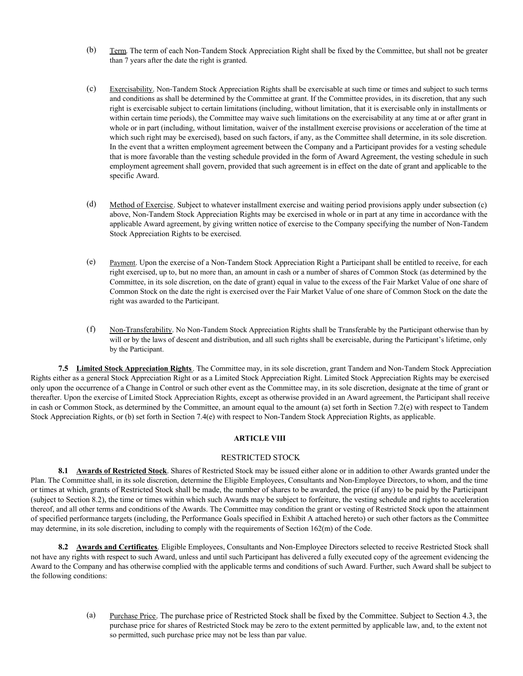- (b) Term. The term of each Non-Tandem Stock Appreciation Right shall be fixed by the Committee, but shall not be greater than 7 years after the date the right is granted.
- (c) Exercisability. Non-Tandem Stock Appreciation Rights shall be exercisable at such time or times and subject to such terms and conditions as shall be determined by the Committee at grant. If the Committee provides, in its discretion, that any such right is exercisable subject to certain limitations (including, without limitation, that it is exercisable only in installments or within certain time periods), the Committee may waive such limitations on the exercisability at any time at or after grant in whole or in part (including, without limitation, waiver of the installment exercise provisions or acceleration of the time at which such right may be exercised), based on such factors, if any, as the Committee shall determine, in its sole discretion. In the event that a written employment agreement between the Company and a Participant provides for a vesting schedule that is more favorable than the vesting schedule provided in the form of Award Agreement, the vesting schedule in such employment agreement shall govern, provided that such agreement is in effect on the date of grant and applicable to the specific Award.
- (d) Method of Exercise. Subject to whatever installment exercise and waiting period provisions apply under subsection (c) above, Non-Tandem Stock Appreciation Rights may be exercised in whole or in part at any time in accordance with the applicable Award agreement, by giving written notice of exercise to the Company specifying the number of Non-Tandem Stock Appreciation Rights to be exercised.
- (e) Payment. Upon the exercise of a Non-Tandem Stock Appreciation Right a Participant shall be entitled to receive, for each right exercised, up to, but no more than, an amount in cash or a number of shares of Common Stock (as determined by the Committee, in its sole discretion, on the date of grant) equal in value to the excess of the Fair Market Value of one share of Common Stock on the date the right is exercised over the Fair Market Value of one share of Common Stock on the date the right was awarded to the Participant.
- (f) Non-Transferability. No Non-Tandem Stock Appreciation Rights shall be Transferable by the Participant otherwise than by will or by the laws of descent and distribution, and all such rights shall be exercisable, during the Participant's lifetime, only by the Participant.

**7.5 Limited Stock Appreciation Rights**. The Committee may, in its sole discretion, grant Tandem and Non-Tandem Stock Appreciation Rights either as a general Stock Appreciation Right or as a Limited Stock Appreciation Right. Limited Stock Appreciation Rights may be exercised only upon the occurrence of a Change in Control or such other event as the Committee may, in its sole discretion, designate at the time of grant or thereafter. Upon the exercise of Limited Stock Appreciation Rights, except as otherwise provided in an Award agreement, the Participant shall receive in cash or Common Stock, as determined by the Committee, an amount equal to the amount (a) set forth in Section 7.2(e) with respect to Tandem Stock Appreciation Rights, or (b) set forth in Section 7.4(e) with respect to Non-Tandem Stock Appreciation Rights, as applicable.

# **ARTICLE VIII**

# RESTRICTED STOCK

**8.1 Awards of Restricted Stock**. Shares of Restricted Stock may be issued either alone or in addition to other Awards granted under the Plan. The Committee shall, in its sole discretion, determine the Eligible Employees, Consultants and Non-Employee Directors, to whom, and the time or times at which, grants of Restricted Stock shall be made, the number of shares to be awarded, the price (if any) to be paid by the Participant (subject to Section 8.2), the time or times within which such Awards may be subject to forfeiture, the vesting schedule and rights to acceleration thereof, and all other terms and conditions of the Awards. The Committee may condition the grant or vesting of Restricted Stock upon the attainment of specified performance targets (including, the Performance Goals specified in Exhibit A attached hereto) or such other factors as the Committee may determine, in its sole discretion, including to comply with the requirements of Section 162(m) of the Code.

**8.2 Awards and Certificates**. Eligible Employees, Consultants and Non-Employee Directors selected to receive Restricted Stock shall not have any rights with respect to such Award, unless and until such Participant has delivered a fully executed copy of the agreement evidencing the Award to the Company and has otherwise complied with the applicable terms and conditions of such Award. Further, such Award shall be subject to the following conditions:

> (a) Purchase Price. The purchase price of Restricted Stock shall be fixed by the Committee. Subject to Section 4.3, the purchase price for shares of Restricted Stock may be zero to the extent permitted by applicable law, and, to the extent not so permitted, such purchase price may not be less than par value.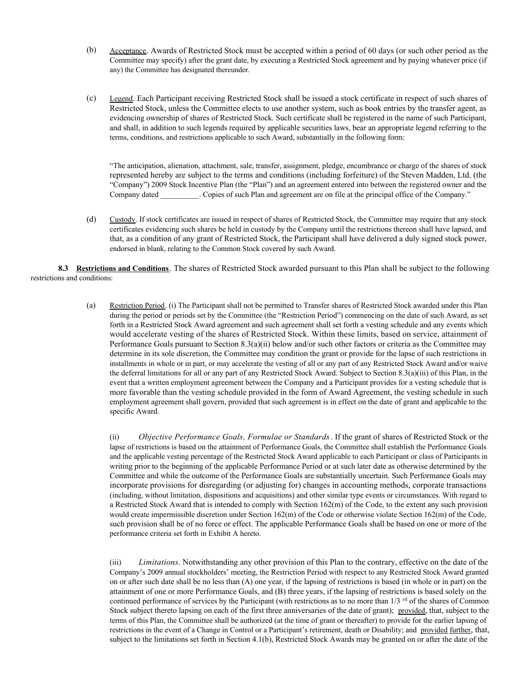- (b) Acceptance. Awards of Restricted Stock must be accepted within a period of 60 days (or such other period as the Committee may specify) after the grant date, by executing a Restricted Stock agreement and by paying whatever price (if any) the Committee has designated thereunder.
- (c) Legend. Each Participant receiving Restricted Stock shall be issued a stock certificate in respect of such shares of Restricted Stock, unless the Committee elects to use another system, such as book entries by the transfer agent, as evidencing ownership of shares of Restricted Stock. Such certificate shall be registered in the name of such Participant, and shall, in addition to such legends required by applicable securities laws, bear an appropriate legend referring to the terms, conditions, and restrictions applicable to such Award, substantially in the following form:

"The anticipation, alienation, attachment, sale, transfer, assignment, pledge, encumbrance or charge of the shares of stock represented hereby are subject to the terms and conditions (including forfeiture) of the Steven Madden, Ltd. (the "Company") 2009 Stock Incentive Plan (the "Plan") and an agreement entered into between the registered owner and the Company dated . Copies of such Plan and agreement are on file at the principal office of the Company."

(d) Custody. If stock certificates are issued in respect of shares of Restricted Stock, the Committee may require that any stock certificates evidencing such shares be held in custody by the Company until the restrictions thereon shall have lapsed, and that, as a condition of any grant of Restricted Stock, the Participant shall have delivered a duly signed stock power, endorsed in blank, relating to the Common Stock covered by such Award.

**8.3 Restrictions and Conditions**. The shares of Restricted Stock awarded pursuant to this Plan shall be subject to the following restrictions and conditions:

> (a) Restriction Period. (i) The Participant shall not be permitted to Transfer shares of Restricted Stock awarded under this Plan during the period or periods set by the Committee (the "Restriction Period") commencing on the date of such Award, as set forth in a Restricted Stock Award agreement and such agreement shall set forth a vesting schedule and any events which would accelerate vesting of the shares of Restricted Stock. Within these limits, based on service, attainment of Performance Goals pursuant to Section 8.3(a)(ii) below and/or such other factors or criteria as the Committee may determine in its sole discretion, the Committee may condition the grant or provide for the lapse of such restrictions in installments in whole or in part, or may accelerate the vesting of all or any part of any Restricted Stock Award and/or waive the deferral limitations for all or any part of any Restricted Stock Award. Subject to Section 8.3(a)(iii) of this Plan, in the event that a written employment agreement between the Company and a Participant provides for a vesting schedule that is more favorable than the vesting schedule provided in the form of Award Agreement, the vesting schedule in such employment agreement shall govern, provided that such agreement is in effect on the date of grant and applicable to the specific Award.

(ii) *Objective Performance Goals, Formulae or Standards*. If the grant of shares of Restricted Stock or the lapse of restrictions is based on the attainment of Performance Goals, the Committee shall establish the Performance Goals and the applicable vesting percentage of the Restricted Stock Award applicable to each Participant or class of Participants in writing prior to the beginning of the applicable Performance Period or at such later date as otherwise determined by the Committee and while the outcome of the Performance Goals are substantially uncertain. Such Performance Goals may incorporate provisions for disregarding (or adjusting for) changes in accounting methods, corporate transactions (including, without limitation, dispositions and acquisitions) and other similar type events or circumstances. With regard to a Restricted Stock Award that is intended to comply with Section 162(m) of the Code, to the extent any such provision would create impermissible discretion under Section 162(m) of the Code or otherwise violate Section 162(m) of the Code, such provision shall be of no force or effect. The applicable Performance Goals shall be based on one or more of the performance criteria set forth in Exhibit A hereto.

(iii) *Limitations*. Notwithstanding any other provision of this Plan to the contrary, effective on the date of the Company's 2009 annual stockholders' meeting, the Restriction Period with respect to any Restricted Stock Award granted on or after such date shall be no less than (A) one year, if the lapsing of restrictions is based (in whole or in part) on the attainment of one or more Performance Goals, and (B) three years, if the lapsing of restrictions is based solely on the continued performance of services by the Participant (with restrictions as to no more than  $1/3$  <sup>rd</sup> of the shares of Common Stock subject thereto lapsing on each of the first three anniversaries of the date of grant); provided, that, subject to the terms of this Plan, the Committee shall be authorized (at the time of grant or thereafter) to provide for the earlier lapsing of restrictions in the event of a Change in Control or a Participant's retirement, death or Disability; and provided further, that, subject to the limitations set forth in Section 4.1(b), Restricted Stock Awards may be granted on or after the date of the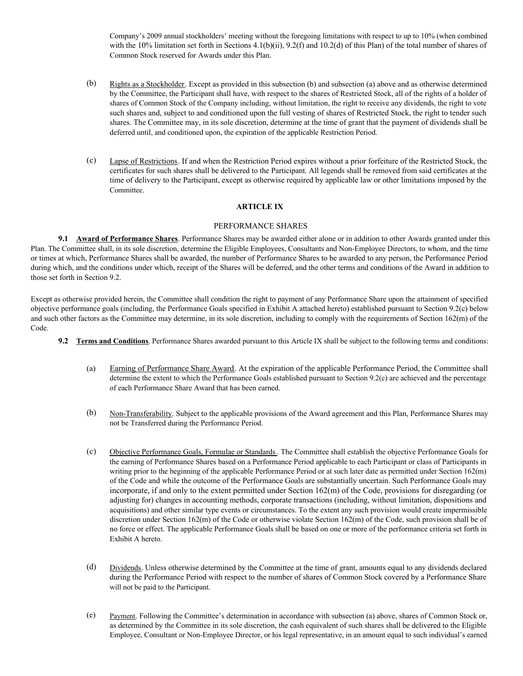Company's 2009 annual stockholders' meeting without the foregoing limitations with respect to up to 10% (when combined with the 10% limitation set forth in Sections 4.1(b)(ii), 9.2(f) and 10.2(d) of this Plan) of the total number of shares of Common Stock reserved for Awards under this Plan.

- (b) Rights as a Stockholder. Except as provided in this subsection (b) and subsection (a) above and as otherwise determined by the Committee, the Participant shall have, with respect to the shares of Restricted Stock, all of the rights of a holder of shares of Common Stock of the Company including, without limitation, the right to receive any dividends, the right to vote such shares and, subject to and conditioned upon the full vesting of shares of Restricted Stock, the right to tender such shares. The Committee may, in its sole discretion, determine at the time of grant that the payment of dividends shall be deferred until, and conditioned upon, the expiration of the applicable Restriction Period.
- (c) Lapse of Restrictions. If and when the Restriction Period expires without a prior forfeiture of the Restricted Stock, the certificates for such shares shall be delivered to the Participant. All legends shall be removed from said certificates at the time of delivery to the Participant, except as otherwise required by applicable law or other limitations imposed by the Committee.

# **ARTICLE IX**

# PERFORMANCE SHARES

**9.1 Award of Performance Shares**. Performance Shares may be awarded either alone or in addition to other Awards granted under this Plan. The Committee shall, in its sole discretion, determine the Eligible Employees, Consultants and Non-Employee Directors, to whom, and the time or times at which, Performance Shares shall be awarded, the number of Performance Shares to be awarded to any person, the Performance Period during which, and the conditions under which, receipt of the Shares will be deferred, and the other terms and conditions of the Award in addition to those set forth in Section 9.2.

Except as otherwise provided herein, the Committee shall condition the right to payment of any Performance Share upon the attainment of specified objective performance goals (including, the Performance Goals specified in Exhibit A attached hereto) established pursuant to Section 9.2(c) below and such other factors as the Committee may determine, in its sole discretion, including to comply with the requirements of Section 162(m) of the Code.

- **9.2 Terms and Conditions**. Performance Shares awarded pursuant to this Article IX shall be subject to the following terms and conditions:
	- (a) Earning of Performance Share Award. At the expiration of the applicable Performance Period, the Committee shall determine the extent to which the Performance Goals established pursuant to Section 9.2(c) are achieved and the percentage of each Performance Share Award that has been earned.
	- (b) Non-Transferability. Subject to the applicable provisions of the Award agreement and this Plan, Performance Shares may not be Transferred during the Performance Period.
	- (c) Objective Performance Goals, Formulae or Standards. The Committee shall establish the objective Performance Goals for the earning of Performance Shares based on a Performance Period applicable to each Participant or class of Participants in writing prior to the beginning of the applicable Performance Period or at such later date as permitted under Section 162(m) of the Code and while the outcome of the Performance Goals are substantially uncertain. Such Performance Goals may incorporate, if and only to the extent permitted under Section 162(m) of the Code, provisions for disregarding (or adjusting for) changes in accounting methods, corporate transactions (including, without limitation, dispositions and acquisitions) and other similar type events or circumstances. To the extent any such provision would create impermissible discretion under Section 162(m) of the Code or otherwise violate Section 162(m) of the Code, such provision shall be of no force or effect. The applicable Performance Goals shall be based on one or more of the performance criteria set forth in Exhibit A hereto.
	- (d) Dividends. Unless otherwise determined by the Committee at the time of grant, amounts equal to any dividends declared during the Performance Period with respect to the number of shares of Common Stock covered by a Performance Share will not be paid to the Participant.
	- (e) Payment. Following the Committee's determination in accordance with subsection (a) above, shares of Common Stock or, as determined by the Committee in its sole discretion, the cash equivalent of such shares shall be delivered to the Eligible Employee, Consultant or Non-Employee Director, or his legal representative, in an amount equal to such individual's earned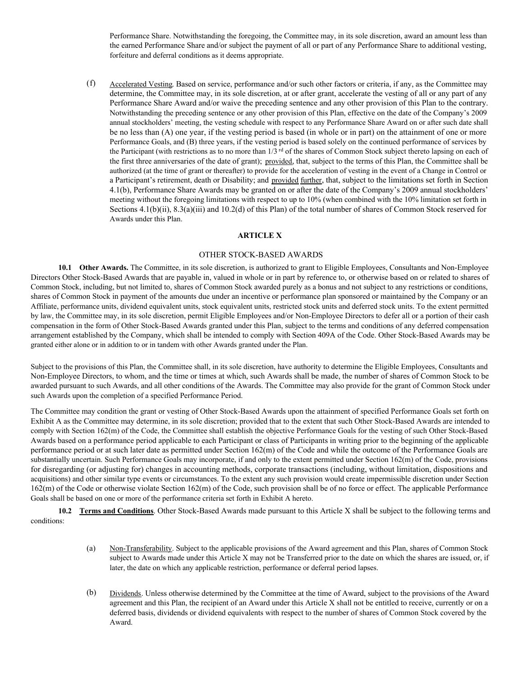Performance Share. Notwithstanding the foregoing, the Committee may, in its sole discretion, award an amount less than the earned Performance Share and/or subject the payment of all or part of any Performance Share to additional vesting, forfeiture and deferral conditions as it deems appropriate.

(f) Accelerated Vesting. Based on service, performance and/or such other factors or criteria, if any, as the Committee may determine, the Committee may, in its sole discretion, at or after grant, accelerate the vesting of all or any part of any Performance Share Award and/or waive the preceding sentence and any other provision of this Plan to the contrary. Notwithstanding the preceding sentence or any other provision of this Plan, effective on the date of the Company's 2009 annual stockholders' meeting, the vesting schedule with respect to any Performance Share Award on or after such date shall be no less than (A) one year, if the vesting period is based (in whole or in part) on the attainment of one or more Performance Goals, and (B) three years, if the vesting period is based solely on the continued performance of services by the Participant (with restrictions as to no more than 1/3<sup>rd</sup> of the shares of Common Stock subject thereto lapsing on each of the first three anniversaries of the date of grant); provided, that, subject to the terms of this Plan, the Committee shall be authorized (at the time of grant or thereafter) to provide for the acceleration of vesting in the event of a Change in Control or a Participant's retirement, death or Disability; and provided further, that, subject to the limitations set forth in Section 4.1(b), Performance Share Awards may be granted on or after the date of the Company's 2009 annual stockholders' meeting without the foregoing limitations with respect to up to 10% (when combined with the 10% limitation set forth in Sections 4.1(b)(ii), 8.3(a)(iii) and 10.2(d) of this Plan) of the total number of shares of Common Stock reserved for Awards under this Plan.

# **ARTICLE X**

#### OTHER STOCK-BASED AWARDS

**10.1 Other Awards.** The Committee, in its sole discretion, is authorized to grant to Eligible Employees, Consultants and Non-Employee Directors Other Stock-Based Awards that are payable in, valued in whole or in part by reference to, or otherwise based on or related to shares of Common Stock, including, but not limited to, shares of Common Stock awarded purely as a bonus and not subject to any restrictions or conditions, shares of Common Stock in payment of the amounts due under an incentive or performance plan sponsored or maintained by the Company or an Affiliate, performance units, dividend equivalent units, stock equivalent units, restricted stock units and deferred stock units. To the extent permitted by law, the Committee may, in its sole discretion, permit Eligible Employees and/or Non-Employee Directors to defer all or a portion of their cash compensation in the form of Other Stock-Based Awards granted under this Plan, subject to the terms and conditions of any deferred compensation arrangement established by the Company, which shall be intended to comply with Section 409A of the Code. Other Stock-Based Awards may be granted either alone or in addition to or in tandem with other Awards granted under the Plan.

Subject to the provisions of this Plan, the Committee shall, in its sole discretion, have authority to determine the Eligible Employees, Consultants and Non-Employee Directors, to whom, and the time or times at which, such Awards shall be made, the number of shares of Common Stock to be awarded pursuant to such Awards, and all other conditions of the Awards. The Committee may also provide for the grant of Common Stock under such Awards upon the completion of a specified Performance Period.

The Committee may condition the grant or vesting of Other Stock-Based Awards upon the attainment of specified Performance Goals set forth on Exhibit A as the Committee may determine, in its sole discretion; provided that to the extent that such Other Stock-Based Awards are intended to comply with Section 162(m) of the Code, the Committee shall establish the objective Performance Goals for the vesting of such Other Stock-Based Awards based on a performance period applicable to each Participant or class of Participants in writing prior to the beginning of the applicable performance period or at such later date as permitted under Section 162(m) of the Code and while the outcome of the Performance Goals are substantially uncertain. Such Performance Goals may incorporate, if and only to the extent permitted under Section 162(m) of the Code, provisions for disregarding (or adjusting for) changes in accounting methods, corporate transactions (including, without limitation, dispositions and acquisitions) and other similar type events or circumstances. To the extent any such provision would create impermissible discretion under Section 162(m) of the Code or otherwise violate Section 162(m) of the Code, such provision shall be of no force or effect. The applicable Performance Goals shall be based on one or more of the performance criteria set forth in Exhibit A hereto.

**10.2 Terms and Conditions**. Other Stock-Based Awards made pursuant to this Article X shall be subject to the following terms and conditions:

- (a) Non-Transferability. Subject to the applicable provisions of the Award agreement and this Plan, shares of Common Stock subject to Awards made under this Article X may not be Transferred prior to the date on which the shares are issued, or, if later, the date on which any applicable restriction, performance or deferral period lapses.
- (b) Dividends. Unless otherwise determined by the Committee at the time of Award, subject to the provisions of the Award agreement and this Plan, the recipient of an Award under this Article X shall not be entitled to receive, currently or on a deferred basis, dividends or dividend equivalents with respect to the number of shares of Common Stock covered by the Award.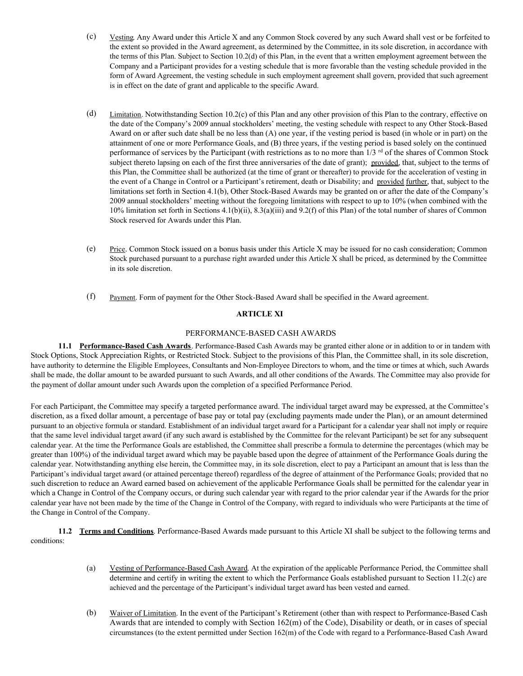- (c) Vesting. Any Award under this Article X and any Common Stock covered by any such Award shall vest or be forfeited to the extent so provided in the Award agreement, as determined by the Committee, in its sole discretion, in accordance with the terms of this Plan. Subject to Section 10.2(d) of this Plan, in the event that a written employment agreement between the Company and a Participant provides for a vesting schedule that is more favorable than the vesting schedule provided in the form of Award Agreement, the vesting schedule in such employment agreement shall govern, provided that such agreement is in effect on the date of grant and applicable to the specific Award.
- (d) Limitation. Notwithstanding Section 10.2(c) of this Plan and any other provision of this Plan to the contrary, effective on the date of the Company's 2009 annual stockholders' meeting, the vesting schedule with respect to any Other Stock-Based Award on or after such date shall be no less than (A) one year, if the vesting period is based (in whole or in part) on the attainment of one or more Performance Goals, and (B) three years, if the vesting period is based solely on the continued performance of services by the Participant (with restrictions as to no more than  $1/3$  <sup>rd</sup> of the shares of Common Stock subject thereto lapsing on each of the first three anniversaries of the date of grant); provided, that, subject to the terms of this Plan, the Committee shall be authorized (at the time of grant or thereafter) to provide for the acceleration of vesting in the event of a Change in Control or a Participant's retirement, death or Disability; and provided further, that, subject to the limitations set forth in Section 4.1(b), Other Stock-Based Awards may be granted on or after the date of the Company's 2009 annual stockholders' meeting without the foregoing limitations with respect to up to 10% (when combined with the 10% limitation set forth in Sections 4.1(b)(ii), 8.3(a)(iii) and 9.2(f) of this Plan) of the total number of shares of Common Stock reserved for Awards under this Plan.
- (e) Price. Common Stock issued on a bonus basis under this Article X may be issued for no cash consideration; Common Stock purchased pursuant to a purchase right awarded under this Article X shall be priced, as determined by the Committee in its sole discretion.
- (f) Payment. Form of payment for the Other Stock-Based Award shall be specified in the Award agreement.

# **ARTICLE XI**

# PERFORMANCE-BASED CASH AWARDS

**11.1 Performance-Based Cash Awards**. Performance-Based Cash Awards may be granted either alone or in addition to or in tandem with Stock Options, Stock Appreciation Rights, or Restricted Stock. Subject to the provisions of this Plan, the Committee shall, in its sole discretion, have authority to determine the Eligible Employees, Consultants and Non-Employee Directors to whom, and the time or times at which, such Awards shall be made, the dollar amount to be awarded pursuant to such Awards, and all other conditions of the Awards. The Committee may also provide for the payment of dollar amount under such Awards upon the completion of a specified Performance Period.

For each Participant, the Committee may specify a targeted performance award. The individual target award may be expressed, at the Committee's discretion, as a fixed dollar amount, a percentage of base pay or total pay (excluding payments made under the Plan), or an amount determined pursuant to an objective formula or standard. Establishment of an individual target award for a Participant for a calendar year shall not imply or require that the same level individual target award (if any such award is established by the Committee for the relevant Participant) be set for any subsequent calendar year. At the time the Performance Goals are established, the Committee shall prescribe a formula to determine the percentages (which may be greater than 100%) of the individual target award which may be payable based upon the degree of attainment of the Performance Goals during the calendar year. Notwithstanding anything else herein, the Committee may, in its sole discretion, elect to pay a Participant an amount that is less than the Participant's individual target award (or attained percentage thereof) regardless of the degree of attainment of the Performance Goals; provided that no such discretion to reduce an Award earned based on achievement of the applicable Performance Goals shall be permitted for the calendar year in which a Change in Control of the Company occurs, or during such calendar year with regard to the prior calendar year if the Awards for the prior calendar year have not been made by the time of the Change in Control of the Company, with regard to individuals who were Participants at the time of the Change in Control of the Company.

**11.2 Terms and Conditions**. Performance-Based Awards made pursuant to this Article XI shall be subject to the following terms and conditions:

- (a) Vesting of Performance-Based Cash Award. At the expiration of the applicable Performance Period, the Committee shall determine and certify in writing the extent to which the Performance Goals established pursuant to Section 11.2(c) are achieved and the percentage of the Participant's individual target award has been vested and earned.
- (b) Waiver of Limitation. In the event of the Participant's Retirement (other than with respect to Performance-Based Cash Awards that are intended to comply with Section 162(m) of the Code), Disability or death, or in cases of special circumstances (to the extent permitted under Section 162(m) of the Code with regard to a Performance-Based Cash Award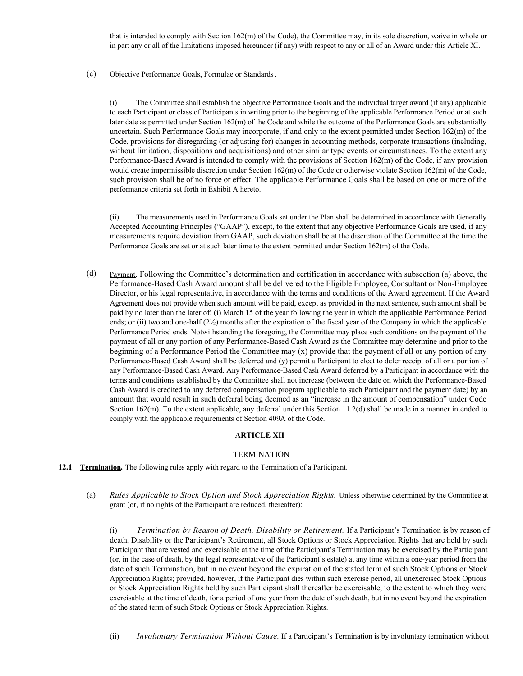that is intended to comply with Section 162(m) of the Code), the Committee may, in its sole discretion, waive in whole or in part any or all of the limitations imposed hereunder (if any) with respect to any or all of an Award under this Article XI.

## (c) Objective Performance Goals, Formulae or Standards.

(i) The Committee shall establish the objective Performance Goals and the individual target award (if any) applicable to each Participant or class of Participants in writing prior to the beginning of the applicable Performance Period or at such later date as permitted under Section 162(m) of the Code and while the outcome of the Performance Goals are substantially uncertain. Such Performance Goals may incorporate, if and only to the extent permitted under Section 162(m) of the Code, provisions for disregarding (or adjusting for) changes in accounting methods, corporate transactions (including, without limitation, dispositions and acquisitions) and other similar type events or circumstances. To the extent any Performance-Based Award is intended to comply with the provisions of Section 162(m) of the Code, if any provision would create impermissible discretion under Section 162(m) of the Code or otherwise violate Section 162(m) of the Code, such provision shall be of no force or effect. The applicable Performance Goals shall be based on one or more of the performance criteria set forth in Exhibit A hereto.

(ii) The measurements used in Performance Goals set under the Plan shall be determined in accordance with Generally Accepted Accounting Principles ("GAAP"), except, to the extent that any objective Performance Goals are used, if any measurements require deviation from GAAP, such deviation shall be at the discretion of the Committee at the time the Performance Goals are set or at such later time to the extent permitted under Section 162(m) of the Code.

(d) Payment. Following the Committee's determination and certification in accordance with subsection (a) above, the Performance-Based Cash Award amount shall be delivered to the Eligible Employee, Consultant or Non-Employee Director, or his legal representative, in accordance with the terms and conditions of the Award agreement. If the Award Agreement does not provide when such amount will be paid, except as provided in the next sentence, such amount shall be paid by no later than the later of: (i) March 15 of the year following the year in which the applicable Performance Period ends; or (ii) two and one-half  $(2\frac{1}{2})$  months after the expiration of the fiscal year of the Company in which the applicable Performance Period ends. Notwithstanding the foregoing, the Committee may place such conditions on the payment of the payment of all or any portion of any Performance-Based Cash Award as the Committee may determine and prior to the beginning of a Performance Period the Committee may (x) provide that the payment of all or any portion of any Performance-Based Cash Award shall be deferred and (y) permit a Participant to elect to defer receipt of all or a portion of any Performance-Based Cash Award. Any Performance-Based Cash Award deferred by a Participant in accordance with the terms and conditions established by the Committee shall not increase (between the date on which the Performance-Based Cash Award is credited to any deferred compensation program applicable to such Participant and the payment date) by an amount that would result in such deferral being deemed as an "increase in the amount of compensation" under Code Section 162(m). To the extent applicable, any deferral under this Section 11.2(d) shall be made in a manner intended to comply with the applicable requirements of Section 409A of the Code.

# **ARTICLE XII**

#### TERMINATION

- **12.1 Termination.** The following rules apply with regard to the Termination of a Participant.
	- (a) *Rules Applicable to Stock Option and Stock Appreciation Rights.* Unless otherwise determined by the Committee at grant (or, if no rights of the Participant are reduced, thereafter):

(i) *Termination by Reason of Death, Disability or Retirement.* If a Participant's Termination is by reason of death, Disability or the Participant's Retirement, all Stock Options or Stock Appreciation Rights that are held by such Participant that are vested and exercisable at the time of the Participant's Termination may be exercised by the Participant (or, in the case of death, by the legal representative of the Participant's estate) at any time within a one-year period from the date of such Termination, but in no event beyond the expiration of the stated term of such Stock Options or Stock Appreciation Rights; provided, however, if the Participant dies within such exercise period, all unexercised Stock Options or Stock Appreciation Rights held by such Participant shall thereafter be exercisable, to the extent to which they were exercisable at the time of death, for a period of one year from the date of such death, but in no event beyond the expiration of the stated term of such Stock Options or Stock Appreciation Rights.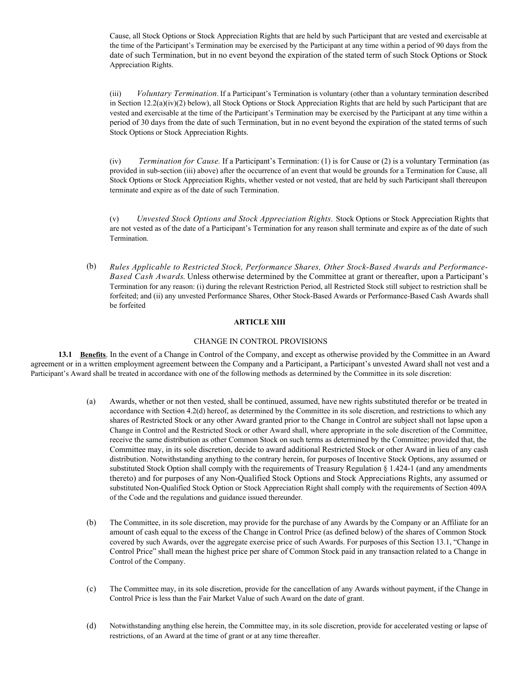Cause, all Stock Options or Stock Appreciation Rights that are held by such Participant that are vested and exercisable at the time of the Participant's Termination may be exercised by the Participant at any time within a period of 90 days from the date of such Termination, but in no event beyond the expiration of the stated term of such Stock Options or Stock Appreciation Rights.

(iii) *Voluntary Termination.* If a Participant's Termination is voluntary (other than a voluntary termination described in Section  $12.2(a)(iv)(2)$  below), all Stock Options or Stock Appreciation Rights that are held by such Participant that are vested and exercisable at the time of the Participant's Termination may be exercised by the Participant at any time within a period of 30 days from the date of such Termination, but in no event beyond the expiration of the stated terms of such Stock Options or Stock Appreciation Rights.

(iv) *Termination for Cause.* If a Participant's Termination: (1) is for Cause or (2) is a voluntary Termination (as provided in sub-section (iii) above) after the occurrence of an event that would be grounds for a Termination for Cause, all Stock Options or Stock Appreciation Rights, whether vested or not vested, that are held by such Participant shall thereupon terminate and expire as of the date of such Termination.

(v) *Unvested Stock Options and Stock Appreciation Rights.* Stock Options or Stock Appreciation Rights that are not vested as of the date of a Participant's Termination for any reason shall terminate and expire as of the date of such Termination.

(b) *Rules Applicable to Restricted Stock, Performance Shares, Other Stock-Based Awards and Performance-Based Cash Awards*. Unless otherwise determined by the Committee at grant or thereafter, upon a Participant's Termination for any reason: (i) during the relevant Restriction Period, all Restricted Stock still subject to restriction shall be forfeited; and (ii) any unvested Performance Shares, Other Stock-Based Awards or Performance-Based Cash Awards shall be forfeited

## **ARTICLE XIII**

#### CHANGE IN CONTROL PROVISIONS

**13.1 Benefits**. In the event of a Change in Control of the Company, and except as otherwise provided by the Committee in an Award agreement or in a written employment agreement between the Company and a Participant, a Participant's unvested Award shall not vest and a Participant's Award shall be treated in accordance with one of the following methods as determined by the Committee in its sole discretion:

- (a) Awards, whether or not then vested, shall be continued, assumed, have new rights substituted therefor or be treated in accordance with Section 4.2(d) hereof, as determined by the Committee in its sole discretion, and restrictions to which any shares of Restricted Stock or any other Award granted prior to the Change in Control are subject shall not lapse upon a Change in Control and the Restricted Stock or other Award shall, where appropriate in the sole discretion of the Committee, receive the same distribution as other Common Stock on such terms as determined by the Committee; provided that, the Committee may, in its sole discretion, decide to award additional Restricted Stock or other Award in lieu of any cash distribution. Notwithstanding anything to the contrary herein, for purposes of Incentive Stock Options, any assumed or substituted Stock Option shall comply with the requirements of Treasury Regulation § 1.424-1 (and any amendments thereto) and for purposes of any Non-Qualified Stock Options and Stock Appreciations Rights, any assumed or substituted Non-Qualified Stock Option or Stock Appreciation Right shall comply with the requirements of Section 409A of the Code and the regulations and guidance issued thereunder.
- (b) The Committee, in its sole discretion, may provide for the purchase of any Awards by the Company or an Affiliate for an amount of cash equal to the excess of the Change in Control Price (as defined below) of the shares of Common Stock covered by such Awards, over the aggregate exercise price of such Awards. For purposes of this Section 13.1, "Change in Control Price" shall mean the highest price per share of Common Stock paid in any transaction related to a Change in Control of the Company.
- (c) The Committee may, in its sole discretion, provide for the cancellation of any Awards without payment, if the Change in Control Price is less than the Fair Market Value of such Award on the date of grant.
- (d) Notwithstanding anything else herein, the Committee may, in its sole discretion, provide for accelerated vesting or lapse of restrictions, of an Award at the time of grant or at any time thereafter.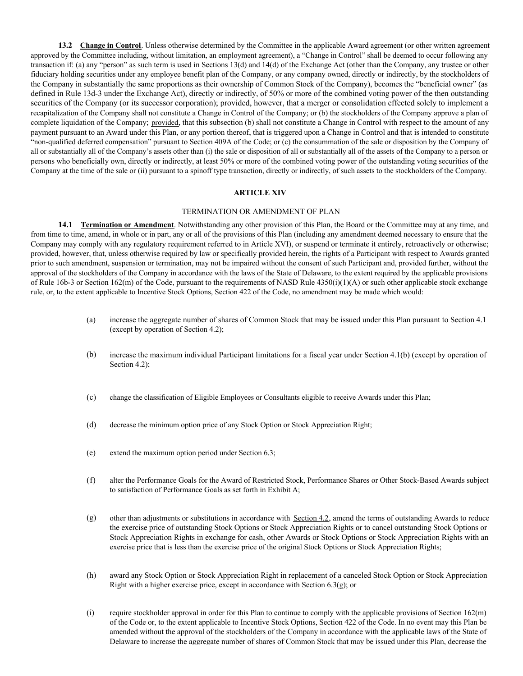**13.2 Change in Control**. Unless otherwise determined by the Committee in the applicable Award agreement (or other written agreement approved by the Committee including, without limitation, an employment agreement), a "Change in Control" shall be deemed to occur following any transaction if: (a) any "person" as such term is used in Sections 13(d) and 14(d) of the Exchange Act (other than the Company, any trustee or other fiduciary holding securities under any employee benefit plan of the Company, or any company owned, directly or indirectly, by the stockholders of the Company in substantially the same proportions as their ownership of Common Stock of the Company), becomes the "beneficial owner" (as defined in Rule 13d-3 under the Exchange Act), directly or indirectly, of 50% or more of the combined voting power of the then outstanding securities of the Company (or its successor corporation); provided, however, that a merger or consolidation effected solely to implement a recapitalization of the Company shall not constitute a Change in Control of the Company; or (b) the stockholders of the Company approve a plan of complete liquidation of the Company; provided, that this subsection (b) shall not constitute a Change in Control with respect to the amount of any payment pursuant to an Award under this Plan, or any portion thereof, that is triggered upon a Change in Control and that is intended to constitute "non-qualified deferred compensation" pursuant to Section 409A of the Code; or (c) the consummation of the sale or disposition by the Company of all or substantially all of the Company's assets other than (i) the sale or disposition of all or substantially all of the assets of the Company to a person or persons who beneficially own, directly or indirectly, at least 50% or more of the combined voting power of the outstanding voting securities of the Company at the time of the sale or (ii) pursuant to a spinoff type transaction, directly or indirectly, of such assets to the stockholders of the Company.

# **ARTICLE XIV**

## TERMINATION OR AMENDMENT OF PLAN

**14.1 Termination or Amendment**. Notwithstanding any other provision of this Plan, the Board or the Committee may at any time, and from time to time, amend, in whole or in part, any or all of the provisions of this Plan (including any amendment deemed necessary to ensure that the Company may comply with any regulatory requirement referred to in Article XVI), or suspend or terminate it entirely, retroactively or otherwise; provided, however, that, unless otherwise required by law or specifically provided herein, the rights of a Participant with respect to Awards granted prior to such amendment, suspension or termination, may not be impaired without the consent of such Participant and, provided further, without the approval of the stockholders of the Company in accordance with the laws of the State of Delaware, to the extent required by the applicable provisions of Rule 16b-3 or Section 162(m) of the Code, pursuant to the requirements of NASD Rule  $4350(i)(1)(A)$  or such other applicable stock exchange rule, or, to the extent applicable to Incentive Stock Options, Section 422 of the Code, no amendment may be made which would:

- (a) increase the aggregate number of shares of Common Stock that may be issued under this Plan pursuant to Section 4.1 (except by operation of Section 4.2);
- (b) increase the maximum individual Participant limitations for a fiscal year under Section 4.1(b) (except by operation of Section 4.2);
- (c) change the classification of Eligible Employees or Consultants eligible to receive Awards under this Plan;
- (d) decrease the minimum option price of any Stock Option or Stock Appreciation Right;
- (e) extend the maximum option period under Section 6.3;
- (f) alter the Performance Goals for the Award of Restricted Stock, Performance Shares or Other Stock-Based Awards subject to satisfaction of Performance Goals as set forth in Exhibit A;
- (g) other than adjustments or substitutions in accordance with  $Section 4.2$ , amend the terms of outstanding Awards to reduce the exercise price of outstanding Stock Options or Stock Appreciation Rights or to cancel outstanding Stock Options or Stock Appreciation Rights in exchange for cash, other Awards or Stock Options or Stock Appreciation Rights with an exercise price that is less than the exercise price of the original Stock Options or Stock Appreciation Rights;
- (h) award any Stock Option or Stock Appreciation Right in replacement of a canceled Stock Option or Stock Appreciation Right with a higher exercise price, except in accordance with Section 6.3(g); or
- (i) require stockholder approval in order for this Plan to continue to comply with the applicable provisions of Section 162(m) of the Code or, to the extent applicable to Incentive Stock Options, Section 422 of the Code. In no event may this Plan be amended without the approval of the stockholders of the Company in accordance with the applicable laws of the State of Delaware to increase the aggregate number of shares of Common Stock that may be issued under this Plan, decrease the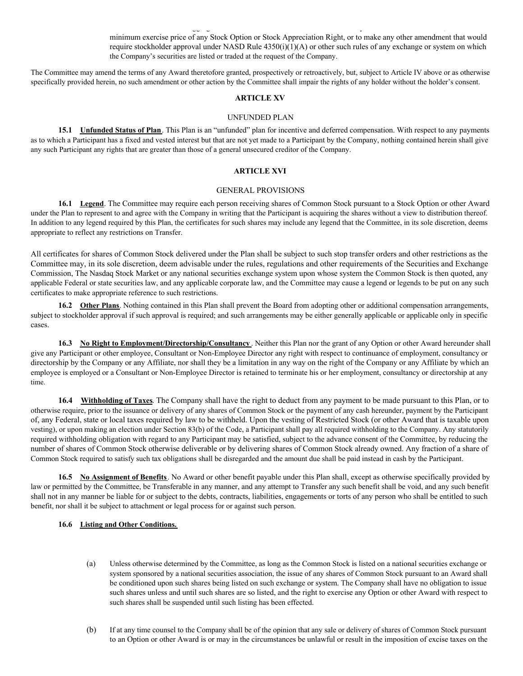Delaware to increase the aggregate number of shares of Common Stock that may be issued under this Plan, decrease the minimum exercise price of any Stock Option or Stock Appreciation Right, or to make any other amendment that would require stockholder approval under NASD Rule 4350(i)(1)(A) or other such rules of any exchange or system on which the Company's securities are listed or traded at the request of the Company.

The Committee may amend the terms of any Award theretofore granted, prospectively or retroactively, but, subject to Article IV above or as otherwise specifically provided herein, no such amendment or other action by the Committee shall impair the rights of any holder without the holder's consent.

# **ARTICLE XV**

## UNFUNDED PLAN

**15.1 Unfunded Status of Plan**. This Plan is an "unfunded" plan for incentive and deferred compensation. With respect to any payments as to which a Participant has a fixed and vested interest but that are not yet made to a Participant by the Company, nothing contained herein shall give any such Participant any rights that are greater than those of a general unsecured creditor of the Company.

## **ARTICLE XVI**

# GENERAL PROVISIONS

**16.1 Legend**. The Committee may require each person receiving shares of Common Stock pursuant to a Stock Option or other Award under the Plan to represent to and agree with the Company in writing that the Participant is acquiring the shares without a view to distribution thereof. In addition to any legend required by this Plan, the certificates for such shares may include any legend that the Committee, in its sole discretion, deems appropriate to reflect any restrictions on Transfer.

All certificates for shares of Common Stock delivered under the Plan shall be subject to such stop transfer orders and other restrictions as the Committee may, in its sole discretion, deem advisable under the rules, regulations and other requirements of the Securities and Exchange Commission, The Nasdaq Stock Market or any national securities exchange system upon whose system the Common Stock is then quoted, any applicable Federal or state securities law, and any applicable corporate law, and the Committee may cause a legend or legends to be put on any such certificates to make appropriate reference to such restrictions.

**16.2 Other Plans**. Nothing contained in this Plan shall prevent the Board from adopting other or additional compensation arrangements, subject to stockholder approval if such approval is required; and such arrangements may be either generally applicable or applicable only in specific cases.

**16.3 No Right to Employment/Directorship/Consultancy** . Neither this Plan nor the grant of any Option or other Award hereunder shall give any Participant or other employee, Consultant or Non-Employee Director any right with respect to continuance of employment, consultancy or directorship by the Company or any Affiliate, nor shall they be a limitation in any way on the right of the Company or any Affiliate by which an employee is employed or a Consultant or Non-Employee Director is retained to terminate his or her employment, consultancy or directorship at any time.

**16.4 Withholding of Taxes**. The Company shall have the right to deduct from any payment to be made pursuant to this Plan, or to otherwise require, prior to the issuance or delivery of any shares of Common Stock or the payment of any cash hereunder, payment by the Participant of, any Federal, state or local taxes required by law to be withheld. Upon the vesting of Restricted Stock (or other Award that is taxable upon vesting), or upon making an election under Section 83(b) of the Code, a Participant shall pay all required withholding to the Company. Any statutorily required withholding obligation with regard to any Participant may be satisfied, subject to the advance consent of the Committee, by reducing the number of shares of Common Stock otherwise deliverable or by delivering shares of Common Stock already owned. Any fraction of a share of Common Stock required to satisfy such tax obligations shall be disregarded and the amount due shall be paid instead in cash by the Participant.

**16.5** No Assignment of Benefits. No Award or other benefit payable under this Plan shall, except as otherwise specifically provided by law or permitted by the Committee, be Transferable in any manner, and any attempt to Transfer any such benefit shall be void, and any such benefit shall not in any manner be liable for or subject to the debts, contracts, liabilities, engagements or torts of any person who shall be entitled to such benefit, nor shall it be subject to attachment or legal process for or against such person.

## **16.6 Listing and Other Conditions.**

- (a) Unless otherwise determined by the Committee, as long as the Common Stock is listed on a national securities exchange or system sponsored by a national securities association, the issue of any shares of Common Stock pursuant to an Award shall be conditioned upon such shares being listed on such exchange or system. The Company shall have no obligation to issue such shares unless and until such shares are so listed, and the right to exercise any Option or other Award with respect to such shares shall be suspended until such listing has been effected.
- (b) If at any time counsel to the Company shall be of the opinion that any sale or delivery of shares of Common Stock pursuant to an Option or other Award is or may in the circumstances be unlawful or result in the imposition of excise taxes on the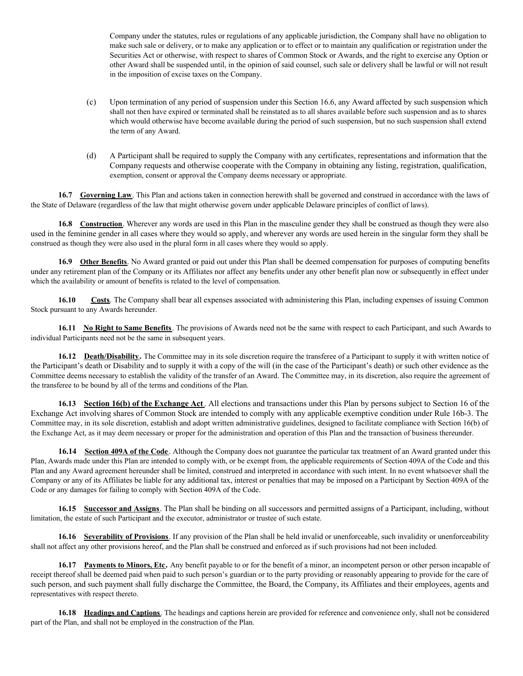Company under the statutes, rules or regulations of any applicable jurisdiction, the Company shall have no obligation to make such sale or delivery, or to make any application or to effect or to maintain any qualification or registration under the Securities Act or otherwise, with respect to shares of Common Stock or Awards, and the right to exercise any Option or other Award shall be suspended until, in the opinion of said counsel, such sale or delivery shall be lawful or will not result in the imposition of excise taxes on the Company.

- (c) Upon termination of any period of suspension under this Section 16.6, any Award affected by such suspension which shall not then have expired or terminated shall be reinstated as to all shares available before such suspension and as to shares which would otherwise have become available during the period of such suspension, but no such suspension shall extend the term of any Award.
- (d) A Participant shall be required to supply the Company with any certificates, representations and information that the Company requests and otherwise cooperate with the Company in obtaining any listing, registration, qualification, exemption, consent or approval the Company deems necessary or appropriate.

**16.7 Governing Law**. This Plan and actions taken in connection herewith shall be governed and construed in accordance with the laws of the State of Delaware (regardless of the law that might otherwise govern under applicable Delaware principles of conflict of laws).

**16.8 Construction**. Wherever any words are used in this Plan in the masculine gender they shall be construed as though they were also used in the feminine gender in all cases where they would so apply, and wherever any words are used herein in the singular form they shall be construed as though they were also used in the plural form in all cases where they would so apply.

**16.9 Other Benefits**. No Award granted or paid out under this Plan shall be deemed compensation for purposes of computing benefits under any retirement plan of the Company or its Affiliates nor affect any benefits under any other benefit plan now or subsequently in effect under which the availability or amount of benefits is related to the level of compensation.

**16.10 Costs**. The Company shall bear all expenses associated with administering this Plan, including expenses of issuing Common Stock pursuant to any Awards hereunder.

**16.11 No Right to Same Benefits**. The provisions of Awards need not be the same with respect to each Participant, and such Awards to individual Participants need not be the same in subsequent years.

**16.12 Death/Disability**. The Committee may in its sole discretion require the transferee of a Participant to supply it with written notice of the Participant's death or Disability and to supply it with a copy of the will (in the case of the Participant's death) or such other evidence as the Committee deems necessary to establish the validity of the transfer of an Award. The Committee may, in its discretion, also require the agreement of the transferee to be bound by all of the terms and conditions of the Plan.

**16.13 Section 16(b) of the Exchange Act**. All elections and transactions under this Plan by persons subject to Section 16 of the Exchange Act involving shares of Common Stock are intended to comply with any applicable exemptive condition under Rule 16b-3. The Committee may, in its sole discretion, establish and adopt written administrative guidelines, designed to facilitate compliance with Section 16(b) of the Exchange Act, as it may deem necessary or proper for the administration and operation of this Plan and the transaction of business thereunder.

**16.14 Section 409A of the Code** . Although the Company does not guarantee the particular tax treatment of an Award granted under this Plan, Awards made under this Plan are intended to comply with, or be exempt from, the applicable requirements of Section 409A of the Code and this Plan and any Award agreement hereunder shall be limited, construed and interpreted in accordance with such intent. In no event whatsoever shall the Company or any of its Affiliates be liable for any additional tax, interest or penalties that may be imposed on a Participant by Section 409A of the Code or any damages for failing to comply with Section 409A of the Code.

**16.15 Successor and Assigns**. The Plan shall be binding on all successors and permitted assigns of a Participant, including, without limitation, the estate of such Participant and the executor, administrator or trustee of such estate.

**16.16 Severability of Provisions**. If any provision of the Plan shall be held invalid or unenforceable, such invalidity or unenforceability shall not affect any other provisions hereof, and the Plan shall be construed and enforced as if such provisions had not been included.

**16.17 Payments to Minors, Etc.** Any benefit payable to or for the benefit of a minor, an incompetent person or other person incapable of receipt thereof shall be deemed paid when paid to such person's guardian or to the party providing or reasonably appearing to provide for the care of such person, and such payment shall fully discharge the Committee, the Board, the Company, its Affiliates and their employees, agents and representatives with respect thereto.

**16.18 Headings and Captions**. The headings and captions herein are provided for reference and convenience only, shall not be considered part of the Plan, and shall not be employed in the construction of the Plan.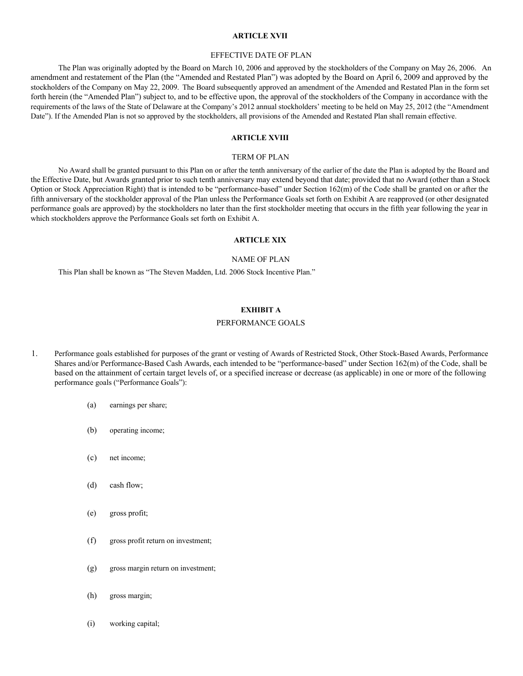#### **ARTICLE XVII**

## EFFECTIVE DATE OF PLAN

The Plan was originally adopted by the Board on March 10, 2006 and approved by the stockholders of the Company on May 26, 2006. An amendment and restatement of the Plan (the "Amended and Restated Plan") was adopted by the Board on April 6, 2009 and approved by the stockholders of the Company on May 22, 2009. The Board subsequently approved an amendment of the Amended and Restated Plan in the form set forth herein (the "Amended Plan") subject to, and to be effective upon, the approval of the stockholders of the Company in accordance with the requirements of the laws of the State of Delaware at the Company's 2012 annual stockholders' meeting to be held on May 25, 2012 (the "Amendment Date"). If the Amended Plan is not so approved by the stockholders, all provisions of the Amended and Restated Plan shall remain effective.

# **ARTICLE XVIII**

#### TERM OF PLAN

No Award shall be granted pursuant to this Plan on or after the tenth anniversary of the earlier of the date the Plan is adopted by the Board and the Effective Date, but Awards granted prior to such tenth anniversary may extend beyond that date; provided that no Award (other than a Stock Option or Stock Appreciation Right) that is intended to be "performance-based" under Section 162(m) of the Code shall be granted on or after the fifth anniversary of the stockholder approval of the Plan unless the Performance Goals set forth on Exhibit A are reapproved (or other designated performance goals are approved) by the stockholders no later than the first stockholder meeting that occurs in the fifth year following the year in which stockholders approve the Performance Goals set forth on Exhibit A.

# **ARTICLE XIX**

#### NAME OF PLAN

This Plan shall be known as "The Steven Madden, Ltd. 2006 Stock Incentive Plan."

# **EXHIBIT A**

# PERFORMANCE GOALS

- 1. Performance goals established for purposes of the grant or vesting of Awards of Restricted Stock, Other Stock-Based Awards, Performance Shares and/or Performance-Based Cash Awards, each intended to be "performance-based" under Section 162(m) of the Code, shall be based on the attainment of certain target levels of, or a specified increase or decrease (as applicable) in one or more of the following performance goals ("Performance Goals"):
	- (a) earnings per share;
	- (b) operating income;
	- (c) net income;
	- (d) cash flow;
	- (e) gross profit;
	- (f) gross profit return on investment;
	- (g) gross margin return on investment;
	- (h) gross margin;
	- (i) working capital;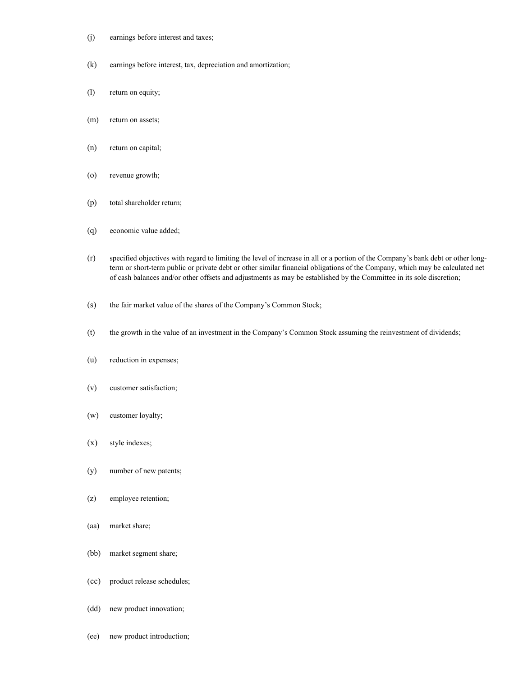- (j) earnings before interest and taxes;
- (k) earnings before interest, tax, depreciation and amortization;
- (l) return on equity;
- (m) return on assets;
- (n) return on capital;
- (o) revenue growth;
- (p) total shareholder return;
- (q) economic value added;
- (r) specified objectives with regard to limiting the level of increase in all or a portion of the Company's bank debt or other longterm or short-term public or private debt or other similar financial obligations of the Company, which may be calculated net of cash balances and/or other offsets and adjustments as may be established by the Committee in its sole discretion;
- (s) the fair market value of the shares of the Company's Common Stock;
- (t) the growth in the value of an investment in the Company's Common Stock assuming the reinvestment of dividends;
- (u) reduction in expenses;
- (v) customer satisfaction;
- (w) customer loyalty;
- (x) style indexes;
- (y) number of new patents;
- (z) employee retention;
- (aa) market share;
- (bb) market segment share;
- (cc) product release schedules;
- (dd) new product innovation;
- (ee) new product introduction;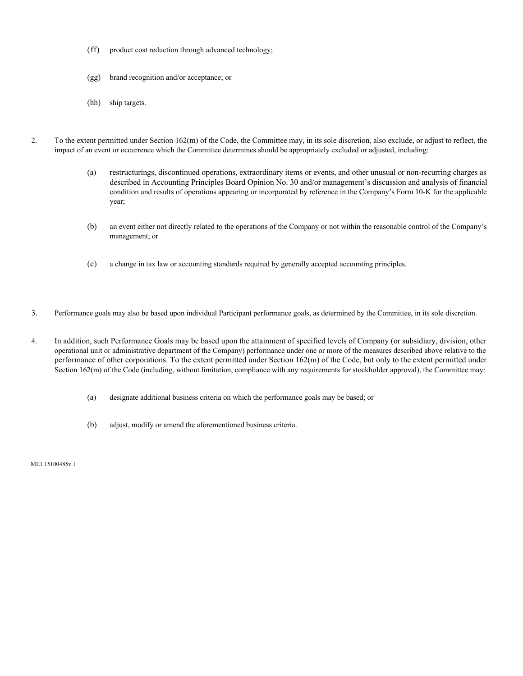- (ff) product cost reduction through advanced technology;
- (gg) brand recognition and/or acceptance; or
- (hh) ship targets.
- 2. To the extent permitted under Section 162(m) of the Code, the Committee may, in its sole discretion, also exclude, or adjust to reflect, the impact of an event or occurrence which the Committee determines should be appropriately excluded or adjusted, including:
	- (a) restructurings, discontinued operations, extraordinary items or events, and other unusual or non-recurring charges as described in Accounting Principles Board Opinion No. 30 and/or management's discussion and analysis of financial condition and results of operations appearing or incorporated by reference in the Company's Form 10-K for the applicable year;
	- (b) an event either not directly related to the operations of the Company or not within the reasonable control of the Company's management; or
	- (c) a change in tax law or accounting standards required by generally accepted accounting principles.
- 3. Performance goals may also be based upon individual Participant performance goals, as determined by the Committee, in its sole discretion.
- 4. In addition, such Performance Goals may be based upon the attainment of specified levels of Company (or subsidiary, division, other operational unit or administrative department of the Company) performance under one or more of the measures described above relative to the performance of other corporations. To the extent permitted under Section 162(m) of the Code, but only to the extent permitted under Section 162(m) of the Code (including, without limitation, compliance with any requirements for stockholder approval), the Committee may:
	- (a) designate additional business criteria on which the performance goals may be based; or
	- (b) adjust, modify or amend the aforementioned business criteria.

ME1 15100485v.1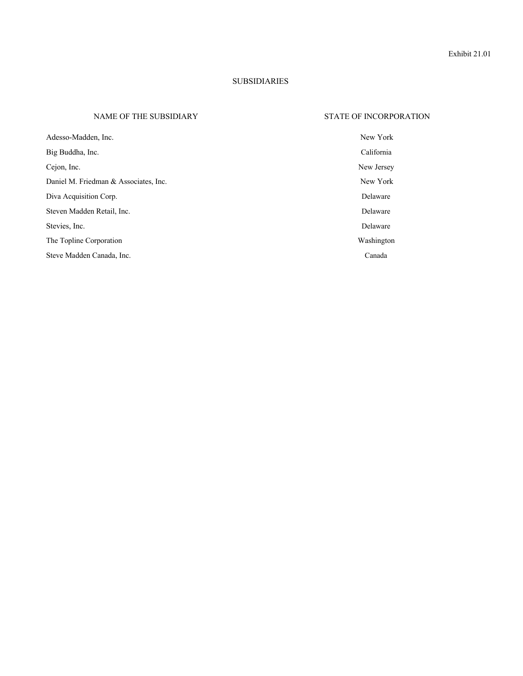# SUBSIDIARIES

# NAME OF THE SUBSIDIARY STATE OF INCORPORATION

| Adesso-Madden, Inc.                   | New York   |
|---------------------------------------|------------|
| Big Buddha, Inc.                      | California |
| Cejon, Inc.                           | New Jersey |
| Daniel M. Friedman & Associates, Inc. | New York   |
| Diva Acquisition Corp.                | Delaware   |
| Steven Madden Retail, Inc.            | Delaware   |
| Stevies, Inc.                         | Delaware   |
| The Topline Corporation               | Washington |
| Steve Madden Canada, Inc.             | Canada     |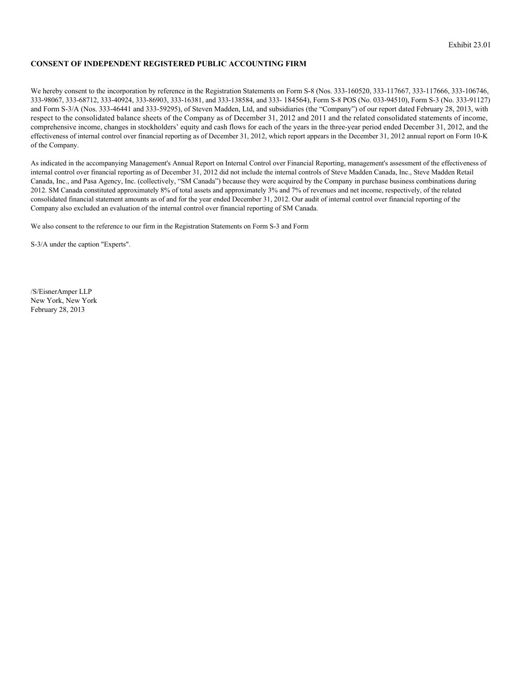# **CONSENT OF INDEPENDENT REGISTERED PUBLIC ACCOUNTING FIRM**

We hereby consent to the incorporation by reference in the Registration Statements on Form S-8 (Nos. 333-160520, 333-117667, 333-117666, 333-106746, 333-98067, 333-68712, 333-40924, 333-86903, 333-16381, and 333-138584, and 333- 184564), Form S-8 POS (No. 033-94510), Form S-3 (No. 333-91127) and Form S-3/A (Nos. 333-46441 and 333-59295), of Steven Madden, Ltd, and subsidiaries (the "Company") of our report dated February 28, 2013, with respect to the consolidated balance sheets of the Company as of December 31, 2012 and 2011 and the related consolidated statements of income, comprehensive income, changes in stockholders' equity and cash flows for each of the years in the three-year period ended December 31, 2012, and the effectiveness of internal control over financial reporting as of December 31, 2012, which report appears in the December 31, 2012 annual report on Form 10-K of the Company.

As indicated in the accompanying Management's Annual Report on Internal Control over Financial Reporting, management's assessment of the effectiveness of internal control over financial reporting as of December 31, 2012 did not include the internal controls of Steve Madden Canada, Inc., Steve Madden Retail Canada, Inc., and Pasa Agency, Inc. (collectively, "SM Canada") because they were acquired by the Company in purchase business combinations during 2012. SM Canada constituted approximately 8% of total assets and approximately 3% and 7% of revenues and net income, respectively, of the related consolidated financial statement amounts as of and for the year ended December 31, 2012. Our audit of internal control over financial reporting of the Company also excluded an evaluation of the internal control over financial reporting of SM Canada.

We also consent to the reference to our firm in the Registration Statements on Form S-3 and Form

S-3/A under the caption "Experts".

/S/EisnerAmper LLP New York, New York February 28, 2013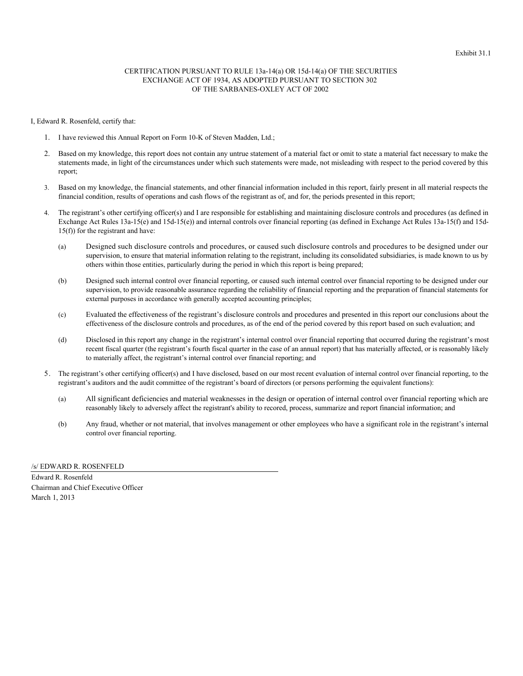## CERTIFICATION PURSUANT TO RULE 13a-14(a) OR 15d-14(a) OF THE SECURITIES EXCHANGE ACT OF 1934, AS ADOPTED PURSUANT TO SECTION 302 OF THE SARBANES-OXLEY ACT OF 2002

## I, Edward R. Rosenfeld, certify that:

- 1. I have reviewed this Annual Report on Form 10-K of Steven Madden, Ltd.;
- 2. Based on my knowledge, this report does not contain any untrue statement of a material fact or omit to state a material fact necessary to make the statements made, in light of the circumstances under which such statements were made, not misleading with respect to the period covered by this report;
- 3. Based on my knowledge, the financial statements, and other financial information included in this report, fairly present in all material respects the financial condition, results of operations and cash flows of the registrant as of, and for, the periods presented in this report;
- 4. The registrant's other certifying officer(s) and I are responsible for establishing and maintaining disclosure controls and procedures (as defined in Exchange Act Rules 13a-15(e) and 15d-15(e)) and internal controls over financial reporting (as defined in Exchange Act Rules 13a-15(f) and 15d-15(f)) for the registrant and have:
	- (a) Designed such disclosure controls and procedures, or caused such disclosure controls and procedures to be designed under our supervision, to ensure that material information relating to the registrant, including its consolidated subsidiaries, is made known to us by others within those entities, particularly during the period in which this report is being prepared;
	- (b) Designed such internal control over financial reporting, or caused such internal control over financial reporting to be designed under our supervision, to provide reasonable assurance regarding the reliability of financial reporting and the preparation of financial statements for external purposes in accordance with generally accepted accounting principles;
	- (c) Evaluated the effectiveness of the registrant's disclosure controls and procedures and presented in this report our conclusions about the effectiveness of the disclosure controls and procedures, as of the end of the period covered by this report based on such evaluation; and
	- (d) Disclosed in this report any change in the registrant's internal control over financial reporting that occurred during the registrant's most recent fiscal quarter (the registrant's fourth fiscal quarter in the case of an annual report) that has materially affected, or is reasonably likely to materially affect, the registrant's internal control over financial reporting; and
- 5. The registrant's other certifying officer(s) and I have disclosed, based on our most recent evaluation of internal control over financial reporting, to the registrant's auditors and the audit committee of the registrant's board of directors (or persons performing the equivalent functions):
	- (a) All significant deficiencies and material weaknesses in the design or operation of internal control over financial reporting which are reasonably likely to adversely affect the registrant's ability to recored, process, summarize and report financial information; and
	- (b) Any fraud, whether or not material, that involves management or other employees who have a significant role in the registrant's internal control over financial reporting.

#### /s/ EDWARD R. ROSENFELD

Edward R. Rosenfeld Chairman and Chief Executive Officer March 1, 2013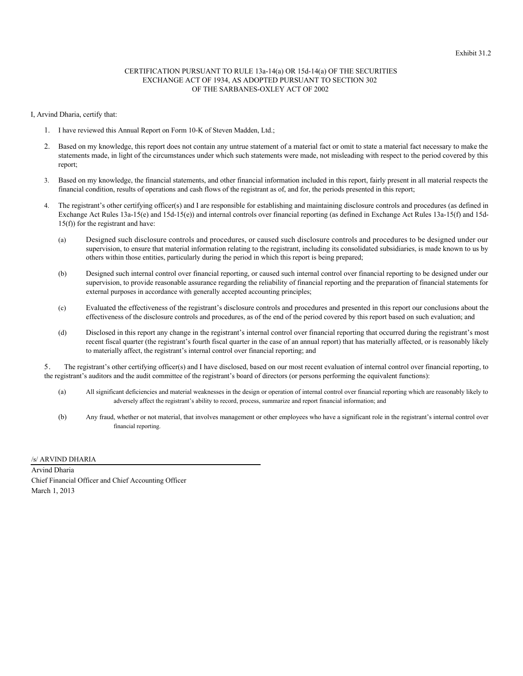## CERTIFICATION PURSUANT TO RULE 13a-14(a) OR 15d-14(a) OF THE SECURITIES EXCHANGE ACT OF 1934, AS ADOPTED PURSUANT TO SECTION 302 OF THE SARBANES-OXLEY ACT OF 2002

I, Arvind Dharia, certify that:

- 1. I have reviewed this Annual Report on Form 10-K of Steven Madden, Ltd.;
- 2. Based on my knowledge, this report does not contain any untrue statement of a material fact or omit to state a material fact necessary to make the statements made, in light of the circumstances under which such statements were made, not misleading with respect to the period covered by this report;
- 3. Based on my knowledge, the financial statements, and other financial information included in this report, fairly present in all material respects the financial condition, results of operations and cash flows of the registrant as of, and for, the periods presented in this report;
- 4. The registrant's other certifying officer(s) and I are responsible for establishing and maintaining disclosure controls and procedures (as defined in Exchange Act Rules 13a-15(e) and 15d-15(e)) and internal controls over financial reporting (as defined in Exchange Act Rules 13a-15(f) and 15d-15(f)) for the registrant and have:
	- (a) Designed such disclosure controls and procedures, or caused such disclosure controls and procedures to be designed under our supervision, to ensure that material information relating to the registrant, including its consolidated subsidiaries, is made known to us by others within those entities, particularly during the period in which this report is being prepared;
	- (b) Designed such internal control over financial reporting, or caused such internal control over financial reporting to be designed under our supervision, to provide reasonable assurance regarding the reliability of financial reporting and the preparation of financial statements for external purposes in accordance with generally accepted accounting principles;
	- (c) Evaluated the effectiveness of the registrant's disclosure controls and procedures and presented in this report our conclusions about the effectiveness of the disclosure controls and procedures, as of the end of the period covered by this report based on such evaluation; and
	- (d) Disclosed in this report any change in the registrant's internal control over financial reporting that occurred during the registrant's most recent fiscal quarter (the registrant's fourth fiscal quarter in the case of an annual report) that has materially affected, or is reasonably likely to materially affect, the registrant's internal control over financial reporting; and

5. The registrant's other certifying officer(s) and I have disclosed, based on our most recent evaluation of internal control over financial reporting, to the registrant's auditors and the audit committee of the registrant's board of directors (or persons performing the equivalent functions):

- (a) All significant deficiencies and material weaknesses in the design or operation of internal control over financial reporting which are reasonably likely to adversely affect the registrant's ability to record, process, summarize and report financial information; and
- (b) Any fraud, whether or not material, that involves management or other employees who have a significant role in the registrant's internal control over financial reporting.

/s/ ARVIND DHARIA

Arvind Dharia Chief Financial Officer and Chief Accounting Officer March 1, 2013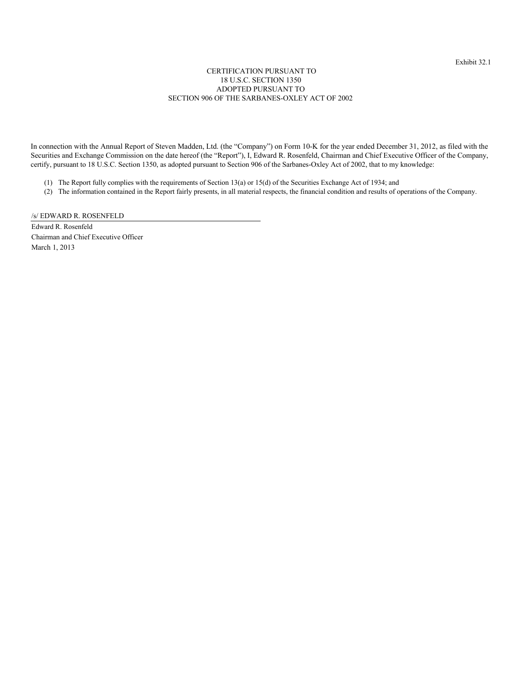## CERTIFICATION PURSUANT TO 18 U.S.C. SECTION 1350 ADOPTED PURSUANT TO SECTION 906 OF THE SARBANES-OXLEY ACT OF 2002

In connection with the Annual Report of Steven Madden, Ltd. (the "Company") on Form 10-K for the year ended December 31, 2012, as filed with the Securities and Exchange Commission on the date hereof (the "Report"), I, Edward R. Rosenfeld, Chairman and Chief Executive Officer of the Company, certify, pursuant to 18 U.S.C. Section 1350, as adopted pursuant to Section 906 of the Sarbanes-Oxley Act of 2002, that to my knowledge:

- (1) The Report fully complies with the requirements of Section 13(a) or 15(d) of the Securities Exchange Act of 1934; and
- (2) The information contained in the Report fairly presents, in all material respects, the financial condition and results of operations of the Company.

# /s/ EDWARD R. ROSENFELD

Edward R. Rosenfeld Chairman and Chief Executive Officer March 1, 2013